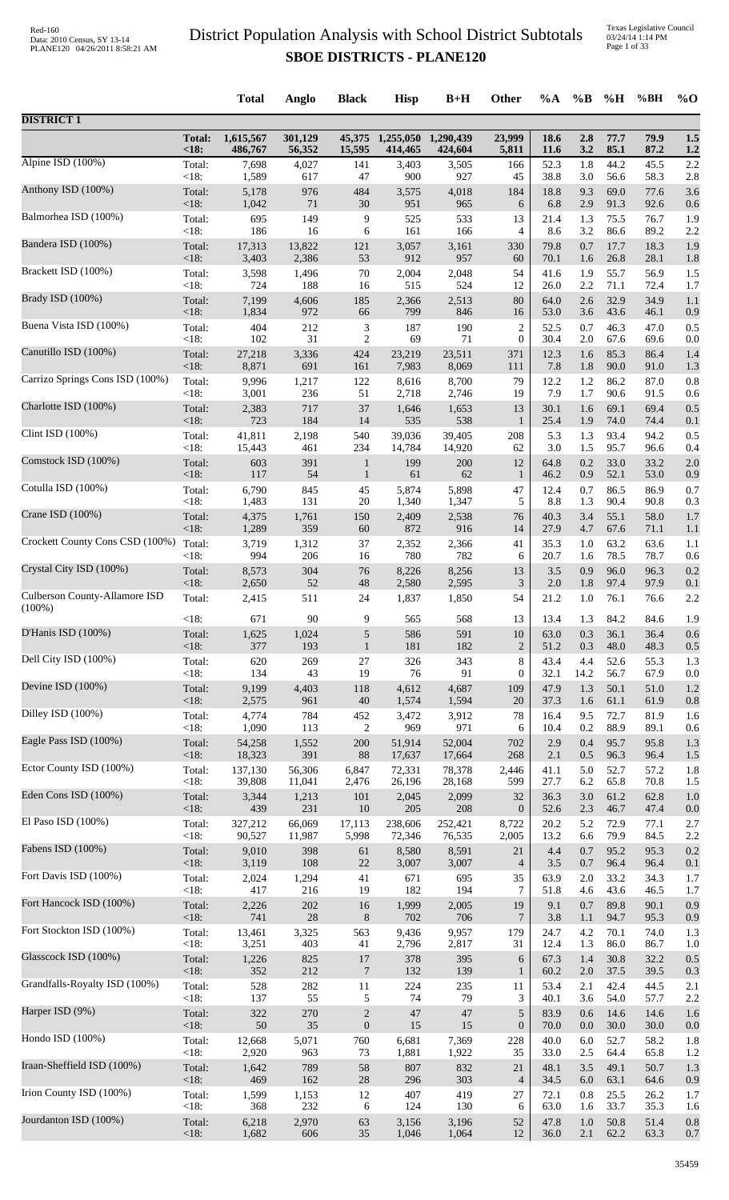|                                 |                   | <b>Total</b>   | Anglo        | <b>Black</b>         | <b>Hisp</b>  | $B+H$        | Other              | $\%A$        | $\%$ B     | %H           | %BH          | $\%$ O     |
|---------------------------------|-------------------|----------------|--------------|----------------------|--------------|--------------|--------------------|--------------|------------|--------------|--------------|------------|
| <b>DISTRICT 1</b>               |                   |                |              |                      |              |              |                    |              |            |              |              |            |
|                                 | <b>Total:</b>     | 1,615,567      | 301,129      | 45,375               | 1,255,050    | 1,290,439    | 23,999             | 18.6         | 2.8        | 77.7         | 79.9         | 1.5        |
|                                 | <18:              | 486,767        | 56,352       | 15,595               | 414,465      | 424,604      | 5,811              | <b>11.6</b>  | 3.2        | 85.1         | 87.2         | 1.2        |
| Alpine ISD (100%)               | Total:<br><18:    | 7,698          | 4,027        | 141<br>47            | 3,403        | 3,505<br>927 | 166<br>45          | 52.3         | 1.8        | 44.2         | 45.5         | 2.2        |
| Anthony ISD (100%)              | Total:            | 1,589<br>5,178 | 617<br>976   | 484                  | 900<br>3,575 | 4,018        | 184                | 38.8<br>18.8 | 3.0<br>9.3 | 56.6<br>69.0 | 58.3<br>77.6 | 2.8<br>3.6 |
| Balmorhea ISD (100%)            | $<18$ :           | 1,042          | 71           | 30                   | 951          | 965          | 6                  | 6.8          | 2.9        | 91.3         | 92.6         | 0.6        |
|                                 | Total:            | 695            | 149          | 9                    | 525          | 533          | 13                 | 21.4         | 1.3        | 75.5         | 76.7         | 1.9        |
| Bandera ISD (100%)              | <18:              | 186            | 16           | 6                    | 161          | 166          | 4                  | 8.6          | 3.2        | 86.6         | 89.2         | 2.2        |
|                                 | Total:            | 17,313         | 13,822       | 121                  | 3,057        | 3,161        | 330                | 79.8         | 0.7        | 17.7         | 18.3         | 1.9        |
|                                 | $<18$ :           | 3,403          | 2,386        | 53                   | 912          | 957          | 60                 | 70.1         | 1.6        | 26.8         | 28.1         | 1.8        |
| Brackett ISD (100%)             | Total:            | 3,598          | 1,496        | $70\,$               | 2,004        | 2,048        | 54                 | 41.6         | 1.9        | 55.7         | 56.9         | 1.5        |
|                                 | <18:              | 724            | 188          | 16                   | 515          | 524          | 12                 | 26.0         | 2.2        | 71.1         | 72.4         | 1.7        |
| Brady ISD (100%)                | Total:            | 7,199          | 4,606        | 185                  | 2,366        | 2,513        | 80                 | 64.0         | 2.6        | 32.9         | 34.9         | 1.1        |
|                                 | $<18$ :           | 1,834          | 972          | 66                   | 799          | 846          | 16                 | 53.0         | 3.6        | 43.6         | 46.1         | 0.9        |
| Buena Vista ISD (100%)          | Total:            | 404            | 212          | 3                    | 187          | 190          | $\overline{c}$     | 52.5         | 0.7        | 46.3         | 47.0         | 0.5        |
|                                 | <18:              | 102            | 31           | $\sqrt{2}$           | 69           | 71           | $\mathbf{0}$       | 30.4         | 2.0        | 67.6         | 69.6         | 0.0        |
| Canutillo ISD (100%)            | Total:            | 27,218         | 3,336        | 424                  | 23,219       | 23,511       | 371                | 12.3         | 1.6        | 85.3         | 86.4         | 1.4        |
|                                 | $<18$ :           | 8,871          | 691          | 161                  | 7,983        | 8,069        | 111                | 7.8          | 1.8        | 90.0         | 91.0         | 1.3        |
| Carrizo Springs Cons ISD (100%) | Total:            | 9,996          | 1,217        | 122                  | 8,616        | 8,700        | 79                 | 12.2         | 1.2        | 86.2         | 87.0         | 0.8        |
| Charlotte ISD (100%)            | <18:              | 3,001          | 236          | 51                   | 2,718        | 2,746        | 19                 | 7.9          | 1.7        | 90.6         | 91.5         | 0.6        |
|                                 | Total:            | 2,383          | 717          | 37                   | 1,646        | 1,653        | 13                 | 30.1         | 1.6        | 69.1         | 69.4         | 0.5        |
| Clint ISD (100%)                | <18:              | 723            | 184          | 14                   | 535          | 538          | $\mathbf{1}$       | 25.4         | 1.9        | 74.0         | 74.4         | 0.1        |
|                                 | Total:            | 41,811         | 2,198        | 540                  | 39,036       | 39.405       | 208                | 5.3          | 1.3        | 93.4         | 94.2         | 0.5        |
|                                 | <18:              | 15,443         | 461          | 234                  | 14,784       | 14,920       | 62                 | 3.0          | 1.5        | 95.7         | 96.6         | 0.4        |
| Comstock ISD (100%)             | Total:            | 603            | 391          | $\mathbf{1}$         | 199          | 200          | 12                 | 64.8         | 0.2        | 33.0         | 33.2         | 2.0        |
|                                 | $<18$ :           | 117            | 54           | $\mathbf{1}$         | 61           | 62           | $\mathbf{1}$       | 46.2         | 0.9        | 52.1         | 53.0         | 0.9        |
| Cotulla ISD (100%)              | Total:            | 6,790          | 845          | 45                   | 5,874        | 5,898        | 47                 | 12.4         | 0.7        | 86.5         | 86.9         | 0.7        |
|                                 | <18:              | 1,483          | 131          | 20                   | 1,340        | 1,347        | 5                  | 8.8          | 1.3        | 90.4         | 90.8         | 0.3        |
| Crane ISD (100%)                | Total:            | 4,375          | 1,761        | 150                  | 2,409        | 2,538        | 76                 | 40.3         | 3.4        | 55.1         | 58.0         | 1.7        |
| Crockett County Cons CSD (100%) | $<18$ :           | 1,289          | 359          | 60                   | 872          | 916          | 14                 | 27.9         | 4.7        | 67.6         | 71.1         | 1.1        |
|                                 | Total:            | 3,719          | 1,312        | 37                   | 2,352        | 2,366        | 41                 | 35.3         | 1.0        | 63.2         | 63.6         | 1.1        |
| Crystal City ISD (100%)         | < 18:             | 994            | 206          | 16                   | 780          | 782          | 6                  | 20.7         | 1.6        | 78.5         | 78.7         | 0.6        |
|                                 | Total:            | 8,573          | 304          | 76                   | 8,226        | 8,256        | 13                 | 3.5          | 0.9        | 96.0         | 96.3         | 0.2        |
| Culberson County-Allamore ISD   | $<18$ :           | 2,650          | 52           | $\sqrt{48}$          | 2,580        | 2,595        | 3<br>54            | 2.0<br>21.2  | 1.8        | 97.4<br>76.1 | 97.9         | 0.1<br>2.2 |
| $(100\%)$                       | Total:<br><18:    | 2,415<br>671   | 511<br>90    | 24<br>9              | 1,837<br>565 | 1,850<br>568 | 13                 | 13.4         | 1.0<br>1.3 | 84.2         | 76.6<br>84.6 | 1.9        |
| D'Hanis ISD (100%)              | Total:            | 1,625          | 1,024        | 5                    | 586          | 591          | 10                 | 63.0         | 0.3        | 36.1         | 36.4         | 0.6        |
| Dell City ISD (100%)            | $<18$ :           | 377            | 193          | $\mathbf{1}$         | 181          | 182          | $\overline{2}$     | 51.2         | 0.3        | 48.0         | 48.3         | 0.5        |
|                                 | Total:            | 620            | 269          | 27                   | 326          | 343          | $\,8\,$            | 43.4         | 4.4        | 52.6         | 55.3         | 1.3        |
| Devine ISD (100%)               | <18:              | 134            | 43           | 19                   | 76           | 91           | 0                  | 32.1         | 14.2       | 56.7         | 67.9         | 0.0        |
|                                 | Total:            | 9,199          | 4,403        | 118                  | 4,612        | 4,687        | 109                | 47.9         | 1.3        | 50.1         | 51.0         | 1.2        |
| Dilley ISD (100%)               | $<18$ :           | 2,575          | 961          | $40\,$               | 1,574        | 1,594        | 20                 | 37.3         | 1.6        | 61.1         | 61.9         | 0.8        |
|                                 | Total:            | 4,774          | 784          | 452                  | 3,472        | 3,912        | $78\,$             | 16.4         | 9.5        | 72.7         | 81.9         | 1.6        |
|                                 | $<18$ :           | 1,090          | 113          | $\boldsymbol{2}$     | 969          | 971          | 6                  | 10.4         | 0.2        | 88.9         | 89.1         | 0.6        |
| Eagle Pass ISD (100%)           | Total:            | 54,258         | 1,552        | 200                  | 51,914       | 52,004       | 702                | 2.9          | 0.4        | 95.7         | 95.8         | 1.3        |
|                                 | $<18$ :           | 18,323         | 391          | 88                   | 17,637       | 17,664       | 268                | 2.1          | 0.5        | 96.3         | 96.4         | 1.5        |
| Ector County ISD (100%)         | Total:            | 137,130        | 56,306       | 6,847                | 72,331       | 78,378       | 2,446              | 41.1         | 5.0        | 52.7         | 57.2         | 1.8        |
|                                 | $<18$ :           | 39,808         | 11,041       | 2,476                | 26,196       | 28,168       | 599                | 27.7         | 6.2        | 65.8         | 70.8         | 1.5        |
| Eden Cons ISD (100%)            | Total:<br>$<18$ : | 3,344<br>439   | 1,213<br>231 | 101<br>10            | 2,045<br>205 | 2,099<br>208 | 32<br>$\mathbf{0}$ | 36.3<br>52.6 | 3.0<br>2.3 | 61.2<br>46.7 | 62.8<br>47.4 | 1.0        |
| El Paso ISD (100%)              | Total:            | 327,212        | 66,069       | 17,113               | 238,606      | 252,421      | 8,722              | 20.2         | 5.2        | 72.9         | 77.1         | 0.0<br>2.7 |
| Fabens ISD (100%)               | $<18$ :           | 90,527         | 11,987       | 5,998                | 72,346       | 76,535       | 2,005              | 13.2         | 6.6        | 79.9         | 84.5         | 2.2        |
|                                 | Total:            | 9,010          | 398          | 61                   | 8,580        | 8,591        | 21                 | 4.4          | 0.7        | 95.2         | 95.3         | 0.2        |
| Fort Davis ISD (100%)           | $<18$ :           | 3,119          | 108          | $22\,$               | 3,007        | 3,007        | $\overline{4}$     | 3.5          | 0.7        | 96.4         | 96.4         | 0.1        |
|                                 | Total:            | 2,024          | 1,294        | 41                   | 671          | 695          | 35                 | 63.9         | 2.0        | 33.2         | 34.3         | 1.7        |
|                                 | $<18$ :           | 417            | 216          | 19                   | 182          | 194          | 7                  | 51.8         | 4.6        | 43.6         | 46.5         | 1.7        |
| Fort Hancock ISD (100%)         | Total:            | 2,226          | 202          | 16                   | 1,999        | 2,005        | 19                 | 9.1          | 0.7        | 89.8         | 90.1         | 0.9        |
|                                 | $<18$ :           | 741            | 28           | $8\,$                | 702          | 706          | $\overline{7}$     | 3.8          | 1.1        | 94.7         | 95.3         | 0.9        |
| Fort Stockton ISD (100%)        | Total:            | 13,461         | 3,325        | 563                  | 9,436        | 9,957        | 179                | 24.7         | 4.2        | 70.1         | 74.0         | 1.3        |
|                                 | $<18$ :           | 3,251          | 403          | 41                   | 2,796        | 2,817        | 31                 | 12.4         | 1.3        | 86.0         | 86.7         | 1.0        |
| Glasscock ISD (100%)            | Total:<br>$<18$ : | 1,226<br>352   | 825<br>212   | 17<br>$\overline{7}$ | 378<br>132   | 395<br>139   | 6<br>$\mathbf{1}$  | 67.3<br>60.2 | 1.4<br>2.0 | 30.8<br>37.5 | 32.2<br>39.5 | 0.5        |
| Grandfalls-Royalty ISD (100%)   | Total:            | 528            | 282          | 11                   | 224          | 235          | 11                 | 53.4         | 2.1        | 42.4         | 44.5         | 0.3<br>2.1 |
| Harper ISD (9%)                 | $<18$ :           | 137            | 55           | 5                    | 74           | 79           | 3                  | 40.1         | 3.6        | 54.0         | 57.7         | 2.2        |
|                                 | Total:            | 322            | 270          | $\sqrt{2}$           | 47           | 47           | $\sqrt{5}$         | 83.9         | 0.6        | 14.6         | 14.6         | 1.6        |
| Hondo ISD (100%)                | $<18$ :           | 50             | 35           | $\boldsymbol{0}$     | 15           | 15           | $\boldsymbol{0}$   | 70.0         | 0.0        | 30.0         | 30.0         | 0.0        |
|                                 | Total:            | 12,668         | 5,071        | 760                  | 6,681        | 7,369        | 228                | 40.0         | 6.0        | 52.7         | 58.2         | 1.8        |
|                                 | $<18$ :           | 2,920          | 963          | 73                   | 1,881        | 1,922        | 35                 | 33.0         | 2.5        | 64.4         | 65.8         | 1.2        |
| Iraan-Sheffield ISD (100%)      | Total:            | 1,642          | 789          | 58                   | 807          | 832          | 21                 | 48.1         | 3.5        | 49.1         | 50.7         | 1.3        |
|                                 | <18:              | 469            | 162          | $28\,$               | 296          | 303          | $\overline{4}$     | 34.5         | 6.0        | 63.1         | 64.6         | 0.9        |
| Irion County ISD (100%)         | Total:            | 1,599          | 1,153        | 12                   | 407          | 419          | 27                 | 72.1         | 0.8        | 25.5         | 26.2         | 1.7        |
|                                 | <18:              | 368            | 232          | 6                    | 124          | 130          | 6                  | 63.0         | 1.6        | 33.7         | 35.3         | 1.6        |
| Jourdanton ISD (100%)           | Total:            | 6,218          | 2,970        | 63                   | 3,156        | 3,196        | 52                 | 47.8         | $1.0\,$    | 50.8         | 51.4         | 0.8        |
|                                 | $<18$ :           | 1,682          | 606          | 35                   | 1,046        | 1,064        | 12                 | 36.0         | 2.1        | 62.2         | 63.3         | 0.7        |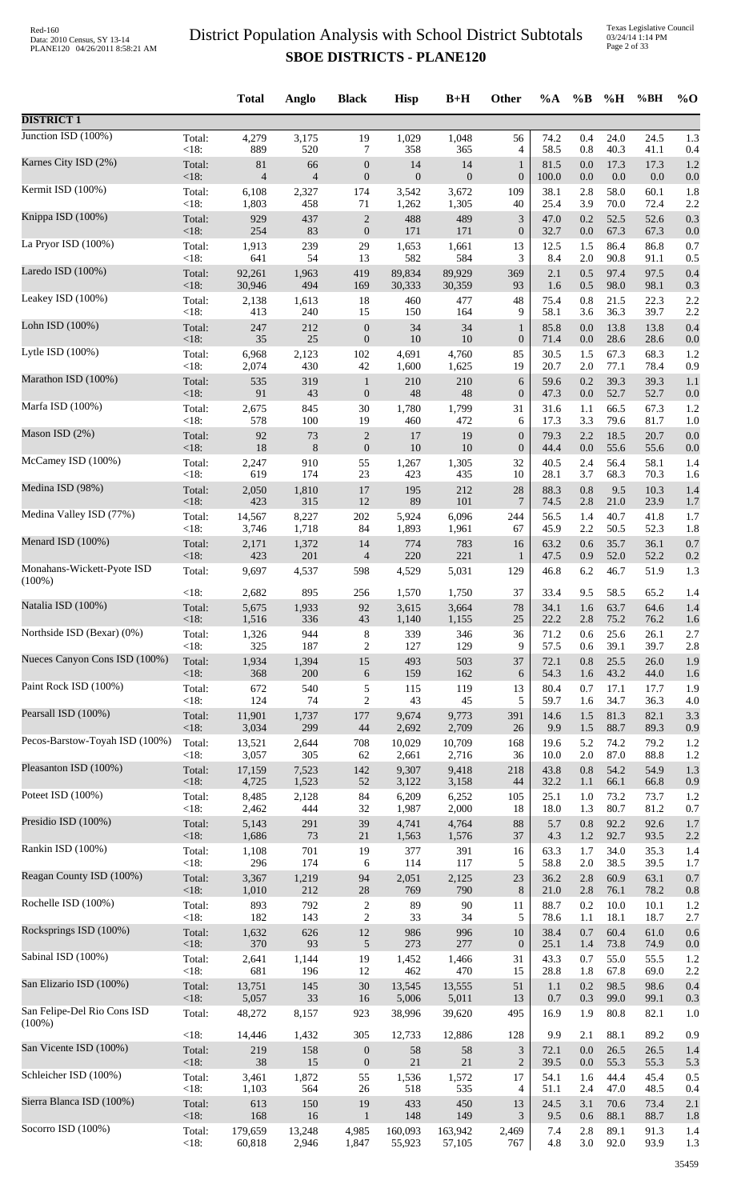Texas Legislative Council 03/24/14 1:14 PM Page 2 of 33

|                                          |                   | <b>Total</b>   | Anglo          | <b>Black</b>                     | <b>Hisp</b>   | $B+H$            | Other                 | %A           | $\%B$      | %H           | %BH          | $%$ <sup>O</sup> |
|------------------------------------------|-------------------|----------------|----------------|----------------------------------|---------------|------------------|-----------------------|--------------|------------|--------------|--------------|------------------|
| <b>DISTRICT 1</b>                        |                   |                |                |                                  |               |                  |                       |              |            |              |              |                  |
| Junction ISD $(100\%)$                   | Total:            | 4,279          | 3,175          | 19                               | 1,029         | 1,048            | 56                    | 74.2         | 0.4        | 24.0         | 24.5         | 1.3              |
| Karnes City ISD (2%)                     | < 18:             | 889            | 520            | 7                                | 358           | 365              | 4                     | 58.5         | 0.8        | 40.3         | 41.1         | 0.4              |
|                                          | Total:            | 81             | 66             | $\boldsymbol{0}$                 | 14            | 14               | $\mathbf{1}$          | 81.5         | 0.0        | 17.3         | 17.3         | 1.2              |
|                                          | <18:              | $\overline{4}$ | $\overline{4}$ | $\boldsymbol{0}$                 | $\mathbf{0}$  | $\boldsymbol{0}$ | $\boldsymbol{0}$      | 100.0        | $0.0\,$    | 0.0          | 0.0          | 0.0              |
| Kermit ISD (100%)                        | Total:            | 6,108          | 2,327          | 174                              | 3,542         | 3,672            | 109                   | 38.1         | 2.8        | 58.0         | 60.1         | 1.8              |
|                                          | <18:              | 1,803          | 458            | 71                               | 1,262         | 1,305            | 40                    | 25.4         | 3.9        | 70.0         | 72.4         | 2.2              |
| Knippa ISD (100%)                        | Total:            | 929            | 437            | $\overline{c}$                   | 488           | 489              | $\mathfrak{Z}$        | 47.0         | 0.2        | 52.5         | 52.6         | 0.3              |
|                                          | $<18$ :           | 254            | 83             | $\boldsymbol{0}$                 | 171           | 171              | $\boldsymbol{0}$      | 32.7         | $0.0\,$    | 67.3         | 67.3         | 0.0              |
| La Pryor ISD (100%)                      | Total:            | 1,913          | 239            | 29                               | 1,653         | 1,661            | 13                    | 12.5         | 1.5        | 86.4         | 86.8         | 0.7              |
| Laredo ISD (100%)                        | $<18$ :           | 641            | 54             | 13                               | 582           | 584              | 3                     | 8.4          | $2.0\,$    | 90.8         | 91.1         | 0.5              |
|                                          | Total:            | 92,261         | 1,963          | 419                              | 89,834        | 89,929           | 369                   | 2.1          | 0.5        | 97.4         | 97.5         | 0.4              |
|                                          | <18:              | 30,946         | 494            | 169                              | 30,333        | 30,359           | 93                    | 1.6          | 0.5        | 98.0         | 98.1         | 0.3              |
| Leakey ISD (100%)                        | Total:            | 2,138          | 1,613          | 18                               | 460           | 477              | 48                    | 75.4         | 0.8        | 21.5         | 22.3         | 2.2              |
|                                          | <18:              | 413            | 240            | 15                               | 150           | 164              | 9                     | 58.1         | 3.6        | 36.3         | 39.7         | 2.2              |
| Lohn ISD (100%)                          | Total:            | 247            | 212            | $\boldsymbol{0}$                 | 34            | 34               | $\mathbf{1}$          | 85.8         | 0.0        | 13.8         | 13.8         | 0.4              |
| Lytle ISD $(100\%)$                      | $<18$ :           | 35             | 25             | $\boldsymbol{0}$                 | 10            | 10               | $\boldsymbol{0}$      | 71.4         | 0.0        | 28.6         | 28.6         | 0.0              |
|                                          | Total:            | 6,968          | 2,123          | 102                              | 4,691         | 4,760            | 85                    | 30.5         | 1.5        | 67.3         | 68.3         | 1.2              |
| Marathon ISD (100%)                      | <18:              | 2,074          | 430            | $42\,$                           | 1,600         | 1,625            | 19                    | 20.7         | 2.0<br>0.2 | 77.1<br>39.3 | 78.4<br>39.3 | 0.9              |
|                                          | Total:<br>$<18$ : | 535<br>91      | 319<br>43      | $\mathbf{1}$<br>$\boldsymbol{0}$ | $210\,$<br>48 | 210<br>48        | 6<br>$\boldsymbol{0}$ | 59.6<br>47.3 | 0.0        | 52.7         | 52.7         | 1.1<br>0.0       |
| Marfa ISD (100%)                         | Total:            | 2,675          | 845            | $30\,$                           | 1,780         | 1,799            | 31                    | 31.6         | 1.1        | 66.5         | 67.3         | 1.2              |
|                                          | < 18:             | 578            | 100            | 19                               | 460           | 472              | 6                     | 17.3         | 3.3        | 79.6         | 81.7         | 1.0              |
| Mason ISD (2%)                           | Total:            | 92             | 73             | $\sqrt{2}$                       | 17            | 19               | $\boldsymbol{0}$      | 79.3         | 2.2        | 18.5         | 20.7         | 0.0              |
| McCamey ISD (100%)                       | $<18$ :           | 18             | 8              | $\boldsymbol{0}$                 | 10            | 10               | $\boldsymbol{0}$      | 44.4         | 0.0        | 55.6         | 55.6         | 0.0              |
|                                          | Total:            | 2,247          | 910            | 55                               | 1,267         | 1,305            | 32                    | 40.5         | 2.4        | 56.4         | 58.1         | 1.4              |
| Medina ISD (98%)                         | <18:              | 619            | 174            | 23                               | 423           | 435              | 10                    | 28.1         | 3.7        | 68.3         | 70.3         | 1.6              |
|                                          | Total:            | 2,050          | 1,810          | 17                               | 195           | 212              | 28                    | 88.3         | 0.8        | 9.5          | 10.3         | 1.4              |
|                                          | $<18$ :           | 423            | 315            | 12                               | 89            | 101              | $\tau$                | 74.5         | 2.8        | 21.0         | 23.9         | 1.7              |
| Medina Valley ISD (77%)                  | Total:            | 14,567         | 8,227          | $202\,$                          | 5,924         | 6,096            | 244                   | 56.5         | 1.4        | 40.7         | 41.8         | 1.7              |
|                                          | <18:              | 3,746          | 1,718          | 84                               | 1,893         | 1,961            | 67                    | 45.9         | 2.2        | 50.5         | 52.3         | 1.8              |
| Menard ISD (100%)                        | Total:            | 2,171          | 1,372          | 14                               | 774           | 783              | 16                    | 63.2         | 0.6        | 35.7         | 36.1         | 0.7              |
| Monahans-Wickett-Pyote ISD               | <18:              | 423            | 201            | $\overline{4}$                   | 220           | 221              | $\mathbf{1}$          | 47.5         | 0.9        | 52.0         | 52.2         | 0.2              |
|                                          | Total:            | 9,697          | 4,537          | 598                              | 4,529         | 5,031            | 129                   | 46.8         | 6.2        | 46.7         | 51.9         | 1.3              |
| $(100\%)$                                | <18:              | 2,682          | 895            | 256                              | 1,570         | 1,750            | 37                    | 33.4         | 9.5        | 58.5         | 65.2         | 1.4              |
| Natalia ISD (100%)                       | Total:            | 5,675          | 1,933          | 92                               | 3,615         | 3,664            | 78                    | 34.1         | 1.6        | 63.7         | 64.6         | 1.4              |
| Northside ISD (Bexar) (0%)               | $<18$ :           | 1,516          | 336            | 43                               | 1,140         | 1,155            | 25                    | 22.2         | 2.8        | 75.2         | 76.2         | 1.6              |
|                                          | Total:            | 1,326          | 944            | 8                                | 339           | 346              | 36                    | 71.2         | 0.6        | 25.6         | 26.1         | 2.7              |
| Nueces Canyon Cons ISD (100%)            | <18:              | 325            | 187            | $\overline{2}$                   | 127           | 129              | 9                     | 57.5         | 0.6        | 39.1         | 39.7         | 2.8              |
|                                          | Total:            | 1,934          | 1,394          | 15                               | 493           | 503              | 37                    | 72.1         | 0.8        | 25.5         | 26.0         | 1.9              |
|                                          | $<18$ :           | 368            | 200            | $\sqrt{6}$                       | 159           | 162              | 6                     | 54.3         | 1.6        | 43.2         | 44.0         | 1.6              |
| Paint Rock ISD (100%)                    | Total:            | 672            | 540            | $\sqrt{5}$                       | 115           | 119              | 13                    | 80.4         | 0.7        | 17.1         | 17.7         | 1.9              |
|                                          | <18:              | 124            | 74             | $\mathfrak{2}$                   | 43            | 45               | 5                     | 59.7         | 1.6        | 34.7         | 36.3         | 4.0              |
| Pearsall ISD (100%)                      | Total:            | 11,901         | 1,737          | 177                              | 9,674         | 9,773            | 391                   | 14.6         | 1.5        | 81.3         | 82.1         | 3.3              |
| Pecos-Barstow-Toyah ISD (100%)           | $<18$ :           | 3,034          | 299            | 44                               | 2,692         | 2,709            | 26                    | 9.9          | 1.5        | 88.7         | 89.3         | 0.9              |
|                                          | Total:            | 13,521         | 2,644          | 708                              | 10,029        | 10,709           | 168                   | 19.6         | 5.2        | 74.2         | 79.2         | 1.2              |
| Pleasanton ISD (100%)                    | <18:              | 3,057          | 305            | 62                               | 2,661         | 2,716            | 36                    | 10.0         | 2.0        | 87.0         | 88.8         | 1.2              |
|                                          | Total:            | 17,159         | 7,523          | 142                              | 9,307         | 9,418            | 218                   | 43.8         | 0.8        | 54.2         | 54.9         | 1.3              |
|                                          | $<18$ :           | 4,725          | 1,523          | 52                               | 3,122         | 3,158            | 44                    | 32.2         | 1.1        | 66.1         | 66.8         | 0.9              |
| Poteet ISD (100%)                        | Total:            | 8,485          | 2,128          | 84                               | 6,209         | 6,252            | 105                   | 25.1         | 1.0        | 73.2         | 73.7         | 1.2              |
|                                          | $<18$ :           | 2,462          | 444            | 32                               | 1,987         | 2,000            | 18                    | 18.0         | 1.3        | 80.7         | 81.2         | 0.7              |
| Presidio ISD (100%)                      | Total:            | 5,143          | 291            | 39                               | 4,741         | 4,764            | 88                    | 5.7          | 0.8        | 92.2         | 92.6         | 1.7              |
| Rankin ISD (100%)                        | $<18$ :           | 1,686          | 73             | $21\,$                           | 1,563         | 1,576            | 37                    | 4.3          | 1.2        | 92.7         | 93.5         | 2.2              |
|                                          | Total:            | 1,108          | 701            | 19                               | 377           | 391              | 16                    | 63.3         | 1.7        | 34.0         | 35.3         | 1.4              |
| Reagan County ISD (100%)                 | <18:              | 296            | 174            | 6                                | 114           | 117              | 5                     | 58.8         | 2.0        | 38.5         | 39.5         | 1.7              |
|                                          | Total:            | 3,367          | 1,219          | 94                               | 2,051         | 2,125            | 23                    | 36.2         | 2.8        | 60.9         | 63.1         | 0.7              |
|                                          | $<18$ :           | 1,010          | 212            | 28                               | 769           | 790              | 8                     | 21.0         | 2.8        | 76.1         | 78.2         | 0.8              |
| Rochelle ISD (100%)                      | Total:            | 893            | 792            | $\boldsymbol{2}$                 | 89            | 90               | 11                    | 88.7         | 0.2        | 10.0         | 10.1         | 1.2              |
|                                          | <18:              | 182            | 143            | $\boldsymbol{2}$                 | 33            | 34               | 5                     | 78.6         | 1.1        | 18.1         | 18.7         | 2.7              |
| Rocksprings ISD (100%)                   | Total:            | 1,632          | 626            | $12\,$                           | 986           | 996              | 10                    | 38.4         | 0.7        | 60.4         | 61.0         | 0.6              |
| Sabinal ISD (100%)                       | <18:              | 370            | 93             | $\sqrt{5}$                       | 273           | 277              | $\theta$              | 25.1         | 1.4        | 73.8         | 74.9         | 0.0              |
|                                          | Total:            | 2,641          | 1,144          | 19                               | 1,452         | 1,466            | 31                    | 43.3         | 0.7        | 55.0         | 55.5         | 1.2              |
|                                          | < 18:             | 681            | 196            | 12                               | 462           | 470              | 15                    | 28.8         | 1.8        | 67.8         | 69.0         | 2.2              |
| San Elizario ISD (100%)                  | Total:            | 13,751         | 145            | 30                               | 13,545        | 13,555           | 51                    | 1.1          | 0.2        | 98.5         | 98.6         | 0.4              |
|                                          | $<18$ :           | 5,057          | 33             | 16                               | 5,006         | 5,011            | 13                    | 0.7          | 0.3        | 99.0         | 99.1         | 0.3              |
| San Felipe-Del Rio Cons ISD<br>$(100\%)$ | Total:            | 48,272         | 8,157          | 923                              | 38,996        | 39,620           | 495                   | 16.9         | 1.9        | 80.8         | 82.1         | 1.0              |
| San Vicente ISD (100%)                   | <18:              | 14,446         | 1,432          | 305                              | 12,733        | 12,886           | 128                   | 9.9          | 2.1        | 88.1         | 89.2         | 0.9              |
|                                          | Total:            | 219            | 158            | $\boldsymbol{0}$                 | 58            | 58               | $\mathfrak{Z}$        | 72.1         | 0.0        | 26.5         | 26.5         | 1.4              |
|                                          | $<18$ :           | 38             | 15             | $\boldsymbol{0}$                 | 21            | 21               | $\sqrt{2}$            | 39.5         | 0.0        | 55.3         | 55.3         | 5.3              |
| Schleicher ISD (100%)                    | Total:            | 3,461          | 1,872          | 55                               | 1,536         | 1,572            | 17                    | 54.1         | 1.6        | 44.4         | 45.4         | 0.5              |
|                                          | <18:              | 1,103          | 564            | 26                               | 518           | 535              | 4                     | 51.1         | 2.4        | 47.0         | 48.5         | 0.4              |
| Sierra Blanca ISD (100%)                 | Total:            | 613            | 150            | 19                               | 433           | 450              | 13                    | 24.5         | 3.1        | 70.6         | 73.4         | 2.1              |
| Socorro ISD (100%)                       | $<18$ :           | 168            | 16             | $\mathbf{1}$                     | 148           | 149              | 3                     | 9.5          | 0.6        | 88.1         | 88.7         | 1.8              |
|                                          | Total:            | 179,659        | 13,248         | 4,985                            | 160,093       | 163,942          | 2,469                 | 7.4          | 2.8        | 89.1         | 91.3         | 1.4              |
|                                          | <18:              | 60,818         | 2,946          | 1,847                            | 55,923        | 57,105           | 767                   | 4.8          | 3.0        | 92.0         | 93.9         | 1.3              |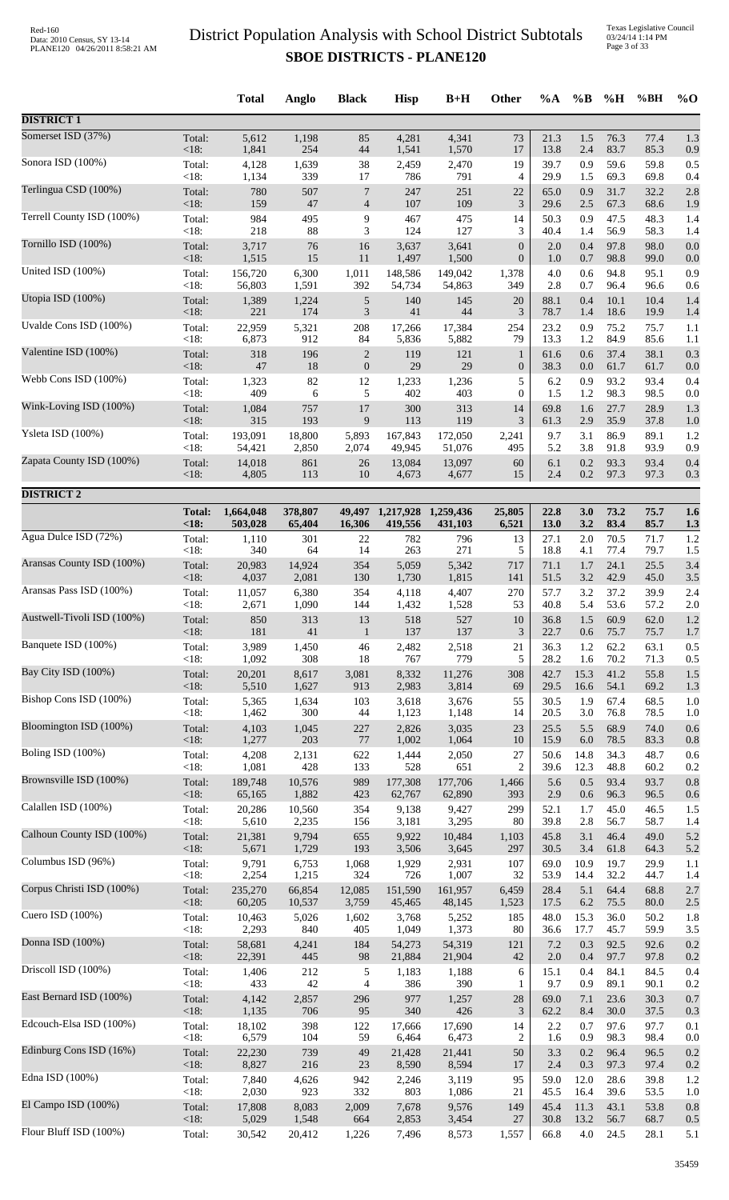Texas Legislative Council 03/24/14 1:14 PM Page 3 of 33

|                            |                           | <b>Total</b>         | Anglo                     | <b>Black</b>        | <b>Hisp</b>          | $B+H$                | Other                     | %A                   | $\%B$              | %H           | %BH                  | $%$ <sup>O</sup>  |
|----------------------------|---------------------------|----------------------|---------------------------|---------------------|----------------------|----------------------|---------------------------|----------------------|--------------------|--------------|----------------------|-------------------|
| <b>DISTRICT 1</b>          |                           |                      |                           |                     |                      |                      |                           |                      |                    |              |                      |                   |
| Somerset ISD (37%)         | Total:                    | 5,612                | 1,198                     | 85                  | 4,281                | 4,341                | 73                        | 21.3                 | 1.5                | 76.3         | 77.4                 | 1.3               |
| Sonora ISD (100%)          | < 18:<br>Total:           | 1,841<br>4,128       | 254<br>1,639              | 44<br>38            | 1,541<br>2,459       | 1,570<br>2,470       | 17<br>19                  | 13.8<br>39.7         | 2.4<br>0.9         | 83.7<br>59.6 | 85.3<br>59.8         | 0.9<br>0.5        |
|                            | <18:                      | 1,134                | 339                       | 17                  | 786                  | 791                  | 4                         | 29.9                 | 1.5                | 69.3         | 69.8                 | 0.4               |
| Terlingua CSD (100%)       | Total:<br><18:            | 780<br>159           | 507<br>$47\,$             | 7<br>$\overline{4}$ | 247<br>107           | 251<br>109           | 22<br>$\mathfrak{Z}$      | 65.0<br>29.6         | 0.9<br>2.5         | 31.7<br>67.3 | 32.2<br>68.6         | 2.8<br>1.9        |
| Terrell County ISD (100%)  | Total:<br><18:            | 984<br>218           | 495<br>88                 | 9<br>3              | 467<br>124           | 475<br>127           | 14<br>3                   | 50.3<br>40.4         | 0.9<br>1.4         | 47.5<br>56.9 | 48.3<br>58.3         | 1.4<br>1.4        |
| Tornillo ISD (100%)        | Total:                    | 3,717                | 76                        | 16                  | 3,637                | 3,641                | $\boldsymbol{0}$          | 2.0                  | 0.4                | 97.8         | 98.0                 | 0.0               |
| United ISD (100%)          | <18:<br>Total:            | 1,515<br>156,720     | 15<br>6,300               | 11<br>1,011         | 1,497<br>148,586     | 1,500<br>149,042     | $\boldsymbol{0}$<br>1,378 | 1.0<br>4.0           | 0.7<br>0.6         | 98.8<br>94.8 | 99.0<br>95.1         | 0.0<br>0.9        |
|                            | $<18$ :                   | 56,803               | 1,591                     | 392                 | 54,734               | 54,863               | 349                       | 2.8                  | 0.7                | 96.4         | 96.6                 | 0.6               |
| Utopia ISD (100%)          | Total:<br><18:            | 1,389<br>221         | 1,224<br>174              | 5<br>$\mathfrak{Z}$ | 140<br>41            | 145<br>44            | 20<br>3                   | 88.1<br>78.7         | 0.4<br>1.4         | 10.1<br>18.6 | 10.4<br>19.9         | 1.4<br>1.4        |
| Uvalde Cons ISD (100%)     | Total:                    | 22,959               | 5,321                     | 208                 | 17,266               | 17,384               | 254                       | 23.2                 | 0.9                | 75.2         | 75.7                 | 1.1               |
| Valentine ISD (100%)       | $<18$ :<br>Total:         | 6,873<br>318         | 912<br>196                | 84<br>$\sqrt{2}$    | 5,836<br>119         | 5,882<br>121         | 79<br>$\mathbf{1}$        | 13.3<br>61.6         | 1.2<br>0.6         | 84.9<br>37.4 | 85.6<br>38.1         | 1.1<br>0.3        |
| Webb Cons ISD (100%)       | <18:                      | $47\,$               | 18                        | $\boldsymbol{0}$    | 29                   | 29                   | $\boldsymbol{0}$          | 38.3                 | 0.0                | 61.7         | 61.7                 | 0.0               |
|                            | Total:<br><18:            | 1,323<br>409         | 82<br>6                   | 12<br>5             | 1,233<br>402         | 1,236<br>403         | 5<br>$\overline{0}$       | 6.2<br>1.5           | 0.9<br>1.2         | 93.2<br>98.3 | 93.4<br>98.5         | 0.4<br>0.0        |
| Wink-Loving ISD (100%)     | Total:<br>$<18$ :         | 1,084<br>315         | 757<br>193                | $17\,$<br>9         | 300<br>113           | 313<br>119           | 14<br>3                   | 69.8<br>61.3         | 1.6<br>2.9         | 27.7<br>35.9 | 28.9<br>37.8         | 1.3<br>1.0        |
| Ysleta ISD (100%)          | Total:                    | 193,091              | 18,800                    | 5,893               | 167,843              | 172,050              | 2,241                     | 9.7                  | 3.1                | 86.9         | 89.1                 | 1.2               |
| Zapata County ISD (100%)   | < 18:<br>Total:           | 54,421<br>14,018     | 2,850<br>861              | 2,074<br>26         | 49,945<br>13,084     | 51,076<br>13,097     | 495<br>60                 | 5.2<br>6.1           | 3.8<br>0.2         | 91.8<br>93.3 | 93.9<br>93.4         | 0.9<br>0.4        |
|                            | $<18$ :                   | 4,805                | 113                       | 10                  | 4,673                | 4,677                | 15                        | 2.4                  | $0.2\,$            | 97.3         | 97.3                 | 0.3               |
| <b>DISTRICT 2</b>          |                           |                      |                           |                     |                      |                      |                           |                      |                    |              |                      |                   |
|                            | <b>Total:</b><br>< 18:    | 1,664,048<br>503,028 | 378,807<br>65,404         | 49,497<br>16,306    | 1,217,928<br>419,556 | 1,259,436<br>431,103 | 25,805<br>6,521           | 22.8<br>13.0         | 3.0<br>3.2         | 73.2<br>83.4 | 75.7<br>85.7         | 1.6<br>1.3        |
| Agua Dulce ISD (72%)       | Total:                    | 1,110                | 301                       | 22                  | 782                  | 796                  | 13                        | 27.1                 | 2.0                | 70.5         | 71.7                 | 1.2               |
| Aransas County ISD (100%)  | <18:<br>Total:            | 340<br>20,983        | 64<br>14,924              | 14<br>354           | 263<br>5,059         | 271<br>5,342         | 5<br>717                  | 18.8<br>71.1         | 4.1<br>1.7         | 77.4<br>24.1 | 79.7<br>25.5         | 1.5<br>3.4        |
| Aransas Pass ISD (100%)    | $<18$ :<br>Total:         | 4,037<br>11,057      | 2,081<br>6,380            | 130<br>354          | 1,730<br>4,118       | 1,815<br>4,407       | 141<br>270                | 51.5<br>57.7         | 3.2<br>3.2         | 42.9<br>37.2 | 45.0<br>39.9         | 3.5<br>2.4        |
| Austwell-Tivoli ISD (100%) | <18:                      | 2,671                | 1,090                     | 144                 | 1,432                | 1,528                | 53                        | 40.8                 | 5.4                | 53.6         | 57.2                 | 2.0               |
|                            | Total:<br>$<18$ :         | 850<br>181           | 313<br>41                 | 13<br>$\mathbf{1}$  | 518<br>137           | 527<br>137           | 10<br>3                   | 36.8<br>22.7         | 1.5<br>0.6         | 60.9<br>75.7 | 62.0<br>75.7         | 1.2<br>1.7        |
| Banquete ISD (100%)        | Total:<br>< 18:           | 3,989<br>1,092       | 1,450<br>308              | 46<br>18            | 2,482<br>767         | 2,518<br>779         | 21<br>5                   | 36.3<br>28.2         | 1.2<br>1.6         | 62.2<br>70.2 | 63.1<br>71.3         | 0.5<br>0.5        |
| Bay City ISD (100%)        | Total:                    | 20,201               | 8,617                     | 3,081               | 8,332                | 11,276               | 308                       | 42.7                 | 15.3               | 41.2         | 55.8                 | 1.5               |
| Bishop Cons ISD (100%)     | $<18$ :<br>Total:         | 5,510<br>5,365       | 1,627<br>1,634            | 913<br>103          | 2,983<br>3,618       | 3,814<br>3,676       | 69<br>55                  | 29.5<br>30.5         | 16.6<br>1.9        | 54.1<br>67.4 | 69.2<br>68.5         | 1.3<br>1.0        |
| Bloomington ISD (100%)     | <18:                      | 1,462                | 300                       | 44                  | 1,123                | 1,148                | 14                        | 20.5                 | 3.0                | 76.8         | 78.5                 | 1.0               |
|                            | Total:<br><18:            | 4,103<br>1,277       | 1,045<br>203              | 227<br>77           | 2,826<br>1,002       | 3,035<br>1,064       | 23<br>10                  | 25.5<br>15.9         | 5.5<br>6.0         | 68.9<br>78.5 | 74.0<br>83.3         | 0.6<br>0.8        |
| Boling ISD (100%)          | Total:<br>$<18$ :         | 4,208<br>1,081       | 2,131<br>428              | 622<br>133          | 1,444<br>528         | 2,050<br>651         | 27<br>$\overline{2}$      | 50.6<br>39.6         | 14.8<br>12.3       | 34.3<br>48.8 | 48.7<br>60.2         | 0.6<br>0.2        |
| Brownsville ISD (100%)     | Total:                    | 189,748              | 10,576                    | 989                 | 177,308              | 177,706              | 1,466                     | 5.6                  | 0.5                | 93.4         | 93.7                 | 0.8               |
| Calallen ISD (100%)        | <18:<br>Total:            | 65,165<br>20,286     | 1,882<br>10,560           | 423<br>354          | 62,767<br>9,138      | 62,890<br>9,427      | 393<br>299                | 2.9<br>52.1          | 0.6<br>1.7         | 96.3<br>45.0 | 96.5<br>46.5         | 0.6<br>1.5        |
|                            | $<18$ :                   | 5,610                | 2,235                     | 156                 | 3,181                | 3,295                | 80                        | 39.8                 | 2.8                | 56.7         | 58.7                 | 1.4               |
| Calhoun County ISD (100%)  | Total:<br>$<18$ :         | 21,381<br>5,671      | 9,794<br>1,729            | 655<br>193          | 9,922<br>3,506       | 10,484<br>3,645      | 1,103<br>297              | 45.8<br>30.5         | 3.1<br>3.4         | 46.4<br>61.8 | 49.0<br>64.3         | 5.2<br>5.2        |
| Columbus ISD (96%)         | Total:                    | 9,791<br>2,254       | 6,753                     | 1,068<br>324        | 1,929<br>726         | 2,931<br>1,007       | 107                       | 69.0                 | 10.9               | 19.7<br>32.2 | 29.9                 | 1.1               |
| Corpus Christi ISD (100%)  | $<18$ :<br>Total:<br><18: | 235,270<br>60,205    | 1,215<br>66,854<br>10,537 | 12,085<br>3,759     | 151,590<br>45,465    | 161,957<br>48,145    | 32<br>6,459<br>1,523      | 53.9<br>28.4<br>17.5 | 14.4<br>5.1<br>6.2 | 64.4<br>75.5 | 44.7<br>68.8<br>80.0 | 1.4<br>2.7<br>2.5 |
| Cuero ISD (100%)           | Total:                    | 10,463               | 5,026                     | 1,602               | 3,768                | 5,252                | 185                       | 48.0                 | 15.3               | 36.0         | 50.2                 | 1.8               |
| Donna ISD (100%)           | <18:<br>Total:            | 2,293<br>58,681      | 840<br>4,241              | 405<br>184          | 1,049<br>54,273      | 1,373<br>54,319      | 80<br>121                 | 36.6<br>7.2          | 17.7<br>0.3        | 45.7<br>92.5 | 59.9<br>92.6         | 3.5<br>0.2        |
| Driscoll ISD (100%)        | $<18$ :<br>Total:         | 22,391<br>1,406      | 445<br>212                | 98<br>5             | 21,884<br>1,183      | 21,904<br>1,188      | 42<br>6                   | 2.0<br>15.1          | 0.4<br>0.4         | 97.7<br>84.1 | 97.8<br>84.5         | 0.2<br>0.4        |
|                            | < 18:                     | 433                  | 42                        | 4                   | 386                  | 390                  | 1                         | 9.7                  | 0.9                | 89.1         | 90.1                 | 0.2               |
| East Bernard ISD (100%)    | Total:<br>$<18$ :         | 4,142<br>1,135       | 2,857<br>706              | 296<br>95           | 977<br>340           | 1,257<br>426         | 28<br>$\mathfrak{Z}$      | 69.0<br>62.2         | 7.1<br>8.4         | 23.6<br>30.0 | 30.3<br>37.5         | 0.7<br>0.3        |
| Edcouch-Elsa ISD (100%)    | Total:                    | 18,102               | 398                       | 122                 | 17,666               | 17,690               | 14                        | 2.2                  | 0.7                | 97.6         | 97.7                 | 0.1               |
| Edinburg Cons ISD (16%)    | <18:<br>Total:            | 6,579<br>22,230      | 104<br>739                | 59<br>49            | 6,464<br>21,428      | 6,473<br>21,441      | $\overline{c}$<br>50      | 1.6<br>3.3           | 0.9<br>0.2         | 98.3<br>96.4 | 98.4<br>96.5         | 0.0<br>0.2        |
| Edna ISD (100%)            | <18:<br>Total:            | 8,827<br>7,840       | 216                       | 23<br>942           | 8,590                | 8,594<br>3,119       | 17<br>95                  | 2.4<br>59.0          | 0.3<br>12.0        | 97.3<br>28.6 | 97.4                 | 0.2<br>1.2        |
|                            | $<18$ :                   | 2,030                | 4,626<br>923              | 332                 | 2,246<br>803         | 1,086                | 21                        | 45.5                 | 16.4               | 39.6         | 39.8<br>53.5         | 1.0               |
| El Campo ISD (100%)        | Total:<br>$<18$ :         | 17,808<br>5,029      | 8,083<br>1,548            | 2,009<br>664        | 7,678<br>2,853       | 9,576<br>3,454       | 149<br>27                 | 45.4<br>30.8         | 11.3<br>13.2       | 43.1<br>56.7 | 53.8<br>68.7         | 0.8<br>0.5        |
| Flour Bluff ISD (100%)     | Total:                    | 30,542               | 20,412                    | 1,226               | 7,496                | 8,573                | 1,557                     | 66.8                 | 4.0                | 24.5         | 28.1                 | 5.1               |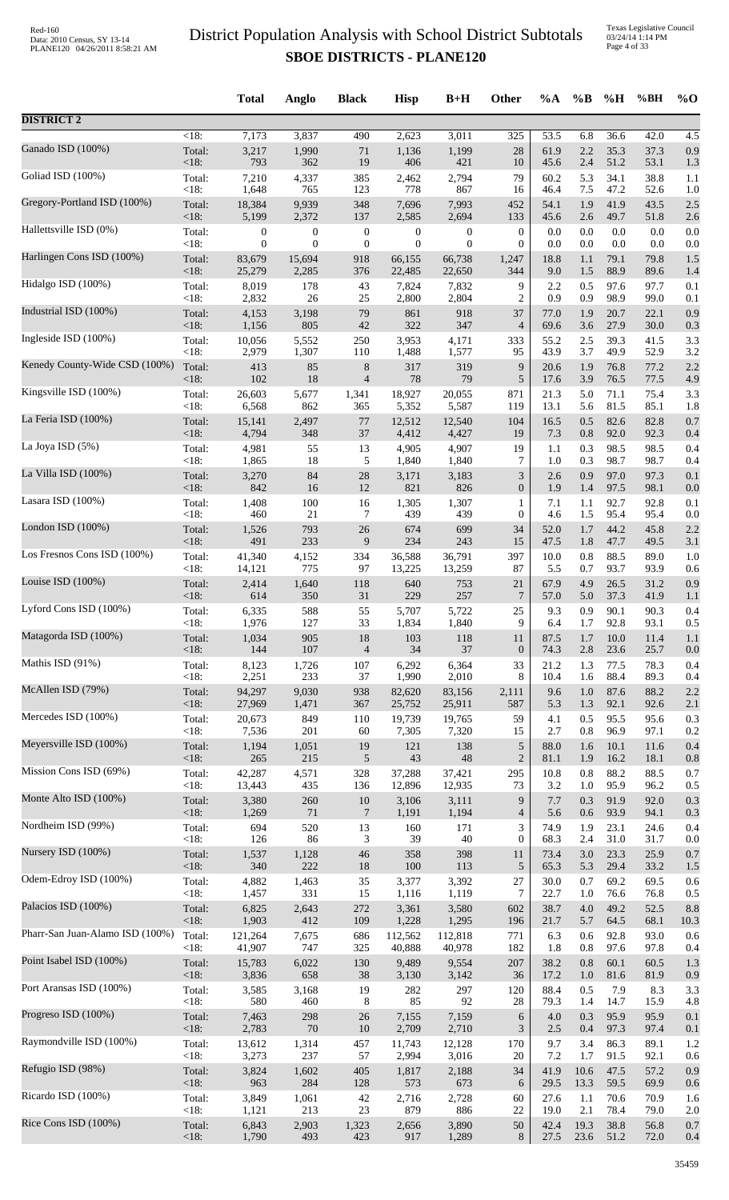|                                 |                    | <b>Total</b>     | Anglo            | <b>Black</b>     | <b>Hisp</b>      | $B+H$            | Other            | $\%A$      | $\%B$      | %H           | %BH          | $%$ <sup>O</sup> |
|---------------------------------|--------------------|------------------|------------------|------------------|------------------|------------------|------------------|------------|------------|--------------|--------------|------------------|
| <b>DISTRICT 2</b>               |                    |                  |                  |                  |                  |                  |                  |            |            |              |              |                  |
| Ganado ISD (100%)               | $\overline{<}18$ : | 7,173            | 3,837            | 490              | 2,623            | 3,011            | $\overline{325}$ | 53.5       | 6.8        | 36.6         | 42.0         | 4.5              |
|                                 | Total:             | 3,217            | 1,990            | 71               | 1,136            | 1,199            | $28\,$           | 61.9       | 2.2        | 35.3         | 37.3         | 0.9              |
|                                 | $<18$ :            | 793              | 362              | 19               | 406              | 421              | 10               | 45.6       | 2.4        | 51.2         | 53.1         | 1.3              |
| Goliad ISD (100%)               | Total:             | 7,210            | 4,337            | 385              | 2,462            | 2,794            | 79               | 60.2       | 5.3        | 34.1         | 38.8         | 1.1              |
|                                 | < 18:              | 1,648            | 765              | 123              | 778              | 867              | 16               | 46.4       | 7.5        | 47.2         | 52.6         | 1.0              |
| Gregory-Portland ISD (100%)     | Total:             | 18,384           | 9,939            | 348              | 7,696            | 7,993            | 452              | 54.1       | 1.9        | 41.9         | 43.5         | 2.5              |
|                                 | <18:               | 5,199            | 2,372            | 137              | 2,585            | 2,694            | 133              | 45.6       | 2.6        | 49.7         | 51.8         | 2.6              |
| Hallettsville ISD (0%)          | Total:             | $\boldsymbol{0}$ | $\boldsymbol{0}$ | $\boldsymbol{0}$ | $\boldsymbol{0}$ | $\boldsymbol{0}$ | $\boldsymbol{0}$ | 0.0        | 0.0        | 0.0          | 0.0          | 0.0              |
| Harlingen Cons ISD (100%)       | $<18$ :            | $\overline{0}$   | $\overline{0}$   | $\boldsymbol{0}$ | $\boldsymbol{0}$ | $\theta$         | $\mathbf{0}$     | 0.0        | 0.0        | 0.0          | 0.0          | 0.0              |
|                                 | Total:             | 83,679           | 15,694           | 918              | 66,155           | 66,738           | 1,247            | 18.8       | 1.1        | 79.1         | 79.8         | 1.5              |
| Hidalgo ISD (100%)              | $<18$ :            | 25,279           | 2,285            | 376              | 22,485           | 22,650           | 344              | 9.0        | 1.5        | 88.9         | 89.6         | 1.4              |
|                                 | Total:             | 8,019            | 178              | 43               | 7,824            | 7,832            | 9                | 2.2        | 0.5        | 97.6         | 97.7         | 0.1              |
|                                 | $<18$ :            | 2,832            | 26               | 25               | 2,800            | 2,804            | $\overline{c}$   | 0.9        | 0.9        | 98.9         | 99.0         | 0.1              |
| Industrial ISD (100%)           | Total:             | 4,153            | 3,198            | 79               | 861              | 918              | 37               | 77.0       | 1.9        | 20.7         | 22.1         | 0.9              |
|                                 | <18:               | 1,156            | 805              | 42               | 322              | 347              | $\overline{4}$   | 69.6       | 3.6        | 27.9         | 30.0         | 0.3              |
| Ingleside ISD (100%)            | Total:             | 10,056           | 5,552            | 250              | 3,953            | 4,171            | 333              | 55.2       | 2.5        | 39.3         | 41.5         | 3.3              |
| Kenedy County-Wide CSD (100%)   | <18:               | 2,979            | 1,307            | 110              | 1,488            | 1,577            | 95               | 43.9       | 3.7        | 49.9         | 52.9         | 3.2              |
|                                 | Total:             | 413              | 85               | $8\,$            | 317              | 319              | 9                | 20.6       | 1.9        | 76.8         | 77.2         | 2.2              |
| Kingsville ISD (100%)           | <18:               | 102              | 18               | $\overline{4}$   | 78               | 79               | $\sqrt{5}$       | 17.6       | 3.9        | 76.5         | 77.5         | 4.9              |
|                                 | Total:             | 26,603           | 5,677            | 1,341            | 18,927           | 20,055           | 871              | 21.3       | 5.0        | 71.1         | 75.4         | 3.3              |
| La Feria ISD (100%)             | <18:               | 6,568            | 862              | 365              | 5,352            | 5,587            | 119              | 13.1       | 5.6        | 81.5         | 85.1         | 1.8              |
|                                 | Total:             | 15,141           | 2,497            | 77               | 12,512           | 12,540           | 104              | 16.5       | 0.5        | 82.6         | 82.8         | 0.7              |
|                                 | $<18$ :            | 4,794            | 348              | 37               | 4,412            | 4,427            | 19               | 7.3        | 0.8        | 92.0         | 92.3         | 0.4              |
| La Joya ISD (5%)                | Total:             | 4,981            | 55               | 13               | 4,905            | 4,907            | 19               | 1.1        | 0.3        | 98.5         | 98.5         | 0.4              |
|                                 | < 18:              | 1,865            | 18               | 5                | 1,840            | 1,840            | 7                | 1.0        | 0.3        | 98.7         | 98.7         | 0.4              |
| La Villa ISD (100%)             | Total:             | 3,270            | 84               | 28               | 3,171            | 3,183            | $\mathfrak{Z}$   | 2.6        | 0.9        | 97.0         | 97.3         | 0.1              |
| Lasara ISD (100%)               | $<18$ :            | 842              | 16               | 12               | 821              | 826              | $\boldsymbol{0}$ | 1.9        | 1.4        | 97.5         | 98.1         | 0.0              |
|                                 | Total:             | 1,408            | 100              | 16               | 1,305            | 1,307            | 1                | 7.1        | 1.1        | 92.7         | 92.8         | 0.1              |
| London ISD (100%)               | <18:               | 460              | 21               | 7                | 439              | 439              | $\mathbf{0}$     | 4.6        | 1.5        | 95.4         | 95.4         | 0.0              |
|                                 | Total:             | 1,526            | 793              | 26               | 674              | 699              | 34               | 52.0       | 1.7        | 44.2         | 45.8         | 2.2              |
|                                 | $<18$ :            | 491              | 233              | 9                | 234              | 243              | 15               | 47.5       | 1.8        | 47.7         | 49.5         | 3.1              |
| Los Fresnos Cons ISD (100%)     | Total:             | 41,340           | 4,152            | 334              | 36,588           | 36,791           | 397              | 10.0       | 0.8        | 88.5         | 89.0         | 1.0              |
|                                 | <18:               | 14,121           | 775              | 97               | 13,225           | 13,259           | 87               | 5.5        | 0.7        | 93.7         | 93.9         | 0.6              |
| Louise ISD (100%)               | Total:             | 2,414            | 1,640            | 118              | 640              | 753              | 21               | 67.9       | 4.9        | 26.5         | 31.2         | 0.9              |
|                                 | <18:               | 614              | 350              | 31               | 229              | 257              | 7                | 57.0       | 5.0        | 37.3         | 41.9         | 1.1              |
| Lyford Cons ISD (100%)          | Total:             | 6,335            | 588              | 55               | 5,707            | 5,722            | 25               | 9.3        | 0.9        | 90.1         | 90.3         | 0.4              |
| Matagorda ISD (100%)            | $<18$ :            | 1,976            | 127              | 33               | 1,834            | 1,840            | 9                | 6.4        | 1.7        | 92.8         | 93.1         | 0.5              |
|                                 | Total:             | 1,034            | 905              | 18               | 103              | 118              | 11               | 87.5       | 1.7        | 10.0         | 11.4         | 1.1              |
| Mathis ISD (91%)                | $<18$ :            | 144              | 107              | $\overline{4}$   | 34               | 37               | $\boldsymbol{0}$ | 74.3       | 2.8        | 23.6         | 25.7         | 0.0              |
|                                 | Total:             | 8,123            | 1,726            | 107              | 6,292            | 6,364            | 33               | 21.2       | 1.3        | 77.5         | 78.3         | 0.4              |
|                                 | $<18$ :            | 2,251            | 233              | 37               | 1,990            | 2,010            | 8                | 10.4       | 1.6        | 88.4         | 89.3         | 0.4              |
| McAllen ISD (79%)               | Total:             | 94,297           | 9,030            | 938              | 82,620           | 83,156           | 2,111            | 9.6        | 1.0        | 87.6         | 88.2         | 2.2              |
|                                 | <18:               | 27,969           | 1,471            | 367              | 25,752           | 25,911           | 587              | 5.3        | 1.3        | 92.1         | 92.6         | 2.1              |
| Mercedes ISD (100%)             | Total:             | 20,673           | 849              | 110              | 19,739           | 19,765           | 59               | 4.1        | 0.5        | 95.5         | 95.6         | 0.3              |
|                                 | <18:               | 7,536            | 201              | 60               | 7,305            | 7,320            | 15               | 2.7        | 0.8        | 96.9         | 97.1         | 0.2              |
| Meyersville ISD (100%)          | Total:             | 1,194            | 1,051            | 19               | 121              | 138              | $\sqrt{5}$       | 88.0       | 1.6        | 10.1         | 11.6         | 0.4              |
| Mission Cons ISD (69%)          | $<18$ :            | 265              | 215              | 5                | 43               | 48               | $\mathbf{2}$     | 81.1       | 1.9        | 16.2         | 18.1         | 0.8              |
|                                 | Total:             | 42,287           | 4,571            | 328              | 37,288           | 37,421           | 295              | 10.8       | 0.8        | 88.2         | 88.5         | 0.7              |
|                                 | $<18$ :            | 13,443           | 435              | 136              | 12,896           | 12,935           | 73               | 3.2        | 1.0        | 95.9         | 96.2         | 0.5              |
| Monte Alto ISD (100%)           | Total:             | 3,380            | 260              | 10               | 3,106            | 3,111            | 9                | 7.7        | 0.3        | 91.9         | 92.0         | 0.3              |
|                                 | <18:               | 1,269            | 71               | $\overline{7}$   | 1,191            | 1,194            | $\overline{4}$   | 5.6        | 0.6        | 93.9         | 94.1         | 0.3              |
| Nordheim ISD (99%)              | Total:             | 694              | 520              | 13               | 160              | 171              | 3                | 74.9       | 1.9        | 23.1         | 24.6         | 0.4              |
|                                 | < 18:              | 126              | 86               | 3                | 39               | 40               | $\boldsymbol{0}$ | 68.3       | 2.4        | 31.0         | 31.7         | 0.0              |
| Nursery ISD (100%)              | Total:             | 1,537            | 1,128            | 46               | 358              | 398              | 11               | 73.4       | 3.0        | 23.3         | 25.9         | 0.7              |
| Odem-Edroy ISD (100%)           | $<18$ :            | 340              | 222              | 18               | 100              | 113              | 5                | 65.3       | 5.3        | 29.4         | 33.2         | 1.5              |
|                                 | Total:             | 4,882            | 1,463            | 35               | 3,377            | 3,392            | 27               | 30.0       | 0.7        | 69.2         | 69.5         | 0.6              |
| Palacios ISD (100%)             | $<18$ :            | 1,457            | 331              | 15               | 1,116            | 1,119            | $\tau$           | 22.7       | 1.0        | 76.6         | 76.8         | 0.5              |
|                                 | Total:             | 6,825            | 2,643            | 272              | 3,361            | 3,580            | 602              | 38.7       | 4.0        | 49.2         | 52.5         | 8.8              |
| Pharr-San Juan-Alamo ISD (100%) | $<18$ :            | 1,903            | 412              | 109              | 1,228            | 1,295            | 196              | 21.7       | 5.7        | 64.5         | 68.1         | 10.3             |
|                                 | Total:             | 121,264          | 7,675            | 686              | 112,562          | 112,818          | 771              | 6.3        | 0.6        | 92.8         | 93.0         | 0.6              |
|                                 | $<18$ :            | 41,907           | 747              | 325              | 40,888           | 40,978           | 182              | 1.8        | 0.8        | 97.6         | 97.8         | 0.4              |
| Point Isabel ISD (100%)         | Total:             | 15,783           | 6,022            | 130              | 9,489            | 9,554            | 207              | 38.2       | 0.8        | 60.1         | 60.5         | 1.3              |
|                                 | <18:               | 3,836            | 658              | 38               | 3,130            | 3,142            | 36               | 17.2       | 1.0        | 81.6         | 81.9         | 0.9              |
| Port Aransas ISD (100%)         | Total:             | 3,585            | 3,168            | 19               | 282              | 297              | 120              | 88.4       | 0.5        | 7.9          | 8.3          | 3.3              |
|                                 | $<18$ :            | 580              | 460              | 8                | 85               | 92               | 28               | 79.3       | 1.4        | 14.7         | 15.9         | 4.8              |
| Progreso ISD (100%)             | Total:<br>$<18$ :  | 7,463<br>2,783   | 298<br>70        | 26               | 7,155            | 7,159<br>2,710   | 6<br>3           | 4.0        | 0.3        | 95.9<br>97.3 | 95.9         | 0.1              |
| Raymondville ISD (100%)         | Total:             | 13,612           | 1,314            | 10<br>457        | 2,709<br>11,743  | 12,128           | 170              | 2.5<br>9.7 | 0.4<br>3.4 | 86.3         | 97.4<br>89.1 | 0.1<br>1.2       |
| Refugio ISD (98%)               | $<18$ :            | 3,273            | 237              | 57               | 2,994            | 3,016            | 20               | 7.2        | 1.7        | 91.5         | 92.1         | 0.6              |
|                                 | Total:             | 3,824            | 1,602            | 405              | 1,817            | 2,188            | 34               | 41.9       | 10.6       | 47.5         | 57.2         | 0.9              |
| Ricardo ISD (100%)              | $<18$ :            | 963              | 284              | 128              | 573              | 673              | 6                | 29.5       | 13.3       | 59.5         | 69.9         | 0.6              |
|                                 | Total:             | 3,849            | 1,061            | 42               | 2,716            | 2,728            | 60               | 27.6       | 1.1        | 70.6         | 70.9         | 1.6              |
|                                 | <18:               | 1,121            | 213              | 23               | 879              | 886              | 22               | 19.0       | 2.1        | 78.4         | 79.0         | 2.0              |
| Rice Cons ISD (100%)            | Total:             | 6,843            | 2,903            | 1,323            | 2,656            | 3,890            | 50               | 42.4       | 19.3       | 38.8         | 56.8         | 0.7              |
|                                 | <18:               | 1,790            | 493              | 423              | 917              | 1,289            | 8                | 27.5       | 23.6       | 51.2         | 72.0         | 0.4              |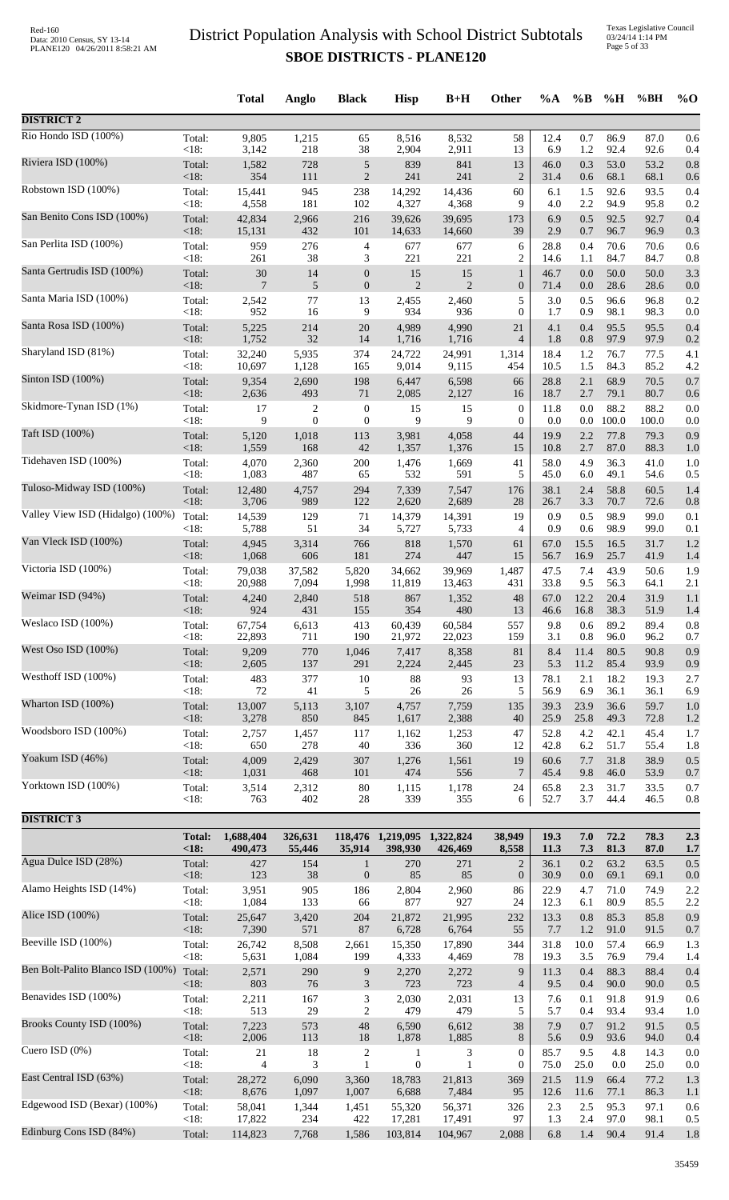Texas Legislative Council 03/24/14 1:14 PM Page 5 of 33

|                                   |                       | <b>Total</b>         | Anglo                 | <b>Black</b>                     | <b>Hisp</b>                            | $B+H$                | Other                                | $\%A$        | $\%B$        | %H            | %BH           | $%$ O      |
|-----------------------------------|-----------------------|----------------------|-----------------------|----------------------------------|----------------------------------------|----------------------|--------------------------------------|--------------|--------------|---------------|---------------|------------|
| <b>DISTRICT 2</b>                 |                       |                      |                       |                                  |                                        |                      |                                      |              |              |               |               |            |
| Rio Hondo ISD (100%)              | Total:                | 9,805                | 1,215                 | 65                               | 8,516                                  | 8,532                | 58                                   | 12.4         | 0.7          | 86.9          | 87.0          | 0.6        |
| Riviera ISD (100%)                | <18:<br>Total:        | 3,142<br>1,582       | 218<br>728            | 38<br>$\sqrt{5}$                 | 2,904<br>839                           | 2,911<br>841         | 13<br>13                             | 6.9<br>46.0  | 1.2<br>0.3   | 92.4<br>53.0  | 92.6<br>53.2  | 0.4<br>0.8 |
|                                   | <18:                  | 354                  | 111                   | $\overline{2}$                   | 241                                    | 241                  | $\mathbf{2}$                         | 31.4         | 0.6          | 68.1          | 68.1          | 0.6        |
| Robstown ISD (100%)               | Total:<br><18:        | 15,441<br>4,558      | 945<br>181            | 238<br>102                       | 14,292<br>4,327                        | 14,436<br>4,368      | 60<br>9                              | 6.1<br>4.0   | 1.5<br>2.2   | 92.6<br>94.9  | 93.5<br>95.8  | 0.4<br>0.2 |
| San Benito Cons ISD (100%)        | Total:                | 42,834               | 2,966                 | 216                              | 39,626                                 | 39,695               | 173                                  | 6.9          | 0.5          | 92.5          | 92.7          | 0.4        |
| San Perlita ISD (100%)            | <18:<br>Total:        | 15,131<br>959        | 432<br>276            | 101<br>$\overline{4}$            | 14,633<br>677                          | 14,660<br>677        | 39<br>6                              | 2.9<br>28.8  | 0.7<br>0.4   | 96.7<br>70.6  | 96.9<br>70.6  | 0.3<br>0.6 |
|                                   | <18:                  | 261                  | 38                    | 3                                | 221                                    | 221                  | $\overline{c}$                       | 14.6         | 1.1          | 84.7          | 84.7          | 0.8        |
| Santa Gertrudis ISD (100%)        | Total:<br>$<18$ :     | $30\,$<br>7          | 14<br>$\sqrt{5}$      | $\mathbf{0}$<br>$\mathbf{0}$     | 15<br>2                                | 15<br>$\overline{2}$ | $\mathbf{1}$<br>$\boldsymbol{0}$     | 46.7<br>71.4 | 0.0<br>0.0   | 50.0<br>28.6  | 50.0<br>28.6  | 3.3<br>0.0 |
| Santa Maria ISD (100%)            | Total:                | 2,542                | 77                    | 13                               | 2,455                                  | 2,460                | 5                                    | 3.0          | 0.5          | 96.6          | 96.8          | 0.2        |
| Santa Rosa ISD (100%)             | <18:<br>Total:        | 952<br>5,225         | 16<br>214             | 9<br>20                          | 934<br>4,989                           | 936<br>4,990         | $\overline{0}$<br>21                 | 1.7<br>4.1   | 0.9<br>0.4   | 98.1<br>95.5  | 98.3<br>95.5  | 0.0<br>0.4 |
| Sharyland ISD (81%)               | $<18$ :<br>Total:     | 1,752<br>32,240      | 32                    | 14<br>374                        | 1,716                                  | 1,716                | $\overline{4}$                       | 1.8          | 0.8          | 97.9<br>76.7  | 97.9          | 0.2        |
|                                   | <18:                  | 10,697               | 5,935<br>1,128        | 165                              | 24,722<br>9,014                        | 24,991<br>9,115      | 1,314<br>454                         | 18.4<br>10.5 | 1.2<br>1.5   | 84.3          | 77.5<br>85.2  | 4.1<br>4.2 |
| Sinton ISD (100%)                 | Total:<br><18:        | 9,354<br>2,636       | 2,690<br>493          | 198<br>71                        | 6,447<br>2,085                         | 6,598<br>2,127       | 66<br>16                             | 28.8<br>18.7 | 2.1<br>2.7   | 68.9<br>79.1  | 70.5<br>80.7  | 0.7<br>0.6 |
| Skidmore-Tynan ISD (1%)           | Total:                | 17                   | 2                     | $\boldsymbol{0}$                 | 15                                     | 15                   | $\boldsymbol{0}$                     | 11.8         | 0.0          | 88.2          | 88.2          | 0.0        |
| Taft ISD (100%)                   | $<18$ :<br>Total:     | 9<br>5,120           | $\mathbf{0}$<br>1,018 | $\mathbf{0}$<br>113              | 9<br>3,981                             | 9<br>4,058           | $\overline{0}$<br>44                 | 0.0<br>19.9  | 0.0<br>2.2   | 100.0<br>77.8 | 100.0<br>79.3 | 0.0<br>0.9 |
|                                   | <18:                  | 1,559                | 168                   | 42                               | 1,357                                  | 1,376                | 15                                   | 10.8         | 2.7          | 87.0          | 88.3          | 1.0        |
| Tidehaven ISD (100%)              | Total:<br><18:        | 4,070<br>1,083       | 2,360<br>487          | $200\,$<br>65                    | 1,476<br>532                           | 1,669<br>591         | 41<br>5                              | 58.0<br>45.0 | 4.9<br>6.0   | 36.3<br>49.1  | 41.0<br>54.6  | 1.0<br>0.5 |
| Tuloso-Midway ISD (100%)          | Total:                | 12,480               | 4,757                 | 294                              | 7,339                                  | 7,547                | 176                                  | 38.1         | 2.4          | 58.8          | 60.5          | 1.4        |
| Valley View ISD (Hidalgo) (100%)  | <18:<br>Total:        | 3,706<br>14,539      | 989<br>129            | 122<br>71                        | 2,620<br>14,379                        | 2,689<br>14,391      | 28<br>19                             | 26.7<br>0.9  | 3.3<br>0.5   | 70.7<br>98.9  | 72.6<br>99.0  | 0.8<br>0.1 |
| Van Vleck ISD (100%)              | <18:                  | 5,788                | 51                    | 34                               | 5,727                                  | 5,733                | 4                                    | 0.9          | 0.6          | 98.9          | 99.0          | 0.1        |
|                                   | Total:<br><18:        | 4,945<br>1,068       | 3,314<br>606          | 766<br>181                       | 818<br>274                             | 1,570<br>447         | 61<br>15                             | 67.0<br>56.7 | 15.5<br>16.9 | 16.5<br>25.7  | 31.7<br>41.9  | 1.2<br>1.4 |
| Victoria ISD (100%)               | Total:<br>$<18$ :     | 79,038<br>20,988     | 37,582<br>7,094       | 5,820<br>1,998                   | 34,662<br>11,819                       | 39,969<br>13,463     | 1,487<br>431                         | 47.5<br>33.8 | 7.4<br>9.5   | 43.9<br>56.3  | 50.6<br>64.1  | 1.9<br>2.1 |
| Weimar ISD (94%)                  | Total:                | 4,240                | 2,840                 | 518                              | 867                                    | 1,352                | 48                                   | 67.0         | 12.2         | 20.4          | 31.9          | 1.1        |
| Weslaco ISD (100%)                | $<18$ :<br>Total:     | 924<br>67,754        | 431<br>6,613          | 155<br>413                       | 354<br>60,439                          | 480<br>60,584        | 13<br>557                            | 46.6<br>9.8  | 16.8<br>0.6  | 38.3<br>89.2  | 51.9<br>89.4  | 1.4<br>0.8 |
|                                   | $<18$ :               | 22,893               | 711                   | 190                              | 21,972                                 | 22,023               | 159                                  | 3.1          | 0.8          | 96.0          | 96.2          | 0.7        |
| West Oso ISD (100%)               | Total:<br><18:        | 9,209<br>2,605       | 770<br>137            | 1,046<br>291                     | 7,417<br>2,224                         | 8,358<br>2,445       | 81<br>23                             | 8.4<br>5.3   | 11.4<br>11.2 | 80.5<br>85.4  | 90.8<br>93.9  | 0.9<br>0.9 |
| Westhoff ISD (100%)               | Total:                | 483                  | 377                   | 10                               | $88\,$                                 | 93                   | 13                                   | 78.1         | 2.1          | 18.2          | 19.3          | 2.7        |
| Wharton ISD (100%)                | <18:<br>Total:        | 72<br>13,007         | 41<br>5,113           | 5<br>3,107                       | $26\,$<br>4,757                        | 26<br>7,759          | 5<br>135                             | 56.9<br>39.3 | 6.9<br>23.9  | 36.1<br>36.6  | 36.1<br>59.7  | 6.9<br>1.0 |
|                                   | $<18$ :               | 3,278                | 850                   | 845                              | 1,617                                  | 2,388                | 40                                   | 25.9         | 25.8         | 49.3          | 72.8          | 1.2        |
| Woodsboro ISD (100%)              | Total:<br><18:        | 2,757<br>650         | 1,457<br>278          | 117<br>$40\,$                    | 1,162<br>336                           | 1,253<br>360         | 47<br>12                             | 52.8<br>42.8 | 4.2<br>6.2   | 42.1<br>51.7  | 45.4<br>55.4  | 1.7<br>1.8 |
| Yoakum ISD (46%)                  | Total:<br><18:        | 4,009<br>1,031       | 2,429<br>468          | 307<br>101                       | 1,276<br>474                           | 1,561<br>556         | 19<br>$\overline{7}$                 | 60.6<br>45.4 | 7.7<br>9.8   | 31.8<br>46.0  | 38.9<br>53.9  | 0.5<br>0.7 |
| Yorktown ISD (100%)               | Total:                | 3,514                | 2,312                 | $80\,$                           | 1,115                                  | 1,178                | 24                                   | 65.8         | 2.3          | 31.7          | 33.5          | 0.7        |
|                                   | <18:                  | 763                  | 402                   | 28                               | 339                                    | 355                  | 6                                    | 52.7         | 3.7          | 44.4          | 46.5          | 0.8        |
| <b>DISTRICT 3</b>                 |                       |                      |                       |                                  |                                        |                      |                                      |              |              |               |               |            |
|                                   | <b>Total:</b><br><18: | 1,688,404<br>490,473 | 326,631<br>55,446     | 35,914                           | 118,476 1,219,095 1,322,824<br>398,930 | 426,469              | 38,949<br>8,558                      | 19.3<br>11.3 | 7.0<br>7.3   | 72.2<br>81.3  | 78.3<br>87.0  | 2.3<br>1.7 |
| Agua Dulce ISD (28%)              | Total:<br>$<18$ :     | 427<br>123           | 154<br>38             | $\mathbf{1}$<br>$\mathbf{0}$     | 270<br>85                              | 271<br>85            | $\overline{2}$<br>$\boldsymbol{0}$   | 36.1<br>30.9 | 0.2<br>0.0   | 63.2<br>69.1  | 63.5<br>69.1  | 0.5<br>0.0 |
| Alamo Heights ISD (14%)           | Total:                | 3,951                | 905                   | 186                              | 2,804                                  | 2,960                | 86                                   | 22.9         | 4.7          | 71.0          | 74.9          | 2.2        |
| Alice ISD (100%)                  | <18:<br>Total:        | 1,084<br>25,647      | 133<br>3,420          | 66<br>204                        | 877<br>21,872                          | 927<br>21,995        | 24<br>232                            | 12.3<br>13.3 | 6.1<br>0.8   | 80.9<br>85.3  | 85.5<br>85.8  | 2.2<br>0.9 |
|                                   | <18:                  | 7,390                | 571                   | 87                               | 6,728                                  | 6,764                | 55                                   | 7.7          | 1.2          | 91.0          | 91.5          | 0.7        |
| Beeville ISD (100%)               | Total:<br>< 18:       | 26,742<br>5,631      | 8,508<br>1,084        | 2,661<br>199                     | 15,350<br>4,333                        | 17,890<br>4,469      | 344<br>78                            | 31.8<br>19.3 | 10.0<br>3.5  | 57.4<br>76.9  | 66.9<br>79.4  | 1.3<br>1.4 |
| Ben Bolt-Palito Blanco ISD (100%) | Total:                | 2,571                | 290                   | $\boldsymbol{9}$                 | 2,270                                  | 2,272                | 9                                    | 11.3         | 0.4          | 88.3          | 88.4          | 0.4        |
| Benavides ISD (100%)              | <18:<br>Total:        | 803<br>2,211         | $76\,$<br>167         | $\mathfrak{Z}$<br>$\mathfrak{Z}$ | 723<br>2,030                           | 723<br>2,031         | $\overline{4}$<br>13                 | 9.5<br>7.6   | 0.4<br>0.1   | 90.0<br>91.8  | 90.0<br>91.9  | 0.5<br>0.6 |
| Brooks County ISD (100%)          | <18:                  | 513                  | 29                    | $\overline{2}$                   | 479                                    | 479                  | 5                                    | 5.7          | 0.4          | 93.4          | 93.4          | 1.0        |
|                                   | Total:<br><18:        | 7,223<br>2,006       | 573<br>113            | 48<br>$18\,$                     | 6,590<br>1,878                         | 6,612<br>1,885       | 38<br>8                              | 7.9<br>5.6   | 0.7<br>0.9   | 91.2<br>93.6  | 91.5<br>94.0  | 0.5<br>0.4 |
| Cuero ISD $(0\%)$                 | Total:<br><18:        | 21<br>4              | 18<br>3               | $\overline{c}$<br>$\mathbf{1}$   | 1<br>$\boldsymbol{0}$                  | 3<br>$\mathbf{1}$    | $\boldsymbol{0}$<br>$\boldsymbol{0}$ | 85.7<br>75.0 | 9.5<br>25.0  | 4.8<br>0.0    | 14.3<br>25.0  | 0.0<br>0.0 |
| East Central ISD (63%)            | Total:                | 28,272               | 6,090                 | 3,360                            | 18,783                                 | 21,813               | 369                                  | 21.5         | 11.9         | 66.4          | 77.2          | 1.3        |
| Edgewood ISD (Bexar) (100%)       | <18:<br>Total:        | 8,676<br>58,041      | 1,097<br>1,344        | 1,007<br>1,451                   | 6,688<br>55,320                        | 7,484<br>56,371      | 95<br>326                            | 12.6<br>2.3  | 11.6<br>2.5  | 77.1<br>95.3  | 86.3<br>97.1  | 1.1<br>0.6 |
|                                   | <18:                  | 17,822               | 234                   | 422                              | 17,281                                 | 17,491               | 97                                   | 1.3          | 2.4          | 97.0          | 98.1          | 0.5        |
| Edinburg Cons ISD (84%)           | Total:                | 114,823              | 7,768                 | 1,586                            | 103,814                                | 104,967              | 2,088                                | 6.8          | 1.4          | 90.4          | 91.4          | 1.8        |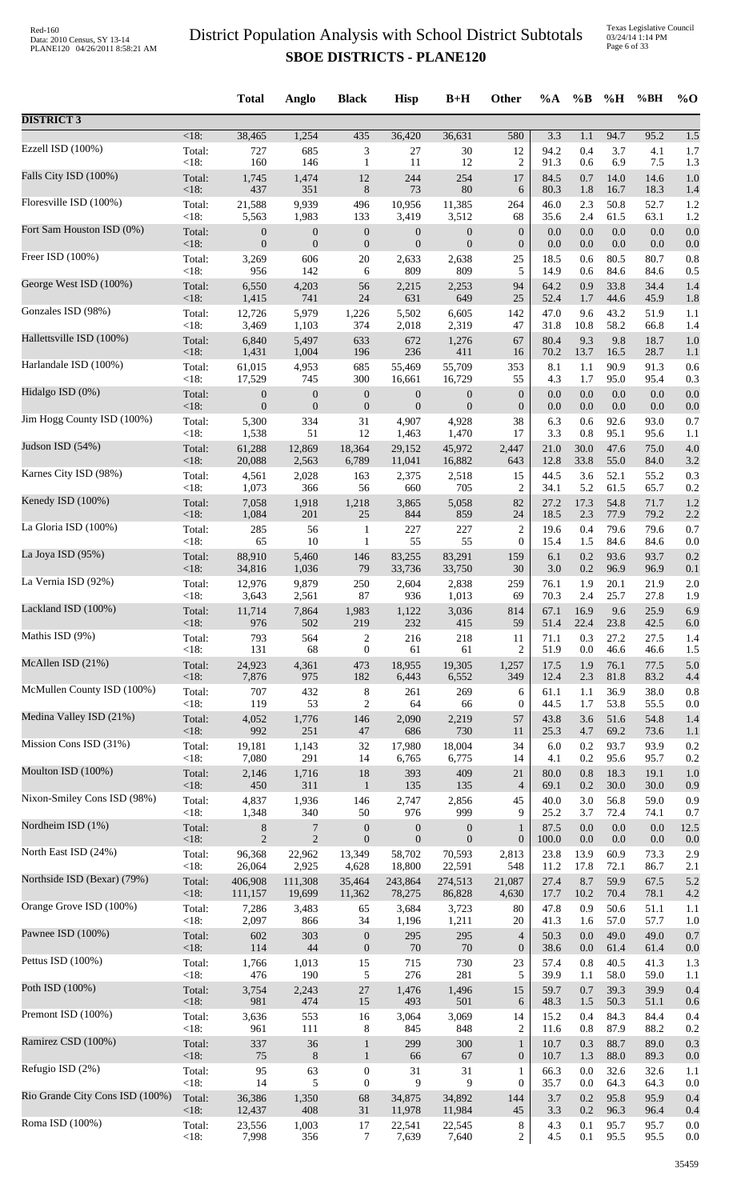|                                 |                 | <b>Total</b>     | Anglo            | <b>Black</b>                | <b>Hisp</b>      | $B+H$            | Other            | $\%A$        | $\%$ B      | %H           | %BH          | $\%$ O     |
|---------------------------------|-----------------|------------------|------------------|-----------------------------|------------------|------------------|------------------|--------------|-------------|--------------|--------------|------------|
| <b>DISTRICT 3</b>               |                 |                  |                  |                             |                  |                  |                  |              |             |              |              |            |
| Ezzell ISD (100%)               | $<18$ :         | 38,465           | 1,254            | 435                         | 36,420           | 36,631           | 580              | 3.3          | 1.1         | 94.7         | 95.2         | 1.5        |
|                                 | Total:          | 727              | 685              | $\ensuremath{\mathfrak{Z}}$ | 27               | 30               | 12               | 94.2         | 0.4         | 3.7          | 4.1          | 1.7        |
|                                 | < 18:           | 160              | 146              | $\mathbf{1}$                | 11               | 12               | $\overline{c}$   | 91.3         | 0.6         | 6.9          | 7.5          | 1.3        |
| Falls City ISD (100%)           | Total:          | 1,745            | 1,474            | 12                          | 244              | 254              | 17               | 84.5         | 0.7         | 14.0         | 14.6         | 1.0        |
|                                 | <18:            | 437              | 351              | $\,8\,$                     | 73               | 80               | 6                | 80.3         | 1.8         | 16.7         | 18.3         | 1.4        |
| Floresville ISD (100%)          | Total:          | 21,588           | 9,939            | 496                         | 10,956           | 11,385           | 264              | 46.0         | 2.3         | 50.8         | 52.7         | 1.2        |
| Fort Sam Houston ISD (0%)       | < 18:           | 5,563            | 1,983            | 133                         | 3,419            | 3,512            | 68               | 35.6         | 2.4         | 61.5         | 63.1         | 1.2        |
|                                 | Total:          | $\boldsymbol{0}$ | $\boldsymbol{0}$ | $\boldsymbol{0}$            | $\mathbf{0}$     | $\boldsymbol{0}$ | $\boldsymbol{0}$ | 0.0          | 0.0         | $0.0\,$      | 0.0          | 0.0        |
| Freer ISD (100%)                | < 18:           | $\mathbf{0}$     | $\mathbf{0}$     | $\boldsymbol{0}$            | $\mathbf{0}$     | $\mathbf{0}$     | $\boldsymbol{0}$ | 0.0          | 0.0         | 0.0          | 0.0          | 0.0        |
|                                 | Total:          | 3,269            | 606              | 20                          | 2,633            | 2,638            | 25               | 18.5         | 0.6         | 80.5         | 80.7         | 0.8        |
|                                 | < 18:           | 956              | 142              | 6                           | 809              | 809              | 5                | 14.9         | 0.6         | 84.6         | 84.6         | 0.5        |
| George West ISD (100%)          | Total:          | 6,550            | 4,203            | 56                          | 2,215            | 2,253            | 94               | 64.2         | 0.9         | 33.8         | 34.4         | 1.4        |
|                                 | < 18:           | 1,415            | 741              | 24                          | 631              | 649              | 25               | 52.4         | 1.7         | 44.6         | 45.9         | 1.8        |
| Gonzales ISD (98%)              | Total:          | 12,726           | 5,979            | 1,226                       | 5,502            | 6,605            | 142              | 47.0         | 9.6         | 43.2         | 51.9         | 1.1        |
|                                 | $<18$ :         | 3,469            | 1,103            | 374                         | 2,018            | 2,319            | 47               | 31.8         | 10.8        | 58.2         | 66.8         | 1.4        |
| Hallettsville ISD (100%)        | Total:          | 6,840            | 5,497            | 633                         | 672              | 1,276            | 67               | 80.4         | 9.3         | 9.8          | 18.7         | 1.0        |
|                                 | $<18$ :         | 1,431            | 1,004            | 196                         | 236              | 411              | 16               | 70.2         | 13.7        | 16.5         | 28.7         | 1.1        |
| Harlandale ISD (100%)           | Total:          | 61,015           | 4,953            | 685                         | 55,469           | 55,709           | 353              | 8.1          | 1.1         | 90.9         | 91.3         | 0.6        |
| Hidalgo ISD (0%)                | < 18:           | 17,529           | 745              | 300                         | 16,661           | 16,729           | 55               | 4.3          | 1.7         | 95.0         | 95.4         | 0.3        |
|                                 | Total:          | $\boldsymbol{0}$ | $\boldsymbol{0}$ | $\boldsymbol{0}$            | $\boldsymbol{0}$ | $\boldsymbol{0}$ | $\boldsymbol{0}$ | 0.0          | 0.0         | 0.0          | 0.0          | 0.0        |
| Jim Hogg County ISD (100%)      | < 18:           | $\mathbf{0}$     | $\mathbf{0}$     | $\boldsymbol{0}$            | $\overline{0}$   | $\mathbf{0}$     | $\boldsymbol{0}$ | 0.0          | 0.0         | 0.0          | 0.0          | 0.0        |
|                                 | Total:          | 5,300            | 334              | 31                          | 4,907            | 4,928            | 38               | 6.3          | 0.6         | 92.6         | 93.0         | 0.7        |
| Judson ISD (54%)                | < 18:           | 1,538            | 51               | 12                          | 1,463            | 1,470            | 17               | 3.3          | 0.8         | 95.1         | 95.6         | 1.1        |
|                                 | Total:          | 61,288           | 12,869           | 18,364                      | 29,152           | 45,972           | 2,447            | 21.0         | 30.0        | 47.6         | 75.0         | 4.0        |
|                                 | < 18:           | 20,088           | 2,563            | 6,789                       | 11,041           | 16,882           | 643              | 12.8         | 33.8        | 55.0         | 84.0         | 3.2        |
| Karnes City ISD (98%)           | Total:          | 4,561            | 2,028            | 163                         | 2,375            | 2,518            | 15               | 44.5         | 3.6         | 52.1         | 55.2         | 0.3        |
|                                 | < 18:           | 1,073            | 366              | 56                          | 660              | 705              | $\overline{c}$   | 34.1         | 5.2         | 61.5         | 65.7         | 0.2        |
| Kenedy ISD (100%)               | Total:          | 7,058            | 1,918            | 1,218                       | 3,865            | 5,058            | 82               | 27.2         | 17.3        | 54.8         | 71.7         | 1.2        |
|                                 | < 18:           | 1,084            | 201              | 25                          | 844              | 859              | 24               | 18.5         | 2.3         | 77.9         | 79.2         | 2.2        |
| La Gloria ISD (100%)            | Total:          | 285              | 56               | $\mathbf{1}$                | 227              | 227              | $\overline{2}$   | 19.6         | 0.4         | 79.6         | 79.6         | 0.7        |
| La Joya ISD (95%)               | < 18:           | 65               | 10               | $\mathbf{1}$                | 55               | 55               | $\boldsymbol{0}$ | 15.4         | 1.5         | 84.6         | 84.6         | 0.0        |
|                                 | Total:          | 88,910           | 5,460            | 146                         | 83,255           | 83,291           | 159              | 6.1          | 0.2         | 93.6         | 93.7         | 0.2        |
| La Vernia ISD (92%)             | $<18$ :         | 34,816           | 1,036            | 79                          | 33,736           | 33,750           | 30               | 3.0          | 0.2         | 96.9         | 96.9         | 0.1        |
|                                 | Total:          | 12,976           | 9,879            | 250                         | 2,604            | 2,838            | 259              | 76.1         | 1.9         | 20.1         | 21.9         | 2.0        |
| Lackland ISD (100%)             | <18:            | 3,643            | 2,561            | 87                          | 936              | 1,013            | 69               | 70.3         | 2.4         | 25.7         | 27.8         | 1.9        |
|                                 | Total:          | 11,714           | 7,864            | 1,983                       | 1,122            | 3,036            | 814              | 67.1         | 16.9        | 9.6          | 25.9         | 6.9        |
|                                 | <18:            | 976              | 502              | 219                         | 232              | 415              | 59               | 51.4         | 22.4        | 23.8         | 42.5         | 6.0        |
| Mathis ISD (9%)                 | Total:          | 793              | 564              | $\sqrt{2}$                  | 216              | 218              | 11               | 71.1         | 0.3         | 27.2         | 27.5         | 1.4        |
|                                 | < 18:           | 131              | 68               | $\boldsymbol{0}$            | 61               | 61               | $\overline{c}$   | 51.9         | 0.0         | 46.6         | 46.6         | 1.5        |
| McAllen ISD (21%)               | Total:          | 24,923           | 4,361            | 473                         | 18,955           | 19,305           | 1,257            | 17.5         | 1.9         | 76.1         | 77.5         | 5.0        |
|                                 | <18:            | 7,876            | 975              | 182                         | 6,443            | 6,552            | 349              | 12.4         | 2.3         | 81.8         | 83.2         | 4.4        |
| McMullen County ISD (100%)      | Total:          | 707              | 432              | $\,8\,$                     | 261              | 269              | 6                | 61.1         | 1.1         | 36.9         | 38.0         | 0.8        |
|                                 | < 18:           | 119              | 53               | $\sqrt{2}$                  | 64               | 66               | $\boldsymbol{0}$ | 44.5         | 1.7         | 53.8         | 55.5         | 0.0        |
| Medina Valley ISD (21%)         | Total:          | 4,052            | 1,776            | 146                         | 2,090            | 2,219            | 57               | 43.8         | 3.6         | 51.6         | 54.8         | 1.4        |
| Mission Cons ISD (31%)          | < 18:           | 992              | 251              | 47                          | 686              | 730              | 11               | 25.3         | 4.7         | 69.2         | 73.6         | 1.1        |
|                                 | Total:          | 19,181           | 1,143            | 32                          | 17,980           | 18,004           | 34               | 6.0          | 0.2         | 93.7         | 93.9         | 0.2        |
| Moulton ISD (100%)              | < 18:           | 7,080            | 291              | 14                          | 6,765            | 6,775            | 14               | 4.1          | 0.2         | 95.6         | 95.7         | 0.2        |
|                                 | Total:          | 2,146            | 1,716            | 18                          | 393              | 409              | 21               | 80.0         | 0.8         | 18.3         | 19.1         | 1.0        |
| Nixon-Smiley Cons ISD (98%)     | < 18:           | 450              | 311              | $\mathbf{1}$                | 135              | 135              | $\overline{4}$   | 69.1         | 0.2         | 30.0         | 30.0         | 0.9        |
|                                 | Total:          | 4,837            | 1,936            | 146                         | 2,747            | 2,856            | 45               | 40.0         | 3.0         | 56.8         | 59.0         | 0.9        |
|                                 | < 18:           | 1,348            | 340              | $50\,$                      | 976              | 999              | 9                | 25.2         | 3.7         | 72.4         | 74.1         | 0.7        |
| Nordheim ISD (1%)               | Total:          | $8\,$            | $\overline{7}$   | $\boldsymbol{0}$            | $\boldsymbol{0}$ | $\boldsymbol{0}$ | $\mathbf{1}$     | 87.5         | 0.0         | $0.0\,$      | 0.0          | 12.5       |
|                                 | < 18:           | $\overline{2}$   | $\sqrt{2}$       | $\boldsymbol{0}$            | $\mathbf{0}$     | $\mathbf{0}$     | $\boldsymbol{0}$ | 100.0        | 0.0         | $0.0\,$      | 0.0          | 0.0        |
| North East ISD (24%)            | Total:          | 96,368           | 22,962           | 13,349                      | 58,702           | 70,593           | 2,813            | 23.8         | 13.9        | 60.9         | 73.3         | 2.9        |
|                                 | < 18:           | 26,064           | 2,925            | 4,628                       | 18,800           | 22,591           | 548              | 11.2         | 17.8        | 72.1         | 86.7         | 2.1        |
| Northside ISD (Bexar) (79%)     | Total:<br>< 18: | 406,908          | 111,308          | 35,464                      | 243,864          | 274,513          | 21,087           | 27.4<br>17.7 | 8.7<br>10.2 | 59.9<br>70.4 | 67.5         | 5.2<br>4.2 |
| Orange Grove ISD (100%)         | Total:          | 111,157<br>7,286 | 19,699<br>3,483  | 11,362<br>65                | 78,275<br>3,684  | 86,828<br>3,723  | 4,630<br>80      | 47.8         | 0.9         | 50.6         | 78.1<br>51.1 | 1.1        |
| Pawnee ISD (100%)               | < 18:           | 2,097            | 866              | 34                          | 1,196            | 1,211            | 20               | 41.3         | 1.6         | 57.0         | 57.7         | 1.0        |
|                                 | Total:          | 602              | 303              | $\boldsymbol{0}$            | 295              | 295              | $\overline{4}$   | 50.3         | 0.0         | 49.0         | 49.0         | 0.7        |
| Pettus ISD (100%)               | < 18:           | 114              | 44               | $\boldsymbol{0}$            | 70               | 70               | $\boldsymbol{0}$ | 38.6         | 0.0         | 61.4         | 61.4         | 0.0        |
|                                 | Total:          | 1,766            | 1,013            | 15                          | 715              | 730              | 23               | 57.4         | 0.8         | 40.5         | 41.3         | 1.3        |
|                                 | < 18:           | 476              | 190              | 5                           | 276              | 281              | 5                | 39.9         | 1.1         | 58.0         | 59.0         | 1.1        |
| Poth ISD (100%)                 | Total:          | 3,754            | 2,243            | $27\,$                      | 1,476            | 1,496            | 15               | 59.7         | 0.7         | 39.3         | 39.9         | 0.4        |
|                                 | < 18:           | 981              | 474              | 15                          | 493              | 501              | 6                | 48.3         | 1.5         | 50.3         | 51.1         | 0.6        |
| Premont ISD (100%)              | Total:          | 3,636            | 553              | 16                          | 3,064            | 3,069            | 14               | 15.2         | 0.4         | 84.3         | 84.4         | 0.4        |
|                                 | < 18:           | 961              | 111              | 8                           | 845              | 848              | $\overline{c}$   | 11.6         | $0.8\,$     | 87.9         | 88.2         | 0.2        |
| Ramirez CSD (100%)              | Total:          | 337              | 36               | $\mathbf{1}$                | 299              | 300              | $\mathbf{1}$     | 10.7         | 0.3         | 88.7         | 89.0         | 0.3        |
|                                 | < 18:           | 75               | $8\phantom{1}$   | $\mathbf{1}$                | 66               | 67               | $\mathbf{0}$     | 10.7         | 1.3         | 88.0         | 89.3         | 0.0        |
| Refugio ISD (2%)                | Total:          | 95               | 63               | $\boldsymbol{0}$            | 31               | 31               | 1                | 66.3         | 0.0         | 32.6         | 32.6         | 1.1        |
| Rio Grande City Cons ISD (100%) | < 18:           | 14               | 5                | $\boldsymbol{0}$            | 9                | 9                | $\mathbf{0}$     | 35.7         | 0.0         | 64.3         | 64.3         | 0.0        |
|                                 | Total:          | 36,386           | 1,350            | 68                          | 34,875           | 34,892           | 144              | 3.7          | 0.2         | 95.8         | 95.9         | 0.4        |
| Roma ISD (100%)                 | < 18:           | 12,437           | 408              | 31                          | 11,978           | 11,984           | 45               | 3.3          | 0.2         | 96.3         | 96.4         | 0.4        |
|                                 | Total:          | 23,556           | 1,003            | 17                          | 22,541           | 22,545           | 8                | 4.3          | 0.1         | 95.7         | 95.7         | 0.0        |
|                                 | <18:            | 7,998            | 356              | 7                           | 7,639            | 7,640            | $\overline{c}$   | 4.5          | 0.1         | 95.5         | 95.5         | 0.0        |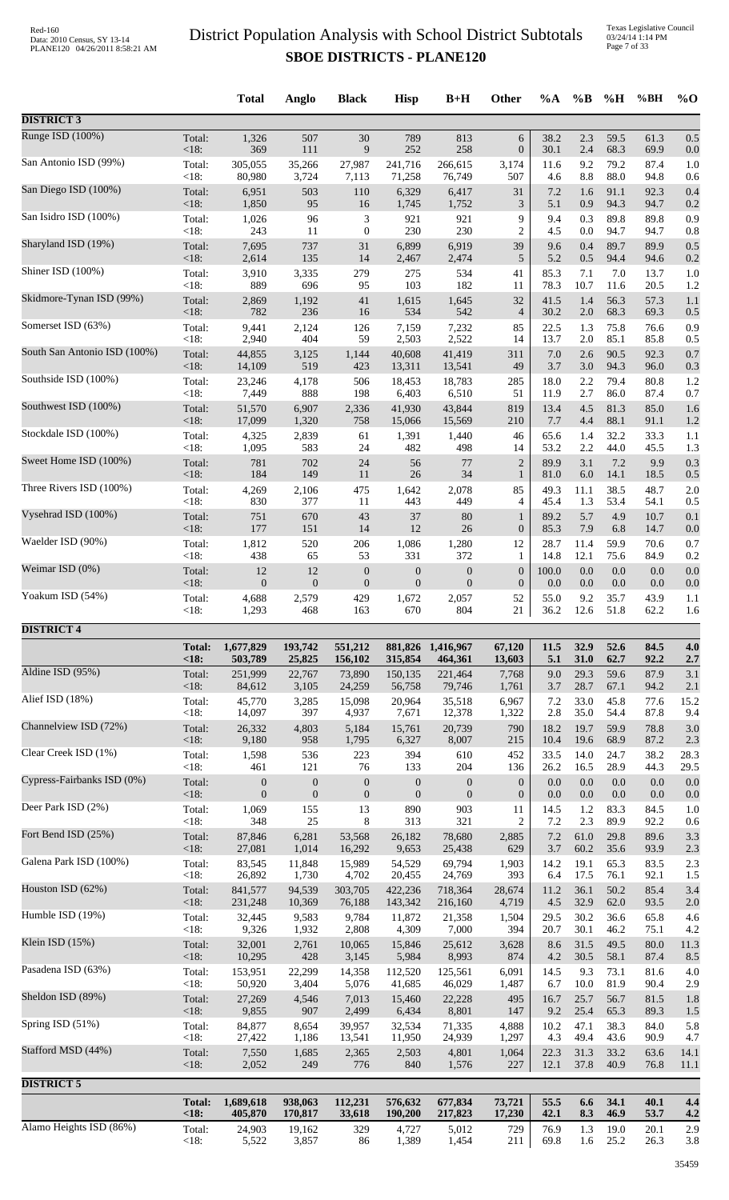Texas Legislative Council 03/24/14 1:14 PM Page 7 of 33

|                              |                 | <b>Total</b>                       | Anglo                              | <b>Black</b>                | <b>Hisp</b>                        | $B+H$                              | Other                   | %A           | $\%B$       | %H           | %BH          | $%$ O       |
|------------------------------|-----------------|------------------------------------|------------------------------------|-----------------------------|------------------------------------|------------------------------------|-------------------------|--------------|-------------|--------------|--------------|-------------|
| <b>DISTRICT 3</b>            |                 |                                    |                                    |                             |                                    |                                    |                         |              |             |              |              |             |
| Runge ISD (100%)             | Total:          | 1,326                              | 507                                | 30                          | 789                                | 813                                | $\sqrt{6}$              | 38.2         | 2.3         | 59.5         | 61.3         | 0.5         |
|                              | <18:            | 369                                | 111                                | 9                           | 252                                | 258                                | $\boldsymbol{0}$        | 30.1         | 2.4         | 68.3         | 69.9         | 0.0         |
| San Antonio ISD (99%)        | Total:          | 305,055                            | 35,266                             | 27,987                      | 241,716                            | 266,615                            | 3,174                   | 11.6         | 9.2         | 79.2         | 87.4         | 1.0         |
| San Diego ISD (100%)         | < 18:           | 80,980                             | 3,724                              | 7,113                       | 71,258                             | 76,749                             | 507                     | 4.6          | 8.8         | 88.0         | 94.8         | 0.6         |
|                              | Total:          | 6,951                              | 503                                | 110                         | 6,329                              | 6,417                              | 31                      | 7.2          | 1.6         | 91.1         | 92.3         | 0.4         |
| San Isidro ISD (100%)        | < 18:           | 1,850                              | 95                                 | 16                          | 1,745                              | 1,752                              | 3                       | 5.1          | 0.9         | 94.3         | 94.7         | 0.2         |
|                              | Total:          | 1,026                              | 96                                 | $\ensuremath{\mathfrak{Z}}$ | 921                                | 921                                | 9                       | 9.4          | 0.3         | 89.8         | 89.8         | 0.9         |
|                              | < 18:           | 243                                | 11                                 | $\boldsymbol{0}$            | 230                                | 230                                | $\overline{2}$          | 4.5          | 0.0         | 94.7         | 94.7         | 0.8         |
| Sharyland ISD (19%)          | Total:          | 7,695                              | 737                                | 31                          | 6,899                              | 6,919                              | 39                      | 9.6          | 0.4         | 89.7         | 89.9         | 0.5         |
|                              | <18:            | 2,614                              | 135                                | 14                          | 2,467                              | 2,474                              | 5                       | 5.2          | 0.5         | 94.4         | 94.6         | 0.2         |
| Shiner ISD (100%)            | Total:          | 3,910                              | 3,335                              | 279                         | 275                                | 534                                | 41                      | 85.3         | 7.1         | 7.0          | 13.7         | 1.0         |
|                              | < 18:           | 889                                | 696                                | 95                          | 103                                | 182                                | 11                      | 78.3         | 10.7        | 11.6         | 20.5         | 1.2         |
| Skidmore-Tynan ISD (99%)     | Total:          | 2,869                              | 1,192                              | 41                          | 1,615                              | 1,645                              | 32                      | 41.5         | 1.4         | 56.3         | 57.3         | 1.1         |
| Somerset ISD (63%)           | < 18:           | 782                                | 236                                | 16                          | 534                                | 542                                | $\overline{4}$          | 30.2         | 2.0         | 68.3         | 69.3         | 0.5         |
|                              | Total:          | 9,441                              | 2,124                              | 126                         | 7,159                              | 7,232                              | 85                      | 22.5         | 1.3         | 75.8         | 76.6         | 0.9         |
| South San Antonio ISD (100%) | < 18:           | 2,940                              | 404                                | 59                          | 2,503                              | 2,522                              | 14                      | 13.7         | 2.0         | 85.1         | 85.8         | 0.5         |
|                              | Total:          | 44.855                             | 3,125                              | 1,144                       | 40.608                             | 41,419                             | 311                     | 7.0          | 2.6         | 90.5         | 92.3         | 0.7         |
| Southside ISD (100%)         | < 18:           | 14,109                             | 519                                | 423                         | 13,311                             | 13,541                             | 49                      | 3.7          | 3.0         | 94.3         | 96.0         | 0.3         |
|                              | Total:          | 23,246                             | 4,178                              | 506                         | 18,453                             | 18,783                             | 285                     | 18.0         | 2.2         | 79.4         | 80.8         | 1.2         |
| Southwest ISD (100%)         | < 18:           | 7,449                              | 888                                | 198                         | 6,403                              | 6,510                              | 51                      | 11.9         | 2.7         | 86.0         | 87.4         | 0.7         |
|                              | Total:          | 51,570                             | 6,907                              | 2,336                       | 41,930                             | 43,844                             | 819                     | 13.4         | 4.5         | 81.3         | 85.0         | 1.6         |
|                              | < 18:           | 17,099                             | 1,320                              | 758                         | 15,066                             | 15,569                             | 210                     | 7.7          | 4.4         | 88.1         | 91.1         | 1.2         |
| Stockdale ISD (100%)         | Total:          | 4,325                              | 2,839                              | 61                          | 1,391                              | 1,440                              | 46                      | 65.6         | 1.4         | 32.2         | 33.3         | 1.1         |
|                              | < 18:           | 1,095                              | 583                                | 24                          | 482                                | 498                                | 14                      | 53.2         | 2.2         | 44.0         | 45.5         | 1.3         |
| Sweet Home ISD (100%)        | Total:          | 781                                | 702                                | 24                          | 56                                 | 77                                 | $\overline{2}$          | 89.9         | 3.1         | 7.2          | 9.9          | 0.3         |
|                              | < 18:           | 184                                | 149                                | 11                          | 26                                 | 34                                 | $\mathbf{1}$            | 81.0         | 6.0         | 14.1         | 18.5         | 0.5         |
| Three Rivers ISD (100%)      | Total:<br>< 18: | 4,269<br>830                       | 2,106<br>377                       | 475                         | 1,642                              | 2,078                              | 85<br>$\overline{4}$    | 49.3<br>45.4 | 11.1        | 38.5<br>53.4 | 48.7         | 2.0         |
| Vysehrad ISD (100%)          | Total:          | 751                                | 670                                | 11<br>43                    | 443<br>37                          | 449<br>80                          | $\mathbf{1}$            | 89.2         | 1.3<br>5.7  | 4.9          | 54.1<br>10.7 | 0.5<br>0.1  |
| Waelder ISD (90%)            | < 18:           | 177                                | 151                                | 14                          | 12                                 | 26                                 | $\boldsymbol{0}$        | 85.3         | 7.9         | 6.8          | 14.7         | 0.0         |
|                              | Total:          | 1,812                              | 520                                | 206                         | 1,086                              | 1,280                              | 12                      | 28.7         | 11.4        | 59.9         | 70.6         | 0.7         |
| Weimar ISD (0%)              | <18:            | 438                                | 65                                 | 53                          | 331                                | 372                                | $\mathbf{1}$            | 14.8         | 12.1        | 75.6         | 84.9         | 0.2         |
|                              | Total:          | 12                                 | 12                                 | $\boldsymbol{0}$            | $\boldsymbol{0}$                   | $\boldsymbol{0}$                   | $\boldsymbol{0}$        | 100.0        | 0.0         | 0.0          | 0.0          | 0.0         |
| Yoakum ISD (54%)             | < 18:           | $\mathbf{0}$                       | $\mathbf{0}$                       | $\boldsymbol{0}$            | $\boldsymbol{0}$                   | $\boldsymbol{0}$                   | $\boldsymbol{0}$        | 0.0          | 0.0         | 0.0          | 0.0          | 0.0         |
|                              | Total:          | 4,688                              | 2,579                              | 429                         | 1,672                              | 2,057                              | 52                      | 55.0         | 9.2         | 35.7         | 43.9         | 1.1         |
|                              | < 18:           | 1,293                              | 468                                | 163                         | 670                                | 804                                | 21                      | 36.2         | 12.6        | 51.8         | 62.2         | 1.6         |
| <b>DISTRICT 4</b>            | <b>Total:</b>   | 1,677,829                          | 193,742                            | 551,212                     |                                    | 881,826 1,416,967                  | 67,120                  | 11.5         | 32.9        | 52.6         | 84.5         | 4.0         |
|                              | <18             | 503,789                            | 25,825                             | 156,102                     | 315,854                            | 464,361                            | 13,603                  | 5.1          | 31.0        | 62.7         | 92.2         | 2.7         |
| Aldine ISD (95%)             | Total:          | 251,999                            | 22,767                             | 73,890                      | 150,135                            | 221,464                            | 7,768                   | 9.0          | 29.3        | 59.6         | 87.9         | 3.1         |
|                              | <18:            | 84,612                             | 3,105                              | 24,259                      | 56,758                             | 79,746                             | 1,761                   | 3.7          | 28.7        | 67.1         | 94.2         | 2.1         |
| Alief ISD (18%)              | Total:          | 45,770                             | 3,285                              | 15,098                      | 20,964                             | 35,518                             | 6,967                   | 7.2          | 33.0        | 45.8         | 77.6         | 15.2        |
|                              | < 18:           | 14,097                             | 397                                | 4,937                       | 7,671                              | 12,378                             | 1,322                   | 2.8          | 35.0        | 54.4         | 87.8         | 9.4         |
| Channelview ISD (72%)        | Total:          | 26,332                             | 4,803                              | 5,184                       | 15,761                             | 20,739                             | 790                     | 18.2         | 19.7        | 59.9         | 78.8         | 3.0         |
| Clear Creek ISD (1%)         | < 18:           | 9,180                              | 958                                | 1,795                       | 6,327                              | 8,007                              | 215                     | 10.4         | 19.6        | 68.9         | 87.2         | 2.3         |
|                              | Total:          | 1,598                              | 536                                | 223                         | 394                                | 610                                | 452                     | 33.5         | 14.0        | 24.7         | 38.2         | 28.3        |
| Cypress-Fairbanks ISD (0%)   | < 18:<br>Total: | 461                                | 121                                | 76<br>$\boldsymbol{0}$      | 133                                | 204                                | 136<br>$\boldsymbol{0}$ | 26.2<br>0.0  | 16.5<br>0.0 | 28.9<br>0.0  | 44.3<br>0.0  | 29.5<br>0.0 |
|                              | < 18:           | $\boldsymbol{0}$<br>$\overline{0}$ | $\boldsymbol{0}$<br>$\overline{0}$ | $\boldsymbol{0}$            | $\boldsymbol{0}$<br>$\overline{0}$ | $\boldsymbol{0}$<br>$\overline{0}$ | $\boldsymbol{0}$        | 0.0          | 0.0         | 0.0          | 0.0          | 0.0         |
| Deer Park ISD (2%)           | Total:          | 1,069                              | 155                                | 13                          | 890                                | 903                                | 11                      | 14.5         | 1.2         | 83.3         | 84.5         | 1.0         |
|                              | < 18:           | 348                                | 25                                 | 8                           | 313                                | 321                                | $\overline{2}$          | 7.2          | 2.3         | 89.9         | 92.2         | 0.6         |
| Fort Bend ISD (25%)          | Total:          | 87,846                             | 6,281                              | 53,568                      | 26,182                             | 78,680                             | 2,885                   | 7.2          | 61.0        | 29.8         | 89.6         | 3.3         |
|                              | < 18:           | 27,081                             | 1,014                              | 16,292                      | 9,653                              | 25,438                             | 629                     | 3.7          | 60.2        | 35.6         | 93.9         | 2.3         |
| Galena Park ISD (100%)       | Total:          | 83,545                             | 11,848                             | 15,989                      | 54,529                             | 69,794                             | 1,903                   | 14.2         | 19.1        | 65.3         | 83.5         | 2.3         |
|                              | < 18:           | 26,892                             | 1,730                              | 4,702                       | 20,455                             | 24,769                             | 393                     | 6.4          | 17.5        | 76.1         | 92.1         | 1.5         |
| Houston ISD (62%)            | Total:          | 841,577                            | 94,539                             | 303,705                     | 422,236                            | 718,364                            | 28,674                  | 11.2         | 36.1        | 50.2         | 85.4         | 3.4         |
|                              | < 18:           | 231,248                            | 10,369                             | 76,188                      | 143,342                            | 216,160                            | 4,719                   | 4.5          | 32.9        | 62.0         | 93.5         | 2.0         |
| Humble ISD (19%)             | Total:          | 32,445                             | 9,583                              | 9,784                       | 11,872                             | 21,358                             | 1,504                   | 29.5         | 30.2        | 36.6         | 65.8         | 4.6         |
|                              | <18:            | 9,326                              | 1,932                              | 2,808                       | 4,309                              | 7,000                              | 394                     | 20.7         | 30.1        | 46.2         | 75.1         | 4.2         |
| Klein ISD (15%)              | Total:          | 32,001                             | 2,761                              | 10,065                      | 15,846                             | 25,612                             | 3,628                   | 8.6          | 31.5        | 49.5         | 80.0         | 11.3        |
| Pasadena ISD (63%)           | <18:            | 10,295                             | 428                                | 3,145                       | 5,984                              | 8,993                              | 874                     | 4.2          | 30.5        | 58.1         | 87.4         | 8.5         |
|                              | Total:          | 153,951                            | 22,299                             | 14,358                      | 112,520                            | 125,561                            | 6,091                   | 14.5         | 9.3         | 73.1         | 81.6         | 4.0         |
| Sheldon ISD (89%)            | <18:            | 50,920                             | 3,404                              | 5,076                       | 41,685                             | 46,029                             | 1,487                   | 6.7          | 10.0        | 81.9         | 90.4         | 2.9         |
|                              | Total:          | 27,269                             | 4,546                              | 7,013                       | 15,460                             | 22,228                             | 495                     | 16.7         | 25.7        | 56.7         | 81.5         | 1.8         |
|                              | < 18:           | 9,855                              | 907                                | 2,499                       | 6,434                              | 8,801                              | 147                     | 9.2          | 25.4        | 65.3         | 89.3         | 1.5         |
| Spring ISD (51%)             | Total:          | 84,877                             | 8,654                              | 39,957                      | 32,534                             | 71,335                             | 4,888                   | 10.2         | 47.1        | 38.3         | 84.0         | 5.8         |
|                              | < 18:           | 27,422                             | 1,186                              | 13,541                      | 11,950                             | 24,939                             | 1,297                   | 4.3          | 49.4        | 43.6         | 90.9         | 4.7         |
| Stafford MSD (44%)           | Total:          | 7,550                              | 1,685                              | 2,365                       | 2,503                              | 4,801                              | 1,064                   | 22.3         | 31.3        | 33.2         | 63.6         | 14.1        |
|                              | $<18$ :         | 2,052                              | 249                                | 776                         | 840                                | 1,576                              | 227                     | 12.1         | 37.8        | 40.9         | 76.8         | 11.1        |
| <b>DISTRICT 5</b>            |                 |                                    |                                    |                             |                                    |                                    |                         |              |             |              |              |             |
|                              | <b>Total:</b>   | 1,689,618                          | 938,063                            | 112,231                     | 576,632                            | 677,834                            | 73,721                  | 55.5         | 6.6         | 34.1         | 40.1         | 4.4         |
|                              | <18             | 405,870                            | 170,817                            | 33,618                      | 190,200                            | 217,823                            | 17,230                  | 42.1         | 8.3         | 46.9         | 53.7         | 4.2         |
| Alamo Heights ISD (86%)      | Total:          | 24,903                             | 19,162                             | 329                         | 4,727                              | 5,012                              | 729                     | 76.9         | 1.3         | 19.0         | 20.1         | 2.9         |
|                              | < 18:           | 5,522                              | 3,857                              | 86                          | 1,389                              | 1,454                              | 211                     | 69.8         | 1.6         | 25.2         | 26.3         | 3.8         |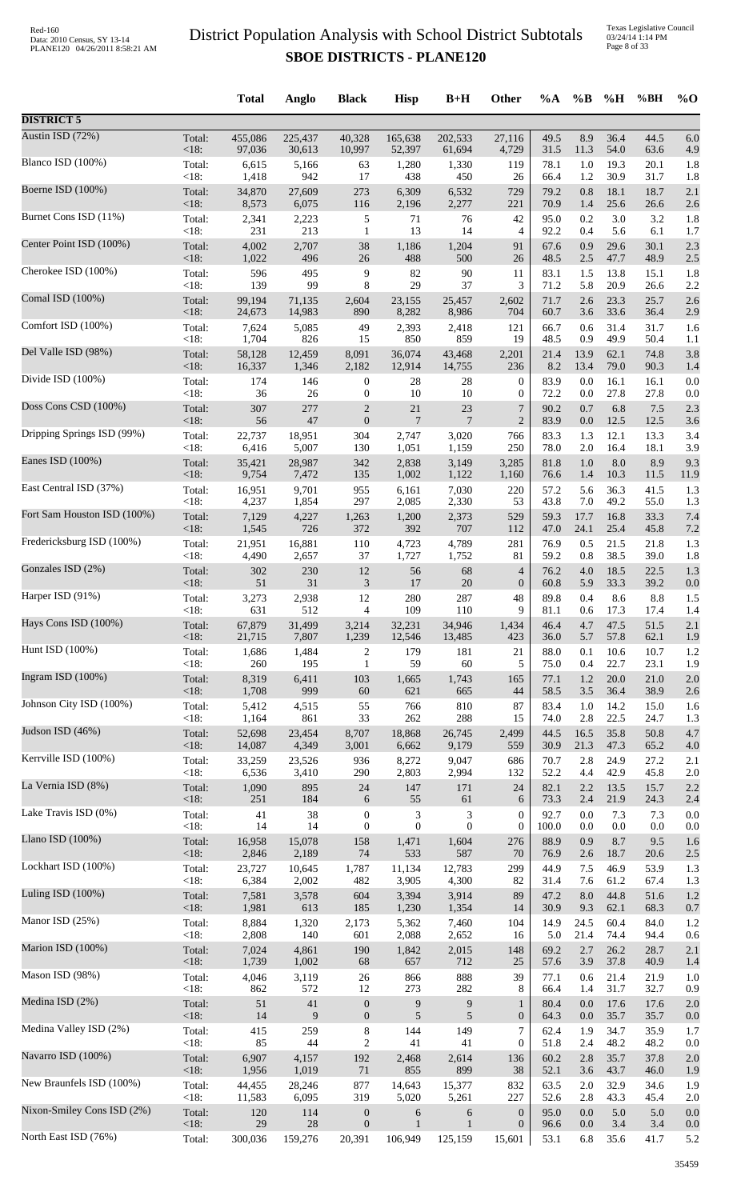Texas Legislative Council 03/24/14 1:14 PM Page 8 of 33

|                             |                 | <b>Total</b>    | Anglo          | <b>Black</b>     | <b>Hisp</b>      | $B+H$            | Other            | %A           | $\%B$      | %H               | %BH          | $%$ <sup>O</sup> |
|-----------------------------|-----------------|-----------------|----------------|------------------|------------------|------------------|------------------|--------------|------------|------------------|--------------|------------------|
| <b>DISTRICT 5</b>           |                 |                 |                |                  |                  |                  |                  |              |            |                  |              |                  |
| Austin ISD (72%)            | Total:          | 455,086         | 225,437        | 40,328           | 165,638          | 202,533          | 27,116           | 49.5         | 8.9        | 36.4             | 44.5         | 6.0              |
| Blanco ISD (100%)           | $<18$ :         | 97,036          | 30,613         | 10,997           | 52,397           | 61,694           | 4,729            | 31.5         | 11.3       | 54.0             | 63.6         | 4.9              |
|                             | Total:          | 6,615           | 5,166          | 63               | 1,280            | 1,330            | 119              | 78.1         | 1.0        | 19.3             | 20.1         | 1.8              |
| Boerne ISD (100%)           | < 18:           | 1,418           | 942            | 17               | 438              | 450              | 26               | 66.4         | 1.2        | 30.9             | 31.7         | 1.8              |
|                             | Total:          | 34,870          | 27,609         | 273              | 6,309            | 6,532            | 729              | 79.2         | 0.8        | 18.1             | 18.7         | 2.1              |
|                             | <18:            | 8,573           | 6,075          | 116              | 2,196            | 2,277            | 221              | 70.9         | 1.4        | 25.6             | 26.6         | 2.6              |
| Burnet Cons ISD (11%)       | Total:          | 2,341           | 2,223          | 5                | 71               | 76               | 42               | 95.0         | 0.2        | 3.0              | 3.2          | 1.8              |
|                             | <18:            | 231             | 213            | $\mathbf{1}$     | 13               | 14               | 4                | 92.2         | 0.4        | 5.6              | 6.1          | 1.7              |
| Center Point ISD (100%)     | Total:          | 4,002           | 2,707          | 38               | 1,186            | 1,204            | 91               | 67.6         | 0.9        | 29.6             | 30.1         | 2.3              |
| Cherokee ISD (100%)         | $<18$ :         | 1,022           | 496            | 26               | 488              | 500              | 26               | 48.5         | 2.5        | 47.7             | 48.9         | 2.5              |
|                             | Total:          | 596             | 495            | 9                | 82               | 90               | 11               | 83.1         | 1.5        | 13.8             | 15.1         | 1.8              |
| Comal ISD (100%)            | $<18$ :         | 139             | 99             | 8                | 29               | 37               | 3                | 71.2         | 5.8        | 20.9             | 26.6         | 2.2              |
|                             | Total:          | 99,194          | 71,135         | 2,604            | 23,155           | 25,457           | 2,602            | 71.7         | 2.6        | 23.3             | 25.7         | 2.6              |
| Comfort ISD (100%)          | <18:            | 24,673          | 14,983         | 890              | 8,282            | 8,986            | 704              | 60.7         | 3.6        | 33.6             | 36.4         | 2.9              |
|                             | Total:          | 7,624           | 5,085          | 49               | 2,393            | 2,418            | 121              | 66.7         | 0.6        | 31.4             | 31.7         | 1.6              |
|                             | < 18:           | 1,704           | 826            | 15               | 850              | 859              | 19               | 48.5         | 0.9        | 49.9             | 50.4         | 1.1              |
| Del Valle ISD (98%)         | Total:          | 58,128          | 12,459         | 8,091            | 36,074           | 43,468           | 2,201            | 21.4         | 13.9       | 62.1             | 74.8         | 3.8              |
|                             | <18:            | 16,337          | 1,346          | 2,182            | 12,914           | 14,755           | 236              | 8.2          | 13.4       | 79.0             | 90.3         | 1.4              |
| Divide ISD (100%)           | Total:          | 174             | 146            | 0                | 28               | 28               | $\boldsymbol{0}$ | 83.9         | 0.0        | 16.1             | 16.1         | 0.0              |
|                             | < 18:           | 36              | 26             | $\boldsymbol{0}$ | 10               | 10               | $\boldsymbol{0}$ | 72.2         | 0.0        | 27.8             | 27.8         | 0.0              |
| Doss Cons CSD (100%)        | Total:          | 307             | 277            | $\mathbf{2}$     | 21               | 23               | 7                | 90.2         | 0.7        | 6.8              | 7.5          | 2.3              |
|                             | <18:            | 56              | 47             | $\boldsymbol{0}$ | $\overline{7}$   | $\overline{7}$   | $\overline{2}$   | 83.9         | 0.0        | 12.5             | 12.5         | 3.6              |
| Dripping Springs ISD (99%)  | Total:          | 22,737          | 18,951         | 304              | 2,747            | 3,020            | 766              | 83.3         | 1.3        | 12.1             | 13.3         | 3.4              |
| Eanes ISD (100%)            | < 18:           | 6,416           | 5,007          | 130              | 1,051            | 1,159            | 250              | 78.0         | $2.0\,$    | 16.4             | 18.1         | 3.9              |
|                             | Total:          | 35,421          | 28,987         | 342              | 2,838            | 3,149            | 3,285            | 81.8         | 1.0        | 8.0              | 8.9          | 9.3              |
| East Central ISD (37%)      | <18:            | 9,754           | 7,472          | 135<br>955       | 1,002            | 1,122            | 1,160            | 76.6<br>57.2 | 1.4<br>5.6 | 10.3<br>36.3     | 11.5<br>41.5 | 11.9             |
|                             | Total:<br>< 18: | 16,951<br>4,237 | 9,701<br>1,854 | 297              | 6,161<br>2,085   | 7,030<br>2,330   | 220<br>53        | 43.8         | 7.0        | 49.2             | 55.0         | 1.3<br>1.3       |
| Fort Sam Houston ISD (100%) | Total:          | 7,129           | 4,227          | 1,263            | 1,200            | 2,373            | 529              | 59.3         | 17.7       | 16.8             | 33.3         | 7.4              |
|                             | $<18$ :         | 1,545           | 726            | 372              | 392              | 707              | 112              | 47.0         | 24.1       | 25.4             | 45.8         | 7.2              |
| Fredericksburg ISD (100%)   | Total:          | 21,951          | 16,881         | 110              | 4,723            | 4,789            | 281              | 76.9         | 0.5        | 21.5             | 21.8         | 1.3              |
|                             | < 18:           | 4,490           | 2,657          | 37               | 1,727            | 1,752            | 81               | 59.2         | 0.8        | 38.5             | 39.0         | 1.8              |
| Gonzales ISD (2%)           | Total:          | 302             | 230            | 12               | 56               | 68               | 4                | 76.2         | 4.0        | 18.5             | 22.5         | 1.3              |
|                             | <18:            | 51              | 31             | 3                | 17               | $20\,$           | $\boldsymbol{0}$ | 60.8         | 5.9        | 33.3             | 39.2         | 0.0              |
| Harper ISD (91%)            | Total:          | 3,273           | 2,938          | 12               | 280              | 287              | 48               | 89.8         | 0.4        | 8.6              | 8.8          | 1.5              |
| Hays Cons ISD (100%)        | <18:<br>Total:  | 631<br>67,879   | 512<br>31,499  | 4<br>3,214       | 109<br>32,231    | 110<br>34,946    | 9<br>1,434       | 81.1<br>46.4 | 0.6        | 17.3<br>4.7 47.5 | 17.4<br>51.5 | 1.4<br>2.1       |
| Hunt ISD (100%)             | <18:            | 21,715          | 7,807          | 1,239            | 12,546           | 13,485           | 423              | 36.0         | 5.7        | 57.8             | 62.1         | 1.9              |
|                             | Total:          | 1,686           | 1,484          | 2                | 179              | 181              | 21               | 88.0         | 0.1        | 10.6             | 10.7         | 1.2              |
| Ingram ISD (100%)           | $<18$ :         | 260             | 195            | 1                | 59               | 60               | 5                | 75.0         | 0.4        | 22.7             | 23.1         | 1.9              |
|                             | Total:          | 8,319           | 6,411          | 103              | 1,665            | 1,743            | 165              | 77.1         | 1.2        | $20.0\,$         | 21.0         | 2.0              |
|                             | <18:            | 1,708           | 999            | 60               | 621              | 665              | 44               | 58.5         | 3.5        | 36.4             | 38.9         | 2.6              |
| Johnson City ISD (100%)     | Total:          | 5,412           | 4,515          | 55               | 766              | 810              | 87               | 83.4         | $1.0\,$    | 14.2             | 15.0         | 1.6              |
|                             | <18:            | 1,164           | 861            | 33               | 262              | 288              | 15               | 74.0         | 2.8        | 22.5             | 24.7         | 1.3              |
| Judson ISD (46%)            | Total:          | 52,698          | 23,454         | 8,707            | 18,868           | 26,745           | 2,499            | 44.5         | 16.5       | 35.8             | 50.8         | 4.7              |
|                             | <18:            | 14,087          | 4,349          | 3,001            | 6,662            | 9,179            | 559              | 30.9         | 21.3       | 47.3             | 65.2         | 4.0              |
| Kerrville ISD (100%)        | Total:          | 33,259          | 23,526         | 936              | 8,272            | 9,047            | 686              | 70.7         | 2.8        | 24.9             | 27.2         | 2.1              |
|                             | $<18$ :         | 6,536           | 3,410          | 290              | 2,803            | 2,994            | 132              | 52.2         | 4.4        | 42.9             | 45.8         | 2.0              |
| La Vernia ISD (8%)          | Total:          | 1,090           | 895            | $24\,$           | 147              | 171              | 24               | 82.1         | 2.2        | 13.5             | 15.7         | 2.2              |
| Lake Travis ISD (0%)        | <18:            | 251             | 184            | $\sqrt{6}$       | 55               | 61               | 6                | 73.3         | 2.4        | 21.9             | 24.3         | 2.4              |
|                             | Total:          | 41              | 38             | $\boldsymbol{0}$ | $\mathfrak{Z}$   | 3                | $\boldsymbol{0}$ | 92.7         | 0.0        | 7.3              | 7.3          | 0.0              |
| Llano ISD (100%)            | <18:            | 14              | 14             | $\boldsymbol{0}$ | $\boldsymbol{0}$ | $\boldsymbol{0}$ | $\boldsymbol{0}$ | 100.0        | 0.0        | 0.0              | 0.0          | 0.0              |
|                             | Total:          | 16,958          | 15,078         | 158              | 1,471            | 1,604            | 276              | 88.9         | 0.9        | 8.7              | 9.5          | 1.6              |
|                             | <18:            | 2,846           | 2,189          | $74\,$           | 533              | 587              | 70               | 76.9         | 2.6        | 18.7             | 20.6         | 2.5              |
| Lockhart ISD (100%)         | Total:          | 23,727          | 10,645         | 1,787            | 11,134           | 12,783           | 299              | 44.9         | 7.5        | 46.9             | 53.9         | 1.3              |
|                             | <18:            | 6,384           | 2,002          | 482              | 3,905            | 4,300            | 82               | 31.4         | 7.6        | 61.2             | 67.4         | 1.3              |
| Luling ISD (100%)           | Total:          | 7,581           | 3,578          | 604              | 3,394            | 3,914            | 89               | 47.2         | 8.0        | 44.8             | 51.6         | 1.2              |
|                             | <18:            | 1,981           | 613            | 185              | 1,230            | 1,354            | 14               | 30.9         | 9.3        | 62.1             | 68.3         | 0.7              |
| Manor ISD (25%)             | Total:          | 8,884           | 1,320          | 2,173            | 5,362            | 7,460            | 104              | 14.9         | 24.5       | 60.4             | 84.0         | 1.2              |
|                             | <18:            | 2,808           | 140            | 601              | 2,088            | 2,652            | 16               | 5.0          | 21.4       | 74.4             | 94.4         | 0.6              |
| Marion ISD (100%)           | Total:          | 7,024<br>1,739  | 4,861          | 190              | 1,842            | 2,015<br>712     | 148              | 69.2         | 2.7        | 26.2             | 28.7<br>40.9 | 2.1              |
| Mason ISD (98%)             | <18:<br>Total:  | 4,046           | 1,002<br>3,119 | 68<br>$26\,$     | 657<br>866       | 888              | 25<br>39         | 57.6<br>77.1 | 3.9<br>0.6 | 37.8<br>21.4     | 21.9         | 1.4<br>1.0       |
| Medina ISD (2%)             | $<18$ :         | 862             | 572            | 12               | 273              | 282              | 8                | 66.4         | 1.4        | 31.7             | 32.7         | 0.9              |
|                             | Total:          | 51              | $41\,$         | $\boldsymbol{0}$ | 9                | $\boldsymbol{9}$ | $\mathbf{1}$     | 80.4         | 0.0        | 17.6             | 17.6         | 2.0              |
| Medina Valley ISD (2%)      | <18:            | 14              | 9              | $\boldsymbol{0}$ | 5                | $\sqrt{5}$       | $\boldsymbol{0}$ | 64.3         | 0.0        | 35.7             | 35.7         | 0.0              |
|                             | Total:          | 415             | 259            | $\,8\,$          | 144              | 149              | $\overline{7}$   | 62.4         | 1.9        | 34.7             | 35.9         | 1.7              |
|                             | $<18$ :         | 85              | 44             | $\mathbf{2}$     | 41               | 41               | $\boldsymbol{0}$ | 51.8         | 2.4        | 48.2             | 48.2         | 0.0              |
| Navarro ISD (100%)          | Total:          | 6,907           | 4,157          | 192              | 2,468            | 2,614            | 136              | 60.2         | 2.8        | 35.7             | 37.8         | 2.0              |
|                             | <18:            | 1,956           | 1,019          | 71               | 855              | 899              | 38               | 52.1         | 3.6        | 43.7             | 46.0         | 1.9              |
| New Braunfels ISD (100%)    | Total:          | 44,455          | 28,246         | 877              | 14,643           | 15,377           | 832              | 63.5         | $2.0\,$    | 32.9             | 34.6         | 1.9              |
|                             | <18:            | 11,583          | 6,095          | 319              | 5,020            | 5,261            | 227              | 52.6         | 2.8        | 43.3             | 45.4         | 2.0              |
| Nixon-Smiley Cons ISD (2%)  | Total:          | 120             | 114            | $\boldsymbol{0}$ | 6                | 6                | $\boldsymbol{0}$ | 95.0         | 0.0        | 5.0              | 5.0          | 0.0              |
| North East ISD (76%)        | <18:            | 29              | $28\,$         | $\boldsymbol{0}$ | $\mathbf{1}$     | $\mathbf{1}$     | $\boldsymbol{0}$ | 96.6         | 0.0        | 3.4              | 3.4          | 0.0              |
|                             | Total:          | 300,036         | 159,276        | 20,391           | 106,949          | 125,159          | 15,601           | 53.1         | 6.8        | 35.6             | 41.7         | 5.2              |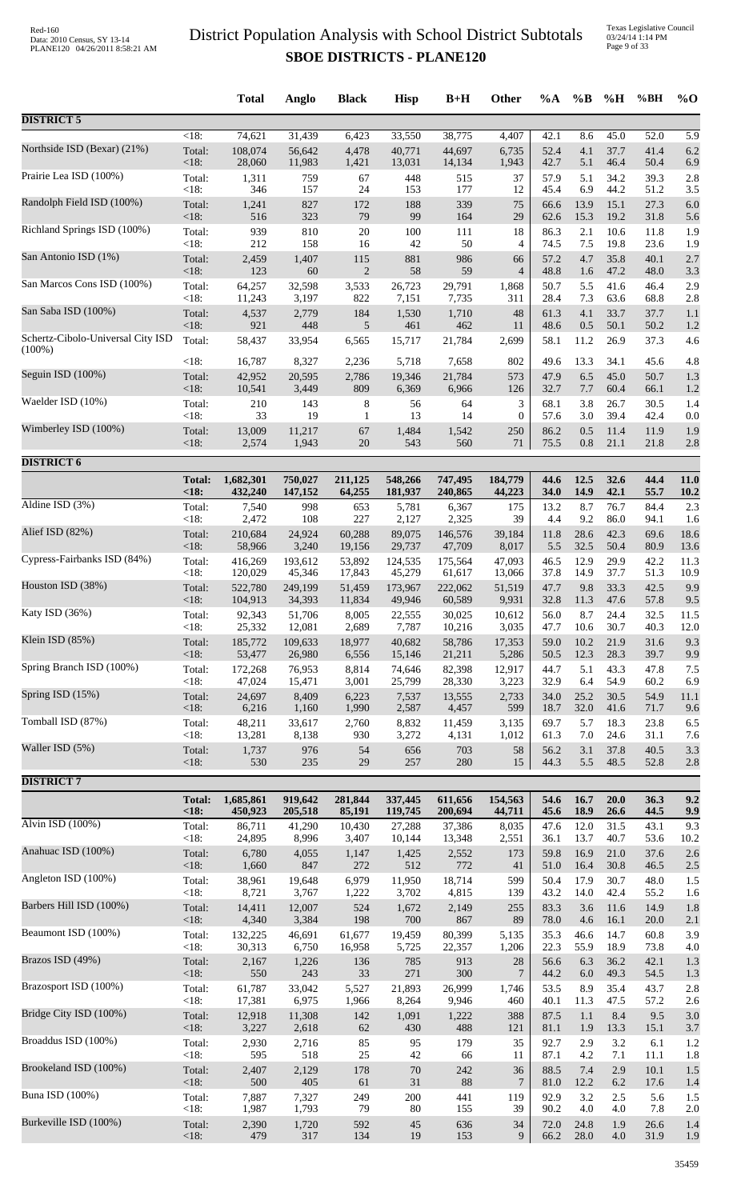|                                                |                    | <b>Total</b>      | Anglo             | <b>Black</b>       | <b>Hisp</b>      | $B+H$            | Other                 | $\%A$        | $\%B$        | %H           | %BH          | $%$ <sup>O</sup> |
|------------------------------------------------|--------------------|-------------------|-------------------|--------------------|------------------|------------------|-----------------------|--------------|--------------|--------------|--------------|------------------|
| <b>DISTRICT 5</b>                              |                    |                   |                   |                    |                  |                  |                       |              |              |              |              |                  |
| Northside ISD (Bexar) (21%)                    | $\overline{<}18$ : | 74,621            | 31,439            | 6,423              | 33,550           | 38,775           | 4,407                 | 42.1         | 8.6          | 45.0         | 52.0         | 5.9              |
|                                                | Total:             | 108,074           | 56,642            | 4,478              | 40,771           | 44,697           | 6,735                 | 52.4         | 4.1          | 37.7         | 41.4         | 6.2              |
|                                                | <18:               | 28,060            | 11,983            | 1,421              | 13,031           | 14,134           | 1,943                 | 42.7         | 5.1          | 46.4         | 50.4         | 6.9              |
| Prairie Lea ISD (100%)                         | Total:             | 1,311             | 759               | 67                 | 448              | 515              | 37                    | 57.9         | 5.1          | 34.2         | 39.3         | 2.8              |
|                                                | < 18:              | 346               | 157               | 24                 | 153              | 177              | 12                    | 45.4         | 6.9          | 44.2         | 51.2         | 3.5              |
| Randolph Field ISD (100%)                      | Total:             | 1,241             | 827               | 172                | 188              | 339              | 75                    | 66.6         | 13.9         | 15.1         | 27.3         | 6.0              |
| Richland Springs ISD (100%)                    | <18:               | 516               | 323               | 79                 | 99               | 164              | 29                    | 62.6         | 15.3         | 19.2         | 31.8         | 5.6              |
|                                                | Total:             | 939               | 810               | $20\,$             | 100              | 111              | 18                    | 86.3         | 2.1          | 10.6         | 11.8         | 1.9              |
| San Antonio ISD (1%)                           | <18:               | 212               | 158               | 16                 | 42               | 50               | 4                     | 74.5         | 7.5          | 19.8         | 23.6         | 1.9              |
|                                                | Total:             | 2,459             | 1,407             | 115                | 881              | 986              | 66                    | 57.2         | 4.7          | 35.8         | 40.1         | 2.7              |
|                                                | <18:               | 123               | 60                | $\mathbf{2}$       | 58               | 59               | $\overline{4}$        | 48.8         | 1.6          | 47.2         | 48.0         | 3.3              |
| San Marcos Cons ISD (100%)                     | Total:             | 64,257            | 32,598            | 3,533              | 26,723           | 29,791           | 1,868                 | 50.7         | 5.5          | 41.6         | 46.4         | 2.9              |
|                                                | <18:               | 11,243            | 3,197             | 822                | 7,151            | 7,735            | 311                   | 28.4         | 7.3          | 63.6         | 68.8         | 2.8              |
| San Saba ISD (100%)                            | Total:             | 4,537             | 2,779             | 184                | 1,530            | 1,710            | 48                    | 61.3         | 4.1          | 33.7         | 37.7         | 1.1              |
|                                                | <18:               | 921               | 448               | 5                  | 461              | 462              | 11                    | 48.6         | 0.5          | 50.1         | 50.2         | 1.2              |
| Schertz-Cibolo-Universal City ISD<br>$(100\%)$ | Total:             | 58,437            | 33,954            | 6,565              | 15,717           | 21,784           | 2,699                 | 58.1         | 11.2         | 26.9         | 37.3         | 4.6              |
|                                                | <18:               | 16,787            | 8,327             | 2,236              | 5,718            | 7,658            | 802                   | 49.6         | 13.3         | 34.1         | 45.6         | 4.8              |
| Seguin ISD (100%)                              | Total:             | 42,952            | 20,595            | 2,786              | 19,346           | 21,784           | 573                   | 47.9         | 6.5          | 45.0         | 50.7         | 1.3              |
|                                                | <18:               | 10,541            | 3,449             | 809                | 6,369            | 6,966            | 126                   | 32.7         | 7.7          | 60.4         | 66.1         | 1.2              |
| Waelder ISD (10%)                              | Total:<br><18:     | 210<br>33         | 143<br>19         | 8                  | 56<br>13         | 64<br>14         | 3<br>$\boldsymbol{0}$ | 68.1         | 3.8          | 26.7<br>39.4 | 30.5         | 1.4              |
| Wimberley ISD (100%)                           | Total:             | 13,009            | 11,217            | $\mathbf{1}$<br>67 | 1,484            | 1,542            | 250                   | 57.6<br>86.2 | 3.0<br>0.5   | 11.4         | 42.4<br>11.9 | 0.0<br>1.9       |
| <b>DISTRICT 6</b>                              | <18:               | 2,574             | 1,943             | $20\,$             | 543              | 560              | 71                    | 75.5         | $0.8\,$      | 21.1         | 21.8         | 2.8              |
|                                                | <b>Total:</b>      | 1,682,301         | 750,027           | 211,125            | 548,266          | 747,495          | 184,779               | 44.6         | 12.5         | 32.6         | 44.4         | 11.0             |
| Aldine ISD $(3%)$                              | < 18:              | 432,240           | 147,152           | 64,255             | 181,937          | 240,865          | 44,223                | 34.0         | 14.9         | 42.1         | 55.7         | 10.2             |
|                                                | Total:             | 7,540             | 998               | 653                | 5,781            | 6,367            | 175                   | 13.2         | 8.7          | 76.7         | 84.4         | 2.3              |
|                                                | <18:               | 2,472             | 108               | 227                | 2,127            | 2,325            | 39                    | 4.4          | 9.2          | 86.0         | 94.1         | 1.6              |
| Alief ISD (82%)                                | Total:             | 210,684           | 24,924            | 60,288             | 89,075           | 146,576          | 39,184                | 11.8         | 28.6         | 42.3         | 69.6         | 18.6             |
|                                                | <18:               | 58,966            | 3,240             | 19,156             | 29,737           | 47,709           | 8,017                 | 5.5          | 32.5         | 50.4         | 80.9         | 13.6             |
| Cypress-Fairbanks ISD (84%)                    | Total:             | 416,269           | 193,612           | 53,892             | 124,535          | 175,564          | 47,093                | 46.5         | 12.9         | 29.9         | 42.2         | 11.3             |
|                                                | <18:               | 120,029           | 45,346            | 17,843             | 45,279           | 61,617           | 13,066                | 37.8         | 14.9         | 37.7         | 51.3         | 10.9             |
| Houston ISD (38%)                              | Total:<br><18:     | 522,780           | 249,199           | 51,459             | 173,967          | 222,062          | 51,519                | 47.7         | 9.8<br>11.3  | 33.3         | 42.5         | 9.9              |
| Katy ISD (36%)                                 | Total:             | 104,913<br>92,343 | 34,393<br>51,706  | 11,834<br>8,005    | 49,946<br>22,555 | 60,589<br>30,025 | 9,931<br>10,612       | 32.8<br>56.0 | 8.7          | 47.6<br>24.4 | 57.8<br>32.5 | 9.5<br>11.5      |
| Klein ISD (85%)                                | <18:               | 25,332            | 12,081            | 2,689              | 7,787            | 10,216           | 3,035                 | 47.7<br>59.0 | 10.6         | 30.7         | 40.3         | 12.0<br>9.3      |
|                                                | Total:<br><18:     | 185,772<br>53,477 | 109,633<br>26,980 | 18,977<br>6,556    | 40,682<br>15,146 | 58,786<br>21,211 | 17,353<br>5,286       | 50.5         | 10.2<br>12.3 | 21.9<br>28.3 | 31.6<br>39.7 | 9.9              |
| Spring Branch ISD (100%)                       | Total:             | 172,268           | 76,953            | 8,814              | 74,646           | 82,398           | 12,917                | 44.7         | 5.1          | 43.3         | 47.8         | 7.5              |
|                                                | $<18$ :            | 47,024            | 15,471            | 3,001              | 25,799           | 28,330           | 3,223                 | 32.9         | 6.4          | 54.9         | 60.2         | 6.9              |
| Spring ISD (15%)                               | Total:             | 24,697            | 8,409             | 6,223              | 7,537            | 13,555           | 2,733                 | 34.0         | 25.2         | 30.5         | 54.9         | 11.1             |
|                                                | <18:               | 6,216             | 1,160             | 1,990              | 2,587            | 4,457            | 599                   | 18.7         | 32.0         | 41.6         | 71.7         | 9.6              |
| Tomball ISD (87%)                              | Total:             | 48,211            | 33,617            | 2,760              | 8,832            | 11,459           | 3,135                 | 69.7         | 5.7          | 18.3         | 23.8         | 6.5              |
|                                                | < 18:              | 13,281            | 8,138             | 930                | 3,272            | 4,131            | 1,012                 | 61.3         | 7.0          | 24.6         | 31.1         | 7.6              |
| Waller ISD (5%)                                | Total:             | 1,737             | 976               | 54                 | 656              | 703              | 58                    | 56.2         | 3.1          | 37.8         | 40.5         | 3.3              |
| <b>DISTRICT 7</b>                              | $<18$ :            | 530               | 235               | 29                 | 257              | 280              | 15                    | 44.3         | 5.5          | 48.5         | 52.8         | 2.8              |
|                                                | <b>Total:</b>      | 1,685,861         | 919,642           | 281,844            | 337,445          | 611,656          | 154,563               | 54.6         | 16.7         | 20.0         | 36.3         | 9.2              |
| Alvin ISD (100%)                               | <18:               | 450,923           | 205,518           | 85,191             | 119,745          | 200,694          | 44,711                | 45.6         | 18.9         | 26.6         | 44.5         | 9.9              |
|                                                | Total:             | 86,711            | 41,290            | 10,430             | 27,288           | 37,386           | 8,035                 | 47.6         | 12.0         | 31.5         | 43.1         | 9.3              |
|                                                | <18:               | 24,895            | 8,996             | 3,407              | 10,144           | 13,348           | 2,551                 | 36.1         | 13.7         | 40.7         | 53.6         | 10.2             |
| Anahuac ISD (100%)                             | Total:             | 6,780             | 4,055             | 1,147              | 1,425            | 2,552            | 173                   | 59.8         | 16.9         | 21.0         | 37.6         | 2.6              |
|                                                | <18:               | 1,660             | 847               | $272\,$            | 512              | 772              | 41                    | 51.0         | 16.4         | 30.8         | 46.5         | 2.5              |
| Angleton ISD (100%)                            | Total:             | 38,961            | 19,648            | 6,979              | 11,950           | 18,714           | 599                   | 50.4         | 17.9         | 30.7         | 48.0         | 1.5              |
| Barbers Hill ISD (100%)                        | <18:               | 8,721             | 3,767             | 1,222              | 3,702            | 4,815            | 139                   | 43.2         | 14.0         | 42.4         | 55.2         | 1.6              |
|                                                | Total:             | 14,411            | 12,007            | 524                | 1,672            | 2,149            | 255                   | 83.3         | 3.6          | 11.6         | 14.9         | 1.8              |
| Beaumont ISD (100%)                            | <18:               | 4,340             | 3,384             | 198                | 700              | 867              | 89                    | 78.0         | 4.6          | 16.1         | 20.0         | 2.1              |
|                                                | Total:             | 132,225           | 46,691            | 61,677             | 19,459           | 80,399           | 5,135                 | 35.3         | 46.6         | 14.7         | 60.8         | 3.9              |
| Brazos ISD (49%)                               | < 18:              | 30,313            | 6,750             | 16,958             | 5,725            | 22,357           | 1,206                 | 22.3         | 55.9         | 18.9         | 73.8         | 4.0              |
|                                                | Total:             | 2,167             | 1,226             | 136                | 785              | 913              | 28                    | 56.6         | 6.3          | 36.2         | 42.1         | 1.3              |
|                                                | <18:               | 550               | 243               | 33                 | 271              | 300              | $\overline{7}$        | 44.2         | 6.0          | 49.3         | 54.5         | 1.3              |
| Brazosport ISD (100%)                          | Total:             | 61,787            | 33,042            | 5,527              | 21,893           | 26,999           | 1,746                 | 53.5         | 8.9          | 35.4         | 43.7         | 2.8              |
|                                                | < 18:              | 17,381            | 6,975             | 1,966              | 8,264            | 9,946            | 460                   | 40.1         | 11.3         | 47.5         | 57.2         | 2.6              |
| Bridge City ISD (100%)                         | Total:             | 12,918            | 11,308            | 142                | 1,091            | 1,222            | 388                   | 87.5         | 1.1          | 8.4          | 9.5          | 3.0              |
|                                                | <18:               | 3,227             | 2,618             | 62                 | 430              | 488              | 121                   | 81.1         | 1.9          | 13.3         | 15.1         | 3.7              |
| Broaddus ISD (100%)                            | Total:             | 2,930             | 2,716             | 85                 | 95               | 179              | 35                    | 92.7         | 2.9          | 3.2          | 6.1          | 1.2              |
|                                                | < 18:              | 595               | 518               | $25\,$             | 42               | 66               | 11                    | 87.1         | 4.2          | 7.1          | 11.1         | 1.8              |
| Brookeland ISD (100%)                          | Total:             | 2,407             | 2,129             | 178                | $70\,$           | 242              | 36                    | 88.5         | 7.4          | 2.9          | 10.1         | 1.5              |
|                                                | <18:               | 500               | 405               | 61                 | 31               | 88               | $\overline{7}$        | 81.0         | 12.2         | 6.2          | 17.6         | 1.4              |
| <b>Buna ISD</b> (100%)                         | Total:             | 7,887             | 7,327             | 249                | 200              | 441              | 119                   | 92.9         | 3.2          | 2.5          | 5.6          | 1.5              |
| Burkeville ISD (100%)                          | < 18:              | 1,987             | 1,793             | 79                 | $80\,$           | 155              | 39                    | 90.2         | 4.0          | 4.0          | 7.8          | 2.0              |
|                                                | Total:             | 2,390             | 1,720             | 592                | 45               | 636              | 34                    | 72.0         | 24.8         | 1.9          | 26.6         | 1.4              |
|                                                | <18:               | 479               | 317               | 134                | 19               | 153              | 9                     | 66.2         | $28.0\,$     | $4.0\,$      | 31.9         | 1.9              |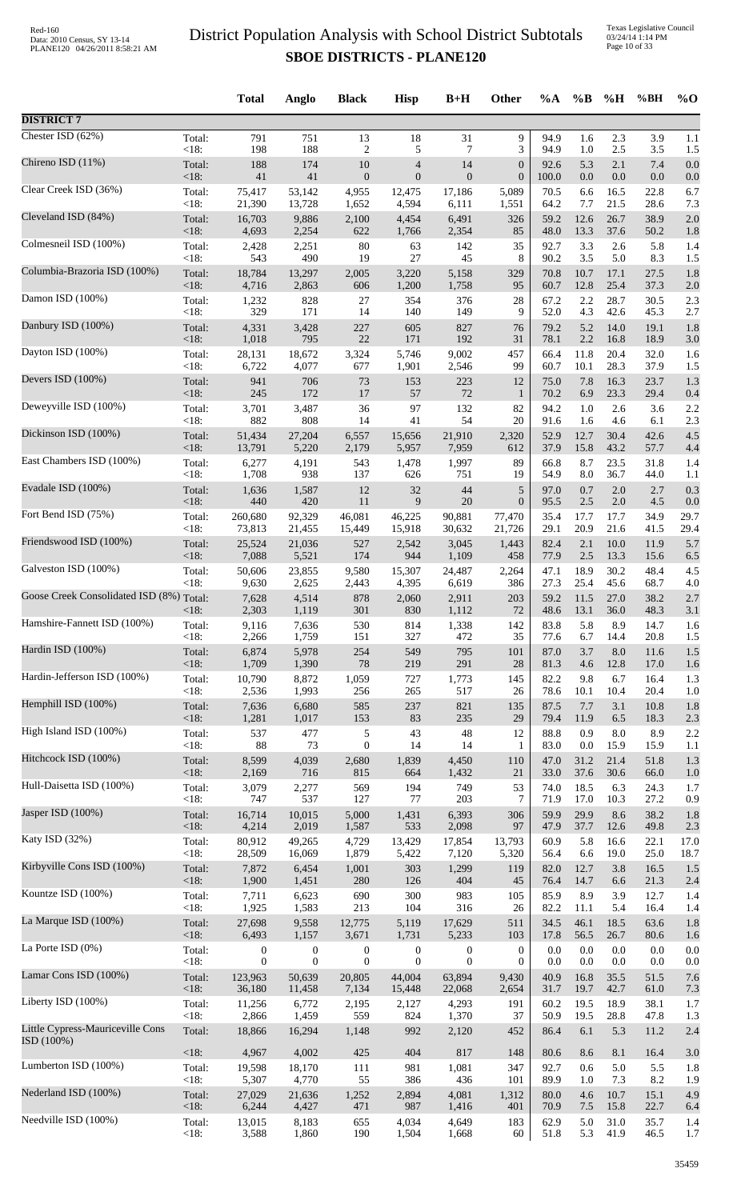Texas Legislative Council 03/24/14 1:14 PM Page 10 of 33

|                                                |                 | <b>Total</b>     | Anglo            | <b>Black</b>     | <b>Hisp</b>      | $B+H$            | Other            | $\%A$        | $\%B$        | %H           | %BH          | $\%$ O      |
|------------------------------------------------|-----------------|------------------|------------------|------------------|------------------|------------------|------------------|--------------|--------------|--------------|--------------|-------------|
| <b>DISTRICT 7</b>                              |                 |                  |                  |                  |                  |                  |                  |              |              |              |              |             |
| Chester ISD (62%)                              | Total:          | 791              | 751              | 13               | 18               | 31               | 9                | 94.9         | 1.6          | 2.3          | 3.9          | 1.1         |
| Chireno ISD (11%)                              | < 18:           | 198              | 188              | $\overline{c}$   | 5                | 7                | 3                | 94.9         | 1.0          | 2.5          | 3.5          | 1.5         |
|                                                | Total:          | 188              | 174              | 10               | $\overline{4}$   | 14               | $\boldsymbol{0}$ | 92.6         | 5.3          | 2.1          | 7.4          | 0.0         |
| Clear Creek ISD (36%)                          | <18:            | 41               | 41               | $\boldsymbol{0}$ | $\mathbf{0}$     | $\mathbf{0}$     | $\boldsymbol{0}$ | 100.0        | $0.0\,$      | $0.0\,$      | 0.0          | 0.0         |
|                                                | Total:          | 75,417           | 53,142           | 4,955            | 12,475           | 17,186           | 5,089            | 70.5         | 6.6          | 16.5         | 22.8         | 6.7         |
|                                                | <18:            | 21,390           | 13,728           | 1,652            | 4,594            | 6,111            | 1,551            | 64.2         | 7.7          | 21.5         | 28.6         | 7.3         |
| Cleveland ISD (84%)                            | Total:          | 16,703           | 9,886            | 2,100            | 4,454            | 6,491            | 326              | 59.2         | 12.6         | 26.7         | 38.9         | 2.0         |
|                                                | <18:            | 4,693            | 2,254            | 622              | 1,766            | 2,354            | 85               | 48.0         | 13.3         | 37.6         | 50.2         | 1.8         |
| Colmesneil ISD (100%)                          | Total:          | 2,428            | 2,251            | 80               | 63               | 142              | 35               | 92.7         | 3.3          | 2.6          | 5.8          | 1.4         |
| Columbia-Brazoria ISD (100%)                   | <18:            | 543              | 490              | 19               | 27               | 45               | 8                | 90.2         | 3.5          | 5.0          | 8.3          | 1.5         |
|                                                | Total:          | 18,784           | 13,297           | 2,005            | 3,220            | 5,158            | 329              | 70.8         | 10.7         | 17.1         | 27.5         | 1.8         |
| Damon ISD (100%)                               | <18:            | 4,716            | 2,863            | 606              | 1,200            | 1,758            | 95               | 60.7         | 12.8         | 25.4         | 37.3         | 2.0         |
|                                                | Total:          | 1,232            | 828              | 27               | 354              | 376              | 28               | 67.2         | 2.2          | 28.7         | 30.5         | 2.3         |
| Danbury ISD (100%)                             | < 18:           | 329              | 171              | 14               | 140              | 149              | 9                | 52.0         | 4.3          | 42.6         | 45.3         | 2.7         |
|                                                | Total:          | 4,331            | 3,428            | 227              | 605              | 827              | 76               | 79.2         | 5.2          | 14.0         | 19.1         | 1.8         |
|                                                | $<18$ :         | 1,018            | 795              | 22               | 171              | 192              | 31               | 78.1         | 2.2          | 16.8         | 18.9         | 3.0         |
| Dayton ISD (100%)                              | Total:          | 28,131           | 18,672           | 3,324            | 5,746            | 9,002            | 457              | 66.4         | 11.8         | 20.4         | 32.0         | 1.6         |
|                                                | <18:            | 6,722            | 4,077            | 677              | 1,901            | 2,546            | 99               | 60.7         | 10.1         | 28.3         | 37.9         | 1.5         |
| Devers ISD (100%)                              | Total:          | 941              | 706              | 73               | 153              | 223              | 12               | 75.0         | 7.8          | 16.3         | 23.7         | 1.3         |
|                                                | <18:            | 245              | 172              | $17\,$           | 57               | $72\,$           | $\mathbf{1}$     | 70.2         | 6.9          | 23.3         | 29.4         | 0.4         |
| Deweyville ISD (100%)                          | Total:          | 3,701            | 3,487            | 36               | 97               | 132              | 82               | 94.2         | 1.0          | 2.6          | 3.6          | 2.2         |
| Dickinson ISD (100%)                           | < 18:           | 882              | 808              | 14               | 41               | 54               | 20               | 91.6         | 1.6          | 4.6          | 6.1          | 2.3         |
|                                                | Total:          | 51,434           | 27,204           | 6,557            | 15,656           | 21,910           | 2,320            | 52.9         | 12.7         | 30.4         | 42.6         | 4.5         |
| East Chambers ISD (100%)                       | <18:            | 13,791<br>6,277  | 5,220<br>4,191   | 2,179<br>543     | 5,957            | 7,959            | 612<br>89        | 37.9         | 15.8<br>8.7  | 43.2         | 57.7         | 4.4         |
|                                                | Total:<br>< 18: | 1,708            | 938              | 137              | 1,478<br>626     | 1,997<br>751     | 19               | 66.8<br>54.9 | 8.0          | 23.5<br>36.7 | 31.8<br>44.0 | 1.4<br>1.1  |
| Evadale ISD (100%)                             | Total:          | 1,636            | 1,587            | 12               | $32\,$           | 44               | $\sqrt{5}$       | 97.0         | 0.7          | 2.0          | 2.7          | 0.3         |
|                                                | < 18:           | 440              | 420              | 11               | 9                | 20               | $\boldsymbol{0}$ | 95.5         | 2.5          | 2.0          | 4.5          | 0.0         |
| Fort Bend ISD (75%)                            | Total:          | 260,680          | 92,329           | 46,081           | 46,225           | 90,881           | 77,470           | 35.4         | 17.7<br>20.9 | 17.7<br>21.6 | 34.9         | 29.7        |
| Friendswood ISD (100%)                         | <18:<br>Total:  | 73,813<br>25,524 | 21,455<br>21,036 | 15,449<br>527    | 15,918<br>2,542  | 30,632<br>3,045  | 21,726<br>1,443  | 29.1<br>82.4 | 2.1          | 10.0         | 41.5<br>11.9 | 29.4<br>5.7 |
| Galveston ISD (100%)                           | <18:            | 7,088            | 5,521            | 174              | 944              | 1,109            | 458              | 77.9         | 2.5          | 13.3         | 15.6         | 6.5         |
|                                                | Total:          | 50,606           | 23,855           | 9,580            | 15,307           | 24,487           | 2,264            | 47.1         | 18.9         | 30.2         | 48.4         | 4.5         |
|                                                | $<18$ :         | 9,630            | 2,625            | 2,443            | 4,395            | 6,619            | 386              | 27.3         | 25.4         | 45.6         | 68.7         | 4.0         |
| Goose Creek Consolidated ISD (8%) Total:       | $<$ 18:         | 7,628<br>2,303   | 4,514<br>1,119   | 878<br>301       | 2,060<br>830     | 2,911<br>1,112   | 203<br>72        | 59.2<br>48.6 | 11.5<br>13.1 | 27.0<br>36.0 | 38.2<br>48.3 | 2.7<br>3.1  |
| Hamshire-Fannett ISD (100%)                    | Total:          | 9,116            | 7,636            | 530              | 814              | 1,338            | 142              | 83.8         | 5.8          | 8.9          | 14.7         | 1.6         |
|                                                | $<18$ :         | 2,266            | 1,759            | 151              | 327              | 472              | 35               | 77.6         | 6.7          | 14.4         | 20.8         | 1.5         |
| Hardin ISD (100%)                              | Total:          | 6,874            | 5,978            | 254              | 549              | 795              | 101              | 87.0         | 3.7          | 8.0          | 11.6         | 1.5         |
| Hardin-Jefferson ISD (100%)                    | <18:            | 1,709            | 1,390            | 78               | 219              | 291              | $28\,$           | 81.3         | 4.6          | 12.8         | 17.0         | 1.6         |
|                                                | Total:          | 10,790           | 8,872            | 1,059            | 727              | 1,773            | 145              | 82.2         | 9.8          | 6.7          | 16.4         | 1.3         |
| Hemphill ISD (100%)                            | < 18:           | 2,536            | 1,993            | 256              | 265              | 517              | 26               | 78.6         | 10.1         | 10.4         | 20.4         | 1.0         |
|                                                | Total:          | 7,636            | 6,680            | 585              | 237              | 821              | 135              | 87.5         | 7.7          | 3.1          | 10.8         | 1.8         |
|                                                | <18:            | 1,281            | 1,017            | 153              | 83               | 235              | 29               | 79.4         | 11.9         | 6.5          | 18.3         | 2.3         |
| High Island ISD (100%)                         | Total:          | 537              | 477              | 5                | 43               | 48               | 12               | 88.8         | 0.9          | $8.0\,$      | 8.9          | 2.2         |
|                                                | < 18:           | 88               | 73               | $\mathbf{0}$     | 14               | 14               | 1                | 83.0         | $0.0\,$      | 15.9         | 15.9         | 1.1         |
| Hitchcock ISD (100%)                           | Total:          | 8,599            | 4,039            | 2,680            | 1,839            | 4,450            | 110              | 47.0         | 31.2         | 21.4         | 51.8         | 1.3         |
|                                                | <18:            | 2,169            | 716              | 815              | 664              | 1,432            | 21               | 33.0         | 37.6         | 30.6         | 66.0         | 1.0         |
| Hull-Daisetta ISD (100%)                       | Total:          | 3,079            | 2,277            | 569              | 194              | 749              | 53               | 74.0         | 18.5         | 6.3          | 24.3         | 1.7         |
| Jasper ISD (100%)                              | < 18:           | 747              | 537              | 127              | 77               | 203              | 7                | 71.9         | 17.0         | 10.3         | 27.2         | 0.9         |
|                                                | Total:          | 16,714           | 10,015           | 5,000            | 1,431            | 6,393            | 306              | 59.9         | 29.9         | 8.6          | 38.2         | 1.8         |
| Katy ISD (32%)                                 | < 18:           | 4,214            | 2,019            | 1,587            | 533              | 2,098            | 97               | 47.9         | 37.7         | 12.6         | 49.8         | 2.3         |
|                                                | Total:          | 80,912           | 49,265           | 4,729            | 13,429           | 17,854           | 13,793           | 60.9         | 5.8          | 16.6         | 22.1         | 17.0        |
| Kirbyville Cons ISD (100%)                     | < 18:           | 28,509           | 16,069           | 1,879            | 5,422            | 7,120            | 5,320            | 56.4         | 6.6          | 19.0         | 25.0         | 18.7        |
|                                                | Total:          | 7,872            | 6,454            | 1,001            | 303              | 1,299            | 119              | 82.0         | 12.7         | 3.8          | 16.5         | 1.5         |
|                                                | <18:            | 1,900            | 1,451            | 280              | 126              | 404              | 45               | 76.4         | 14.7         | 6.6          | 21.3         | 2.4         |
| Kountze ISD (100%)                             | Total:          | 7,711            | 6,623            | 690              | 300              | 983              | 105              | 85.9         | 8.9          | 3.9          | 12.7         | 1.4         |
|                                                | <18:            | 1,925            | 1,583            | 213              | 104              | 316              | 26               | 82.2         | 11.1         | 5.4          | 16.4         | 1.4         |
| La Marque ISD (100%)                           | Total:<br><18:  | 27,698<br>6,493  | 9,558<br>1,157   | 12,775<br>3,671  | 5,119<br>1,731   | 17,629<br>5,233  | 511<br>103       | 34.5<br>17.8 | 46.1<br>56.5 | 18.5<br>26.7 | 63.6<br>80.6 | 1.8         |
| La Porte ISD (0%)                              | Total:          | $\boldsymbol{0}$ | $\boldsymbol{0}$ | $\boldsymbol{0}$ | $\boldsymbol{0}$ | $\boldsymbol{0}$ | $\boldsymbol{0}$ | 0.0          | 0.0          | 0.0          | 0.0          | 1.6<br>0.0  |
| Lamar Cons ISD (100%)                          | < 18:           | $\overline{0}$   | $\mathbf{0}$     | $\boldsymbol{0}$ | $\overline{0}$   | $\theta$         | $\overline{0}$   | 0.0          | 0.0          | 0.0          | 0.0          | 0.0         |
|                                                | Total:          | 123,963          | 50,639           | 20,805           | 44,004           | 63,894           | 9,430            | 40.9         | 16.8         | 35.5         | 51.5         | 7.6         |
| Liberty ISD (100%)                             | < 18:           | 36,180           | 11,458           | 7,134            | 15,448           | 22,068           | 2,654            | 31.7         | 19.7         | 42.7         | 61.0         | 7.3         |
|                                                | Total:          | 11,256           | 6,772            | 2,195            | 2,127            | 4,293            | 191              | 60.2         | 19.5         | 18.9         | 38.1         | 1.7         |
|                                                | <18:            | 2,866            | 1,459            | 559              | 824              | 1,370            | 37               | 50.9         | 19.5         | 28.8         | 47.8         | 1.3         |
| Little Cypress-Mauriceville Cons<br>ISD (100%) | Total:          | 18,866           | 16,294           | 1,148            | 992              | 2,120            | 452              | 86.4         | 6.1          | 5.3          | 11.2         | 2.4         |
| Lumberton ISD (100%)                           | $<18$ :         | 4,967            | 4,002            | 425              | 404              | 817              | 148              | 80.6         | 8.6          | 8.1          | 16.4         | 3.0         |
|                                                | Total:          | 19,598           | 18,170           | 111              | 981              | 1,081            | 347              | 92.7         | 0.6          | 5.0          | 5.5          | 1.8         |
|                                                | < 18:           | 5,307            | 4,770            | 55               | 386              | 436              | 101              | 89.9         | 1.0          | 7.3          | 8.2          | 1.9         |
| Nederland ISD (100%)                           | Total:          | 27,029           | 21,636           | 1,252            | 2,894            | 4,081            | 1,312            | 80.0         | 4.6          | 10.7         | 15.1         | 4.9         |
|                                                | <18:            | 6,244            | 4,427            | 471              | 987              | 1,416            | 401              | 70.9         | 7.5          | 15.8         | 22.7         | 6.4         |
| Needville ISD (100%)                           | Total:          | 13,015           | 8,183            | 655              | 4,034            | 4,649            | 183              | 62.9         | 5.0          | 31.0         | 35.7         | 1.4         |
|                                                | <18:            | 3,588            | 1,860            | 190              | 1,504            | 1,668            | 60               | 51.8         | 5.3          | 41.9         | 46.5         | 1.7         |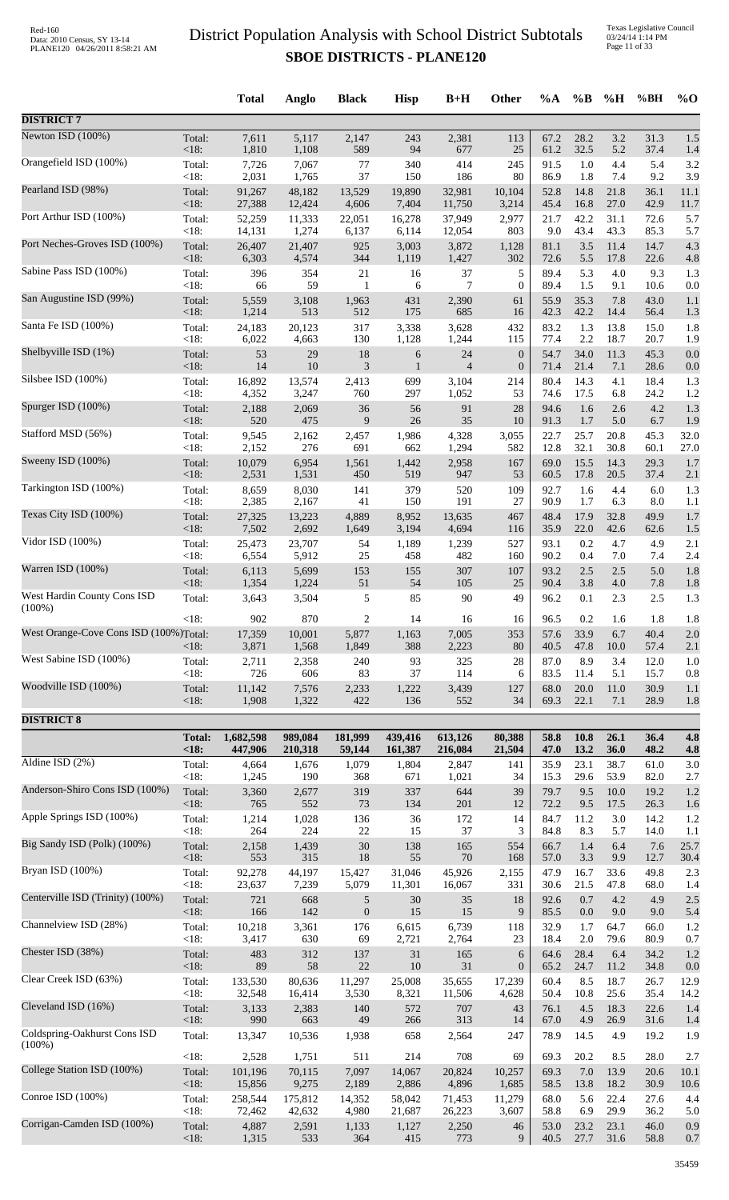Texas Legislative Council 03/24/14 1:14 PM Page 11 of 33

|                                           |               | <b>Total</b> | Anglo   | <b>Black</b>            | <b>Hisp</b> | $B+H$          | Other            | $\%A$ | $\%B$   | %H   | %BH  | $\%$ O |
|-------------------------------------------|---------------|--------------|---------|-------------------------|-------------|----------------|------------------|-------|---------|------|------|--------|
| <b>DISTRICT 7</b>                         |               |              |         |                         |             |                |                  |       |         |      |      |        |
| Newton ISD (100%)                         | Total:        | 7,611        | 5,117   | 2,147                   | 243         | 2,381          | 113              | 67.2  | 28.2    | 3.2  | 31.3 | 1.5    |
| Orangefield ISD (100%)                    | < 18:         | 1,810        | 1,108   | 589                     | 94          | 677            | 25               | 61.2  | 32.5    | 5.2  | 37.4 | 1.4    |
|                                           | Total:        | 7,726        | 7,067   | 77                      | 340         | 414            | 245              | 91.5  | 1.0     | 4.4  | 5.4  | 3.2    |
|                                           | <18:          | 2,031        | 1,765   | 37                      | 150         | 186            | 80               | 86.9  | 1.8     | 7.4  | 9.2  | 3.9    |
| Pearland ISD (98%)                        | Total:        | 91,267       | 48,182  | 13,529                  | 19,890      | 32,981         | 10,104           | 52.8  | 14.8    | 21.8 | 36.1 | 11.1   |
|                                           | <18:          | 27,388       | 12,424  | 4,606                   | 7,404       | 11,750         | 3,214            | 45.4  | 16.8    | 27.0 | 42.9 | 11.7   |
| Port Arthur ISD (100%)                    | Total:        | 52,259       | 11,333  | 22,051                  | 16,278      | 37,949         | 2,977            | 21.7  | 42.2    | 31.1 | 72.6 | 5.7    |
|                                           | $<18$ :       | 14,131       | 1,274   | 6,137                   | 6,114       | 12,054         | 803              | 9.0   | 43.4    | 43.3 | 85.3 | 5.7    |
| Port Neches-Groves ISD (100%)             | Total:        | 26,407       | 21,407  | 925                     | 3,003       | 3,872          | 1,128            | 81.1  | 3.5     | 11.4 | 14.7 | 4.3    |
| Sabine Pass ISD (100%)                    | < 18:         | 6,303        | 4,574   | 344                     | 1,119       | 1,427          | 302              | 72.6  | 5.5     | 17.8 | 22.6 | 4.8    |
|                                           | Total:        | 396          | 354     | 21                      | 16          | 37             | 5                | 89.4  | 5.3     | 4.0  | 9.3  | 1.3    |
|                                           | <18:          | 66           | 59      | $\mathbf{1}$            | 6           | $\tau$         | $\overline{0}$   | 89.4  | 1.5     | 9.1  | 10.6 | 0.0    |
| San Augustine ISD (99%)                   | Total:        | 5,559        | 3,108   | 1,963                   | 431         | 2,390          | 61               | 55.9  | 35.3    | 7.8  | 43.0 | 1.1    |
|                                           | $<18$ :       | 1,214        | 513     | 512                     | 175         | 685            | 16               | 42.3  | 42.2    | 14.4 | 56.4 | 1.3    |
| Santa Fe ISD (100%)                       | Total:        | 24,183       | 20,123  | 317                     | 3,338       | 3,628          | 432              | 83.2  | 1.3     | 13.8 | 15.0 | 1.8    |
|                                           | $<18$ :       | 6,022        | 4,663   | 130                     | 1,128       | 1,244          | 115              | 77.4  | 2.2     | 18.7 | 20.7 | 1.9    |
| Shelbyville ISD (1%)                      | Total:        | 53           | 29      | 18                      | $\sqrt{6}$  | 24             | $\boldsymbol{0}$ | 54.7  | 34.0    | 11.3 | 45.3 | 0.0    |
| Silsbee ISD (100%)                        | < 18:         | 14           | 10      | 3                       | 1           | $\overline{4}$ | $\boldsymbol{0}$ | 71.4  | 21.4    | 7.1  | 28.6 | 0.0    |
|                                           | Total:        | 16,892       | 13,574  | 2,413                   | 699         | 3,104          | 214              | 80.4  | 14.3    | 4.1  | 18.4 | 1.3    |
|                                           | <18:          | 4,352        | 3,247   | 760                     | 297         | 1,052          | 53               | 74.6  | 17.5    | 6.8  | 24.2 | 1.2    |
| Spurger ISD (100%)                        | Total:        | 2,188        | 2,069   | 36                      | 56          | 91             | 28               | 94.6  | 1.6     | 2.6  | 4.2  | 1.3    |
|                                           | < 18:         | 520          | 475     | 9                       | 26          | 35             | 10               | 91.3  | 1.7     | 5.0  | 6.7  | 1.9    |
| Stafford MSD (56%)                        | Total:        | 9,545        | 2,162   | 2,457                   | 1,986       | 4,328          | 3,055            | 22.7  | 25.7    | 20.8 | 45.3 | 32.0   |
|                                           | <18:          | 2,152        | 276     | 691                     | 662         | 1,294          | 582              | 12.8  | 32.1    | 30.8 | 60.1 | 27.0   |
| Sweeny ISD (100%)                         | Total:        | 10,079       | 6,954   | 1,561                   | 1,442       | 2,958          | 167              | 69.0  | 15.5    | 14.3 | 29.3 | 1.7    |
| Tarkington ISD (100%)                     | < 18:         | 2,531        | 1,531   | 450                     | 519         | 947            | 53               | 60.5  | 17.8    | 20.5 | 37.4 | 2.1    |
|                                           | Total:        | 8,659        | 8,030   | 141                     | 379         | 520            | 109              | 92.7  | 1.6     | 4.4  | 6.0  | 1.3    |
|                                           | $<18$ :       | 2,385        | 2,167   | 41                      | 150         | 191            | 27               | 90.9  | 1.7     | 6.3  | 8.0  | 1.1    |
| Texas City ISD (100%)                     | Total:        | 27,325       | 13,223  | 4,889                   | 8,952       | 13,635         | 467              | 48.4  | 17.9    | 32.8 | 49.9 | 1.7    |
|                                           | < 18:         | 7,502        | 2,692   | 1,649                   | 3,194       | 4,694          | 116              | 35.9  | 22.0    | 42.6 | 62.6 | 1.5    |
| Vidor ISD (100%)                          | Total:        | 25,473       | 23,707  | 54                      | 1,189       | 1,239          | 527              | 93.1  | 0.2     | 4.7  | 4.9  | 2.1    |
|                                           | <18:          | 6,554        | 5,912   | 25                      | 458         | 482            | 160              | 90.2  | 0.4     | 7.0  | 7.4  | 2.4    |
| Warren ISD (100%)                         | Total:        | 6,113        | 5,699   | 153                     | 155         | 307            | 107              | 93.2  | 2.5     | 2.5  | 5.0  | 1.8    |
| West Hardin County Cons ISD               | $<18$ :       | 1,354        | 1,224   | 51                      | 54          | 105            | 25               | 90.4  | 3.8     | 4.0  | 7.8  | 1.8    |
|                                           | Total:        | 3,643        | 3,504   | 5                       | 85          | 90             | 49               | 96.2  | 0.1     | 2.3  | 2.5  | 1.3    |
| $(100\%)$                                 | <18:          | 902          | 870     | $\overline{\mathbf{c}}$ | 14          | 16             | 16               | 96.5  | 0.2     | 1.6  | 1.8  | 1.8    |
| West Orange-Cove Cons ISD (100%)Total:    |               | 17,359       | 10,001  | 5,877                   | 1,163       | 7,005          | 353              | 57.6  | 33.9    | 6.7  | 40.4 | 2.0    |
| West Sabine ISD (100%)                    | $<$ 18:       | 3,871        | 1,568   | 1,849                   | 388         | 2,223          | 80               | 40.5  | 47.8    | 10.0 | 57.4 | 2.1    |
|                                           | Total:        | 2,711        | 2,358   | 240                     | 93          | 325            | 28               | 87.0  | 8.9     | 3.4  | 12.0 | 1.0    |
|                                           | <18:          | 726          | 606     | 83                      | 37          | 114            | 6                | 83.5  | 11.4    | 5.1  | 15.7 | 0.8    |
| Woodville ISD (100%)                      | Total:        | 11,142       | 7,576   | 2,233                   | 1,222       | 3,439          | 127              | 68.0  | 20.0    | 11.0 | 30.9 | 1.1    |
|                                           | < 18:         | 1,908        | 1,322   | 422                     | 136         | 552            | 34               | 69.3  | 22.1    | 7.1  | 28.9 | 1.8    |
| <b>DISTRICT 8</b>                         |               |              |         |                         |             |                |                  |       |         |      |      |        |
|                                           | <b>Total:</b> | 1,682,598    | 989,084 | 181,999                 | 439,416     | 613,126        | 80,388           | 58.8  | 10.8    | 26.1 | 36.4 | 4.8    |
|                                           | < 18:         | 447,906      | 210,318 | 59,144                  | 161,387     | 216,084        | 21,504           | 47.0  | 13.2    | 36.0 | 48.2 | 4.8    |
| Aldine ISD $(2\%)$                        | Total:        | 4,664        | 1,676   | 1,079                   | 1,804       | 2,847          | 141              | 35.9  | 23.1    | 38.7 | 61.0 | 3.0    |
| Anderson-Shiro Cons ISD (100%)            | $<18$ :       | 1,245        | 190     | 368                     | 671         | 1,021          | 34               | 15.3  | 29.6    | 53.9 | 82.0 | 2.7    |
|                                           | Total:        | 3,360        | 2,677   | 319                     | 337         | 644            | 39               | 79.7  | 9.5     | 10.0 | 19.2 | 1.2    |
|                                           | < 18:         | 765          | 552     | 73                      | 134         | 201            | 12               | 72.2  | 9.5     | 17.5 | 26.3 | 1.6    |
| Apple Springs ISD (100%)                  | Total:        | 1,214        | 1,028   | 136                     | 36          | 172            | 14               | 84.7  | 11.2    | 3.0  | 14.2 | 1.2    |
|                                           | $<18$ :       | 264          | 224     | $22\,$                  | 15          | 37             | 3                | 84.8  | 8.3     | 5.7  | 14.0 | 1.1    |
| Big Sandy ISD (Polk) (100%)               | Total:        | 2,158        | 1,439   | $30\,$                  | 138         | 165            | 554              | 66.7  | 1.4     | 6.4  | 7.6  | 25.7   |
|                                           | <18:          | 553          | 315     | 18                      | 55          | 70             | 168              | 57.0  | 3.3     | 9.9  | 12.7 | 30.4   |
| Bryan ISD (100%)                          | Total:        | 92,278       | 44,197  | 15,427                  | 31,046      | 45,926         | 2,155            | 47.9  | 16.7    | 33.6 | 49.8 | 2.3    |
| Centerville ISD (Trinity) (100%)          | $<18$ :       | 23,637       | 7,239   | 5,079                   | 11,301      | 16,067         | 331              | 30.6  | 21.5    | 47.8 | 68.0 | 1.4    |
|                                           | Total:        | 721          | 668     | $\sqrt{5}$              | $30\,$      | 35             | 18               | 92.6  | 0.7     | 4.2  | 4.9  | 2.5    |
|                                           | $<18$ :       | 166          | 142     | $\boldsymbol{0}$        | 15          | 15             | 9                | 85.5  | 0.0     | 9.0  | 9.0  | 5.4    |
| Channelview ISD (28%)                     | Total:        | 10,218       | 3,361   | 176                     | 6,615       | 6,739          | 118              | 32.9  | 1.7     | 64.7 | 66.0 | 1.2    |
|                                           | < 18:         | 3,417        | 630     | 69                      | 2,721       | 2,764          | 23               | 18.4  | $2.0\,$ | 79.6 | 80.9 | 0.7    |
| Chester ISD (38%)                         | Total:        | 483          | 312     | 137                     | 31          | 165            | 6                | 64.6  | 28.4    | 6.4  | 34.2 | 1.2    |
|                                           | $<18$ :       | 89           | 58      | $22\,$                  | $10\,$      | 31             | $\boldsymbol{0}$ | 65.2  | 24.7    | 11.2 | 34.8 | 0.0    |
| Clear Creek ISD (63%)                     | Total:        | 133,530      | 80,636  | 11,297                  | 25,008      | 35,655         | 17,239           | 60.4  | 8.5     | 18.7 | 26.7 | 12.9   |
| Cleveland ISD (16%)                       | < 18:         | 32,548       | 16,414  | 3,530                   | 8,321       | 11,506         | 4,628            | 50.4  | 10.8    | 25.6 | 35.4 | 14.2   |
|                                           | Total:        | 3,133        | 2,383   | 140                     | 572         | 707            | 43               | 76.1  | 4.5     | 18.3 | 22.6 | 1.4    |
|                                           | $<18$ :       | 990          | 663     | 49                      | 266         | 313            | 14               | 67.0  | 4.9     | 26.9 | 31.6 | 1.4    |
| Coldspring-Oakhurst Cons ISD<br>$(100\%)$ | Total:        | 13,347       | 10,536  | 1,938                   | 658         | 2,564          | 247              | 78.9  | 14.5    | 4.9  | 19.2 | 1.9    |
| College Station ISD (100%)                | $<18$ :       | 2,528        | 1,751   | 511                     | 214         | 708            | 69               | 69.3  | 20.2    | 8.5  | 28.0 | 2.7    |
|                                           | Total:        | 101,196      | 70,115  | 7,097                   | 14,067      | 20,824         | 10,257           | 69.3  | $7.0\,$ | 13.9 | 20.6 | 10.1   |
|                                           | $<18$ :       | 15,856       | 9,275   | 2,189                   | 2,886       | 4,896          | 1,685            | 58.5  | 13.8    | 18.2 | 30.9 | 10.6   |
| Conroe ISD (100%)                         | Total:        | 258,544      | 175,812 | 14,352                  | 58,042      | 71,453         | 11,279           | 68.0  | 5.6     | 22.4 | 27.6 | 4.4    |
|                                           | <18:          | 72,462       | 42,632  | 4,980                   | 21,687      | 26,223         | 3,607            | 58.8  | 6.9     | 29.9 | 36.2 | 5.0    |
| Corrigan-Camden ISD (100%)                | Total:        | 4,887        | 2,591   | 1,133                   | 1,127       | 2,250          | 46               | 53.0  | 23.2    | 23.1 | 46.0 | 0.9    |
|                                           | $<18$ :       | 1,315        | 533     | 364                     | 415         | 773            | 9                | 40.5  | 27.7    | 31.6 | 58.8 | 0.7    |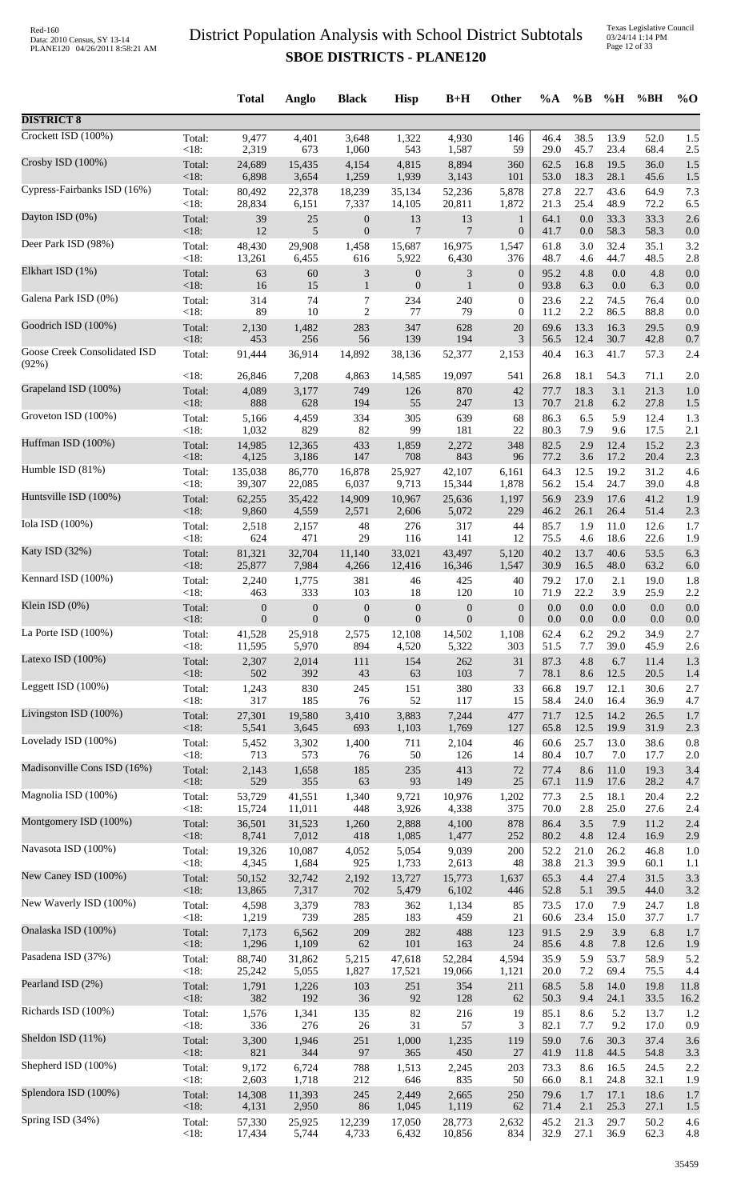Texas Legislative Council 03/24/14 1:14 PM Page 12 of 33

|                              |                 | <b>Total</b>     | Anglo            | <b>Black</b>                | <b>Hisp</b>      | $B+H$            | <b>Other</b>     | $\%A$        | $\%B$        | %H           | %BH          | $\%$ O      |
|------------------------------|-----------------|------------------|------------------|-----------------------------|------------------|------------------|------------------|--------------|--------------|--------------|--------------|-------------|
| <b>DISTRICT 8</b>            |                 |                  |                  |                             |                  |                  |                  |              |              |              |              |             |
| Crockett ISD (100%)          | Total:          | 9,477            | 4,401            | 3,648                       | 1,322            | 4,930            | 146              | 46.4         | 38.5         | 13.9         | 52.0         | 1.5         |
| Crosby ISD (100%)            | <18:            | 2,319            | 673              | 1,060                       | 543              | 1,587            | 59               | 29.0         | 45.7         | 23.4         | 68.4         | 2.5         |
|                              | Total:          | 24,689           | 15,435           | 4,154                       | 4,815            | 8,894            | 360              | 62.5         | 16.8         | 19.5         | 36.0         | 1.5         |
| Cypress-Fairbanks ISD (16%)  | <18:            | 6,898            | 3,654            | 1,259                       | 1,939            | 3,143            | 101              | 53.0         | 18.3         | 28.1         | 45.6         | 1.5         |
|                              | Total:          | 80,492           | 22,378           | 18,239                      | 35,134           | 52,236           | 5,878            | 27.8         | 22.7         | 43.6         | 64.9         | 7.3         |
|                              | < 18:           | 28,834           | 6,151            | 7,337                       | 14,105           | 20,811           | 1,872            | 21.3         | 25.4         | 48.9         | 72.2         | 6.5         |
| Dayton ISD (0%)              | Total:          | 39               | $25\,$           | $\boldsymbol{0}$            | 13               | 13               | $\mathbf{1}$     | 64.1         | $0.0\,$      | 33.3         | 33.3         | 2.6         |
|                              | <18:            | 12               | 5                | $\boldsymbol{0}$            | $\overline{7}$   | $\overline{7}$   | $\boldsymbol{0}$ | 41.7         | 0.0          | 58.3         | 58.3         | 0.0         |
| Deer Park ISD (98%)          | Total:          | 48,430           | 29,908           | 1,458                       | 15,687           | 16,975           | 1,547            | 61.8         | 3.0          | 32.4         | 35.1         | 3.2         |
|                              | <18:            | 13,261           | 6,455            | 616                         | 5,922            | 6,430            | 376              | 48.7         | 4.6          | 44.7         | 48.5         | 2.8         |
| Elkhart ISD (1%)             | Total:          | 63               | 60               | $\ensuremath{\mathfrak{Z}}$ | $\boldsymbol{0}$ | 3                | $\boldsymbol{0}$ | 95.2         | 4.8          | 0.0          | 4.8          | 0.0         |
| Galena Park ISD (0%)         | <18:            | 16               | 15               | $\mathbf{1}$                | $\mathbf{0}$     | $\mathbf{1}$     | $\mathbf{0}$     | 93.8         | 6.3          | 0.0          | 6.3          | 0.0         |
|                              | Total:          | 314              | 74               | 7                           | 234              | 240              | $\mathbf{0}$     | 23.6         | 2.2          | 74.5         | 76.4         | 0.0         |
| Goodrich ISD (100%)          | <18:            | 89               | 10               | $\overline{2}$              | 77               | 79               | $\mathbf{0}$     | 11.2         | 2.2          | 86.5         | 88.8         | 0.0         |
|                              | Total:          | 2,130            | 1,482            | 283                         | 347              | 628              | 20               | 69.6         | 13.3         | 16.3         | 29.5         | 0.9         |
| Goose Creek Consolidated ISD | <18:<br>Total:  | 453              | 256<br>36,914    | 56                          | 139              | 194              | 3<br>2,153       | 56.5         | 12.4<br>16.3 | 30.7         | 42.8         | 0.7         |
| (92%)                        | <18:            | 91,444<br>26,846 | 7,208            | 14,892<br>4,863             | 38,136<br>14,585 | 52,377<br>19,097 | 541              | 40.4<br>26.8 | 18.1         | 41.7<br>54.3 | 57.3<br>71.1 | 2.4<br>2.0  |
| Grapeland ISD (100%)         | Total:          | 4,089            | 3,177            | 749                         | 126              | 870              | 42               | 77.7         | 18.3         | 3.1          | 21.3         | 1.0         |
| Groveton ISD (100%)          | <18:            | 888              | 628              | 194                         | 55               | 247              | 13               | 70.7         | 21.8         | 6.2          | 27.8         | 1.5         |
|                              | Total:          | 5,166            | 4,459            | 334                         | 305              | 639              | 68               | 86.3         | 6.5          | 5.9          | 12.4         | 1.3         |
|                              | <18:            | 1,032            | 829              | 82                          | 99               | 181              | 22               | 80.3         | 7.9          | 9.6          | 17.5         | 2.1         |
| Huffman ISD (100%)           | Total:          | 14,985           | 12,365           | 433                         | 1,859            | 2,272            | 348              | 82.5         | 2.9          | 12.4         | 15.2         | 2.3         |
|                              | <18:            | 4,125            | 3,186            | 147                         | 708              | 843              | 96               | 77.2         | 3.6          | 17.2         | 20.4         | 2.3         |
| Humble ISD (81%)             | Total:          | 135,038          | 86,770           | 16,878                      | 25,927           | 42,107           | 6,161            | 64.3         | 12.5         | 19.2         | 31.2         | 4.6         |
|                              | <18:            | 39,307           | 22,085           | 6,037                       | 9,713            | 15,344           | 1,878            | 56.2         | 15.4         | 24.7         | 39.0         | 4.8         |
| Huntsville ISD (100%)        | Total:          | 62,255           | 35,422           | 14,909                      | 10,967           | 25,636           | 1,197            | 56.9         | 23.9         | 17.6         | 41.2         | 1.9         |
| Iola ISD (100%)              | <18:            | 9,860            | 4,559            | 2,571                       | 2,606            | 5,072            | 229              | 46.2         | 26.1         | 26.4         | 51.4         | 2.3         |
|                              | Total:          | 2,518            | 2,157            | 48                          | 276              | 317              | 44               | 85.7         | 1.9          | 11.0         | 12.6         | 1.7         |
| Katy ISD (32%)               | $<18$ :         | 624              | 471              | 29                          | 116              | 141              | 12               | 75.5         | 4.6          | 18.6         | 22.6         | 1.9         |
|                              | Total:          | 81,321           | 32,704           | 11,140                      | 33,021           | 43,497           | 5,120            | 40.2         | 13.7         | 40.6         | 53.5         | 6.3         |
| Kennard ISD (100%)           | <18:            | 25,877           | 7,984            | 4,266                       | 12,416           | 16,346           | 1,547            | 30.9         | 16.5         | 48.0         | 63.2         | 6.0         |
|                              | Total:          | 2,240            | 1,775            | 381                         | 46               | 425              | 40               | 79.2         | 17.0         | 2.1          | 19.0         | 1.8         |
|                              | <18:            | 463              | 333              | 103                         | 18               | 120              | 10               | 71.9         | 22.2         | 3.9          | 25.9         | 2.2         |
| Klein ISD (0%)               | Total:          | $\boldsymbol{0}$ | $\boldsymbol{0}$ | $\boldsymbol{0}$            | $\boldsymbol{0}$ | $\boldsymbol{0}$ | $\mathbf{0}$     | 0.0          | 0.0          | 0.0          | 0.0          | 0.0         |
|                              | $<18$ :         | $\boldsymbol{0}$ | $\mathbf{0}$     | $\boldsymbol{0}$            | $\mathbf{0}$     | $\boldsymbol{0}$ | $\overline{0}$   | $0.0\,$      | 0.0          | 0.0          | 0.0          | 0.0         |
| La Porte ISD $(100\%)$       | Total:          | 41,528           | 25,918           | 2,575                       | 12,108           | 14,502           | 1,108            | 62.4         | 6.2          | 29.2         | 34.9         | 2.7         |
|                              | < 18:           | 11,595           | 5,970            | 894                         | 4,520            | 5,322            | 303              | 51.5         | 7.7          | 39.0         | 45.9         | 2.6         |
| Latexo ISD (100%)            | Total:          | 2,307            | 2,014            | 111                         | 154              | 262              | 31               | 87.3         | 4.8          | 6.7          | 11.4         | 1.3         |
| Leggett ISD (100%)           | $<18$ :         | 502              | 392              | 43                          | 63               | 103              | $\overline{7}$   | 78.1         | 8.6          | 12.5         | 20.5         | 1.4         |
|                              | Total:          | 1,243            | 830              | 245                         | 151              | 380              | 33               | 66.8         | 19.7         | 12.1         | 30.6         | 2.7         |
| Livingston ISD (100%)        | < 18:           | 317              | 185              | 76                          | 52               | 117              | 15               | 58.4         | 24.0         | 16.4         | 36.9         | 4.7         |
|                              | Total:          | 27,301           | 19,580           | 3,410                       | 3,883            | 7,244            | 477              | 71.7         | 12.5         | 14.2         | 26.5         | 1.7         |
| Lovelady ISD (100%)          | <18:            | 5,541            | 3,645            | 693                         | 1,103            | 1,769            | 127              | 65.8         | 12.5         | 19.9         | 31.9         | 2.3         |
|                              | Total:          | 5,452            | 3,302            | 1,400                       | 711              | 2,104            | 46               | 60.6         | 25.7         | 13.0         | 38.6         | 0.8         |
|                              | < 18:           | 713              | 573              | 76                          | 50               | 126              | 14               | 80.4         | 10.7         | 7.0          | 17.7         | 2.0         |
| Madisonville Cons ISD (16%)  | Total:          | 2,143            | 1,658            | 185                         | 235              | 413              | 72               | 77.4         | 8.6          | 11.0         | 19.3         | 3.4         |
|                              | <18:            | 529              | 355              | 63                          | 93               | 149              | 25               | 67.1         | 11.9         | 17.6         | 28.2         | 4.7         |
| Magnolia ISD (100%)          | Total:<br><18:  | 53,729           | 41,551<br>11,011 | 1,340<br>448                | 9,721            | 10,976           | 1,202<br>375     | 77.3<br>70.0 | 2.5<br>2.8   | 18.1<br>25.0 | 20.4         | 2.2         |
| Montgomery ISD (100%)        | Total:          | 15,724<br>36,501 | 31,523           | 1,260                       | 3,926<br>2,888   | 4,338<br>4,100   | 878              | 86.4         | 3.5          | 7.9          | 27.6<br>11.2 | 2.4<br>2.4  |
| Navasota ISD (100%)          | <18:            | 8,741            | 7,012            | 418                         | 1,085            | 1,477            | 252              | 80.2         | 4.8          | 12.4         | 16.9         | 2.9         |
|                              | Total:          | 19,326           | 10,087           | 4,052                       | 5,054            | 9,039            | 200              | 52.2         | 21.0         | 26.2         | 46.8         | 1.0         |
| New Caney ISD (100%)         | < 18:           | 4,345            | 1,684            | 925                         | 1,733            | 2,613            | 48               | 38.8         | 21.3         | 39.9         | 60.1         | 1.1         |
|                              | Total:          | 50,152           | 32,742           | 2,192                       | 13,727           | 15,773           | 1,637            | 65.3         | 4.4          | 27.4         | 31.5         | 3.3         |
|                              | <18:            | 13,865           | 7,317            | 702                         | 5,479            | 6,102            | 446              | 52.8         | 5.1          | 39.5         | 44.0         | 3.2         |
| New Waverly ISD (100%)       | Total:          | 4,598            | 3,379            | 783                         | 362              | 1,134            | 85               | 73.5         | 17.0         | 7.9          | 24.7         | 1.8         |
|                              | < 18:           | 1,219            | 739              | 285                         | 183              | 459              | 21               | 60.6         | 23.4         | 15.0         | 37.7         | 1.7         |
| Onalaska ISD (100%)          | Total:          | 7,173            | 6,562            | 209                         | 282              | 488              | 123              | 91.5         | 2.9          | 3.9          | 6.8          | 1.7         |
|                              | <18:            | 1,296            | 1,109            | 62                          | 101              | 163              | 24               | 85.6         | 4.8          | 7.8          | 12.6         | 1.9         |
| Pasadena ISD (37%)           | Total:          | 88,740           | 31,862           | 5,215                       | 47,618           | 52,284           | 4,594            | 35.9         | 5.9          | 53.7         | 58.9         | 5.2         |
| Pearland ISD (2%)            | <18:            | 25,242           | 5,055            | 1,827                       | 17,521           | 19,066           | 1,121            | 20.0         | 7.2          | 69.4         | 75.5         | 4.4         |
|                              | Total:          | 1,791            | 1,226            | 103                         | 251              | 354              | 211              | 68.5         | 5.8          | 14.0         | 19.8         | 11.8        |
| Richards ISD (100%)          | <18:            | 382<br>1,576     | 192<br>1,341     | 36<br>135                   | 92<br>82         | 128<br>216       | 62<br>19         | 50.3<br>85.1 | 9.4<br>8.6   | 24.1<br>5.2  | 33.5<br>13.7 | 16.2<br>1.2 |
|                              | Total:<br>< 18: | 336              | 276              | 26                          | 31               | 57               | 3                | 82.1         | 7.7          | 9.2          | 17.0         | 0.9         |
| Sheldon ISD (11%)            | Total:          | 3,300            | 1,946            | 251                         | 1,000            | 1,235            | 119              | 59.0         | 7.6          | 30.3         | 37.4         | 3.6         |
|                              | <18:            | 821              | 344              | 97                          | 365              | 450              | 27               | 41.9         | 11.8         | 44.5         | 54.8         | 3.3         |
| Shepherd ISD (100%)          | Total:          | 9,172            | 6,724            | 788                         | 1,513            | 2,245            | 203              | 73.3         | 8.6          | 16.5         | 24.5         | 2.2         |
|                              | < 18:           | 2,603            | 1,718            | 212                         | 646              | 835              | 50               | 66.0         | 8.1          | 24.8         | 32.1         | 1.9         |
| Splendora ISD (100%)         | Total:          | 14,308           | 11,393           | 245                         | 2,449            | 2,665            | 250              | 79.6         | 1.7          | 17.1         | 18.6         | 1.7         |
| Spring ISD (34%)             | <18:            | 4,131            | 2,950            | 86                          | 1,045            | 1,119            | 62               | 71.4         | 2.1          | 25.3         | 27.1         | 1.5         |
|                              | Total:          | 57,330           | 25,925           | 12,239                      | 17,050           | 28,773           | 2,632            | 45.2         | 21.3         | 29.7         | 50.2         | 4.6         |
|                              | <18:            | 17,434           | 5,744            | 4,733                       | 6,432            | 10,856           | 834              | 32.9         | 27.1         | 36.9         | 62.3         | 4.8         |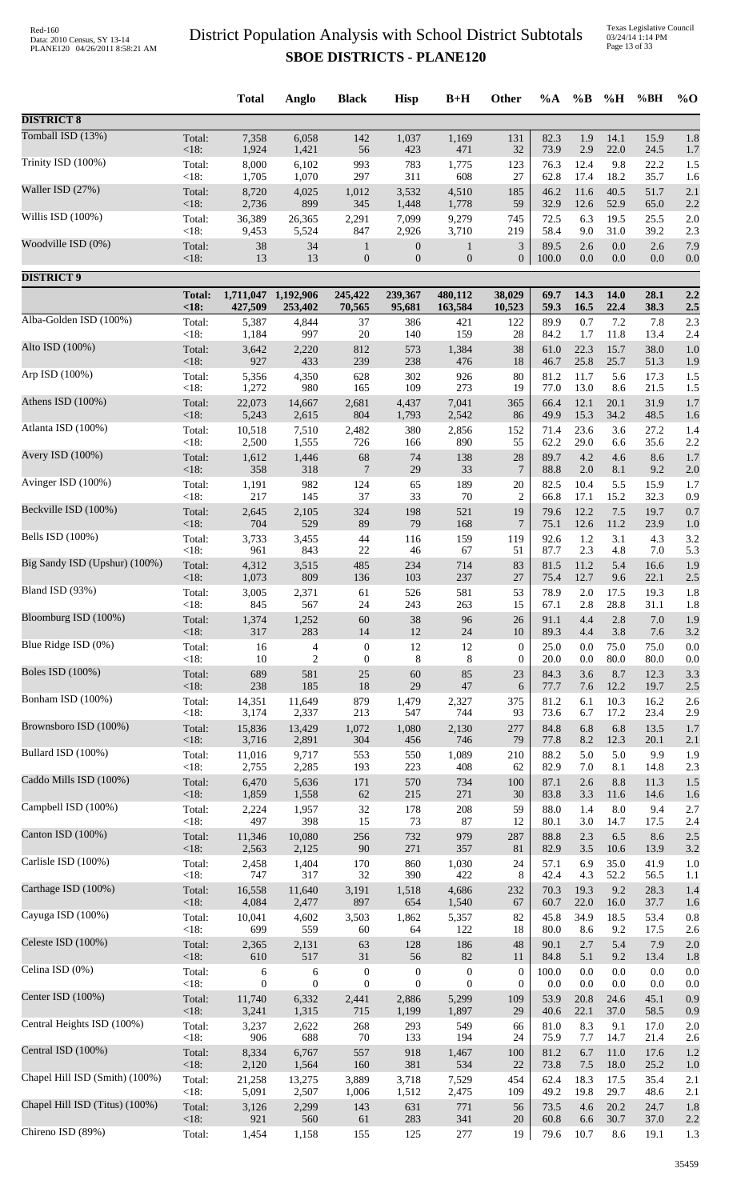Texas Legislative Council 03/24/14 1:14 PM Page 13 of 33

|                                |                 | <b>Total</b>   | Anglo            | <b>Black</b>     | <b>Hisp</b>      | $B+H$            | <b>Other</b>     | $\%A$        | $\%$ B     | %H         | %BH        | $\%$ O     |
|--------------------------------|-----------------|----------------|------------------|------------------|------------------|------------------|------------------|--------------|------------|------------|------------|------------|
| <b>DISTRICT 8</b>              |                 |                |                  |                  |                  |                  |                  |              |            |            |            |            |
| Tomball ISD (13%)              | Total:          | 7,358          | 6,058            | 142              | 1,037            | 1,169            | 131              | 82.3         | 1.9        | 14.1       | 15.9       | 1.8        |
|                                | < 18:           | 1,924          | 1,421            | 56               | 423              | 471              | 32               | 73.9         | 2.9        | 22.0       | 24.5       | 1.7        |
| Trinity ISD (100%)             | Total:          | 8,000          | 6,102            | 993              | 783              | 1,775            | 123              | 76.3         | 12.4       | 9.8        | 22.2       | 1.5        |
|                                | $<18$ :         | 1,705          | 1,070            | 297              | 311              | 608              | 27               | 62.8         | 17.4       | 18.2       | 35.7       | 1.6        |
| Waller ISD (27%)               | Total:          | 8,720          | 4,025            | 1,012            | 3,532            | 4,510            | 185              | 46.2         | 11.6       | 40.5       | 51.7       | 2.1        |
|                                | < 18:           | 2,736          | 899              | 345              | 1,448            | 1,778            | 59               | 32.9         | 12.6       | 52.9       | 65.0       | 2.2        |
| Willis ISD (100%)              | Total:          | 36,389         | 26,365           | 2,291            | 7,099            | 9,279            | 745              | 72.5         | 6.3        | 19.5       | 25.5       | 2.0        |
| Woodville ISD (0%)             | <18:            | 9,453          | 5,524            | 847              | 2,926            | 3,710            | 219              | 58.4         | 9.0        | 31.0       | 39.2       | 2.3        |
|                                | Total:          | 38             | 34               | $\mathbf{1}$     | $\boldsymbol{0}$ | $\mathbf{1}$     | $\mathfrak{Z}$   | 89.5         | 2.6        | 0.0        | 2.6        | 7.9        |
| <b>DISTRICT 9</b>              | <18:            | 13             | 13               | $\boldsymbol{0}$ | $\mathbf{0}$     | $\boldsymbol{0}$ | $\mathbf{0}$     | 100.0        | 0.0        | 0.0        | 0.0        | 0.0        |
|                                | <b>Total:</b>   | 1,711,047      | 1,192,906        | 245,422          | 239,367          | 480,112          | 38,029           | 69.7         | 14.3       | 14.0       | 28.1       | 2.2        |
| Alba-Golden ISD (100%)         | <18             | 427,509        | 253,402          | 70,565           | 95,681           | 163,584          | 10,523           | 59.3         | 16.5       | 22.4       | 38.3       | 2.5        |
|                                | Total:          | 5,387          | 4,844            | 37               | 386              | 421              | 122              | 89.9         | 0.7        | 7.2        | 7.8        | 2.3        |
| Alto ISD (100%)                | $<18$ :         | 1,184          | 997              | 20               | 140              | 159              | 28               | 84.2         | 1.7        | 11.8       | 13.4       | 2.4        |
|                                | Total:          | 3,642          | 2,220            | 812              | 573              | 1,384            | 38               | 61.0         | 22.3       | 15.7       | 38.0       | 1.0        |
| Arp ISD (100%)                 | < 18:           | 927            | 433              | 239              | 238              | 476              | 18               | 46.7         | 25.8       | 25.7       | 51.3       | 1.9        |
|                                | Total:          | 5,356          | 4,350            | 628              | 302              | 926              | 80               | 81.2         | 11.7       | 5.6        | 17.3       | 1.5        |
|                                | <18:            | 1,272          | 980              | 165              | 109              | 273              | 19               | 77.0         | 13.0       | 8.6        | 21.5       | 1.5        |
| Athens ISD (100%)              | Total:          | 22,073         | 14,667           | 2,681            | 4,437            | 7,041            | 365              | 66.4         | 12.1       | 20.1       | 31.9       | 1.7        |
|                                | < 18:           | 5,243          | 2,615            | 804              | 1,793            | 2,542            | 86               | 49.9         | 15.3       | 34.2       | 48.5       | 1.6        |
| Atlanta ISD (100%)             | Total:          | 10,518         | 7,510            | 2,482            | 380              | 2,856            | 152              | 71.4         | 23.6       | 3.6        | 27.2       | 1.4        |
|                                | <18:            | 2,500          | 1,555            | 726              | 166              | 890              | 55               | 62.2         | 29.0       | 6.6        | 35.6       | 2.2        |
| Avery ISD (100%)               | Total:          | 1,612          | 1,446            | 68               | 74               | 138              | 28               | 89.7         | 4.2        | 4.6        | 8.6        | 1.7        |
|                                | < 18:           | 358            | 318              | $\overline{7}$   | 29               | 33               | 7                | 88.8         | $2.0\,$    | 8.1        | 9.2        | 2.0        |
| Avinger ISD (100%)             | Total:          | 1,191          | 982              | 124              | 65               | 189              | 20               | 82.5         | 10.4       | 5.5        | 15.9       | 1.7        |
| Beckville ISD (100%)           | < 18:           | 217            | 145              | 37               | 33               | 70               | $\overline{c}$   | 66.8         | 17.1       | 15.2       | 32.3       | 0.9        |
|                                | Total:          | 2,645          | 2,105            | 324              | 198              | 521              | 19               | 79.6         | 12.2       | 7.5        | 19.7       | 0.7        |
| Bells ISD (100%)               | <18:            | 704            | 529              | 89               | 79               | 168              | $\tau$           | 75.1         | 12.6       | 11.2       | 23.9       | 1.0        |
|                                | Total:          | 3,733          | 3,455            | 44               | 116              | 159              | 119              | 92.6         | 1.2        | 3.1        | 4.3        | 3.2        |
| Big Sandy ISD (Upshur) (100%)  | < 18:           | 961            | 843              | 22               | 46               | 67               | 51               | 87.7         | 2.3        | 4.8        | 7.0        | 5.3        |
|                                | Total:          | 4,312          | 3,515            | 485              | 234              | 714              | 83               | 81.5         | 11.2       | 5.4        | 16.6       | 1.9        |
| Bland ISD (93%)                | < 18:           | 1,073          | 809              | 136              | 103              | 237              | 27               | 75.4         | 12.7       | 9.6        | 22.1       | 2.5        |
|                                | Total:          | 3,005          | 2,371            | 61               | 526              | 581              | 53               | 78.9         | 2.0        | 17.5       | 19.3       | 1.8        |
| Bloomburg ISD (100%)           | $<18$ :         | 845            | 567              | 24               | 243              | 263              | 15               | 67.1         | 2.8        | 28.8       | 31.1       | 1.8<br>1.9 |
|                                | Total:<br>< 18: | 1,374<br>317   | 1,252<br>283     | 60<br>14         | 38<br>12         | 96<br>24         | 26<br>10         | 91.1<br>89.3 | 4.4<br>4.4 | 2.8<br>3.8 | 7.0<br>7.6 | 3.2        |
| Blue Ridge ISD (0%)            | Total:          | 16             | $\overline{4}$   | $\boldsymbol{0}$ | 12               | 12               | $\boldsymbol{0}$ | 25.0         | 0.0        | 75.0       | 75.0       | 0.0        |
|                                | $<18$ :         | 10             | $\overline{2}$   | $\boldsymbol{0}$ | 8                | $\,8\,$          | $\boldsymbol{0}$ | 20.0         | 0.0        | 80.0       | 80.0       | 0.0        |
| <b>Boles ISD (100%)</b>        | Total:          | 689            | 581              | $25\,$           | 60               | 85               | 23               | 84.3         | 3.6        | 8.7        | 12.3       | 3.3        |
|                                | <18:            | 238            | 185              | 18               | 29               | 47               | 6                | 77.7         | 7.6        | 12.2       | 19.7       | 2.5        |
| Bonham ISD (100%)              | Total:          | 14,351         | 11,649           | 879              | 1,479            | 2,327            | 375              | 81.2         | 6.1        | 10.3       | 16.2       | 2.6        |
|                                | $<18$ :         | 3,174          | 2,337            | 213              | 547              | 744              | 93               | 73.6         | 6.7        | 17.2       | 23.4       | 2.9        |
| Brownsboro ISD (100%)          | Total:          | 15,836         | 13,429           | 1,072            | 1,080            | 2,130            | 277              | 84.8         | 6.8        | 6.8        | 13.5       | 1.7        |
|                                | <18:            | 3,716          | 2,891            | 304              | 456              | 746              | 79               | 77.8         | 8.2        | 12.3       | 20.1       | 2.1        |
| Bullard ISD (100%)             | Total:          | 11,016         | 9,717            | 553              | 550              | 1,089            | 210              | 88.2         | 5.0        | 5.0        | 9.9        | 1.9        |
| Caddo Mills ISD (100%)         | <18:            | 2,755          | 2,285            | 193              | 223              | 408              | 62               | 82.9         | 7.0        | 8.1        | 14.8       | 2.3        |
|                                | Total:          | 6,470          | 5,636            | 171              | 570              | 734              | 100              | 87.1         | 2.6        | 8.8        | 11.3       | 1.5        |
| Campbell ISD (100%)            | < 18:           | 1,859          | 1,558            | $62\,$           | 215              | 271              | 30               | 83.8         | 3.3        | 11.6       | 14.6       | 1.6        |
|                                | Total:          | 2,224          | 1,957            | 32               | 178              | 208              | 59               | 88.0         | 1.4        | 8.0        | 9.4        | 2.7        |
| Canton ISD (100%)              | $<18$ :         | 497            | 398              | 15               | 73               | 87               | 12               | 80.1         | 3.0        | 14.7       | 17.5       | 2.4        |
|                                | Total:          | 11,346         | 10,080           | 256              | 732              | 979              | 287              | 88.8         | 2.3        | 6.5        | 8.6        | 2.5        |
| Carlisle ISD (100%)            | <18:            | 2,563          | 2,125            | 90               | 271              | 357              | 81               | 82.9         | 3.5        | 10.6       | 13.9       | $3.2\,$    |
|                                | Total:          | 2,458          | 1,404            | 170              | 860              | 1,030            | 24               | 57.1         | 6.9        | 35.0       | 41.9       | 1.0        |
| Carthage ISD (100%)            | < 18:           | 747            | 317              | 32               | 390              | 422              | $\,8\,$          | 42.4         | 4.3        | 52.2       | 56.5       | 1.1        |
|                                | Total:          | 16,558         | 11,640           | 3,191            | 1,518            | 4,686            | 232              | 70.3         | 19.3       | 9.2        | 28.3       | 1.4        |
|                                | < 18:           | 4,084          | 2,477            | 897              | 654              | 1,540            | 67               | 60.7         | 22.0       | 16.0       | 37.7       | 1.6        |
| Cayuga ISD (100%)              | Total:          | 10,041         | 4,602            | 3,503            | 1,862            | 5,357            | 82               | 45.8         | 34.9       | 18.5       | 53.4       | 0.8        |
|                                | <18:            | 699            | 559              | 60               | 64               | 122              | 18               | 80.0         | 8.6        | 9.2        | 17.5       | 2.6        |
| Celeste ISD (100%)             | Total:          | 2,365          | 2,131            | 63               | 128              | 186              | 48               | 90.1         | 2.7        | 5.4        | 7.9        | $2.0\,$    |
|                                | <18:            | 610            | 517              | 31               | 56               | 82               | 11               | 84.8         | 5.1        | 9.2        | 13.4       | 1.8        |
| Celina ISD (0%)                | Total:          | 6              | 6                | $\boldsymbol{0}$ | $\boldsymbol{0}$ | $\boldsymbol{0}$ | $\boldsymbol{0}$ | 100.0        | 0.0        | $0.0\,$    | 0.0        | 0.0        |
|                                | $<18$ :         | $\overline{0}$ | $\boldsymbol{0}$ | $\boldsymbol{0}$ | $\mathbf{0}$     | $\overline{0}$   | $\overline{0}$   | 0.0          | 0.0        | 0.0        | 0.0        | 0.0        |
| Center ISD (100%)              | Total:          | 11,740         | 6,332            | 2,441            | 2,886            | 5,299            | 109              | 53.9         | 20.8       | 24.6       | 45.1       | 0.9        |
| Central Heights ISD (100%)     | <18:            | 3,241          | 1,315            | 715              | 1,199            | 1,897            | 29               | 40.6         | 22.1       | 37.0       | 58.5       | 0.9        |
|                                | Total:          | 3,237          | 2,622            | 268              | 293              | 549              | 66               | 81.0         | 8.3        | 9.1        | 17.0       | 2.0        |
| Central ISD (100%)             | $<18$ :         | 906            | 688              | 70               | 133              | 194              | 24               | 75.9         | 7.7        | 14.7       | 21.4       | 2.6        |
|                                | Total:          | 8,334          | 6,767            | 557              | 918              | 1,467            | 100              | 81.2         | 6.7        | 11.0       | 17.6       | 1.2        |
| Chapel Hill ISD (Smith) (100%) | < 18:           | 2,120          | 1,564            | 160              | 381              | 534              | 22               | 73.8         | 7.5        | 18.0       | 25.2       | 1.0        |
|                                | Total:          | 21,258         | 13,275           | 3,889            | 3,718            | 7,529            | 454              | 62.4         | 18.3       | 17.5       | 35.4       | $2.1$      |
| Chapel Hill ISD (Titus) (100%) | $<18$ :         | 5,091          | 2,507            | 1,006            | 1,512            | 2,475            | 109              | 49.2         | 19.8       | 29.7       | 48.6       | 2.1        |
|                                | Total:          | 3,126          | 2,299            | 143              | 631              | 771              | 56               | 73.5         | 4.6        | 20.2       | 24.7       | 1.8        |
| Chireno ISD (89%)              | $<18$ :         | 921            | 560              | 61               | 283              | 341              | 20               | 60.8         | 6.6        | 30.7       | 37.0       | 2.2        |
|                                | Total:          | 1,454          | 1,158            | 155              | 125              | 277              | 19               | 79.6         | 10.7       | 8.6        | 19.1       | 1.3        |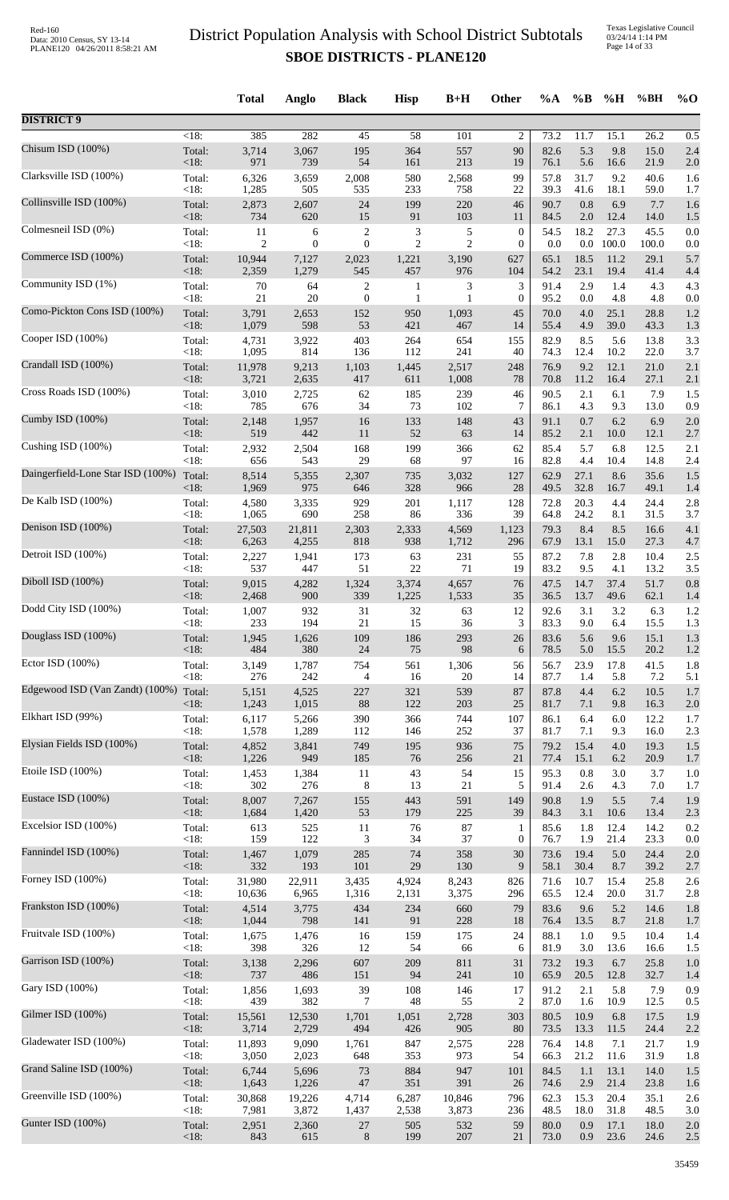Texas Legislative Council 03/24/14 1:14 PM Page 14 of 33

| $<18$ :<br>385<br>282<br>45<br>58<br>101<br>$\overline{c}$<br>73.2<br>11.7<br>15.1<br>26.2<br>0.5<br>Chisum ISD (100%)<br>3,714<br>3,067<br>195<br>364<br>557<br>90<br>82.6<br>5.3<br>9.8<br>Total:<br>15.0<br>2.4<br>< 18:<br>971<br>739<br>54<br>161<br>213<br>76.1<br>5.6<br>19<br>16.6<br>21.9<br>2.0<br>Clarksville ISD (100%)<br>580<br>99<br>57.8<br>31.7<br>9.2<br>40.6<br>Total:<br>6,326<br>3,659<br>2,008<br>2,568<br>1.6<br><18:<br>1,285<br>535<br>233<br>$22\,$<br>39.3<br>505<br>758<br>41.6<br>18.1<br>59.0<br>1.7<br>199<br>90.7<br>0.8<br>Total:<br>2,873<br>2,607<br>24<br>220<br>46<br>6.9<br>7.7<br>1.6<br>< 18:<br>620<br>91<br>734<br>15<br>103<br>84.5<br>2.0<br>12.4<br>14.0<br>11<br>1.5<br>3<br>Total:<br>$\overline{2}$<br>5<br>$\mathbf{0}$<br>54.5<br>18.2<br>27.3<br>11<br>6<br>45.5<br>0.0<br><18:<br>$\boldsymbol{0}$<br>$\mathbf{0}$<br>2<br>$\overline{2}$<br>$0.0\,$<br>100.0<br>2<br>$\boldsymbol{0}$<br>0.0<br>100.0<br>0.0<br>65.1<br>Total:<br>10,944<br>7,127<br>2,023<br>1,221<br>3,190<br>627<br>18.5<br>11.2<br>29.1<br>5.7<br>< 18:<br>457<br>976<br>23.1<br>19.4<br>2,359<br>1,279<br>545<br>104<br>54.2<br>41.4<br>4.4<br>Total:<br>$70\,$<br>3<br>2.9<br>64<br>$\overline{c}$<br>3<br>91.4<br>1.4<br>4.3<br>4.3<br>$\mathbf{1}$<br><18:<br>$21\,$<br>20<br>$\boldsymbol{0}$<br>0.0<br>4.8<br>4.8<br>$\mathbf{1}$<br>1<br>$\mathbf{0}$<br>95.2<br>0.0<br>Total:<br>152<br>45<br>70.0<br>$4.0\,$<br>25.1<br>28.8<br>3,791<br>2,653<br>950<br>1,093<br>1.2<br><18:<br>1,079<br>598<br>53<br>467<br>39.0<br>421<br>14<br>55.4<br>4.9<br>43.3<br>1.3<br>5.6<br>Total:<br>4,731<br>3,922<br>403<br>264<br>654<br>82.9<br>8.5<br>13.8<br>3.3<br>155<br>< 18:<br>1,095<br>814<br>112<br>241<br>10.2<br>22.0<br>136<br>40<br>74.3<br>12.4<br>3.7<br>Crandall ISD (100%)<br>Total:<br>9,213<br>1,103<br>1,445<br>2,517<br>248<br>76.9<br>9.2<br>12.1<br>21.0<br>11,978<br>2.1<br>< 18:<br>417<br>611<br>27.1<br>3,721<br>2,635<br>1,008<br>70.8<br>11.2<br>16.4<br>2.1<br>78<br>Cross Roads ISD (100%)<br>2,725<br>185<br>90.5<br>6.1<br>Total:<br>3,010<br>62<br>239<br>46<br>2.1<br>7.9<br>1.5<br><18:<br>785<br>676<br>34<br>73<br>102<br>7<br>4.3<br>86.1<br>9.3<br>13.0<br>0.9<br>6.2<br>Total:<br>2,148<br>1,957<br>16<br>133<br>148<br>43<br>91.1<br>0.7<br>6.9<br>2.0<br><18:<br>519<br>442<br>52<br>63<br>11<br>14<br>85.2<br>2.1<br>10.0<br>12.1<br>2.7<br>199<br>85.4<br>5.7<br>6.8<br>Total:<br>2,932<br>2,504<br>168<br>366<br>12.5<br>2.1<br>62<br>< 18:<br>656<br>543<br>29<br>68<br>97<br>82.8<br>4.4<br>10.4<br>14.8<br>16<br>2.4<br>Total:<br>8,514<br>5,355<br>2,307<br>3,032<br>127<br>62.9<br>27.1<br>8.6<br>35.6<br>735<br>1.5<br>< 18:<br>975<br>328<br>49.5<br>32.8<br>1,969<br>646<br>966<br>28<br>16.7<br>49.1<br>1.4<br>929<br>Total:<br>3,335<br>201<br>1,117<br>72.8<br>20.3<br>4.4<br>24.4<br>4,580<br>128<br>2.8<br><18:<br>86<br>336<br>39<br>1,065<br>690<br>258<br>64.8<br>24.2<br>8.1<br>31.5<br>3.7<br>2,303<br>Total:<br>27,503<br>21,811<br>2,333<br>4,569<br>1,123<br>79.3<br>8.4<br>8.5<br>16.6<br>4.1<br>< 18:<br>13.1<br>6,263<br>4,255<br>818<br>938<br>1,712<br>296<br>67.9<br>15.0<br>27.3<br>4.7<br>Detroit ISD (100%)<br>231<br>87.2<br>2.8<br>Total:<br>2,227<br>1,941<br>173<br>63<br>55<br>7.8<br>10.4<br>2.5<br>< 18:<br>537<br>$22\,$<br>13.2<br>447<br>51<br>71<br>19<br>83.2<br>9.5<br>4.1<br>3.5<br>Diboll ISD (100%)<br>1,324<br>47.5<br>14.7<br>37.4<br>51.7<br>Total:<br>9,015<br>4,282<br>3,374<br>4,657<br>76<br>0.8<br>< 18:<br>339<br>1,225<br>35<br>13.7<br>2,468<br>900<br>1,533<br>36.5<br>49.6<br>62.1<br>1.4<br>Dodd City ISD (100%)<br>32<br>92.6<br>3.1<br>3.2<br>6.3<br>Total:<br>1,007<br>932<br>31<br>63<br>12<br>1.2<br>3<br>83.3<br>$9.0\,$<br><18:<br>233<br>194<br>21<br>15<br>36<br>6.4<br>15.5<br>1.3<br>1,945<br>109<br>186<br>293<br>83.6<br>5.6<br>15.1<br>1.3<br>Total:<br>1,626<br>26<br>9.6<br>484<br>380<br>98<br>$<18$ :<br>24<br>75<br>78.5<br>5.0<br>15.5<br>20.2<br>6<br>1.2<br>Total:<br>3,149<br>754<br>23.9<br>1,787<br>561<br>1,306<br>56.7<br>17.8<br>41.5<br>1.8<br>56<br>< 18:<br>276<br>242<br>16<br>87.7<br>1.4<br>5.8<br>7.2<br>$\overline{4}$<br>20<br>14<br>5.1<br>Edgewood ISD (Van Zandt) (100%) Total:<br>6.2<br>4,525<br>227<br>321<br>539<br>87<br>87.8<br>4.4<br>10.5<br>5,151<br>1.7<br>1,243<br>1,015<br>$88\,$<br>122<br>203<br>25<br><18:<br>81.7<br>7.1<br>9.8<br>16.3<br>2.0<br>744<br>6.4<br>Total:<br>6,117<br>5,266<br>390<br>366<br>107<br>86.1<br>6.0<br>12.2<br>1.7<br>< 18:<br>1,578<br>1,289<br>112<br>252<br>81.7<br>7.1<br>16.0<br>146<br>37<br>9.3<br>2.3<br>Total:<br>749<br>75<br>79.2<br>15.4<br>4,852<br>3,841<br>195<br>936<br>$4.0\,$<br>19.3<br>1.5<br>< 18:<br>1,226<br>949<br>185<br>76<br>$21\,$<br>77.4<br>15.1<br>6.2<br>256<br>20.9<br>1.7<br>Etoile ISD (100%)<br>Total:<br>43<br>54<br>15<br>95.3<br>$0.8\,$<br>3.0<br>3.7<br>1,453<br>1,384<br>11<br>1.0<br><18:<br>302<br>276<br>$\,8\,$<br>13<br>21<br>5<br>7.0<br>91.4<br>2.6<br>4.3<br>1.7<br>Eustace ISD (100%)<br>Total:<br>8,007<br>443<br>591<br>149<br>90.8<br>5.5<br>7,267<br>155<br>1.9<br>7.4<br>1.9<br><18:<br>1,684<br>1,420<br>53<br>179<br>225<br>39<br>84.3<br>3.1<br>10.6<br>13.4<br>2.3<br>Excelsior ISD (100%)<br>$87\,$<br>85.6<br>1.8<br>12.4<br>Total:<br>613<br>525<br>11<br>76<br>14.2<br>0.2<br>1<br><18:<br>122<br>$\ensuremath{\mathfrak{Z}}$<br>159<br>34<br>37<br>$\boldsymbol{0}$<br>1.9<br>21.4<br>23.3<br>76.7<br>0.0<br>74<br>Total:<br>1,079<br>285<br>358<br>30<br>73.6<br>19.4<br>5.0<br>24.4<br>1,467<br>2.0<br><18:<br>332<br>193<br>101<br>$29\,$<br>130<br>9<br>58.1<br>30.4<br>8.7<br>39.2<br>2.7<br>Total:<br>31,980<br>22,911<br>3,435<br>4,924<br>8,243<br>826<br>71.6<br>10.7<br>25.8<br>15.4<br>2.6<br><18:<br>10,636<br>6,965<br>1,316<br>2,131<br>3,375<br>296<br>65.5<br>12.4<br>20.0<br>31.7<br>2.8<br>Total:<br>3,775<br>434<br>234<br>79<br>83.6<br>5.2<br>4,514<br>660<br>9.6<br>14.6<br>1.8<br><18:<br>1,044<br>798<br>91<br>228<br>141<br>18<br>76.4<br>13.5<br>8.7<br>21.8<br>1.7 |                                   |        | <b>Total</b> | Anglo | <b>Black</b> | <b>Hisp</b> | $B+H$ | Other | $\%A$ | $\%B$ | %H  | %BH  | $%$ <sup>O</sup> |
|------------------------------------------------------------------------------------------------------------------------------------------------------------------------------------------------------------------------------------------------------------------------------------------------------------------------------------------------------------------------------------------------------------------------------------------------------------------------------------------------------------------------------------------------------------------------------------------------------------------------------------------------------------------------------------------------------------------------------------------------------------------------------------------------------------------------------------------------------------------------------------------------------------------------------------------------------------------------------------------------------------------------------------------------------------------------------------------------------------------------------------------------------------------------------------------------------------------------------------------------------------------------------------------------------------------------------------------------------------------------------------------------------------------------------------------------------------------------------------------------------------------------------------------------------------------------------------------------------------------------------------------------------------------------------------------------------------------------------------------------------------------------------------------------------------------------------------------------------------------------------------------------------------------------------------------------------------------------------------------------------------------------------------------------------------------------------------------------------------------------------------------------------------------------------------------------------------------------------------------------------------------------------------------------------------------------------------------------------------------------------------------------------------------------------------------------------------------------------------------------------------------------------------------------------------------------------------------------------------------------------------------------------------------------------------------------------------------------------------------------------------------------------------------------------------------------------------------------------------------------------------------------------------------------------------------------------------------------------------------------------------------------------------------------------------------------------------------------------------------------------------------------------------------------------------------------------------------------------------------------------------------------------------------------------------------------------------------------------------------------------------------------------------------------------------------------------------------------------------------------------------------------------------------------------------------------------------------------------------------------------------------------------------------------------------------------------------------------------------------------------------------------------------------------------------------------------------------------------------------------------------------------------------------------------------------------------------------------------------------------------------------------------------------------------------------------------------------------------------------------------------------------------------------------------------------------------------------------------------------------------------------------------------------------------------------------------------------------------------------------------------------------------------------------------------------------------------------------------------------------------------------------------------------------------------------------------------------------------------------------------------------------------------------------------------------------------------------------------------------------------------------------------------------------------------------------------------------------------------------------------------------------------------------------------------------------------------------------------------------------------------------------------------------------------------------------------------------------------------------------------------------------------------------------------------------------------------------------------------------------------------------------------------------------------------------------------------------------------------------------------------------------------------------------------------------------------------------------------------------------------------------------------------------------------------------------------------------------------------------------------------------------------------------------------------------------------------------------------------------------------------------------------------------------------------------------------------------------------------------------------------------------------------------------------------------------------------------------------------------------------------------------------------------------------------------------------|-----------------------------------|--------|--------------|-------|--------------|-------------|-------|-------|-------|-------|-----|------|------------------|
|                                                                                                                                                                                                                                                                                                                                                                                                                                                                                                                                                                                                                                                                                                                                                                                                                                                                                                                                                                                                                                                                                                                                                                                                                                                                                                                                                                                                                                                                                                                                                                                                                                                                                                                                                                                                                                                                                                                                                                                                                                                                                                                                                                                                                                                                                                                                                                                                                                                                                                                                                                                                                                                                                                                                                                                                                                                                                                                                                                                                                                                                                                                                                                                                                                                                                                                                                                                                                                                                                                                                                                                                                                                                                                                                                                                                                                                                                                                                                                                                                                                                                                                                                                                                                                                                                                                                                                                                                                                                                                                                                                                                                                                                                                                                                                                                                                                                                                                                                                                                                                                                                                                                                                                                                                                                                                                                                                                                                                                                                                                                                                                                                                                                                                                                                                                                                                                                                                                                                                                                                                                                              | <b>DISTRICT 9</b>                 |        |              |       |              |             |       |       |       |       |     |      |                  |
|                                                                                                                                                                                                                                                                                                                                                                                                                                                                                                                                                                                                                                                                                                                                                                                                                                                                                                                                                                                                                                                                                                                                                                                                                                                                                                                                                                                                                                                                                                                                                                                                                                                                                                                                                                                                                                                                                                                                                                                                                                                                                                                                                                                                                                                                                                                                                                                                                                                                                                                                                                                                                                                                                                                                                                                                                                                                                                                                                                                                                                                                                                                                                                                                                                                                                                                                                                                                                                                                                                                                                                                                                                                                                                                                                                                                                                                                                                                                                                                                                                                                                                                                                                                                                                                                                                                                                                                                                                                                                                                                                                                                                                                                                                                                                                                                                                                                                                                                                                                                                                                                                                                                                                                                                                                                                                                                                                                                                                                                                                                                                                                                                                                                                                                                                                                                                                                                                                                                                                                                                                                                              |                                   |        |              |       |              |             |       |       |       |       |     |      |                  |
|                                                                                                                                                                                                                                                                                                                                                                                                                                                                                                                                                                                                                                                                                                                                                                                                                                                                                                                                                                                                                                                                                                                                                                                                                                                                                                                                                                                                                                                                                                                                                                                                                                                                                                                                                                                                                                                                                                                                                                                                                                                                                                                                                                                                                                                                                                                                                                                                                                                                                                                                                                                                                                                                                                                                                                                                                                                                                                                                                                                                                                                                                                                                                                                                                                                                                                                                                                                                                                                                                                                                                                                                                                                                                                                                                                                                                                                                                                                                                                                                                                                                                                                                                                                                                                                                                                                                                                                                                                                                                                                                                                                                                                                                                                                                                                                                                                                                                                                                                                                                                                                                                                                                                                                                                                                                                                                                                                                                                                                                                                                                                                                                                                                                                                                                                                                                                                                                                                                                                                                                                                                                              |                                   |        |              |       |              |             |       |       |       |       |     |      |                  |
|                                                                                                                                                                                                                                                                                                                                                                                                                                                                                                                                                                                                                                                                                                                                                                                                                                                                                                                                                                                                                                                                                                                                                                                                                                                                                                                                                                                                                                                                                                                                                                                                                                                                                                                                                                                                                                                                                                                                                                                                                                                                                                                                                                                                                                                                                                                                                                                                                                                                                                                                                                                                                                                                                                                                                                                                                                                                                                                                                                                                                                                                                                                                                                                                                                                                                                                                                                                                                                                                                                                                                                                                                                                                                                                                                                                                                                                                                                                                                                                                                                                                                                                                                                                                                                                                                                                                                                                                                                                                                                                                                                                                                                                                                                                                                                                                                                                                                                                                                                                                                                                                                                                                                                                                                                                                                                                                                                                                                                                                                                                                                                                                                                                                                                                                                                                                                                                                                                                                                                                                                                                                              |                                   |        |              |       |              |             |       |       |       |       |     |      |                  |
|                                                                                                                                                                                                                                                                                                                                                                                                                                                                                                                                                                                                                                                                                                                                                                                                                                                                                                                                                                                                                                                                                                                                                                                                                                                                                                                                                                                                                                                                                                                                                                                                                                                                                                                                                                                                                                                                                                                                                                                                                                                                                                                                                                                                                                                                                                                                                                                                                                                                                                                                                                                                                                                                                                                                                                                                                                                                                                                                                                                                                                                                                                                                                                                                                                                                                                                                                                                                                                                                                                                                                                                                                                                                                                                                                                                                                                                                                                                                                                                                                                                                                                                                                                                                                                                                                                                                                                                                                                                                                                                                                                                                                                                                                                                                                                                                                                                                                                                                                                                                                                                                                                                                                                                                                                                                                                                                                                                                                                                                                                                                                                                                                                                                                                                                                                                                                                                                                                                                                                                                                                                                              | Collinsville ISD (100%)           |        |              |       |              |             |       |       |       |       |     |      |                  |
|                                                                                                                                                                                                                                                                                                                                                                                                                                                                                                                                                                                                                                                                                                                                                                                                                                                                                                                                                                                                                                                                                                                                                                                                                                                                                                                                                                                                                                                                                                                                                                                                                                                                                                                                                                                                                                                                                                                                                                                                                                                                                                                                                                                                                                                                                                                                                                                                                                                                                                                                                                                                                                                                                                                                                                                                                                                                                                                                                                                                                                                                                                                                                                                                                                                                                                                                                                                                                                                                                                                                                                                                                                                                                                                                                                                                                                                                                                                                                                                                                                                                                                                                                                                                                                                                                                                                                                                                                                                                                                                                                                                                                                                                                                                                                                                                                                                                                                                                                                                                                                                                                                                                                                                                                                                                                                                                                                                                                                                                                                                                                                                                                                                                                                                                                                                                                                                                                                                                                                                                                                                                              | Colmesneil ISD (0%)               |        |              |       |              |             |       |       |       |       |     |      |                  |
|                                                                                                                                                                                                                                                                                                                                                                                                                                                                                                                                                                                                                                                                                                                                                                                                                                                                                                                                                                                                                                                                                                                                                                                                                                                                                                                                                                                                                                                                                                                                                                                                                                                                                                                                                                                                                                                                                                                                                                                                                                                                                                                                                                                                                                                                                                                                                                                                                                                                                                                                                                                                                                                                                                                                                                                                                                                                                                                                                                                                                                                                                                                                                                                                                                                                                                                                                                                                                                                                                                                                                                                                                                                                                                                                                                                                                                                                                                                                                                                                                                                                                                                                                                                                                                                                                                                                                                                                                                                                                                                                                                                                                                                                                                                                                                                                                                                                                                                                                                                                                                                                                                                                                                                                                                                                                                                                                                                                                                                                                                                                                                                                                                                                                                                                                                                                                                                                                                                                                                                                                                                                              | Commerce ISD (100%)               |        |              |       |              |             |       |       |       |       |     |      |                  |
|                                                                                                                                                                                                                                                                                                                                                                                                                                                                                                                                                                                                                                                                                                                                                                                                                                                                                                                                                                                                                                                                                                                                                                                                                                                                                                                                                                                                                                                                                                                                                                                                                                                                                                                                                                                                                                                                                                                                                                                                                                                                                                                                                                                                                                                                                                                                                                                                                                                                                                                                                                                                                                                                                                                                                                                                                                                                                                                                                                                                                                                                                                                                                                                                                                                                                                                                                                                                                                                                                                                                                                                                                                                                                                                                                                                                                                                                                                                                                                                                                                                                                                                                                                                                                                                                                                                                                                                                                                                                                                                                                                                                                                                                                                                                                                                                                                                                                                                                                                                                                                                                                                                                                                                                                                                                                                                                                                                                                                                                                                                                                                                                                                                                                                                                                                                                                                                                                                                                                                                                                                                                              | Community ISD (1%)                |        |              |       |              |             |       |       |       |       |     |      |                  |
|                                                                                                                                                                                                                                                                                                                                                                                                                                                                                                                                                                                                                                                                                                                                                                                                                                                                                                                                                                                                                                                                                                                                                                                                                                                                                                                                                                                                                                                                                                                                                                                                                                                                                                                                                                                                                                                                                                                                                                                                                                                                                                                                                                                                                                                                                                                                                                                                                                                                                                                                                                                                                                                                                                                                                                                                                                                                                                                                                                                                                                                                                                                                                                                                                                                                                                                                                                                                                                                                                                                                                                                                                                                                                                                                                                                                                                                                                                                                                                                                                                                                                                                                                                                                                                                                                                                                                                                                                                                                                                                                                                                                                                                                                                                                                                                                                                                                                                                                                                                                                                                                                                                                                                                                                                                                                                                                                                                                                                                                                                                                                                                                                                                                                                                                                                                                                                                                                                                                                                                                                                                                              | Como-Pickton Cons ISD (100%)      |        |              |       |              |             |       |       |       |       |     |      |                  |
|                                                                                                                                                                                                                                                                                                                                                                                                                                                                                                                                                                                                                                                                                                                                                                                                                                                                                                                                                                                                                                                                                                                                                                                                                                                                                                                                                                                                                                                                                                                                                                                                                                                                                                                                                                                                                                                                                                                                                                                                                                                                                                                                                                                                                                                                                                                                                                                                                                                                                                                                                                                                                                                                                                                                                                                                                                                                                                                                                                                                                                                                                                                                                                                                                                                                                                                                                                                                                                                                                                                                                                                                                                                                                                                                                                                                                                                                                                                                                                                                                                                                                                                                                                                                                                                                                                                                                                                                                                                                                                                                                                                                                                                                                                                                                                                                                                                                                                                                                                                                                                                                                                                                                                                                                                                                                                                                                                                                                                                                                                                                                                                                                                                                                                                                                                                                                                                                                                                                                                                                                                                                              | Cooper ISD (100%)                 |        |              |       |              |             |       |       |       |       |     |      |                  |
|                                                                                                                                                                                                                                                                                                                                                                                                                                                                                                                                                                                                                                                                                                                                                                                                                                                                                                                                                                                                                                                                                                                                                                                                                                                                                                                                                                                                                                                                                                                                                                                                                                                                                                                                                                                                                                                                                                                                                                                                                                                                                                                                                                                                                                                                                                                                                                                                                                                                                                                                                                                                                                                                                                                                                                                                                                                                                                                                                                                                                                                                                                                                                                                                                                                                                                                                                                                                                                                                                                                                                                                                                                                                                                                                                                                                                                                                                                                                                                                                                                                                                                                                                                                                                                                                                                                                                                                                                                                                                                                                                                                                                                                                                                                                                                                                                                                                                                                                                                                                                                                                                                                                                                                                                                                                                                                                                                                                                                                                                                                                                                                                                                                                                                                                                                                                                                                                                                                                                                                                                                                                              |                                   |        |              |       |              |             |       |       |       |       |     |      |                  |
|                                                                                                                                                                                                                                                                                                                                                                                                                                                                                                                                                                                                                                                                                                                                                                                                                                                                                                                                                                                                                                                                                                                                                                                                                                                                                                                                                                                                                                                                                                                                                                                                                                                                                                                                                                                                                                                                                                                                                                                                                                                                                                                                                                                                                                                                                                                                                                                                                                                                                                                                                                                                                                                                                                                                                                                                                                                                                                                                                                                                                                                                                                                                                                                                                                                                                                                                                                                                                                                                                                                                                                                                                                                                                                                                                                                                                                                                                                                                                                                                                                                                                                                                                                                                                                                                                                                                                                                                                                                                                                                                                                                                                                                                                                                                                                                                                                                                                                                                                                                                                                                                                                                                                                                                                                                                                                                                                                                                                                                                                                                                                                                                                                                                                                                                                                                                                                                                                                                                                                                                                                                                              |                                   |        |              |       |              |             |       |       |       |       |     |      |                  |
|                                                                                                                                                                                                                                                                                                                                                                                                                                                                                                                                                                                                                                                                                                                                                                                                                                                                                                                                                                                                                                                                                                                                                                                                                                                                                                                                                                                                                                                                                                                                                                                                                                                                                                                                                                                                                                                                                                                                                                                                                                                                                                                                                                                                                                                                                                                                                                                                                                                                                                                                                                                                                                                                                                                                                                                                                                                                                                                                                                                                                                                                                                                                                                                                                                                                                                                                                                                                                                                                                                                                                                                                                                                                                                                                                                                                                                                                                                                                                                                                                                                                                                                                                                                                                                                                                                                                                                                                                                                                                                                                                                                                                                                                                                                                                                                                                                                                                                                                                                                                                                                                                                                                                                                                                                                                                                                                                                                                                                                                                                                                                                                                                                                                                                                                                                                                                                                                                                                                                                                                                                                                              |                                   |        |              |       |              |             |       |       |       |       |     |      |                  |
|                                                                                                                                                                                                                                                                                                                                                                                                                                                                                                                                                                                                                                                                                                                                                                                                                                                                                                                                                                                                                                                                                                                                                                                                                                                                                                                                                                                                                                                                                                                                                                                                                                                                                                                                                                                                                                                                                                                                                                                                                                                                                                                                                                                                                                                                                                                                                                                                                                                                                                                                                                                                                                                                                                                                                                                                                                                                                                                                                                                                                                                                                                                                                                                                                                                                                                                                                                                                                                                                                                                                                                                                                                                                                                                                                                                                                                                                                                                                                                                                                                                                                                                                                                                                                                                                                                                                                                                                                                                                                                                                                                                                                                                                                                                                                                                                                                                                                                                                                                                                                                                                                                                                                                                                                                                                                                                                                                                                                                                                                                                                                                                                                                                                                                                                                                                                                                                                                                                                                                                                                                                                              | Cumby ISD (100%)                  |        |              |       |              |             |       |       |       |       |     |      |                  |
|                                                                                                                                                                                                                                                                                                                                                                                                                                                                                                                                                                                                                                                                                                                                                                                                                                                                                                                                                                                                                                                                                                                                                                                                                                                                                                                                                                                                                                                                                                                                                                                                                                                                                                                                                                                                                                                                                                                                                                                                                                                                                                                                                                                                                                                                                                                                                                                                                                                                                                                                                                                                                                                                                                                                                                                                                                                                                                                                                                                                                                                                                                                                                                                                                                                                                                                                                                                                                                                                                                                                                                                                                                                                                                                                                                                                                                                                                                                                                                                                                                                                                                                                                                                                                                                                                                                                                                                                                                                                                                                                                                                                                                                                                                                                                                                                                                                                                                                                                                                                                                                                                                                                                                                                                                                                                                                                                                                                                                                                                                                                                                                                                                                                                                                                                                                                                                                                                                                                                                                                                                                                              | Cushing ISD (100%)                |        |              |       |              |             |       |       |       |       |     |      |                  |
|                                                                                                                                                                                                                                                                                                                                                                                                                                                                                                                                                                                                                                                                                                                                                                                                                                                                                                                                                                                                                                                                                                                                                                                                                                                                                                                                                                                                                                                                                                                                                                                                                                                                                                                                                                                                                                                                                                                                                                                                                                                                                                                                                                                                                                                                                                                                                                                                                                                                                                                                                                                                                                                                                                                                                                                                                                                                                                                                                                                                                                                                                                                                                                                                                                                                                                                                                                                                                                                                                                                                                                                                                                                                                                                                                                                                                                                                                                                                                                                                                                                                                                                                                                                                                                                                                                                                                                                                                                                                                                                                                                                                                                                                                                                                                                                                                                                                                                                                                                                                                                                                                                                                                                                                                                                                                                                                                                                                                                                                                                                                                                                                                                                                                                                                                                                                                                                                                                                                                                                                                                                                              | Daingerfield-Lone Star ISD (100%) |        |              |       |              |             |       |       |       |       |     |      |                  |
|                                                                                                                                                                                                                                                                                                                                                                                                                                                                                                                                                                                                                                                                                                                                                                                                                                                                                                                                                                                                                                                                                                                                                                                                                                                                                                                                                                                                                                                                                                                                                                                                                                                                                                                                                                                                                                                                                                                                                                                                                                                                                                                                                                                                                                                                                                                                                                                                                                                                                                                                                                                                                                                                                                                                                                                                                                                                                                                                                                                                                                                                                                                                                                                                                                                                                                                                                                                                                                                                                                                                                                                                                                                                                                                                                                                                                                                                                                                                                                                                                                                                                                                                                                                                                                                                                                                                                                                                                                                                                                                                                                                                                                                                                                                                                                                                                                                                                                                                                                                                                                                                                                                                                                                                                                                                                                                                                                                                                                                                                                                                                                                                                                                                                                                                                                                                                                                                                                                                                                                                                                                                              | De Kalb ISD (100%)                |        |              |       |              |             |       |       |       |       |     |      |                  |
|                                                                                                                                                                                                                                                                                                                                                                                                                                                                                                                                                                                                                                                                                                                                                                                                                                                                                                                                                                                                                                                                                                                                                                                                                                                                                                                                                                                                                                                                                                                                                                                                                                                                                                                                                                                                                                                                                                                                                                                                                                                                                                                                                                                                                                                                                                                                                                                                                                                                                                                                                                                                                                                                                                                                                                                                                                                                                                                                                                                                                                                                                                                                                                                                                                                                                                                                                                                                                                                                                                                                                                                                                                                                                                                                                                                                                                                                                                                                                                                                                                                                                                                                                                                                                                                                                                                                                                                                                                                                                                                                                                                                                                                                                                                                                                                                                                                                                                                                                                                                                                                                                                                                                                                                                                                                                                                                                                                                                                                                                                                                                                                                                                                                                                                                                                                                                                                                                                                                                                                                                                                                              | Denison ISD (100%)                |        |              |       |              |             |       |       |       |       |     |      |                  |
|                                                                                                                                                                                                                                                                                                                                                                                                                                                                                                                                                                                                                                                                                                                                                                                                                                                                                                                                                                                                                                                                                                                                                                                                                                                                                                                                                                                                                                                                                                                                                                                                                                                                                                                                                                                                                                                                                                                                                                                                                                                                                                                                                                                                                                                                                                                                                                                                                                                                                                                                                                                                                                                                                                                                                                                                                                                                                                                                                                                                                                                                                                                                                                                                                                                                                                                                                                                                                                                                                                                                                                                                                                                                                                                                                                                                                                                                                                                                                                                                                                                                                                                                                                                                                                                                                                                                                                                                                                                                                                                                                                                                                                                                                                                                                                                                                                                                                                                                                                                                                                                                                                                                                                                                                                                                                                                                                                                                                                                                                                                                                                                                                                                                                                                                                                                                                                                                                                                                                                                                                                                                              |                                   |        |              |       |              |             |       |       |       |       |     |      |                  |
|                                                                                                                                                                                                                                                                                                                                                                                                                                                                                                                                                                                                                                                                                                                                                                                                                                                                                                                                                                                                                                                                                                                                                                                                                                                                                                                                                                                                                                                                                                                                                                                                                                                                                                                                                                                                                                                                                                                                                                                                                                                                                                                                                                                                                                                                                                                                                                                                                                                                                                                                                                                                                                                                                                                                                                                                                                                                                                                                                                                                                                                                                                                                                                                                                                                                                                                                                                                                                                                                                                                                                                                                                                                                                                                                                                                                                                                                                                                                                                                                                                                                                                                                                                                                                                                                                                                                                                                                                                                                                                                                                                                                                                                                                                                                                                                                                                                                                                                                                                                                                                                                                                                                                                                                                                                                                                                                                                                                                                                                                                                                                                                                                                                                                                                                                                                                                                                                                                                                                                                                                                                                              |                                   |        |              |       |              |             |       |       |       |       |     |      |                  |
|                                                                                                                                                                                                                                                                                                                                                                                                                                                                                                                                                                                                                                                                                                                                                                                                                                                                                                                                                                                                                                                                                                                                                                                                                                                                                                                                                                                                                                                                                                                                                                                                                                                                                                                                                                                                                                                                                                                                                                                                                                                                                                                                                                                                                                                                                                                                                                                                                                                                                                                                                                                                                                                                                                                                                                                                                                                                                                                                                                                                                                                                                                                                                                                                                                                                                                                                                                                                                                                                                                                                                                                                                                                                                                                                                                                                                                                                                                                                                                                                                                                                                                                                                                                                                                                                                                                                                                                                                                                                                                                                                                                                                                                                                                                                                                                                                                                                                                                                                                                                                                                                                                                                                                                                                                                                                                                                                                                                                                                                                                                                                                                                                                                                                                                                                                                                                                                                                                                                                                                                                                                                              |                                   |        |              |       |              |             |       |       |       |       |     |      |                  |
|                                                                                                                                                                                                                                                                                                                                                                                                                                                                                                                                                                                                                                                                                                                                                                                                                                                                                                                                                                                                                                                                                                                                                                                                                                                                                                                                                                                                                                                                                                                                                                                                                                                                                                                                                                                                                                                                                                                                                                                                                                                                                                                                                                                                                                                                                                                                                                                                                                                                                                                                                                                                                                                                                                                                                                                                                                                                                                                                                                                                                                                                                                                                                                                                                                                                                                                                                                                                                                                                                                                                                                                                                                                                                                                                                                                                                                                                                                                                                                                                                                                                                                                                                                                                                                                                                                                                                                                                                                                                                                                                                                                                                                                                                                                                                                                                                                                                                                                                                                                                                                                                                                                                                                                                                                                                                                                                                                                                                                                                                                                                                                                                                                                                                                                                                                                                                                                                                                                                                                                                                                                                              |                                   |        |              |       |              |             |       |       |       |       |     |      |                  |
|                                                                                                                                                                                                                                                                                                                                                                                                                                                                                                                                                                                                                                                                                                                                                                                                                                                                                                                                                                                                                                                                                                                                                                                                                                                                                                                                                                                                                                                                                                                                                                                                                                                                                                                                                                                                                                                                                                                                                                                                                                                                                                                                                                                                                                                                                                                                                                                                                                                                                                                                                                                                                                                                                                                                                                                                                                                                                                                                                                                                                                                                                                                                                                                                                                                                                                                                                                                                                                                                                                                                                                                                                                                                                                                                                                                                                                                                                                                                                                                                                                                                                                                                                                                                                                                                                                                                                                                                                                                                                                                                                                                                                                                                                                                                                                                                                                                                                                                                                                                                                                                                                                                                                                                                                                                                                                                                                                                                                                                                                                                                                                                                                                                                                                                                                                                                                                                                                                                                                                                                                                                                              | Douglass ISD (100%)               |        |              |       |              |             |       |       |       |       |     |      |                  |
|                                                                                                                                                                                                                                                                                                                                                                                                                                                                                                                                                                                                                                                                                                                                                                                                                                                                                                                                                                                                                                                                                                                                                                                                                                                                                                                                                                                                                                                                                                                                                                                                                                                                                                                                                                                                                                                                                                                                                                                                                                                                                                                                                                                                                                                                                                                                                                                                                                                                                                                                                                                                                                                                                                                                                                                                                                                                                                                                                                                                                                                                                                                                                                                                                                                                                                                                                                                                                                                                                                                                                                                                                                                                                                                                                                                                                                                                                                                                                                                                                                                                                                                                                                                                                                                                                                                                                                                                                                                                                                                                                                                                                                                                                                                                                                                                                                                                                                                                                                                                                                                                                                                                                                                                                                                                                                                                                                                                                                                                                                                                                                                                                                                                                                                                                                                                                                                                                                                                                                                                                                                                              | Ector ISD (100%)                  |        |              |       |              |             |       |       |       |       |     |      |                  |
|                                                                                                                                                                                                                                                                                                                                                                                                                                                                                                                                                                                                                                                                                                                                                                                                                                                                                                                                                                                                                                                                                                                                                                                                                                                                                                                                                                                                                                                                                                                                                                                                                                                                                                                                                                                                                                                                                                                                                                                                                                                                                                                                                                                                                                                                                                                                                                                                                                                                                                                                                                                                                                                                                                                                                                                                                                                                                                                                                                                                                                                                                                                                                                                                                                                                                                                                                                                                                                                                                                                                                                                                                                                                                                                                                                                                                                                                                                                                                                                                                                                                                                                                                                                                                                                                                                                                                                                                                                                                                                                                                                                                                                                                                                                                                                                                                                                                                                                                                                                                                                                                                                                                                                                                                                                                                                                                                                                                                                                                                                                                                                                                                                                                                                                                                                                                                                                                                                                                                                                                                                                                              |                                   |        |              |       |              |             |       |       |       |       |     |      |                  |
|                                                                                                                                                                                                                                                                                                                                                                                                                                                                                                                                                                                                                                                                                                                                                                                                                                                                                                                                                                                                                                                                                                                                                                                                                                                                                                                                                                                                                                                                                                                                                                                                                                                                                                                                                                                                                                                                                                                                                                                                                                                                                                                                                                                                                                                                                                                                                                                                                                                                                                                                                                                                                                                                                                                                                                                                                                                                                                                                                                                                                                                                                                                                                                                                                                                                                                                                                                                                                                                                                                                                                                                                                                                                                                                                                                                                                                                                                                                                                                                                                                                                                                                                                                                                                                                                                                                                                                                                                                                                                                                                                                                                                                                                                                                                                                                                                                                                                                                                                                                                                                                                                                                                                                                                                                                                                                                                                                                                                                                                                                                                                                                                                                                                                                                                                                                                                                                                                                                                                                                                                                                                              | Elkhart ISD (99%)                 |        |              |       |              |             |       |       |       |       |     |      |                  |
|                                                                                                                                                                                                                                                                                                                                                                                                                                                                                                                                                                                                                                                                                                                                                                                                                                                                                                                                                                                                                                                                                                                                                                                                                                                                                                                                                                                                                                                                                                                                                                                                                                                                                                                                                                                                                                                                                                                                                                                                                                                                                                                                                                                                                                                                                                                                                                                                                                                                                                                                                                                                                                                                                                                                                                                                                                                                                                                                                                                                                                                                                                                                                                                                                                                                                                                                                                                                                                                                                                                                                                                                                                                                                                                                                                                                                                                                                                                                                                                                                                                                                                                                                                                                                                                                                                                                                                                                                                                                                                                                                                                                                                                                                                                                                                                                                                                                                                                                                                                                                                                                                                                                                                                                                                                                                                                                                                                                                                                                                                                                                                                                                                                                                                                                                                                                                                                                                                                                                                                                                                                                              | Elysian Fields ISD (100%)         |        |              |       |              |             |       |       |       |       |     |      |                  |
|                                                                                                                                                                                                                                                                                                                                                                                                                                                                                                                                                                                                                                                                                                                                                                                                                                                                                                                                                                                                                                                                                                                                                                                                                                                                                                                                                                                                                                                                                                                                                                                                                                                                                                                                                                                                                                                                                                                                                                                                                                                                                                                                                                                                                                                                                                                                                                                                                                                                                                                                                                                                                                                                                                                                                                                                                                                                                                                                                                                                                                                                                                                                                                                                                                                                                                                                                                                                                                                                                                                                                                                                                                                                                                                                                                                                                                                                                                                                                                                                                                                                                                                                                                                                                                                                                                                                                                                                                                                                                                                                                                                                                                                                                                                                                                                                                                                                                                                                                                                                                                                                                                                                                                                                                                                                                                                                                                                                                                                                                                                                                                                                                                                                                                                                                                                                                                                                                                                                                                                                                                                                              |                                   |        |              |       |              |             |       |       |       |       |     |      |                  |
|                                                                                                                                                                                                                                                                                                                                                                                                                                                                                                                                                                                                                                                                                                                                                                                                                                                                                                                                                                                                                                                                                                                                                                                                                                                                                                                                                                                                                                                                                                                                                                                                                                                                                                                                                                                                                                                                                                                                                                                                                                                                                                                                                                                                                                                                                                                                                                                                                                                                                                                                                                                                                                                                                                                                                                                                                                                                                                                                                                                                                                                                                                                                                                                                                                                                                                                                                                                                                                                                                                                                                                                                                                                                                                                                                                                                                                                                                                                                                                                                                                                                                                                                                                                                                                                                                                                                                                                                                                                                                                                                                                                                                                                                                                                                                                                                                                                                                                                                                                                                                                                                                                                                                                                                                                                                                                                                                                                                                                                                                                                                                                                                                                                                                                                                                                                                                                                                                                                                                                                                                                                                              |                                   |        |              |       |              |             |       |       |       |       |     |      |                  |
|                                                                                                                                                                                                                                                                                                                                                                                                                                                                                                                                                                                                                                                                                                                                                                                                                                                                                                                                                                                                                                                                                                                                                                                                                                                                                                                                                                                                                                                                                                                                                                                                                                                                                                                                                                                                                                                                                                                                                                                                                                                                                                                                                                                                                                                                                                                                                                                                                                                                                                                                                                                                                                                                                                                                                                                                                                                                                                                                                                                                                                                                                                                                                                                                                                                                                                                                                                                                                                                                                                                                                                                                                                                                                                                                                                                                                                                                                                                                                                                                                                                                                                                                                                                                                                                                                                                                                                                                                                                                                                                                                                                                                                                                                                                                                                                                                                                                                                                                                                                                                                                                                                                                                                                                                                                                                                                                                                                                                                                                                                                                                                                                                                                                                                                                                                                                                                                                                                                                                                                                                                                                              |                                   |        |              |       |              |             |       |       |       |       |     |      |                  |
|                                                                                                                                                                                                                                                                                                                                                                                                                                                                                                                                                                                                                                                                                                                                                                                                                                                                                                                                                                                                                                                                                                                                                                                                                                                                                                                                                                                                                                                                                                                                                                                                                                                                                                                                                                                                                                                                                                                                                                                                                                                                                                                                                                                                                                                                                                                                                                                                                                                                                                                                                                                                                                                                                                                                                                                                                                                                                                                                                                                                                                                                                                                                                                                                                                                                                                                                                                                                                                                                                                                                                                                                                                                                                                                                                                                                                                                                                                                                                                                                                                                                                                                                                                                                                                                                                                                                                                                                                                                                                                                                                                                                                                                                                                                                                                                                                                                                                                                                                                                                                                                                                                                                                                                                                                                                                                                                                                                                                                                                                                                                                                                                                                                                                                                                                                                                                                                                                                                                                                                                                                                                              |                                   |        |              |       |              |             |       |       |       |       |     |      |                  |
|                                                                                                                                                                                                                                                                                                                                                                                                                                                                                                                                                                                                                                                                                                                                                                                                                                                                                                                                                                                                                                                                                                                                                                                                                                                                                                                                                                                                                                                                                                                                                                                                                                                                                                                                                                                                                                                                                                                                                                                                                                                                                                                                                                                                                                                                                                                                                                                                                                                                                                                                                                                                                                                                                                                                                                                                                                                                                                                                                                                                                                                                                                                                                                                                                                                                                                                                                                                                                                                                                                                                                                                                                                                                                                                                                                                                                                                                                                                                                                                                                                                                                                                                                                                                                                                                                                                                                                                                                                                                                                                                                                                                                                                                                                                                                                                                                                                                                                                                                                                                                                                                                                                                                                                                                                                                                                                                                                                                                                                                                                                                                                                                                                                                                                                                                                                                                                                                                                                                                                                                                                                                              | Fannindel ISD (100%)              |        |              |       |              |             |       |       |       |       |     |      |                  |
|                                                                                                                                                                                                                                                                                                                                                                                                                                                                                                                                                                                                                                                                                                                                                                                                                                                                                                                                                                                                                                                                                                                                                                                                                                                                                                                                                                                                                                                                                                                                                                                                                                                                                                                                                                                                                                                                                                                                                                                                                                                                                                                                                                                                                                                                                                                                                                                                                                                                                                                                                                                                                                                                                                                                                                                                                                                                                                                                                                                                                                                                                                                                                                                                                                                                                                                                                                                                                                                                                                                                                                                                                                                                                                                                                                                                                                                                                                                                                                                                                                                                                                                                                                                                                                                                                                                                                                                                                                                                                                                                                                                                                                                                                                                                                                                                                                                                                                                                                                                                                                                                                                                                                                                                                                                                                                                                                                                                                                                                                                                                                                                                                                                                                                                                                                                                                                                                                                                                                                                                                                                                              | Forney ISD (100%)                 |        |              |       |              |             |       |       |       |       |     |      |                  |
|                                                                                                                                                                                                                                                                                                                                                                                                                                                                                                                                                                                                                                                                                                                                                                                                                                                                                                                                                                                                                                                                                                                                                                                                                                                                                                                                                                                                                                                                                                                                                                                                                                                                                                                                                                                                                                                                                                                                                                                                                                                                                                                                                                                                                                                                                                                                                                                                                                                                                                                                                                                                                                                                                                                                                                                                                                                                                                                                                                                                                                                                                                                                                                                                                                                                                                                                                                                                                                                                                                                                                                                                                                                                                                                                                                                                                                                                                                                                                                                                                                                                                                                                                                                                                                                                                                                                                                                                                                                                                                                                                                                                                                                                                                                                                                                                                                                                                                                                                                                                                                                                                                                                                                                                                                                                                                                                                                                                                                                                                                                                                                                                                                                                                                                                                                                                                                                                                                                                                                                                                                                                              | Frankston ISD (100%)              |        |              |       |              |             |       |       |       |       |     |      |                  |
|                                                                                                                                                                                                                                                                                                                                                                                                                                                                                                                                                                                                                                                                                                                                                                                                                                                                                                                                                                                                                                                                                                                                                                                                                                                                                                                                                                                                                                                                                                                                                                                                                                                                                                                                                                                                                                                                                                                                                                                                                                                                                                                                                                                                                                                                                                                                                                                                                                                                                                                                                                                                                                                                                                                                                                                                                                                                                                                                                                                                                                                                                                                                                                                                                                                                                                                                                                                                                                                                                                                                                                                                                                                                                                                                                                                                                                                                                                                                                                                                                                                                                                                                                                                                                                                                                                                                                                                                                                                                                                                                                                                                                                                                                                                                                                                                                                                                                                                                                                                                                                                                                                                                                                                                                                                                                                                                                                                                                                                                                                                                                                                                                                                                                                                                                                                                                                                                                                                                                                                                                                                                              | Fruitvale ISD (100%)              | Total: | 1,675        | 1,476 | 16           | 159         | 175   | 24    | 88.1  | 1.0   | 9.5 | 10.4 | 1.4              |
| <18:<br>398<br>326<br>54<br>66<br>81.9<br>3.0<br>12<br>6<br>13.6<br>16.6<br>1.5<br>Total:<br>2,296<br>607<br>209<br>811<br>73.2<br>19.3<br>6.7<br>25.8<br>3,138<br>31<br>1.0                                                                                                                                                                                                                                                                                                                                                                                                                                                                                                                                                                                                                                                                                                                                                                                                                                                                                                                                                                                                                                                                                                                                                                                                                                                                                                                                                                                                                                                                                                                                                                                                                                                                                                                                                                                                                                                                                                                                                                                                                                                                                                                                                                                                                                                                                                                                                                                                                                                                                                                                                                                                                                                                                                                                                                                                                                                                                                                                                                                                                                                                                                                                                                                                                                                                                                                                                                                                                                                                                                                                                                                                                                                                                                                                                                                                                                                                                                                                                                                                                                                                                                                                                                                                                                                                                                                                                                                                                                                                                                                                                                                                                                                                                                                                                                                                                                                                                                                                                                                                                                                                                                                                                                                                                                                                                                                                                                                                                                                                                                                                                                                                                                                                                                                                                                                                                                                                                                 | Garrison ISD (100%)               |        |              |       |              |             |       |       |       |       |     |      |                  |
| <18:<br>737<br>486<br>94<br>241<br>65.9<br>20.5<br>12.8<br>32.7<br>151<br>10<br>1.4<br>91.2<br>2.1<br>5.8<br>Total:<br>1,856<br>1,693<br>39<br>108<br>146<br>17<br>7.9<br>0.9                                                                                                                                                                                                                                                                                                                                                                                                                                                                                                                                                                                                                                                                                                                                                                                                                                                                                                                                                                                                                                                                                                                                                                                                                                                                                                                                                                                                                                                                                                                                                                                                                                                                                                                                                                                                                                                                                                                                                                                                                                                                                                                                                                                                                                                                                                                                                                                                                                                                                                                                                                                                                                                                                                                                                                                                                                                                                                                                                                                                                                                                                                                                                                                                                                                                                                                                                                                                                                                                                                                                                                                                                                                                                                                                                                                                                                                                                                                                                                                                                                                                                                                                                                                                                                                                                                                                                                                                                                                                                                                                                                                                                                                                                                                                                                                                                                                                                                                                                                                                                                                                                                                                                                                                                                                                                                                                                                                                                                                                                                                                                                                                                                                                                                                                                                                                                                                                                                | Gary ISD (100%)                   |        |              |       |              |             |       |       |       |       |     |      |                  |
| < 18:<br>439<br>382<br>48<br>55<br>$\overline{c}$<br>87.0<br>1.6<br>7<br>10.9<br>12.5<br>0.5                                                                                                                                                                                                                                                                                                                                                                                                                                                                                                                                                                                                                                                                                                                                                                                                                                                                                                                                                                                                                                                                                                                                                                                                                                                                                                                                                                                                                                                                                                                                                                                                                                                                                                                                                                                                                                                                                                                                                                                                                                                                                                                                                                                                                                                                                                                                                                                                                                                                                                                                                                                                                                                                                                                                                                                                                                                                                                                                                                                                                                                                                                                                                                                                                                                                                                                                                                                                                                                                                                                                                                                                                                                                                                                                                                                                                                                                                                                                                                                                                                                                                                                                                                                                                                                                                                                                                                                                                                                                                                                                                                                                                                                                                                                                                                                                                                                                                                                                                                                                                                                                                                                                                                                                                                                                                                                                                                                                                                                                                                                                                                                                                                                                                                                                                                                                                                                                                                                                                                                 |                                   |        |              |       |              |             |       |       |       |       |     |      |                  |
| 80.5<br>10.9<br>Total:<br>1,701<br>1,051<br>2,728<br>303<br>6.8<br>17.5<br>15,561<br>12,530<br>1.9<br>494<br><18:<br>3,714<br>2,729<br>905<br>73.5<br>13.3<br>24.4<br>426<br>80<br>11.5<br>2.2                                                                                                                                                                                                                                                                                                                                                                                                                                                                                                                                                                                                                                                                                                                                                                                                                                                                                                                                                                                                                                                                                                                                                                                                                                                                                                                                                                                                                                                                                                                                                                                                                                                                                                                                                                                                                                                                                                                                                                                                                                                                                                                                                                                                                                                                                                                                                                                                                                                                                                                                                                                                                                                                                                                                                                                                                                                                                                                                                                                                                                                                                                                                                                                                                                                                                                                                                                                                                                                                                                                                                                                                                                                                                                                                                                                                                                                                                                                                                                                                                                                                                                                                                                                                                                                                                                                                                                                                                                                                                                                                                                                                                                                                                                                                                                                                                                                                                                                                                                                                                                                                                                                                                                                                                                                                                                                                                                                                                                                                                                                                                                                                                                                                                                                                                                                                                                                                               | Gilmer ISD (100%)                 |        |              |       |              |             |       |       |       |       |     |      |                  |
| Total:<br>9,090<br>1,761<br>847<br>228<br>76.4<br>14.8<br>7.1<br>11,893<br>2,575<br>21.7<br>1.9<br><18:<br>2,023<br>648<br>353<br>973<br>21.2<br>3,050<br>54<br>66.3<br>11.6<br>31.9<br>1.8                                                                                                                                                                                                                                                                                                                                                                                                                                                                                                                                                                                                                                                                                                                                                                                                                                                                                                                                                                                                                                                                                                                                                                                                                                                                                                                                                                                                                                                                                                                                                                                                                                                                                                                                                                                                                                                                                                                                                                                                                                                                                                                                                                                                                                                                                                                                                                                                                                                                                                                                                                                                                                                                                                                                                                                                                                                                                                                                                                                                                                                                                                                                                                                                                                                                                                                                                                                                                                                                                                                                                                                                                                                                                                                                                                                                                                                                                                                                                                                                                                                                                                                                                                                                                                                                                                                                                                                                                                                                                                                                                                                                                                                                                                                                                                                                                                                                                                                                                                                                                                                                                                                                                                                                                                                                                                                                                                                                                                                                                                                                                                                                                                                                                                                                                                                                                                                                                  | Gladewater ISD (100%)             |        |              |       |              |             |       |       |       |       |     |      |                  |
| 6,744<br>5,696<br>884<br>947<br>84.5<br>1.1<br>13.1<br>Total:<br>73<br>101<br>14.0<br>1.5<br>47<br><18:<br>1,643<br>1,226<br>351<br>391<br>26<br>74.6<br>2.9<br>21.4<br>23.8<br>1.6                                                                                                                                                                                                                                                                                                                                                                                                                                                                                                                                                                                                                                                                                                                                                                                                                                                                                                                                                                                                                                                                                                                                                                                                                                                                                                                                                                                                                                                                                                                                                                                                                                                                                                                                                                                                                                                                                                                                                                                                                                                                                                                                                                                                                                                                                                                                                                                                                                                                                                                                                                                                                                                                                                                                                                                                                                                                                                                                                                                                                                                                                                                                                                                                                                                                                                                                                                                                                                                                                                                                                                                                                                                                                                                                                                                                                                                                                                                                                                                                                                                                                                                                                                                                                                                                                                                                                                                                                                                                                                                                                                                                                                                                                                                                                                                                                                                                                                                                                                                                                                                                                                                                                                                                                                                                                                                                                                                                                                                                                                                                                                                                                                                                                                                                                                                                                                                                                          | Grand Saline ISD (100%)           |        |              |       |              |             |       |       |       |       |     |      |                  |
| 4,714<br>10,846<br>796<br>62.3<br>15.3<br>20.4<br>Total:<br>30,868<br>19,226<br>6,287<br>35.1<br>2.6<br>< 18:<br>7,981<br>3,872<br>1,437<br>2,538<br>48.5<br>18.0<br>31.8<br>48.5<br>236<br>3.0                                                                                                                                                                                                                                                                                                                                                                                                                                                                                                                                                                                                                                                                                                                                                                                                                                                                                                                                                                                                                                                                                                                                                                                                                                                                                                                                                                                                                                                                                                                                                                                                                                                                                                                                                                                                                                                                                                                                                                                                                                                                                                                                                                                                                                                                                                                                                                                                                                                                                                                                                                                                                                                                                                                                                                                                                                                                                                                                                                                                                                                                                                                                                                                                                                                                                                                                                                                                                                                                                                                                                                                                                                                                                                                                                                                                                                                                                                                                                                                                                                                                                                                                                                                                                                                                                                                                                                                                                                                                                                                                                                                                                                                                                                                                                                                                                                                                                                                                                                                                                                                                                                                                                                                                                                                                                                                                                                                                                                                                                                                                                                                                                                                                                                                                                                                                                                                                              | Greenville ISD (100%)             |        |              |       |              |             |       |       |       |       |     |      |                  |
| 3,873<br>Total:<br>2,951<br>2,360<br>$27\,$<br>505<br>532<br>59<br>80.0<br>0.9<br>17.1<br>18.0<br>2.0<br>$\,$ 8 $\,$<br>199<br>$207\,$<br>21<br>0.9<br>23.6<br>2.5<br><18:<br>843<br>615<br>73.0<br>24.6                                                                                                                                                                                                                                                                                                                                                                                                                                                                                                                                                                                                                                                                                                                                                                                                                                                                                                                                                                                                                                                                                                                                                                                                                                                                                                                                                                                                                                                                                                                                                                                                                                                                                                                                                                                                                                                                                                                                                                                                                                                                                                                                                                                                                                                                                                                                                                                                                                                                                                                                                                                                                                                                                                                                                                                                                                                                                                                                                                                                                                                                                                                                                                                                                                                                                                                                                                                                                                                                                                                                                                                                                                                                                                                                                                                                                                                                                                                                                                                                                                                                                                                                                                                                                                                                                                                                                                                                                                                                                                                                                                                                                                                                                                                                                                                                                                                                                                                                                                                                                                                                                                                                                                                                                                                                                                                                                                                                                                                                                                                                                                                                                                                                                                                                                                                                                                                                     | Gunter ISD (100%)                 |        |              |       |              |             |       |       |       |       |     |      |                  |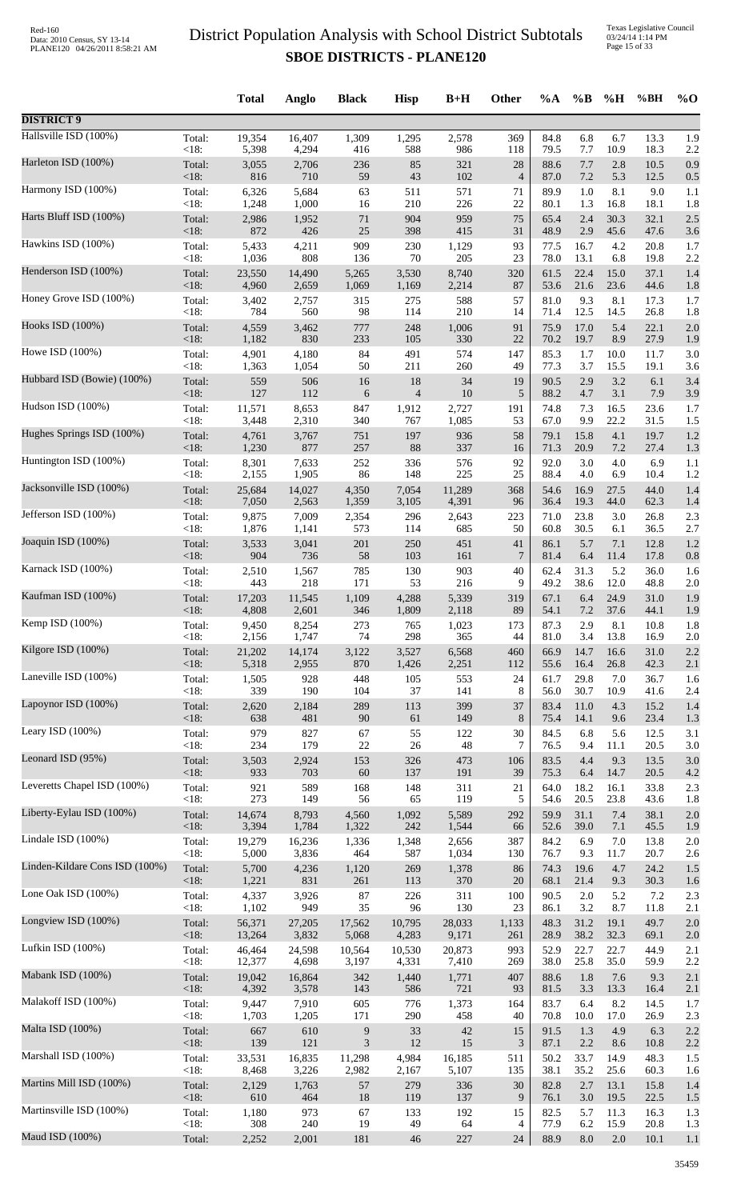|                                |         | <b>Total</b> | Anglo  | <b>Black</b>     | <b>Hisp</b>    | $B+H$  | <b>Other</b>   | $\%A$ | $\%$ B  | %H      | %BH  | $%$ <sup>O</sup> |
|--------------------------------|---------|--------------|--------|------------------|----------------|--------|----------------|-------|---------|---------|------|------------------|
| <b>DISTRICT 9</b>              |         |              |        |                  |                |        |                |       |         |         |      |                  |
| Hallsville ISD (100%)          | Total:  | 19,354       | 16,407 | 1,309            | 1,295          | 2,578  | 369            | 84.8  | 6.8     | 6.7     | 13.3 | 1.9              |
| Harleton ISD (100%)            | <18:    | 5,398        | 4,294  | 416              | 588            | 986    | 118            | 79.5  | 7.7     | 10.9    | 18.3 | 2.2              |
|                                | Total:  | 3,055        | 2,706  | 236              | 85             | 321    | 28             | 88.6  | 7.7     | 2.8     | 10.5 | 0.9              |
| Harmony ISD (100%)             | <18:    | 816          | 710    | 59               | 43             | 102    | $\overline{4}$ | 87.0  | 7.2     | 5.3     | 12.5 | 0.5              |
|                                | Total:  | 6,326        | 5,684  | 63               | 511            | 571    | 71             | 89.9  | 1.0     | 8.1     | 9.0  | 1.1              |
|                                | < 18:   | 1,248        | 1,000  | 16               | 210            | 226    | 22             | 80.1  | 1.3     | 16.8    | 18.1 | 1.8              |
| Harts Bluff ISD (100%)         | Total:  | 2,986        | 1,952  | $71\,$           | 904            | 959    | 75             | 65.4  | 2.4     | 30.3    | 32.1 | 2.5              |
|                                | $<18$ : | 872          | 426    | 25               | 398            | 415    | 31             | 48.9  | 2.9     | 45.6    | 47.6 | 3.6              |
| Hawkins ISD (100%)             | Total:  | 5,433        | 4,211  | 909              | 230            | 1,129  | 93             | 77.5  | 16.7    | 4.2     | 20.8 | 1.7              |
| Henderson ISD (100%)           | $<18$ : | 1,036        | 808    | 136              | 70             | 205    | 23             | 78.0  | 13.1    | 6.8     | 19.8 | 2.2              |
|                                | Total:  | 23,550       | 14,490 | 5,265            | 3,530          | 8,740  | 320            | 61.5  | 22.4    | 15.0    | 37.1 | 1.4              |
|                                | <18:    | 4,960        | 2,659  | 1,069            | 1,169          | 2,214  | 87             | 53.6  | 21.6    | 23.6    | 44.6 | 1.8              |
| Honey Grove ISD (100%)         | Total:  | 3,402        | 2,757  | 315              | 275            | 588    | 57             | 81.0  | 9.3     | 8.1     | 17.3 | 1.7              |
|                                | <18:    | 784          | 560    | 98               | 114            | 210    | 14             | 71.4  | 12.5    | 14.5    | 26.8 | 1.8              |
| Hooks ISD (100%)               | Total:  | 4,559        | 3,462  | 777              | 248            | 1,006  | 91             | 75.9  | 17.0    | 5.4     | 22.1 | 2.0              |
|                                | <18:    | 1,182        | 830    | 233              | 105            | 330    | 22             | 70.2  | 19.7    | 8.9     | 27.9 | 1.9              |
| Howe ISD (100%)                | Total:  | 4,901        | 4,180  | 84               | 491            | 574    | 147            | 85.3  | 1.7     | 10.0    | 11.7 | 3.0              |
| Hubbard ISD (Bowie) (100%)     | <18:    | 1,363        | 1,054  | 50               | 211            | 260    | 49             | 77.3  | 3.7     | 15.5    | 19.1 | 3.6              |
|                                | Total:  | 559          | 506    | 16               | 18             | 34     | 19             | 90.5  | 2.9     | 3.2     | 6.1  | 3.4              |
| Hudson ISD (100%)              | $<18$ : | 127          | 112    | 6                | $\overline{4}$ | 10     | 5              | 88.2  | 4.7     | 3.1     | 7.9  | 3.9              |
|                                | Total:  | 11,571       | 8,653  | 847              | 1,912          | 2,727  | 191            | 74.8  | 7.3     | 16.5    | 23.6 | 1.7              |
|                                | <18:    | 3,448        | 2,310  | 340              | 767            | 1,085  | 53             | 67.0  | 9.9     | 22.2    | 31.5 | 1.5              |
| Hughes Springs ISD (100%)      | Total:  | 4,761        | 3,767  | 751              | 197            | 936    | 58             | 79.1  | 15.8    | 4.1     | 19.7 | 1.2              |
|                                | <18:    | 1,230        | 877    | 257              | 88             | 337    | 16             | 71.3  | 20.9    | 7.2     | 27.4 | 1.3              |
| Huntington ISD (100%)          | Total:  | 8,301        | 7,633  | 252              | 336            | 576    | 92             | 92.0  | 3.0     | 4.0     | 6.9  | 1.1              |
| Jacksonville ISD (100%)        | <18:    | 2,155        | 1,905  | 86               | 148            | 225    | 25             | 88.4  | 4.0     | 6.9     | 10.4 | 1.2              |
|                                | Total:  | 25,684       | 14,027 | 4,350            | 7,054          | 11,289 | 368            | 54.6  | 16.9    | 27.5    | 44.0 | 1.4              |
|                                | <18:    | 7,050        | 2,563  | 1,359            | 3,105          | 4,391  | 96             | 36.4  | 19.3    | 44.0    | 62.3 | 1.4              |
| Jefferson ISD (100%)           | Total:  | 9,875        | 7,009  | 2,354            | 296            | 2,643  | 223            | 71.0  | 23.8    | 3.0     | 26.8 | 2.3              |
|                                | <18:    | 1,876        | 1,141  | 573              | 114            | 685    | 50             | 60.8  | 30.5    | 6.1     | 36.5 | 2.7              |
| Joaquin ISD (100%)             | Total:  | 3,533        | 3,041  | 201              | 250            | 451    | 41             | 86.1  | 5.7     | 7.1     | 12.8 | 1.2              |
| Karnack ISD (100%)             | <18:    | 904          | 736    | 58               | 103            | 161    | $\overline{7}$ | 81.4  | 6.4     | 11.4    | 17.8 | 0.8              |
|                                | Total:  | 2,510        | 1,567  | 785              | 130            | 903    | 40             | 62.4  | 31.3    | 5.2     | 36.0 | 1.6              |
| Kaufman ISD (100%)             | <18:    | 443          | 218    | 171              | 53             | 216    | 9              | 49.2  | 38.6    | 12.0    | 48.8 | 2.0              |
|                                | Total:  | 17,203       | 11,545 | 1,109            | 4,288          | 5,339  | 319            | 67.1  | 6.4     | 24.9    | 31.0 | 1.9              |
|                                | $<18$ : | 4,808        | 2,601  | 346              | 1,809          | 2,118  | 89             | 54.1  | $7.2\,$ | 37.6    | 44.1 | 1.9              |
| Kemp ISD (100%)                | Total:  | 9,450        | 8,254  | 273              | 765            | 1,023  | 173            | 87.3  | 2.9     | 8.1     | 10.8 | 1.8              |
|                                | <18:    | 2,156        | 1,747  | 74               | 298            | 365    | 44             | 81.0  | 3.4     | 13.8    | 16.9 | 2.0              |
| Kilgore ISD (100%)             | Total:  | 21,202       | 14,174 | 3,122            | 3,527          | 6,568  | 460            | 66.9  | 14.7    | 16.6    | 31.0 | 2.2              |
| Laneville ISD (100%)           | <18:    | 5,318        | 2,955  | 870              | 1,426          | 2,251  | 112            | 55.6  | 16.4    | 26.8    | 42.3 | 2.1              |
|                                | Total:  | 1,505        | 928    | 448              | 105            | 553    | 24             | 61.7  | 29.8    | 7.0     | 36.7 | 1.6              |
| Lapoynor ISD (100%)            | <18:    | 339          | 190    | 104              | 37             | 141    | $\,8\,$        | 56.0  | 30.7    | 10.9    | 41.6 | 2.4              |
|                                | Total:  | 2,620        | 2,184  | 289              | 113            | 399    | 37             | 83.4  | 11.0    | 4.3     | 15.2 | 1.4              |
|                                | <18:    | 638          | 481    | 90               | 61             | 149    | 8              | 75.4  | 14.1    | 9.6     | 23.4 | 1.3              |
| Leary ISD (100%)               | Total:  | 979          | 827    | 67               | 55             | 122    | 30             | 84.5  | 6.8     | 5.6     | 12.5 | 3.1              |
|                                | <18:    | 234          | 179    | $22\,$           | $26\,$         | 48     | 7              | 76.5  | 9.4     | 11.1    | 20.5 | 3.0              |
| Leonard ISD (95%)              | Total:  | 3,503        | 2,924  | 153              | 326            | 473    | 106            | 83.5  | 4.4     | 9.3     | 13.5 | 3.0              |
| Leveretts Chapel ISD (100%)    | $<18$ : | 933          | 703    | 60               | 137            | 191    | 39             | 75.3  | 6.4     | 14.7    | 20.5 | 4.2              |
|                                | Total:  | 921          | 589    | 168              | 148            | 311    | 21             | 64.0  | 18.2    | 16.1    | 33.8 | 2.3              |
| Liberty-Eylau ISD (100%)       | <18:    | 273          | 149    | 56               | 65             | 119    | 5              | 54.6  | 20.5    | 23.8    | 43.6 | 1.8              |
|                                | Total:  | 14,674       | 8,793  | 4,560            | 1,092          | 5,589  | 292            | 59.9  | 31.1    | 7.4     | 38.1 | 2.0              |
|                                | <18:    | 3,394        | 1,784  | 1,322            | 242            | 1,544  | 66             | 52.6  | 39.0    | 7.1     | 45.5 | 1.9              |
| Lindale ISD (100%)             | Total:  | 19,279       | 16,236 | 1,336            | 1,348          | 2,656  | 387            | 84.2  | 6.9     | 7.0     | 13.8 | 2.0              |
|                                | <18:    | 5,000        | 3,836  | 464              | 587            | 1,034  | 130            | 76.7  | 9.3     | 11.7    | 20.7 | 2.6              |
| Linden-Kildare Cons ISD (100%) | Total:  | 5,700        | 4,236  | 1,120            | 269            | 1,378  | 86             | 74.3  | 19.6    | 4.7     | 24.2 | 1.5              |
| Lone Oak ISD (100%)            | <18:    | 1,221        | 831    | 261              | 113            | 370    | $20\,$         | 68.1  | 21.4    | 9.3     | 30.3 | 1.6              |
|                                | Total:  | 4,337        | 3,926  | 87               | 226            | 311    | 100            | 90.5  | $2.0\,$ | 5.2     | 7.2  | 2.3              |
| Longview ISD (100%)            | <18:    | 1,102        | 949    | 35               | 96             | 130    | 23             | 86.1  | 3.2     | 8.7     | 11.8 | 2.1              |
|                                | Total:  | 56,371       | 27,205 | 17,562           | 10,795         | 28,033 | 1,133          | 48.3  | 31.2    | 19.1    | 49.7 | 2.0              |
|                                | <18:    | 13,264       | 3,832  | 5,068            | 4,283          | 9,171  | 261            | 28.9  | 38.2    | 32.3    | 69.1 | 2.0              |
| Lufkin ISD $(100\%)$           | Total:  | 46,464       | 24,598 | 10,564           | 10,530         | 20,873 | 993            | 52.9  | 22.7    | 22.7    | 44.9 | 2.1              |
|                                | <18:    | 12,377       | 4,698  | 3,197            | 4,331          | 7,410  | 269            | 38.0  | 25.8    | 35.0    | 59.9 | 2.2              |
| Mabank ISD (100%)              | Total:  | 19,042       | 16,864 | 342              | 1,440          | 1,771  | 407            | 88.6  | 1.8     | 7.6     | 9.3  | 2.1              |
| Malakoff ISD (100%)            | <18:    | 4,392        | 3,578  | 143              | 586            | 721    | 93             | 81.5  | 3.3     | 13.3    | 16.4 | 2.1              |
|                                | Total:  | 9,447        | 7,910  | 605              | 776            | 1,373  | 164            | 83.7  | 6.4     | 8.2     | 14.5 | 1.7              |
| Malta ISD (100%)               | <18:    | 1,703        | 1,205  | 171              | 290            | 458    | 40             | 70.8  | 10.0    | 17.0    | 26.9 | 2.3              |
|                                | Total:  | 667          | 610    | $\boldsymbol{9}$ | 33             | 42     | 15             | 91.5  | 1.3     | 4.9     | 6.3  | 2.2              |
|                                | <18:    | 139          | 121    | 3                | 12             | 15     | 3              | 87.1  | 2.2     | 8.6     | 10.8 | 2.2              |
| Marshall ISD (100%)            | Total:  | 33,531       | 16,835 | 11,298           | 4,984          | 16,185 | 511            | 50.2  | 33.7    | 14.9    | 48.3 | 1.5              |
|                                | <18:    | 8,468        | 3,226  | 2,982            | 2,167          | 5,107  | 135            | 38.1  | 35.2    | 25.6    | 60.3 | 1.6              |
| Martins Mill ISD (100%)        | Total:  | 2,129        | 1,763  | 57               | 279            | 336    | 30             | 82.8  | 2.7     | 13.1    | 15.8 | 1.4              |
| Martinsville ISD (100%)        | <18:    | 610          | 464    | 18               | 119            | 137    | 9              | 76.1  | 3.0     | 19.5    | 22.5 | 1.5              |
|                                | Total:  | 1,180        | 973    | 67               | 133            | 192    | 15             | 82.5  | 5.7     | 11.3    | 16.3 | 1.3              |
| Maud ISD (100%)                | <18:    | 308          | 240    | 19               | 49             | 64     | 4              | 77.9  | 6.2     | 15.9    | 20.8 | 1.3              |
|                                | Total:  | 2,252        | 2,001  | 181              | 46             | 227    | 24             | 88.9  | 8.0     | $2.0\,$ | 10.1 | 1.1              |
|                                |         |              |        |                  |                |        |                |       |         |         |      |                  |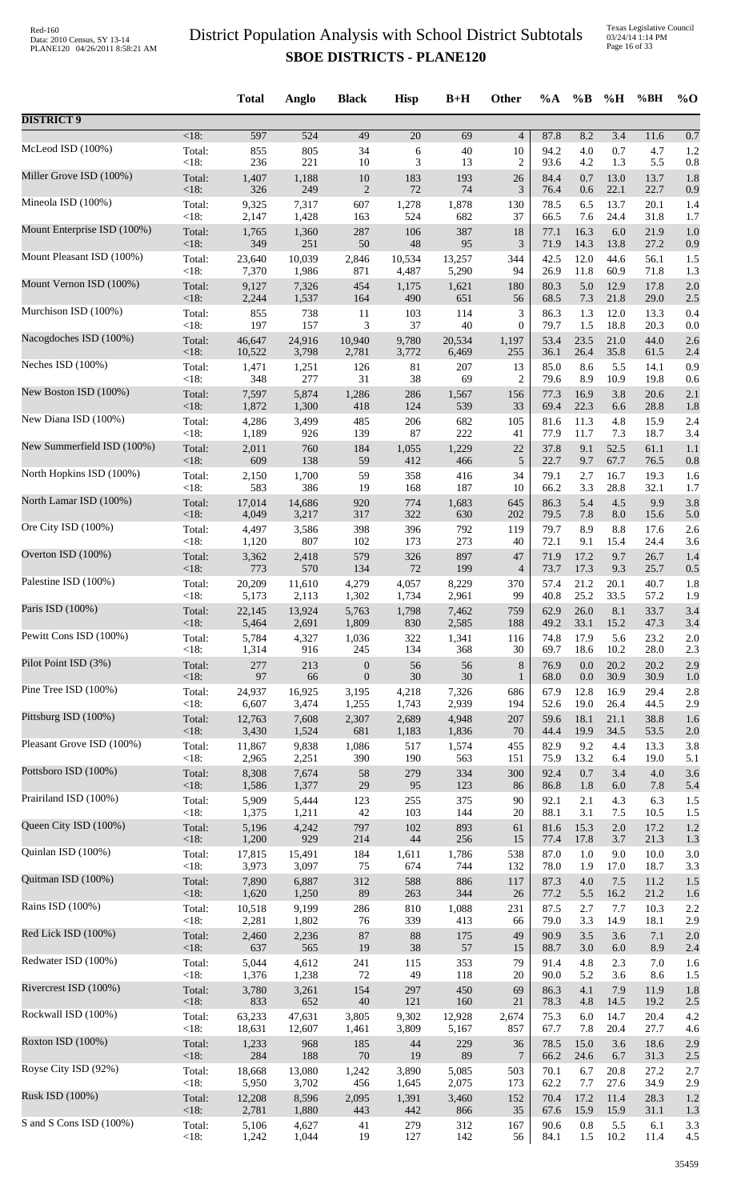Texas Legislative Council 03/24/14 1:14 PM Page 16 of 33

|                             |                   | <b>Total</b>    | Anglo          | <b>Black</b>                         | <b>Hisp</b>     | $B+H$        | Other                       | $\%A$        | $\%$ B         | %H               | %BH          | $\%$ O     |
|-----------------------------|-------------------|-----------------|----------------|--------------------------------------|-----------------|--------------|-----------------------------|--------------|----------------|------------------|--------------|------------|
| <b>DISTRICT 9</b>           |                   |                 |                |                                      |                 |              |                             |              |                |                  |              |            |
|                             | $<18$ :           | 597             | 524            | 49                                   | $\overline{20}$ | 69           | $\overline{4}$              | 87.8         | 8.2            | $\overline{3.4}$ | 11.6         | 0.7        |
| McLeod ISD (100%)           | Total:            | 855             | 805            | 34                                   | 6               | 40           | 10                          | 94.2         | 4.0            | 0.7              | 4.7          | 1.2        |
|                             | < 18:             | 236             | 221            | 10                                   | 3               | 13           | 2                           | 93.6         | 4.2            | 1.3              | 5.5          | 0.8        |
| Miller Grove ISD (100%)     | Total:            | 1,407           | 1,188          | $10\,$                               | 183             | 193          | 26                          | 84.4         | 0.7            | 13.0             | 13.7         | 1.8        |
|                             | <18:              | 326             | 249            | $\sqrt{2}$                           | 72              | 74           | 3                           | 76.4         | 0.6            | 22.1             | 22.7         | 0.9        |
| Mineola ISD (100%)          | Total:            | 9,325           | 7,317          | 607                                  | 1,278           | 1,878        | 130                         | 78.5         | 6.5            | 13.7             | 20.1         | 1.4        |
| Mount Enterprise ISD (100%) | < 18:             | 2,147           | 1,428          | 163                                  | 524             | 682          | 37                          | 66.5         | 7.6            | 24.4             | 31.8         | 1.7        |
|                             | Total:            | 1,765           | 1,360          | 287                                  | 106             | 387          | 18                          | 77.1         | 16.3           | 6.0              | 21.9         | 1.0        |
| Mount Pleasant ISD (100%)   | < 18:             | 349             | 251            | 50                                   | 48              | 95           | 3                           | 71.9         | 14.3           | 13.8             | 27.2         | 0.9        |
|                             | Total:            | 23,640          | 10,039         | 2,846                                | 10,534          | 13,257       | 344                         | 42.5         | 12.0           | 44.6             | 56.1         | 1.5        |
|                             | <18:              | 7,370           | 1,986          | 871                                  | 4,487           | 5,290        | 94                          | 26.9         | 11.8           | 60.9             | 71.8         | 1.3        |
| Mount Vernon ISD (100%)     | Total:            | 9,127           | 7,326          | 454                                  | 1,175           | 1,621        | 180                         | 80.3         | 5.0            | 12.9             | 17.8         | 2.0        |
|                             | < 18:             | 2,244           | 1,537          | 164                                  | 490             | 651          | 56                          | 68.5         | 7.3            | 21.8             | 29.0         | 2.5        |
| Murchison ISD (100%)        | Total:            | 855             | 738            | 11                                   | 103             | 114          | $\ensuremath{\mathfrak{Z}}$ | 86.3         | 1.3            | 12.0             | 13.3         | 0.4        |
|                             | $<18$ :           | 197             | 157            | 3                                    | 37              | 40           | $\boldsymbol{0}$            | 79.7         | 1.5            | 18.8             | 20.3         | 0.0        |
| Nacogdoches ISD (100%)      | Total:            | 46,647          | 24,916         | 10,940                               | 9,780           | 20,534       | 1,197                       | 53.4         | 23.5<br>26.4   | 21.0<br>35.8     | 44.0         | 2.6        |
| Neches ISD (100%)           | $<18$ :<br>Total: | 10,522<br>1,471 | 3,798<br>1,251 | 2,781<br>126                         | 3,772<br>81     | 6,469<br>207 | 255<br>13                   | 36.1<br>85.0 | 8.6            | 5.5              | 61.5<br>14.1 | 2.4<br>0.9 |
| New Boston ISD (100%)       | < 18:             | 348             | 277            | 31                                   | $38\,$          | 69           | $\overline{c}$              | 79.6         | 8.9            | 10.9             | 19.8         | 0.6        |
|                             | Total:            | 7,597           | 5,874          | 1,286                                | 286             | 1,567        | 156                         | 77.3         | 16.9           | 3.8              | 20.6         | 2.1        |
| New Diana ISD (100%)        | < 18:             | 1,872           | 1,300          | 418                                  | 124             | 539          | 33                          | 69.4         | 22.3           | 6.6              | 28.8         | 1.8        |
|                             | Total:            | 4,286           | 3,499          | 485                                  | 206             | 682          | 105                         | 81.6         | 11.3           | 4.8              | 15.9         | 2.4        |
|                             | < 18:             | 1,189           | 926            | 139                                  | 87              | 222          | 41                          | 77.9         | 11.7           | 7.3              | 18.7         | 3.4        |
| New Summerfield ISD (100%)  | Total:            | 2,011           | 760            | 184                                  | 1,055           | 1,229        | 22                          | 37.8         | 9.1            | 52.5             | 61.1         | 1.1        |
|                             | <18:              | 609             | 138            | 59                                   | 412             | 466          | $\sqrt{5}$                  | 22.7         | 9.7            | 67.7             | 76.5         | 0.8        |
| North Hopkins ISD (100%)    | Total:            | 2,150           | 1,700          | 59                                   | 358             | 416          | 34                          | 79.1         | 2.7            | 16.7             | 19.3         | 1.6        |
|                             | < 18:             | 583             | 386            | 19                                   | 168             | 187          | 10                          | 66.2         | 3.3            | 28.8             | 32.1         | 1.7        |
| North Lamar ISD (100%)      | Total:            | 17,014          | 14,686         | 920                                  | 774             | 1,683        | 645                         | 86.3         | 5.4            | 4.5              | 9.9          | 3.8        |
| Ore City ISD (100%)         | <18:              | 4,049           | 3,217          | 317                                  | 322             | 630          | 202                         | 79.5         | 7.8            | 8.0              | 15.6         | 5.0        |
|                             | Total:            | 4,497           | 3,586          | 398                                  | 396             | 792          | 119                         | 79.7         | 8.9            | 8.8              | 17.6         | 2.6        |
| Overton ISD (100%)          | < 18:             | 1,120           | 807            | 102                                  | 173             | 273          | 40                          | 72.1         | 9.1            | 15.4             | 24.4         | 3.6        |
|                             | Total:            | 3,362           | 2,418          | 579                                  | 326             | 897          | 47                          | 71.9         | 17.2           | 9.7              | 26.7         | 1.4        |
| Palestine ISD (100%)        | $<18$ :           | 773             | 570            | 134                                  | 72              | 199          | $\overline{4}$              | 73.7         | 17.3           | 9.3              | 25.7         | 0.5        |
|                             | Total:            | 20,209          | 11,610         | 4,279                                | 4,057           | 8,229        | 370                         | 57.4         | 21.2           | 20.1             | 40.7         | 1.8        |
|                             | <18:              | 5,173           | 2,113          | 1,302                                | 1,734           | 2,961        | 99                          | 40.8         | 25.2           | 33.5             | 57.2         | 1.9        |
| Paris ISD (100%)            | Total:            | 22,145          | 13,924         | 5,763                                | 1,798           | 7,462        | 759                         | 62.9         | 26.0           | 8.1              | 33.7         | 3.4        |
|                             | <18:              | 5,464           | 2,691          | 1,809                                | 830             | 2,585        | 188                         | 49.2         | 33.1           | 15.2             | 47.3         | 3.4        |
| Pewitt Cons ISD (100%)      | Total:            | 5,784           | 4,327          | 1,036                                | 322             | 1,341        | 116                         | 74.8         | 17.9           | 5.6              | 23.2         | 2.0        |
|                             | < 18:             | 1,314           | 916            | 245                                  | 134             | 368          | 30                          | 69.7         | 18.6           | 10.2             | 28.0         | 2.3        |
| Pilot Point ISD (3%)        | Total:<br><18:    | 277<br>97       | 213<br>66      | $\boldsymbol{0}$<br>$\boldsymbol{0}$ | 56<br>$30\,$    | 56<br>30     | $\,$ 8 $\,$<br>$\mathbf{1}$ | 76.9<br>68.0 | 0.0<br>$0.0\,$ | 20.2<br>30.9     | 20.2<br>30.9 | 2.9        |
| Pine Tree ISD (100%)        | Total:            | 24,937          | 16,925         | 3,195                                | 4,218           | 7,326        | 686                         | 67.9         | 12.8           | 16.9             | 29.4         | 1.0<br>2.8 |
| Pittsburg ISD (100%)        | < 18:             | 6,607           | 3,474          | 1,255                                | 1,743           | 2,939        | 194                         | 52.6         | 19.0           | 26.4             | 44.5         | 2.9        |
|                             | Total:            | 12,763          | 7,608          | 2,307                                | 2,689           | 4,948        | 207                         | 59.6         | 18.1           | 21.1             | 38.8         | 1.6        |
| Pleasant Grove ISD (100%)   | < 18:             | 3,430           | 1,524          | 681                                  | 1,183           | 1,836        | 70                          | 44.4         | 19.9           | 34.5             | 53.5         | 2.0        |
|                             | Total:            | 11,867          | 9,838          | 1,086                                | 517             | 1,574        | 455                         | 82.9         | 9.2            | 4.4              | 13.3         | 3.8        |
| Pottsboro ISD (100%)        | < 18:             | 2,965           | 2,251          | 390                                  | 190             | 563          | 151                         | 75.9         | 13.2           | 6.4              | 19.0         | 5.1        |
|                             | Total:            | 8,308           | 7,674          | 58                                   | 279             | 334          | 300                         | 92.4         | 0.7            | 3.4              | 4.0          | 3.6        |
|                             | < 18:             | 1,586           | 1,377          | 29                                   | 95              | 123          | 86                          | 86.8         | 1.8            | 6.0              | 7.8          | 5.4        |
| Prairiland ISD (100%)       | Total:            | 5,909           | 5,444          | 123                                  | 255             | 375          | 90                          | 92.1         | 2.1            | 4.3              | 6.3          | 1.5        |
|                             | < 18:             | 1,375           | 1,211          | 42                                   | 103             | 144          | 20                          | 88.1         | 3.1            | 7.5              | 10.5         | 1.5        |
| Queen City ISD (100%)       | Total:<br><18:    | 5,196<br>1,200  | 4,242<br>929   | 797<br>214                           | 102<br>44       | 893<br>256   | 61<br>15                    | 81.6<br>77.4 | 15.3<br>17.8   | $2.0\,$<br>3.7   | 17.2<br>21.3 | 1.2        |
| Quinlan ISD (100%)          | Total:            | 17,815          | 15,491         | 184                                  | 1,611           | 1,786        | 538                         | 87.0         | $1.0\,$        | 9.0              | 10.0         | 1.3<br>3.0 |
| Quitman ISD (100%)          | < 18:             | 3,973           | 3,097          | 75                                   | 674             | 744          | 132                         | 78.0         | 1.9            | 17.0             | 18.7         | 3.3        |
|                             | Total:            | 7,890           | 6,887          | 312                                  | 588             | 886          | 117                         | 87.3         | 4.0            | 7.5              | 11.2         | 1.5        |
| Rains ISD (100%)            | < 18:             | 1,620           | 1,250<br>9,199 | 89<br>286                            | 263<br>810      | 344<br>1,088 | 26<br>231                   | 77.2<br>87.5 | 5.5<br>2.7     | 16.2<br>7.7      | 21.2         | 1.6<br>2.2 |
|                             | Total:<br>< 18:   | 10,518<br>2,281 | 1,802          | 76                                   | 339             | 413          | 66                          | 79.0         | 3.3            | 14.9             | 10.3<br>18.1 | 2.9        |
| Red Lick ISD (100%)         | Total:            | 2,460           | 2,236          | 87                                   | $88\,$          | 175          | 49                          | 90.9         | 3.5            | 3.6              | 7.1          | 2.0        |
|                             | <18:              | 637             | 565            | 19                                   | 38              | 57           | 15                          | 88.7         | $3.0\,$        | 6.0              | 8.9          | 2.4        |
| Redwater ISD (100%)         | Total:            | 5,044           | 4,612          | 241                                  | 115             | 353          | 79                          | 91.4         | 4.8            | 2.3              | 7.0          | 1.6        |
|                             | < 18:             | 1,376           | 1,238          | 72                                   | 49              | 118          | 20                          | 90.0         | 5.2            | 3.6              | 8.6          | 1.5        |
| Rivercrest ISD (100%)       | Total:            | 3,780           | 3,261          | 154                                  | 297             | 450          | 69                          | 86.3         | 4.1            | 7.9              | 11.9         | 1.8        |
|                             | < 18:             | 833             | 652            | $40\,$                               | 121             | 160          | 21                          | 78.3         | 4.8            | 14.5             | 19.2         | 2.5        |
| Rockwall ISD (100%)         | Total:            | 63,233          | 47,631         | 3,805                                | 9,302           | 12,928       | 2,674                       | 75.3         | 6.0            | 14.7             | 20.4         | 4.2        |
| Roxton ISD (100%)           | < 18:             | 18,631          | 12,607         | 1,461                                | 3,809           | 5,167        | 857                         | 67.7         | 7.8            | 20.4             | 27.7         | 4.6        |
|                             | Total:            | 1,233           | 968            | 185                                  | 44              | 229          | 36                          | 78.5         | 15.0           | 3.6              | 18.6         | 2.9        |
| Royse City ISD (92%)        | < 18:             | 284             | 188            | $70\,$                               | 19              | 89           | 7                           | 66.2         | 24.6           | 6.7              | 31.3         | 2.5        |
|                             | Total:            | 18,668          | 13,080         | 1,242                                | 3,890           | 5,085        | 503                         | 70.1         | 6.7            | 20.8             | 27.2         | 2.7        |
|                             | < 18:             | 5,950           | 3,702          | 456                                  | 1,645           | 2,075        | 173                         | 62.2         | 7.7            | 27.6             | 34.9         | 2.9        |
| Rusk ISD (100%)             | Total:            | 12,208          | 8,596          | 2,095                                | 1,391           | 3,460        | 152                         | 70.4         | 17.2           | 11.4             | 28.3         | 1.2        |
|                             | < 18:             | 2,781           | 1,880          | 443                                  | 442             | 866          | 35                          | 67.6         | 15.9           | 15.9             | 31.1         | 1.3        |
| S and S Cons ISD (100%)     | Total:            | 5,106           | 4,627          | 41                                   | 279             | 312          | 167                         | 90.6         | $0.8\,$        | 5.5              | 6.1          | 3.3        |
|                             | < 18:             | 1,242           | 1,044          | 19                                   | 127             | 142          | 56                          | 84.1         | 1.5            | 10.2             | 11.4         | 4.5        |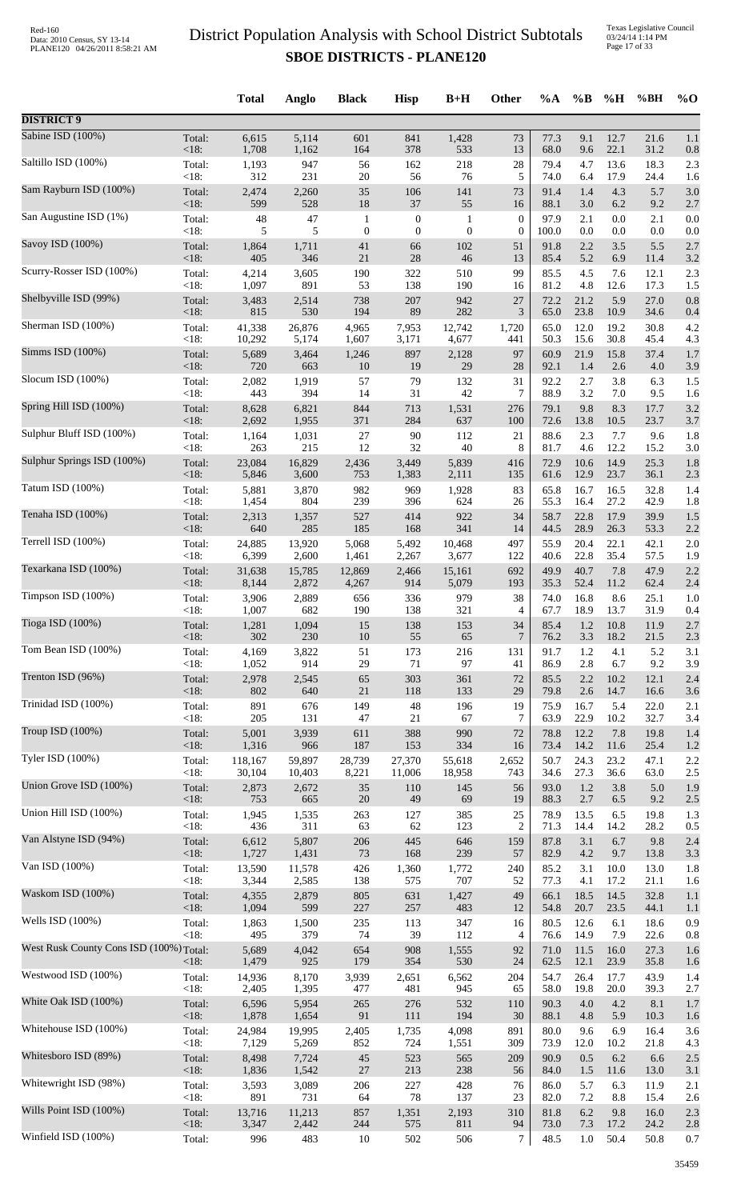|                                         |                   | <b>Total</b>   | Anglo          | <b>Black</b>     | <b>Hisp</b>      | $B+H$            | <b>Other</b>     | $\%A$        | $\%B$       | %H          | %BH         | $\%$ O     |
|-----------------------------------------|-------------------|----------------|----------------|------------------|------------------|------------------|------------------|--------------|-------------|-------------|-------------|------------|
| <b>DISTRICT 9</b>                       |                   |                |                |                  |                  |                  |                  |              |             |             |             |            |
| Sabine ISD (100%)                       | Total:            | 6,615          | 5,114          | 601              | 841              | 1,428            | 73               | 77.3         | 9.1         | 12.7        | 21.6        | 1.1        |
| Saltillo ISD (100%)                     | <18:              | 1,708          | 1,162          | 164              | 378              | 533              | 13               | 68.0         | 9.6         | 22.1        | 31.2        | 0.8        |
|                                         | Total:            | 1,193          | 947            | 56               | 162              | 218              | 28               | 79.4         | 4.7         | 13.6        | 18.3        | 2.3        |
| Sam Rayburn ISD (100%)                  | < 18:             | 312            | 231            | $20\,$           | 56               | 76               | 5                | 74.0         | 6.4         | 17.9        | 24.4        | 1.6        |
|                                         | Total:            | 2,474          | 2,260          | $35\,$           | 106              | 141              | 73               | 91.4         | 1.4         | 4.3         | 5.7         | 3.0        |
|                                         | <18:              | 599            | 528            | 18               | 37               | 55               | 16               | 88.1         | 3.0         | 6.2         | 9.2         | 2.7        |
| San Augustine ISD (1%)                  | Total:            | 48             | 47             | $\mathbf{1}$     | $\boldsymbol{0}$ | $\mathbf{1}$     | $\boldsymbol{0}$ | 97.9         | 2.1         | 0.0         | 2.1         | 0.0        |
|                                         | <18:              | 5              | 5              | $\boldsymbol{0}$ | $\overline{0}$   | $\boldsymbol{0}$ | $\boldsymbol{0}$ | 100.0        | 0.0         | 0.0         | 0.0         | 0.0        |
| Savoy ISD (100%)                        | Total:            | 1,864          | 1,711          | 41               | 66               | 102              | 51               | 91.8         | 2.2         | 3.5         | 5.5         | 2.7        |
|                                         | <18:              | 405            | 346            | 21               | 28               | 46               | 13               | 85.4         | 5.2         | 6.9         | 11.4        | 3.2        |
| Scurry-Rosser ISD (100%)                | Total:            | 4,214          | 3,605          | 190              | 322              | 510              | 99               | 85.5         | 4.5         | 7.6         | 12.1        | 2.3        |
|                                         | < 18:             | 1,097          | 891            | 53               | 138              | 190              | 16               | 81.2         | 4.8         | 12.6        | 17.3        | 1.5        |
| Shelbyville ISD (99%)                   | Total:            | 3,483          | 2,514          | 738              | 207              | 942              | 27               | 72.2         | 21.2        | 5.9         | 27.0        | 0.8        |
|                                         | <18:              | 815            | 530            | 194              | 89               | 282              | 3                | 65.0         | 23.8        | 10.9        | 34.6        | 0.4        |
| Sherman ISD (100%)                      | Total:            | 41,338         | 26,876         | 4,965            | 7,953            | 12,742           | 1,720            | 65.0         | 12.0        | 19.2        | 30.8        | 4.2        |
|                                         | < 18:             | 10,292         | 5,174          | 1,607            | 3,171            | 4,677            | 441              | 50.3         | 15.6        | 30.8        | 45.4        | 4.3        |
| Simms ISD (100%)                        | Total:<br>$<18$ : | 5,689<br>720   | 3,464<br>663   | 1,246<br>10      | 897<br>19        | 2,128<br>29      | 97<br>28         | 60.9<br>92.1 | 21.9<br>1.4 | 15.8        | 37.4        | 1.7        |
| Slocum ISD (100%)                       | Total:            | 2,082          | 1,919          | 57               | 79               | 132              | 31               | 92.2         | 2.7         | 2.6<br>3.8  | 4.0<br>6.3  | 3.9<br>1.5 |
| Spring Hill ISD (100%)                  | < 18:             | 443            | 394            | 14               | 31               | 42               | 7                | 88.9         | 3.2         | 7.0         | 9.5         | 1.6        |
|                                         | Total:            | 8,628          | 6,821          | 844              | 713              | 1,531            | 276              | 79.1         | 9.8         | 8.3         | 17.7        | 3.2        |
|                                         | <18:              | 2,692          | 1,955          | 371              | 284              | 637              | 100              | 72.6         | 13.8        | 10.5        | 23.7        | 3.7        |
| Sulphur Bluff ISD (100%)                | Total:            | 1,164          | 1,031          | $27\,$           | 90               | 112              | 21               | 88.6         | 2.3         | 7.7         | 9.6         | 1.8        |
|                                         | <18:              | 263            | 215            | 12               | 32               | 40               | 8                | 81.7         | 4.6         | 12.2        | 15.2        | 3.0        |
| Sulphur Springs ISD (100%)              | Total:            | 23,084         | 16,829         | 2,436            | 3,449            | 5,839            | 416              | 72.9         | 10.6        | 14.9        | 25.3        | 1.8        |
|                                         | <18:              | 5,846          | 3,600          | 753              | 1,383            | 2,111            | 135              | 61.6         | 12.9        | 23.7        | 36.1        | 2.3        |
| Tatum ISD (100%)                        | Total:            | 5,881          | 3,870          | 982              | 969              | 1,928            | 83               | 65.8         | 16.7        | 16.5        | 32.8        | 1.4        |
| Tenaha ISD (100%)                       | $<18$ :           | 1,454          | 804            | 239              | 396              | 624              | 26               | 55.3         | 16.4        | 27.2        | 42.9        | 1.8        |
|                                         | Total:            | 2,313          | 1,357          | 527              | 414              | 922              | 34               | 58.7         | 22.8        | 17.9        | 39.9        | 1.5        |
| Terrell ISD (100%)                      | < 18:             | 640            | 285            | 185              | 168              | 341              | 14               | 44.5         | 28.9        | 26.3        | 53.3        | 2.2        |
|                                         | Total:            | 24,885         | 13,920         | 5,068            | 5,492            | 10,468           | 497              | 55.9         | 20.4        | 22.1        | 42.1        | 2.0        |
|                                         | $<18$ :           | 6,399          | 2,600          | 1,461            | 2,267            | 3,677            | 122              | 40.6         | 22.8        | 35.4        | 57.5        | 1.9        |
| Texarkana ISD (100%)                    | Total:            | 31,638         | 15,785         | 12,869           | 2,466            | 15,161           | 692              | 49.9         | 40.7        | 7.8         | 47.9        | 2.2        |
|                                         | <18:              | 8,144          | 2,872          | 4,267            | 914              | 5,079            | 193              | 35.3         | 52.4        | 11.2        | 62.4        | 2.4        |
| Timpson ISD (100%)                      | Total:            | 3,906          | 2,889          | 656              | 336              | 979              | 38               | 74.0         | 16.8        | 8.6         | 25.1        | 1.0        |
|                                         | <18:              | 1,007          | 682            | 190              | 138              | 321              | 4                | 67.7         | 18.9        | 13.7        | 31.9        | 0.4        |
| Tioga ISD (100%)                        | Total:            | 1,281          | 1,094          | 15               | 138              | 153              | 34               | 85.4         | 1.2         | 10.8        | 11.9        | 2.7        |
|                                         | $<18$ :           | 302            | 230            | 10               | 55               | 65               | 7                | 76.2         | 3.3         | 18.2        | 21.5        | 2.3        |
| Tom Bean ISD (100%)                     | Total:            | 4,169          | 3,822          | 51               | 173              | 216              | 131              | 91.7         | 1.2         | 4.1         | 5.2         | 3.1        |
| Trenton ISD (96%)                       | < 18:             | 1,052          | 914            | 29               | 71               | 97               | 41               | 86.9         | 2.8         | 6.7         | 9.2         | 3.9        |
|                                         | Total:            | 2,978          | 2,545          | 65               | 303              | 361              | 72               | 85.5         | 2.2         | 10.2        | 12.1        | 2.4        |
|                                         | <18:              | 802            | 640            | $21\,$           | 118              | 133              | 29               | 79.8         | 2.6         | 14.7        | 16.6        | 3.6        |
| Trinidad ISD (100%)                     | Total:            | 891            | 676            | 149              | 48               | 196              | 19               | 75.9         | 16.7        | 5.4         | 22.0        | 2.1        |
|                                         | <18:              | 205            | 131            | 47               | 21               | 67               | 7                | 63.9         | 22.9        | 10.2        | 32.7        | 3.4        |
| Troup ISD (100%)                        | Total:            | 5,001          | 3,939          | 611              | 388              | 990              | 72               | 78.8         | 12.2        | 7.8         | 19.8        | 1.4        |
|                                         | <18:              | 1,316          | 966            | 187              | 153              | 334              | 16               | 73.4         | 14.2        | 11.6        | 25.4        | 1.2        |
| Tyler ISD (100%)                        | Total:            | 118,167        | 59,897         | 28,739           | 27,370           | 55,618           | 2,652            | 50.7         | 24.3        | 23.2        | 47.1        | 2.2        |
|                                         | <18:              | 30,104         | 10,403         | 8,221            | 11,006           | 18,958           | 743              | 34.6         | 27.3        | 36.6        | 63.0        | 2.5        |
| Union Grove ISD (100%)                  | Total:            | 2,873          | 2,672          | $35\,$           | 110              | 145              | 56               | 93.0         | 1.2         | 3.8         | 5.0         | 1.9        |
| Union Hill ISD (100%)                   | <18:              | 753            | 665            | $20\,$           | 49               | 69               | 19               | 88.3         | 2.7         | 6.5         | 9.2         | 2.5        |
|                                         | Total:            | 1,945          | 1,535          | 263              | 127              | 385              | 25               | 78.9         | 13.5        | 6.5         | 19.8        | 1.3        |
| Van Alstyne ISD (94%)                   | <18:              | 436            | 311            | 63               | 62               | 123              | $\overline{c}$   | 71.3         | 14.4        | 14.2        | 28.2        | 0.5        |
|                                         | Total:            | 6,612          | 5,807          | 206              | 445              | 646              | 159              | 87.8         | 3.1         | 6.7         | 9.8         | 2.4        |
|                                         | <18:              | 1,727          | 1,431          | 73               | 168              | 239              | 57               | 82.9         | 4.2         | 9.7         | 13.8        | 3.3        |
| Van ISD (100%)                          | Total:            | 13,590         | 11,578         | 426              | 1,360            | 1,772            | 240              | 85.2         | 3.1         | 10.0        | 13.0        | 1.8        |
|                                         | <18:              | 3,344          | 2,585          | 138              | 575              | 707              | 52               | 77.3         | 4.1         | 17.2        | 21.1        | 1.6        |
| Waskom ISD (100%)                       | Total:            | 4,355          | 2,879          | 805              | 631              | 1,427            | 49               | 66.1         | 18.5        | 14.5        | 32.8        | 1.1        |
|                                         | <18:              | 1,094          | 599            | 227              | 257              | 483              | 12               | 54.8         | 20.7        | 23.5        | 44.1        | 1.1        |
| Wells ISD (100%)                        | Total:            | 1,863          | 1,500          | 235              | 113              | 347              | 16               | 80.5         | 12.6        | 6.1         | 18.6        | 0.9        |
|                                         | $<18$ :           | 495            | 379            | 74               | 39               | 112              | 4                | 76.6         | 14.9        | 7.9         | 22.6        | 0.8        |
| West Rusk County Cons ISD (100%) Total: |                   | 5,689          | 4,042          | 654              | 908              | 1,555            | 92               | 71.0         | 11.5        | 16.0        | 27.3        | 1.6        |
| Westwood ISD (100%)                     | <18:              | 1,479          | 925            | 179              | 354              | 530              | 24               | 62.5         | 12.1        | 23.9        | 35.8        | 1.6        |
|                                         | Total:            | 14,936         | 8,170          | 3,939            | 2,651            | 6,562            | 204              | 54.7         | 26.4        | 17.7        | 43.9        | 1.4        |
| White Oak ISD (100%)                    | <18:<br>Total:    | 2,405<br>6,596 | 1,395<br>5,954 | 477<br>265       | 481<br>276       | 945<br>532       | 65               | 58.0<br>90.3 | 19.8<br>4.0 | 20.0<br>4.2 | 39.3<br>8.1 | 2.7        |
|                                         | $<18$ :           | 1,878          | 1,654          | 91               | 111              | 194              | 110<br>30        | 88.1         | 4.8         | 5.9         | 10.3        | 1.7<br>1.6 |
| Whitehouse ISD (100%)                   | Total:            | 24,984         | 19,995         | 2,405            | 1,735            | 4,098            | 891              | 80.0         | 9.6         | 6.9         | 16.4        | 3.6        |
|                                         | <18:              | 7,129          | 5,269          | 852              | 724              | 1,551            | 309              | 73.9         | 12.0        | 10.2        | 21.8        | 4.3        |
| Whitesboro ISD (89%)                    | Total:            | 8,498          | 7,724          | $45\,$           | 523              | 565              | 209              | 90.9         | 0.5         | 6.2         | 6.6         | 2.5        |
|                                         | <18:              | 1,836          | 1,542          | $27\,$           | 213              | 238              | 56               | 84.0         | 1.5         | 11.6        | 13.0        | 3.1        |
| Whitewright ISD (98%)                   | Total:            | 3,593          | 3,089          | 206              | 227              | 428              | 76               | 86.0         | 5.7         | 6.3         | 11.9        | 2.1        |
| Wills Point ISD (100%)                  | <18:              | 891            | 731            | 64               | 78               | 137              | 23               | 82.0         | 7.2         | 8.8         | 15.4        | 2.6        |
|                                         | Total:            | 13,716         | 11,213         | 857              | 1,351            | 2,193            | 310              | 81.8         | 6.2         | 9.8         | 16.0        | 2.3        |
| Winfield ISD (100%)                     | <18:              | 3,347          | 2,442          | 244              | 575              | 811              | 94               | 73.0         | 7.3         | 17.2        | 24.2        | 2.8        |
|                                         | Total:            | 996            | 483            | 10               | 502              | 506              | $\overline{7}$   | 48.5         | $1.0\,$     | 50.4        | 50.8        | 0.7        |
|                                         |                   |                |                |                  |                  |                  |                  |              |             |             |             |            |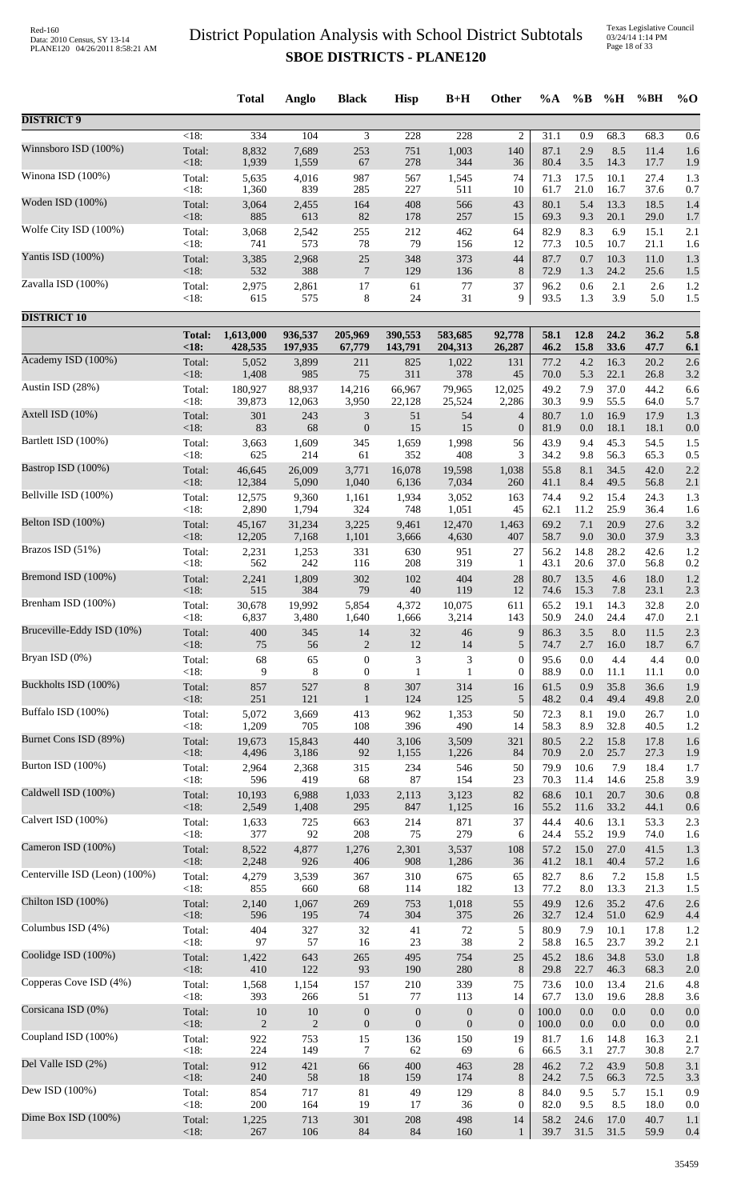Texas Legislative Council 03/24/14 1:14 PM Page 18 of 33

|                               |                 | <b>Total</b>  | Anglo               | <b>Black</b>     | <b>Hisp</b>      | $B+H$            | Other            | %A           | $\%B$        | %H           | %BH          | $%$ <sup>O</sup> |
|-------------------------------|-----------------|---------------|---------------------|------------------|------------------|------------------|------------------|--------------|--------------|--------------|--------------|------------------|
| <b>DISTRICT 9</b>             |                 |               |                     |                  |                  |                  |                  |              |              |              |              |                  |
| Winnsboro ISD (100%)          | $<18$ :         | 334           | 104                 | 3                | 228              | 228              | $\overline{c}$   | 31.1         | 0.9          | 68.3         | 68.3         | 0.6              |
|                               | Total:          | 8,832         | 7,689               | 253              | 751              | 1,003            | 140              | 87.1         | 2.9          | 8.5          | 11.4         | 1.6              |
|                               | <18:            | 1,939         | 1,559               | 67               | 278              | 344              | 36               | 80.4         | 3.5          | 14.3         | 17.7         | 1.9              |
| Winona ISD (100%)             | Total:          | 5,635         | 4,016               | 987              | 567              | 1,545            | 74               | 71.3         | 17.5         | 10.1         | 27.4         | 1.3              |
|                               | < 18:           | 1,360         | 839                 | 285              | 227              | 511              | 10               | 61.7         | 21.0         | 16.7         | 37.6         | 0.7              |
| Woden ISD (100%)              | Total:          | 3,064         | 2,455               | 164              | 408              | 566              | 43               | 80.1         | 5.4          | 13.3         | 18.5         | 1.4              |
| Wolfe City ISD (100%)         | <18:<br>Total:  | 885<br>3,068  | 613<br>2,542<br>573 | 82<br>255        | 178<br>212       | 257<br>462       | 15<br>64         | 69.3<br>82.9 | 9.3<br>8.3   | 20.1<br>6.9  | 29.0<br>15.1 | 1.7<br>2.1       |
| Yantis ISD (100%)             | < 18:<br>Total: | 741<br>3,385  | 2,968               | 78<br>$25\,$     | 79<br>348        | 156<br>373       | 12<br>44         | 77.3<br>87.7 | 10.5<br>0.7  | 10.7<br>10.3 | 21.1<br>11.0 | 1.6<br>1.3       |
| Zavalla ISD (100%)            | $<18$ :         | 532           | 388                 | $\overline{7}$   | 129              | 136              | 8                | 72.9         | 1.3          | 24.2         | 25.6         | 1.5              |
|                               | Total:          | 2,975         | 2,861               | 17               | 61               | 77               | 37               | 96.2         | 0.6          | 2.1          | 2.6          | 1.2              |
| <b>DISTRICT 10</b>            | < 18:           | 615           | 575                 | 8                | 24               | 31               | 9                | 93.5         | 1.3          | 3.9          | 5.0          | 1.5              |
|                               | <b>Total:</b>   | 1,613,000     | 936,537             | 205,969          | 390,553          | 583,685          | 92,778           | 58.1         | 12.8         | 24.2         | 36.2         | 5.8              |
|                               | <18:            | 428,535       | 197,935             | 67,779           | 143,791          | 204,313          | 26,287           | 46.2         | 15.8         | 33.6         | 47.7         | 6.1              |
| Academy ISD (100%)            | Total:          | 5,052         | 3,899               | 211              | 825              | 1,022            | 131              | 77.2         | 4.2          | 16.3         | 20.2         | 2.6              |
|                               | <18:            | 1,408         | 985                 | 75               | 311              | 378              | 45               | 70.0         | 5.3          | 22.1         | 26.8         | 3.2              |
| Austin ISD (28%)              | Total:          | 180,927       | 88,937              | 14,216           | 66,967           | 79,965           | 12,025           | 49.2         | 7.9          | 37.0         | 44.2         | 6.6              |
|                               | < 18:           | 39,873        | 12,063              | 3,950            | 22,128           | 25,524           | 2,286            | 30.3         | 9.9          | 55.5         | 64.0         | 5.7              |
| Axtell ISD (10%)              | Total:          | 301           | 243                 | $\mathfrak{Z}$   | 51               | 54               | $\overline{4}$   | 80.7         | 1.0          | 16.9         | 17.9         | 1.3              |
|                               | $<18$ :         | 83            | 68                  | $\boldsymbol{0}$ | 15               | 15               | $\boldsymbol{0}$ | 81.9         | 0.0          | 18.1         | 18.1         | 0.0              |
| Bartlett ISD (100%)           | Total:          | 3,663         | 1,609               | 345              | 1,659            | 1,998            | 56               | 43.9         | 9.4          | 45.3         | 54.5         | 1.5              |
|                               | < 18:           | 625           | 214                 | 61               | 352              | 408              | 3                | 34.2         | 9.8          | 56.3         | 65.3         | 0.5              |
| Bastrop ISD (100%)            | Total:          | 46,645        | 26,009              | 3,771            | 16,078           | 19,598           | 1,038            | 55.8         | 8.1          | 34.5         | 42.0         | 2.2              |
| Bellville ISD (100%)          | <18:            | 12,384        | 5,090               | 1,040            | 6,136            | 7,034            | 260              | 41.1         | 8.4          | 49.5         | 56.8         | 2.1              |
|                               | Total:          | 12,575        | 9,360               | 1,161            | 1,934            | 3,052            | 163              | 74.4         | 9.2          | 15.4         | 24.3         | 1.3              |
| Belton ISD (100%)             | < 18:           | 2,890         | 1,794               | 324              | 748              | 1,051            | 45               | 62.1         | 11.2         | 25.9         | 36.4         | 1.6              |
|                               | Total:          | 45,167        | 31,234              | 3,225            | 9,461            | 12,470           | 1,463            | 69.2         | 7.1          | 20.9         | 27.6         | 3.2              |
| Brazos ISD (51%)              | <18:            | 12,205        | 7,168               | 1,101            | 3,666            | 4,630            | 407              | 58.7         | 9.0          | 30.0         | 37.9         | 3.3              |
|                               | Total:          | 2,231         | 1,253               | 331              | 630              | 951              | 27               | 56.2         | 14.8         | 28.2         | 42.6         | 1.2              |
| Bremond ISD (100%)            | < 18:           | 562           | 242                 | 116              | 208              | 319              | 1                | 43.1         | 20.6         | 37.0         | 56.8         | 0.2              |
|                               | Total:          | 2,241         | 1,809               | 302              | 102              | 404              | 28               | 80.7         | 13.5         | 4.6          | 18.0         | 1.2              |
|                               | <18:            | 515           | 384                 | 79               | $40\,$           | 119              | 12               | 74.6         | 15.3         | 7.8          | 23.1         | 2.3              |
| Brenham ISD (100%)            | Total:          | 30,678        | 19,992              | 5,854            | 4,372            | 10,075           | 611              | 65.2         | 19.1         | 14.3         | 32.8         | 2.0              |
|                               | < 18:           | 6,837         | 3,480               | 1,640            | 1,666            | 3,214            | 143              | 50.9         | 24.0         | 24.4         | 47.0         | 2.1              |
| Bruceville-Eddy ISD (10%)     | Total:          | 400           | 345                 | 14               | 32               | 46               | 9                | 86.3         | 3.5          | 8.0          | 11.5         | 2.3              |
|                               | < 18:           | 75            | 56                  | $\mathbf{2}$     | $12\,$           | 14               | $\sqrt{5}$       | 74.7         | 2.7          | 16.0         | 18.7         | 6.7              |
| Bryan ISD (0%)                | Total:          | 68            | 65                  | $\boldsymbol{0}$ | 3                | 3                | $\mathbf{0}$     | 95.6         | 0.0          | 4.4          | 4.4          | 0.0              |
|                               | < 18:           | 9             | 8                   | $\boldsymbol{0}$ | 1                | 1                | $\boldsymbol{0}$ | 88.9         | 0.0          | 11.1         | 11.1         | 0.0              |
| Buckholts ISD (100%)          | Total:          | 857           | 527                 | $8\,$            | 307              | 314              | 16               | 61.5         | 0.9          | 35.8         | 36.6         | 1.9              |
| Buffalo ISD (100%)            | <18:            | 251           | 121                 | $\mathbf{1}$     | 124              | 125              | $\sqrt{5}$       | 48.2         | 0.4          | 49.4         | 49.8         | 2.0              |
|                               | Total:          | 5,072         | 3,669               | 413              | 962              | 1,353            | 50               | 72.3         | 8.1          | 19.0         | 26.7         | 1.0              |
| Burnet Cons ISD (89%)         | <18:            | 1,209         | 705                 | 108              | 396              | 490              | 14               | 58.3         | 8.9          | 32.8         | 40.5         | 1.2              |
|                               | Total:          | 19,673        | 15,843              | 440              | 3,106            | 3,509            | 321              | 80.5         | 2.2          | 15.8         | 17.8         | 1.6              |
| Burton ISD (100%)             | <18:            | 4,496         | 3,186               | 92               | 1,155            | 1,226            | 84               | 70.9         | 2.0          | 25.7         | 27.3         | 1.9              |
|                               | Total:          | 2,964         | 2,368               | 315              | 234              | 546              | 50               | 79.9         | 10.6         | 7.9          | 18.4         | 1.7              |
| Caldwell ISD (100%)           | < 18:<br>Total: | 596<br>10,193 | 419<br>6,988        | 68<br>1,033      | $87\,$<br>2,113  | 154              | 23<br>82         | 70.3<br>68.6 | 11.4<br>10.1 | 14.6<br>20.7 | 25.8<br>30.6 | 3.9              |
|                               | $<18$ :         | 2,549         | 1,408               | 295              | 847              | 3,123<br>1,125   | 16               | 55.2         | 11.6         | 33.2         | 44.1         | 0.8<br>0.6       |
| Calvert ISD (100%)            | Total:          | 1,633         | 725                 | 663              | 214              | 871              | 37               | 44.4         | 40.6         | 13.1         | 53.3         | 2.3              |
|                               | < 18:           | 377           | 92                  | 208              | 75               | 279              | 6                | 24.4         | 55.2         | 19.9         | 74.0         | 1.6              |
| Cameron ISD (100%)            | Total:          | 8,522         | 4,877               | 1,276            | 2,301            | 3,537            | 108              | 57.2         | 15.0         | 27.0         | 41.5         | 1.3              |
|                               | <18:            | 2,248         | 926                 | 406              | 908              | 1,286            | 36               | 41.2         | 18.1         | 40.4         | 57.2         | 1.6              |
| Centerville ISD (Leon) (100%) | Total:          | 4,279         | 3,539               | 367              | 310              | 675              | 65               | 82.7         | 8.6          | 7.2          | 15.8         | 1.5              |
|                               | < 18:           | 855           | 660                 | 68               | 114              | 182              | 13               | 77.2         | 8.0          | 13.3         | 21.3         | 1.5              |
| Chilton ISD (100%)            | Total:<br><18:  | 2,140<br>596  | 1,067<br>195        | 269<br>74        | 753<br>304       | 1,018<br>375     | 55<br>26         | 49.9<br>32.7 | 12.6<br>12.4 | 35.2<br>51.0 | 47.6<br>62.9 | 2.6              |
| Columbus ISD (4%)             | Total:          | 404           | 327                 | 32               | 41               | $72\,$           | 5                | 80.9         | 7.9          | 10.1         | 17.8         | 4.4<br>1.2       |
| Coolidge ISD (100%)           | <18:            | 97            | 57                  | 16               | $23\,$           | 38               | $\overline{c}$   | 58.8         | 16.5         | 23.7         | 39.2         | 2.1              |
|                               | Total:          | 1,422         | 643                 | 265              | 495              | 754              | $25\,$           | 45.2         | 18.6         | 34.8         | 53.0         | 1.8              |
| Copperas Cove ISD (4%)        | <18:            | 410           | 122                 | 93               | 190              | 280              | 8                | 29.8         | 22.7         | 46.3         | 68.3         | 2.0              |
|                               | Total:          | 1,568         | 1,154               | 157              | 210              | 339              | 75               | 73.6         | 10.0         | 13.4         | 21.6         | 4.8              |
| Corsicana ISD (0%)            | <18:            | 393           | 266                 | 51               | 77               | 113              | 14               | 67.7         | 13.0         | 19.6         | 28.8         | 3.6              |
|                               | Total:          | 10            | 10                  | $\boldsymbol{0}$ | $\boldsymbol{0}$ | $\boldsymbol{0}$ | $\boldsymbol{0}$ | 100.0        | 0.0          | 0.0          | 0.0          | 0.0              |
| Coupland ISD (100%)           | <18:            | 2             | $\overline{2}$      | $\boldsymbol{0}$ | $\mathbf{0}$     | $\boldsymbol{0}$ | $\boldsymbol{0}$ | 100.0        | 0.0          | 0.0          | 0.0          | 0.0              |
|                               | Total:          | 922           | 753                 | 15               | 136              | 150              | 19               | 81.7         | 1.6          | 14.8         | 16.3         | 2.1              |
| Del Valle ISD (2%)            | < 18:           | 224           | 149                 | 7                | 62               | 69               | 6                | 66.5         | 3.1          | 27.7         | 30.8         | 2.7              |
|                               | Total:          | 912           | 421                 | 66               | 400              | 463              | 28               | 46.2         | 7.2          | 43.9         | 50.8         | 3.1              |
|                               | $<18$ :         | 240           | 58                  | 18               | 159              | 174              | 8                | 24.2         | 7.5          | 66.3         | 72.5         | 3.3              |
| Dew ISD (100%)                | Total:          | 854           | 717                 | 81               | 49               | 129              | 8                | 84.0         | 9.5          | 5.7          | 15.1         | 0.9              |
|                               | <18:            | 200           | 164                 | 19               | 17               | 36               | $\mathbf{0}$     | 82.0         | 9.5          | 8.5          | 18.0         | 0.0              |
| Dime Box ISD (100%)           | Total:          | 1,225         | 713                 | 301              | 208              | 498              | 14               | 58.2         | 24.6         | 17.0         | 40.7         | 1.1              |
|                               | <18:            | 267           | 106                 | $84\,$           | $84\,$           | 160              | 1                | 39.7         | 31.5         | 31.5         | 59.9         | 0.4              |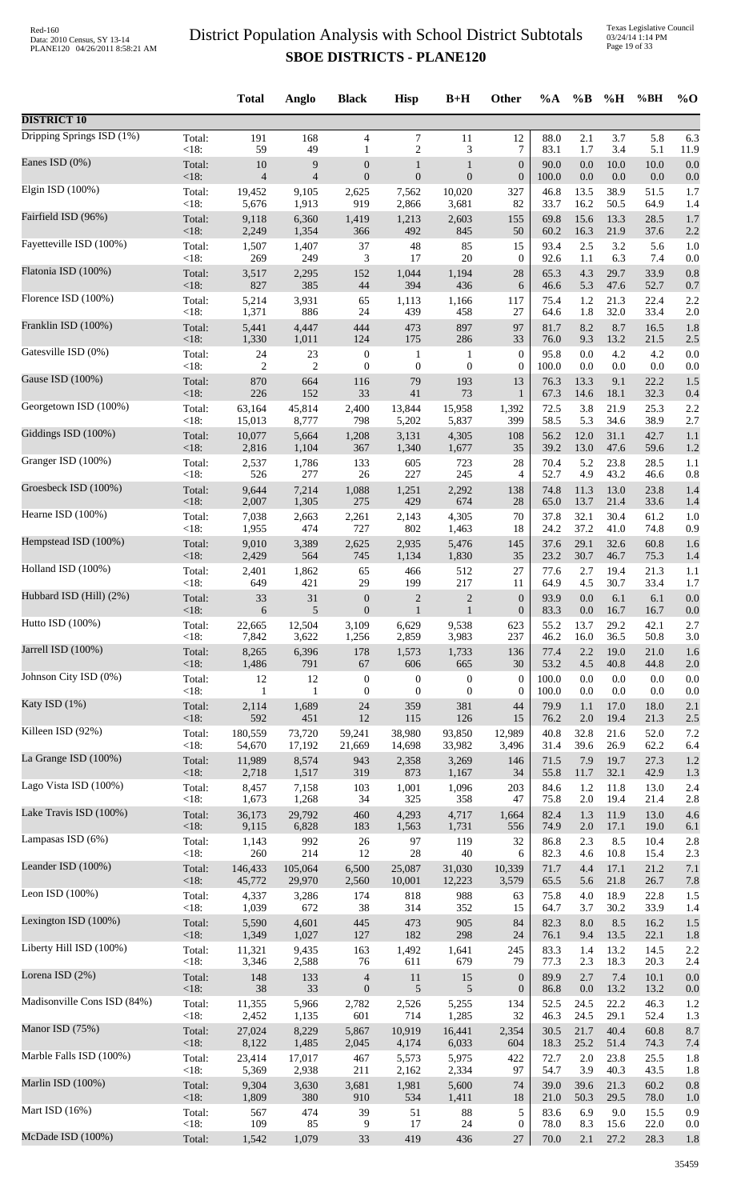Texas Legislative Council 03/24/14 1:14 PM Page 19 of 33

|                             |                | <b>Total</b>         | Anglo          | <b>Black</b>                     | <b>Hisp</b>                      | $B+H$                        | Other                  | %A           | $\%B$          | %H           | %BH          | $%$ <sup>O</sup> |
|-----------------------------|----------------|----------------------|----------------|----------------------------------|----------------------------------|------------------------------|------------------------|--------------|----------------|--------------|--------------|------------------|
| <b>DISTRICT 10</b>          |                |                      |                |                                  |                                  |                              |                        |              |                |              |              |                  |
| Dripping Springs ISD (1%)   | Total:         | 191                  | 168            | $\overline{4}$                   | $\tau$                           | 11                           | 12                     | 88.0         | 2.1            | 3.7          | 5.8          | 6.3              |
|                             | $<18$ :        | 59                   | 49             | 1                                | $\overline{c}$                   | 3                            | 7                      | 83.1         | 1.7            | 3.4          | 5.1          | 11.9             |
| Eanes ISD (0%)              | Total:         | 10                   | 9              | $\boldsymbol{0}$                 | $\mathbf{1}$                     | $\mathbf{1}$                 | $\boldsymbol{0}$       | 90.0         | 0.0            | $10.0\,$     | 10.0         | 0.0              |
|                             | <18:           | $\overline{4}$       | $\overline{4}$ | $\mathbf{0}$                     | $\mathbf{0}$                     | $\boldsymbol{0}$             | $\boldsymbol{0}$       | 100.0        | 0.0            | $0.0\,$      | 0.0          | 0.0              |
| Elgin ISD (100%)            | Total:         | 19,452               | 9,105          | 2,625                            | 7,562                            | 10,020                       | 327                    | 46.8         | 13.5           | 38.9         | 51.5         | 1.7              |
| Fairfield ISD (96%)         | <18:           | 5,676                | 1,913          | 919                              | 2,866                            | 3,681                        | 82                     | 33.7         | 16.2           | 50.5         | 64.9         | 1.4              |
|                             | Total:         | 9,118                | 6,360          | 1,419                            | 1,213                            | 2,603                        | 155                    | 69.8         | 15.6           | 13.3         | 28.5         | 1.7              |
| Fayetteville ISD (100%)     | <18:           | 2,249                | 1,354          | 366                              | 492                              | 845                          | 50                     | 60.2         | 16.3           | 21.9         | 37.6         | 2.2              |
|                             | Total:         | 1,507                | 1,407          | 37                               | 48                               | 85                           | 15                     | 93.4         | 2.5            | 3.2          | 5.6          | 1.0              |
| Flatonia ISD (100%)         | <18:           | 269                  | 249            | 3                                | 17                               | 20                           | $\boldsymbol{0}$       | 92.6         | 1.1            | 6.3          | 7.4          | 0.0              |
|                             | Total:         | 3,517                | 2,295          | 152                              | 1,044                            | 1,194                        | 28                     | 65.3         | 4.3            | 29.7         | 33.9         | 0.8              |
| Florence ISD (100%)         | $<18$ :        | 827                  | 385            | 44                               | 394                              | 436                          | 6                      | 46.6         | 5.3            | 47.6         | 52.7         | 0.7              |
|                             | Total:         | 5,214                | 3,931          | 65                               | 1,113                            | 1,166                        | 117                    | 75.4         | 1.2            | 21.3         | 22.4         | 2.2              |
| Franklin ISD (100%)         | <18:           | 1,371                | 886            | 24                               | 439                              | 458                          | 27                     | 64.6         | 1.8            | 32.0         | 33.4         | 2.0              |
|                             | Total:         | 5,441                | 4,447          | 444                              | 473                              | 897                          | 97                     | 81.7         | 8.2            | 8.7          | 16.5         | 1.8              |
| Gatesville ISD (0%)         | <18:<br>Total: | 1,330                | 1,011<br>23    | 124                              | 175                              | 286                          | 33<br>$\boldsymbol{0}$ | 76.0<br>95.8 | 9.3<br>$0.0\,$ | 13.2<br>4.2  | 21.5<br>4.2  | 2.5<br>0.0       |
| Gause ISD (100%)            | <18:           | 24<br>$\overline{c}$ | $\overline{2}$ | $\boldsymbol{0}$<br>$\mathbf{0}$ | $\mathbf{1}$<br>$\boldsymbol{0}$ | $\mathbf{1}$<br>$\mathbf{0}$ | $\boldsymbol{0}$       | 100.0        | 0.0            | 0.0          | 0.0          | 0.0              |
|                             | Total:         | 870                  | 664            | 116                              | 79                               | 193                          | 13                     | 76.3         | 13.3           | 9.1          | 22.2         | 1.5              |
|                             | < 18:          | 226                  | 152            | 33                               | 41                               | 73                           | $\mathbf{1}$           | 67.3         | 14.6           | 18.1         | 32.3         | 0.4              |
| Georgetown ISD (100%)       | Total:         | 63,164               | 45,814         | 2,400                            | 13,844                           | 15,958                       | 1,392                  | 72.5         | 3.8            | 21.9         | 25.3         | 2.2              |
|                             | <18:           | 15,013               | 8,777          | 798                              | 5,202                            | 5,837                        | 399                    | 58.5         | 5.3            | 34.6         | 38.9         | 2.7              |
| Giddings ISD (100%)         | Total:         | 10,077               | 5,664          | 1,208                            | 3,131                            | 4,305                        | 108                    | 56.2         | 12.0           | 31.1         | 42.7         | 1.1              |
|                             | <18:           | 2,816                | 1,104          | 367                              | 1,340                            | 1,677                        | 35                     | 39.2         | 13.0           | 47.6         | 59.6         | 1.2              |
| Granger ISD (100%)          | Total:         | 2,537                | 1,786          | 133                              | 605                              | 723                          | 28                     | 70.4         | 5.2            | 23.8         | 28.5         | 1.1              |
|                             | <18:           | 526                  | 277            | $26\,$                           | 227                              | 245                          | 4                      | 52.7         | 4.9            | 43.2         | 46.6         | 0.8              |
| Groesbeck ISD (100%)        | Total:         | 9,644                | 7,214          | 1,088                            | 1,251                            | 2,292                        | 138                    | 74.8         | 11.3           | 13.0         | 23.8         | 1.4              |
|                             | <18:           | 2,007                | 1,305          | 275                              | 429                              | 674                          | 28                     | 65.0         | 13.7           | 21.4         | 33.6         | 1.4              |
| Hearne ISD (100%)           | Total:<br><18: | 7,038                | 2,663<br>474   | 2,261<br>727                     | 2,143<br>802                     | 4,305                        | 70<br>18               | 37.8<br>24.2 | 32.1<br>37.2   | 30.4<br>41.0 | 61.2<br>74.8 | 1.0              |
| Hempstead ISD (100%)        | Total:         | 1,955<br>9,010       | 3,389          | 2,625                            | 2,935                            | 1,463<br>5,476               | 145                    | 37.6         | 29.1           | 32.6         | 60.8         | 0.9<br>1.6       |
| Holland ISD (100%)          | $<18$ :        | 2,429                | 564            | 745                              | 1,134                            | 1,830                        | 35                     | 23.2         | 30.7           | 46.7         | 75.3         | 1.4              |
|                             | Total:         | 2,401                | 1,862          | 65                               | 466                              | 512                          | 27                     | 77.6         | 2.7            | 19.4         | 21.3         | 1.1              |
| Hubbard ISD (Hill) (2%)     | <18:           | 649                  | 421            | 29                               | 199                              | 217                          | 11                     | 64.9         | 4.5            | 30.7         | 33.4         | 1.7              |
|                             | Total:         | 33                   | 31             | $\boldsymbol{0}$                 | $\sqrt{2}$                       | $\overline{c}$               | $\boldsymbol{0}$       | 93.9         | $0.0\,$        | 6.1          | 6.1          | 0.0              |
| Hutto ISD (100%)            | $<18$ :        | 6                    | 5              | $\boldsymbol{0}$                 | $\mathbf{1}$                     | $\mathbf{1}$                 | $\boldsymbol{0}$       | 83.3         | 0.0            | 16.7         | 16.7         | 0.0              |
|                             | Total:         | 22,665               | 12,504         | 3,109                            | 6,629                            | 9,538                        | 623                    | 55.2         | 13.7           | 29.2         | 42.1         | 2.7              |
| Jarrell ISD (100%)          | <18:           | 7,842                | 3,622          | 1,256                            | 2,859                            | 3,983                        | 237                    | 46.2         | 16.0           | 36.5         | 50.8         | 3.0              |
|                             | Total:         | 8,265                | 6,396          | 178                              | 1,573                            | 1,733                        | 136                    | 77.4         | 2.2            | 19.0         | 21.0         | 1.6              |
| Johnson City ISD (0%)       | $<18$ :        | 1,486                | 791            | 67                               | 606                              | 665                          | 30                     | 53.2         | 4.5            | 40.8         | 44.8         | 2.0              |
|                             | Total:         | 12                   | 12             | $\boldsymbol{0}$                 | $\boldsymbol{0}$                 | $\boldsymbol{0}$             | $\boldsymbol{0}$       | 100.0        | 0.0            | $0.0\,$      | 0.0          | 0.0              |
|                             | <18:           | 1                    | -1             | $\boldsymbol{0}$                 | $\mathbf{0}$                     | $\mathbf{0}$                 | $\boldsymbol{0}$       | 100.0        | 0.0            | 0.0          | 0.0          | 0.0              |
| Katy ISD (1%)               | Total:         | 2,114                | 1,689          | $24\,$                           | 359                              | 381                          | 44                     | 79.9         | 1.1            | 17.0         | 18.0         | 2.1              |
|                             | <18:           | 592                  | 451            | $12\,$                           | 115                              | 126                          | 15                     | 76.2         | $2.0\,$        | 19.4         | 21.3         | 2.5              |
| Killeen ISD (92%)           | Total:         | 180,559              | 73,720         | 59,241                           | 38,980                           | 93,850                       | 12,989                 | 40.8         | 32.8           | 21.6         | 52.0         | 7.2              |
|                             | < 18:          | 54,670               | 17,192         | 21,669                           | 14,698                           | 33,982                       | 3,496                  | 31.4         | 39.6           | 26.9         | 62.2         | 6.4              |
| La Grange ISD (100%)        | Total:         | 11,989               | 8,574          | 943                              | 2,358                            | 3,269                        | 146                    | 71.5         | 7.9            | 19.7         | 27.3         | 1.2              |
|                             | <18:           | 2,718                | 1,517          | 319                              | 873                              | 1,167                        | 34                     | 55.8         | 11.7           | 32.1         | 42.9         | 1.3              |
| Lago Vista ISD (100%)       | Total:         | 8,457                | 7,158          | 103                              | 1,001                            | 1,096                        | 203                    | 84.6         | 1.2            | 11.8         | 13.0         | 2.4              |
|                             | <18:           | 1,673                | 1,268          | 34                               | 325                              | 358                          | 47                     | 75.8         | $2.0\,$        | 19.4         | 21.4         | 2.8              |
| Lake Travis ISD (100%)      | Total:         | 36,173               | 29,792         | 460                              | 4,293                            | 4,717                        | 1,664                  | 82.4         | 1.3            | 11.9         | 13.0         | 4.6              |
|                             | <18:           | 9,115                | 6,828          | 183                              | 1,563                            | 1,731                        | 556                    | 74.9         | 2.0            | 17.1         | 19.0         | 6.1              |
| Lampasas ISD (6%)           | Total:         | 1,143                | 992            | $26\,$                           | 97                               | 119                          | 32                     | 86.8         | 2.3            | 8.5          | 10.4         | 2.8              |
| Leander ISD (100%)          | <18:           | 260                  | 214            | 12                               | $28\,$                           | $40\,$                       | 6                      | 82.3         | 4.6            | 10.8         | 15.4         | 2.3              |
|                             | Total:         | 146,433              | 105,064        | 6,500                            | 25,087                           | 31,030                       | 10,339                 | 71.7         | 4.4            | 17.1         | 21.2         | 7.1              |
| Leon ISD $(100\%)$          | <18:           | 45,772               | 29,970         | 2,560                            | 10,001                           | 12,223                       | 3,579                  | 65.5         | 5.6            | 21.8         | 26.7         | 7.8              |
|                             | Total:         | 4,337                | 3,286          | 174                              | 818                              | 988                          | 63                     | 75.8         | 4.0            | 18.9         | 22.8         | 1.5              |
| Lexington ISD (100%)        | <18:           | 1,039                | 672            | 38                               | 314                              | 352                          | 15                     | 64.7         | 3.7            | 30.2         | 33.9         | 1.4              |
|                             | Total:         | 5,590                | 4,601          | 445                              | 473                              | 905                          | 84                     | 82.3         | 8.0            | 8.5          | 16.2         | 1.5              |
| Liberty Hill ISD (100%)     | $<18$ :        | 1,349                | 1,027          | 127                              | 182                              | 298                          | 24                     | 76.1         | 9.4            | 13.5         | 22.1         | 1.8              |
|                             | Total:         | 11,321               | 9,435          | 163                              | 1,492                            | 1,641                        | 245                    | 83.3         | 1.4            | 13.2         | 14.5         | 2.2              |
| Lorena ISD (2%)             | <18:           | 3,346                | 2,588          | 76                               | 611                              | 679                          | 79                     | 77.3         | 2.3            | 18.3         | 20.3         | 2.4              |
|                             | Total:         | 148                  | 133            | $\overline{4}$                   | 11                               | 15                           | $\boldsymbol{0}$       | 89.9         | 2.7            | 7.4          | 10.1         | 0.0              |
|                             | <18:           | $38\,$               | 33             | $\mathbf{0}$                     | 5                                | 5                            | $\boldsymbol{0}$       | 86.8         | 0.0            | 13.2         | 13.2         | 0.0              |
| Madisonville Cons ISD (84%) | Total:         | 11,355               | 5,966          | 2,782                            | 2,526                            | 5,255                        | 134                    | 52.5         | 24.5           | 22.2         | 46.3         | 1.2              |
|                             | < 18:          | 2,452                | 1,135          | 601                              | 714                              | 1,285                        | 32                     | 46.3         | 24.5           | 29.1         | 52.4         | 1.3              |
| Manor ISD (75%)             | Total:         | 27,024               | 8,229          | 5,867                            | 10,919                           | 16,441                       | 2,354                  | 30.5         | 21.7           | 40.4         | 60.8         | 8.7              |
|                             | <18:           | 8,122                | 1,485          | 2,045                            | 4,174                            | 6,033                        | 604                    | 18.3         | 25.2           | 51.4         | 74.3         | 7.4              |
| Marble Falls ISD (100%)     | Total:         | 23,414               | 17,017         | 467                              | 5,573                            | 5,975                        | 422                    | 72.7         | $2.0\,$        | 23.8         | 25.5         | 1.8              |
|                             | <18:           | 5,369                | 2,938          | 211                              | 2,162                            | 2,334                        | 97                     | 54.7         | 3.9            | 40.3         | 43.5         | 1.8              |
| Marlin ISD (100%)           | Total:         | 9,304                | 3,630          | 3,681                            | 1,981                            | 5,600                        | 74                     | 39.0         | 39.6           | 21.3         | 60.2         | 0.8              |
|                             | <18:           | 1,809                | 380            | 910                              | 534                              | 1,411                        | 18                     | 21.0         | 50.3           | 29.5         | 78.0         | 1.0              |
| Mart ISD (16%)              | Total:         | 567                  | 474            | 39                               | 51                               | 88                           | 5                      | 83.6         | 6.9            | 9.0          | 15.5         | 0.9              |
|                             | <18:           | 109                  | 85             | 9                                | 17                               | 24                           | $\boldsymbol{0}$       | 78.0         | 8.3            | 15.6         | 22.0         | 0.0              |
| McDade ISD (100%)           | Total:         | 1,542                | 1,079          | 33                               | 419                              | 436                          | 27                     | 70.0         | 2.1            | 27.2         | 28.3         | 1.8              |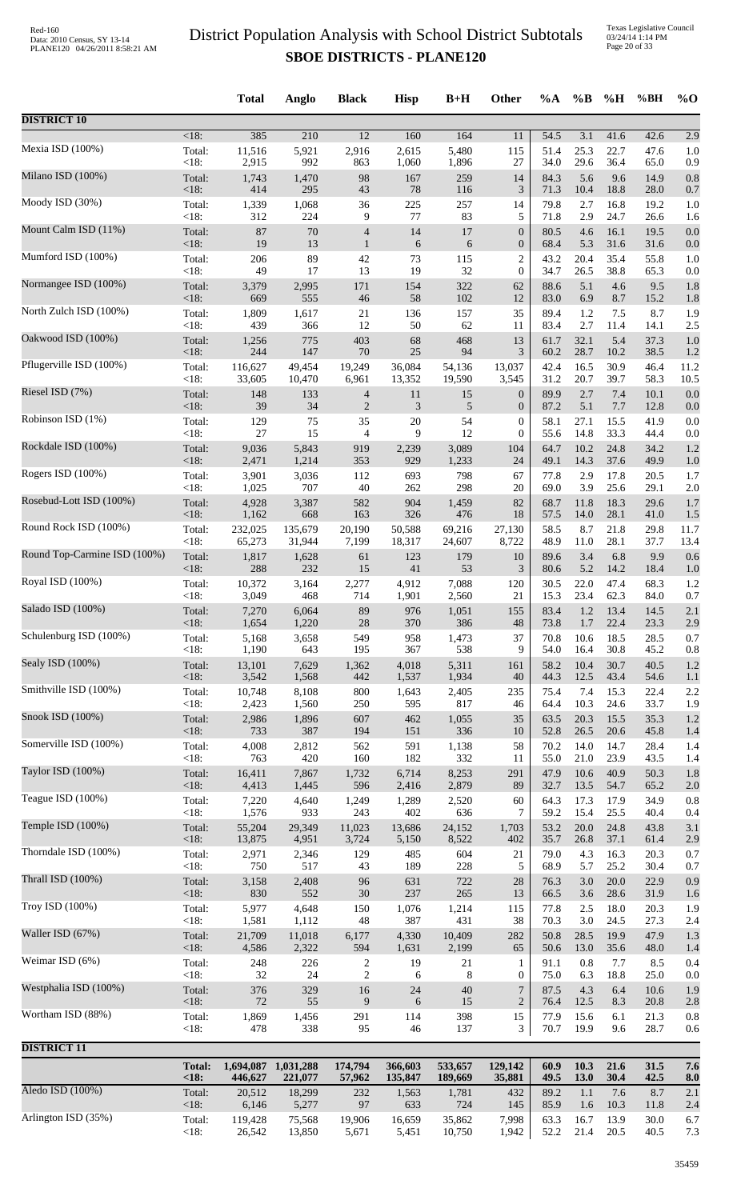| <18:<br>385<br>210<br>$\overline{12}$<br>160<br>164<br>54.5<br>3.1<br>41.6<br>42.6<br>2.9<br>11<br>Mexia ISD (100%)<br>5,480<br>Total:<br>11,516<br>5,921<br>2,916<br>2,615<br>115<br>51.4<br>25.3<br>22.7<br>47.6<br>1.0<br><18:<br>992<br>29.6<br>2,915<br>863<br>1,060<br>1,896<br>27<br>34.0<br>36.4<br>65.0<br>0.9<br>98<br>5.6<br>0.8<br>Total:<br>1,743<br>1,470<br>167<br>259<br>14<br>84.3<br>9.6<br>14.9<br><18:<br>414<br>295<br>43<br>$78\,$<br>116<br>3<br>71.3<br>10.4<br>18.8<br>28.0<br>0.7<br>225<br>16.8<br>Total:<br>1,339<br>1,068<br>36<br>257<br>79.8<br>2.7<br>19.2<br>14<br>1.0<br><18:<br>312<br>224<br>77<br>83<br>9<br>5<br>71.8<br>2.9<br>24.7<br>26.6<br>1.6<br>14<br>Total:<br>87<br>70<br>17<br>$\boldsymbol{0}$<br>80.5<br>4.6<br>16.1<br>19.5<br>0.0<br>4<br><18:<br>19<br>13<br>6<br>31.6<br>$\mathbf{1}$<br>6<br>$\boldsymbol{0}$<br>68.4<br>5.3<br>31.6<br>0.0<br>Mumford ISD (100%)<br>89<br>115<br>$\overline{c}$<br>20.4<br>35.4<br>Total:<br>206<br>42<br>73<br>43.2<br>55.8<br>1.0<br><18:<br>17<br>13<br>19<br>32<br>$\boldsymbol{0}$<br>26.5<br>38.8<br>49<br>34.7<br>65.3<br>0.0<br>Total:<br>154<br>322<br>88.6<br>5.1<br>9.5<br>3,379<br>2,995<br>171<br>62<br>4.6<br>1.8<br>58<br>102<br>$<18$ :<br>669<br>555<br>46<br>12<br>83.0<br>6.9<br>8.7<br>15.2<br>1.8<br>1,809<br>35<br>1.2<br>8.7<br>Total:<br>1,617<br>21<br>136<br>157<br>89.4<br>7.5<br>1.9<br><18:<br>439<br>12<br>50<br>62<br>2.7<br>366<br>83.4<br>11.4<br>14.1<br>2.5<br>11<br>5.4<br>775<br>403<br>68<br>468<br>32.1<br>37.3<br>Total:<br>1,256<br>13<br>61.7<br>1.0<br><18:<br>25<br>94<br>3<br>244<br>147<br>70<br>60.2<br>28.7<br>10.2<br>38.5<br>1.2<br>Total:<br>19,249<br>36,084<br>54,136<br>13,037<br>42.4<br>16.5<br>30.9<br>46.4<br>11.2<br>116,627<br>49,454<br><18:<br>31.2<br>20.7<br>39.7<br>33,605<br>10,470<br>6,961<br>13,352<br>19,590<br>3,545<br>58.3<br>10.5<br>Riesel ISD (7%)<br>2.7<br>7.4<br>Total:<br>148<br>11<br>89.9<br>10.1<br>133<br>$\overline{4}$<br>15<br>$\boldsymbol{0}$<br>0.0<br>$<18$ :<br>39<br>34<br>$\mathbf{2}$<br>3<br>5.1<br>5<br>$\boldsymbol{0}$<br>87.2<br>7.7<br>12.8<br>0.0<br>Robinson ISD (1%)<br>Total:<br>129<br>35<br>20<br>54<br>58.1<br>27.1<br>15.5<br>41.9<br>0.0<br>75<br>$\boldsymbol{0}$<br><18:<br>27<br>15<br>9<br>12<br>33.3<br>4<br>$\boldsymbol{0}$<br>55.6<br>14.8<br>44.4<br>0.0<br>10.2<br>24.8<br>34.2<br>Total:<br>9,036<br>5,843<br>919<br>2,239<br>3,089<br>104<br>64.7<br>1.2<br><18:<br>1,214<br>353<br>929<br>14.3<br>37.6<br>2,471<br>1,233<br>24<br>49.1<br>49.9<br>1.0<br>3,036<br>2.9<br>17.8<br>Total:<br>3,901<br>112<br>693<br>798<br>67<br>77.8<br>20.5<br>1.7<br>$<18$ :<br>40<br>262<br>298<br>3.9<br>1,025<br>707<br>20<br>69.0<br>25.6<br>29.1<br>2.0<br>582<br>904<br>82<br>11.8<br>18.3<br>Total:<br>4,928<br>3,387<br>1,459<br>68.7<br>29.6<br>1.7<br><18:<br>326<br>1,162<br>668<br>163<br>476<br>18<br>57.5<br>14.0<br>28.1<br>41.0<br>1.5<br>Round Rock ISD (100%)<br>Total:<br>135,679<br>20,190<br>69,216<br>58.5<br>8.7<br>21.8<br>232,025<br>50,588<br>27,130<br>29.8<br>11.7<br><18:<br>28.1<br>65,273<br>31,944<br>7,199<br>18,317<br>24,607<br>8,722<br>48.9<br>11.0<br>37.7<br>13.4<br>Round Top-Carmine ISD (100%)<br>Total:<br>6.8<br>9.9<br>1,817<br>1,628<br>123<br>179<br>10<br>89.6<br>3.4<br>0.6<br>61<br><18:<br>288<br>41<br>53<br>5.2<br>232<br>15<br>3<br>80.6<br>14.2<br>18.4<br>1.0<br>47.4<br>Total:<br>10,372<br>3,164<br>2,277<br>4,912<br>7,088<br>30.5<br>22.0<br>68.3<br>120<br>1.2<br><18:<br>714<br>15.3<br>23.4<br>62.3<br>3,049<br>468<br>1,901<br>2,560<br>21<br>84.0<br>0.7<br>976<br>155<br>83.4<br>1.2<br>13.4<br>14.5<br>Total:<br>7,270<br>6,064<br>89<br>1,051<br>2.1<br><18:<br>28<br>370<br>386<br>$\sqrt{48}$<br>73.8<br>1.7<br>22.4<br>23.3<br>1,654<br>1,220<br>2.9<br>Schulenburg ISD (100%)<br>Total:<br>5,168<br>3,658<br>549<br>958<br>1,473<br>37<br>70.8<br>18.5<br>28.5<br>0.7<br>10.6<br>$<18$ :<br>1,190<br>367<br>538<br>9<br>30.8<br>45.2<br>643<br>195<br>54.0<br>16.4<br>0.8<br>Sealy ISD (100%)<br>Total:<br>13,101<br>7,629<br>1,362<br>4,018<br>5,311<br>58.2<br>10.4<br>30.7<br>40.5<br>161<br>1.2<br>$<18$ :<br>3,542<br>1,537<br>1,568<br>442<br>1,934<br>40<br>44.3<br>12.5<br>43.4<br>54.6<br>1.1<br>Smithville ISD (100%)<br>Total:<br>10,748<br>8,108<br>$800\,$<br>235<br>7.4<br>15.3<br>2.2<br>1,643<br>2,405<br>75.4<br>22.4<br><18:<br>64.4<br>10.3<br>2,423<br>1,560<br>250<br>595<br>817<br>24.6<br>33.7<br>1.9<br>46<br>Total:<br>2,986<br>1,896<br>607<br>462<br>1,055<br>35<br>63.5<br>20.3<br>15.5<br>35.3<br>1.2<br><18:<br>733<br>387<br>194<br>151<br>336<br>52.8<br>26.5<br>20.6<br>45.8<br>10<br>1.4<br>14.7<br>Total:<br>2,812<br>562<br>591<br>1,138<br>58<br>70.2<br>14.0<br>28.4<br>4,008<br>1.4<br><18:<br>182<br>332<br>23.9<br>763<br>420<br>160<br>55.0<br>21.0<br>43.5<br>11<br>1.4<br>Taylor ISD (100%)<br>8,253<br>10.6<br>40.9<br>Total:<br>16,411<br>7,867<br>1,732<br>6,714<br>291<br>47.9<br>50.3<br>1.8<br><18:<br>596<br>2,416<br>2,879<br>32.7<br>4,413<br>1,445<br>89<br>13.5<br>54.7<br>65.2<br>2.0<br>Teague ISD (100%)<br>Total:<br>7,220<br>4,640<br>1,249<br>2,520<br>60<br>64.3<br>17.3<br>17.9<br>34.9<br>0.8<br>1,289<br><18:<br>1,576<br>933<br>243<br>402<br>636<br>59.2<br>25.5<br>7<br>15.4<br>40.4<br>0.4<br>29,349<br>11,023<br>53.2<br>20.0<br>24.8<br>Total:<br>55,204<br>13,686<br>24,152<br>1,703<br>43.8<br>3.1<br>$<18$ :<br>13,875<br>8,522<br>37.1<br>4,951<br>3,724<br>5,150<br>402<br>35.7<br>26.8<br>61.4<br>2.9<br>2,971<br>2,346<br>129<br>485<br>604<br>79.0<br>4.3<br>16.3<br>20.3<br>Total:<br>21<br>0.7<br><18:<br>750<br>189<br>228<br>517<br>43<br>5<br>68.9<br>5.7<br>25.2<br>30.4<br>0.7<br>2,408<br>96<br>631<br>722<br>$28\,$<br>20.0<br>0.9<br>Total:<br>3,158<br>76.3<br>3.0<br>22.9<br><18:<br>830<br>552<br>$30\,$<br>237<br>265<br>13<br>66.5<br>3.6<br>28.6<br>31.9<br>1.6<br>4,648<br>Total:<br>5,977<br>1,076<br>1,214<br>77.8<br>2.5<br>18.0<br>20.3<br>150<br>115<br>1.9<br>$<18$ :<br>1,581<br>48<br>387<br>431<br>3.0<br>24.5<br>1,112<br>38<br>70.3<br>27.3<br>2.4<br>Waller ISD (67%)<br>Total:<br>21,709<br>11,018<br>4,330<br>10,409<br>282<br>50.8<br>19.9<br>47.9<br>1.3<br>6,177<br>28.5<br>$<18$ :<br>2,322<br>35.6<br>4,586<br>594<br>1,631<br>2,199<br>65<br>50.6<br>13.0<br>48.0<br>1.4<br>Weimar ISD (6%)<br>0.8<br>8.5<br>Total:<br>248<br>226<br>19<br>21<br>91.1<br>7.7<br>0.4<br>2<br>1<br>< 18:<br>$\,2$<br>$32\,$<br>24<br>$8\phantom{1}$<br>75.0<br>6.3<br>18.8<br>25.0<br>6<br>0<br>0.0<br>$\boldsymbol{7}$<br>Total:<br>376<br>329<br>16<br>$24\,$<br>40<br>87.5<br>4.3<br>6.4<br>10.6<br>1.9<br>$<18$ :<br>$72\,$<br>55<br>9<br>6<br>$\overline{2}$<br>8.3<br>15<br>76.4<br>12.5<br>20.8<br>2.8<br>Total:<br>1,869<br>1,456<br>291<br>114<br>398<br>15<br>77.9<br>15.6<br>6.1<br>21.3<br>0.8<br>< 18:<br>338<br>70.7<br>19.9<br>28.7<br>478<br>95<br>46<br>137<br>3<br>9.6<br>0.6<br><b>DISTRICT 11</b><br><b>Total:</b><br>1,031,288<br>174,794<br>533,657<br>129,142<br>60.9<br>10.3<br>21.6<br>31.5<br>1,694,087<br>366,603<br>7.6<br>30.4<br>42.5<br>< 18:<br>446,627<br>221,077<br>57,962<br>135,847<br>189,669<br>35,881<br>49.5<br><b>13.0</b><br>8.0<br>Aledo ISD (100%)<br>Total:<br>20,512<br>18,299<br>1,781<br>89.2<br>1.1<br>8.7<br>232<br>1,563<br>432<br>7.6<br>2.1<br>5,277<br>97<br>633<br>724<br><18:<br>6,146<br>145<br>85.9<br>1.6<br>10.3<br>11.8<br>2.4<br>Arlington ISD (35%)<br>75,568<br>35,862<br>16.7<br>13.9<br>Total:<br>119,428<br>19,906<br>16,659<br>7,998<br>63.3<br>30.0<br>6.7 |                         |      | <b>Total</b> | Anglo  | <b>Black</b> | <b>Hisp</b> | $B+H$  | Other | %A   | $\%B$ | %H   | %BH  | $\%$ O |
|---------------------------------------------------------------------------------------------------------------------------------------------------------------------------------------------------------------------------------------------------------------------------------------------------------------------------------------------------------------------------------------------------------------------------------------------------------------------------------------------------------------------------------------------------------------------------------------------------------------------------------------------------------------------------------------------------------------------------------------------------------------------------------------------------------------------------------------------------------------------------------------------------------------------------------------------------------------------------------------------------------------------------------------------------------------------------------------------------------------------------------------------------------------------------------------------------------------------------------------------------------------------------------------------------------------------------------------------------------------------------------------------------------------------------------------------------------------------------------------------------------------------------------------------------------------------------------------------------------------------------------------------------------------------------------------------------------------------------------------------------------------------------------------------------------------------------------------------------------------------------------------------------------------------------------------------------------------------------------------------------------------------------------------------------------------------------------------------------------------------------------------------------------------------------------------------------------------------------------------------------------------------------------------------------------------------------------------------------------------------------------------------------------------------------------------------------------------------------------------------------------------------------------------------------------------------------------------------------------------------------------------------------------------------------------------------------------------------------------------------------------------------------------------------------------------------------------------------------------------------------------------------------------------------------------------------------------------------------------------------------------------------------------------------------------------------------------------------------------------------------------------------------------------------------------------------------------------------------------------------------------------------------------------------------------------------------------------------------------------------------------------------------------------------------------------------------------------------------------------------------------------------------------------------------------------------------------------------------------------------------------------------------------------------------------------------------------------------------------------------------------------------------------------------------------------------------------------------------------------------------------------------------------------------------------------------------------------------------------------------------------------------------------------------------------------------------------------------------------------------------------------------------------------------------------------------------------------------------------------------------------------------------------------------------------------------------------------------------------------------------------------------------------------------------------------------------------------------------------------------------------------------------------------------------------------------------------------------------------------------------------------------------------------------------------------------------------------------------------------------------------------------------------------------------------------------------------------------------------------------------------------------------------------------------------------------------------------------------------------------------------------------------------------------------------------------------------------------------------------------------------------------------------------------------------------------------------------------------------------------------------------------------------------------------------------------------------------------------------------------------------------------------------------------------------------------------------------------------------------------------------------------------------------------------------------------------------------------------------------------------------------------------------------------------------------------------------------------------------------------------------------------------------------------------------------------------------------------------------------------------------------------------------------------------------------------------------------------------------------------------------------------------------------------------------------------------------------------------------------------------------------------------------------------------------------------------------------------------------------------------------------------------------------------------------------------------------------------------------------------------------------------------------------------------------------------------------------------------------------------------------------------------------------------------------------------------------------------------------------------------------------------------------------------------------------------------------------------------------------------------------------------------------------------------------------------------------------------------------------------------------------------------------------------------------------------------------------------------------------------------------------------------------------------------------------------------------------------------------------------------------------------------------------------------------------------------------------------------------------------------------------------------------------------------------------------------------------------------------------------------------------------------------------------------------------------------------------------------------------------------------------------------------------------------------------------------------------------------------------|-------------------------|------|--------------|--------|--------------|-------------|--------|-------|------|-------|------|------|--------|
|                                                                                                                                                                                                                                                                                                                                                                                                                                                                                                                                                                                                                                                                                                                                                                                                                                                                                                                                                                                                                                                                                                                                                                                                                                                                                                                                                                                                                                                                                                                                                                                                                                                                                                                                                                                                                                                                                                                                                                                                                                                                                                                                                                                                                                                                                                                                                                                                                                                                                                                                                                                                                                                                                                                                                                                                                                                                                                                                                                                                                                                                                                                                                                                                                                                                                                                                                                                                                                                                                                                                                                                                                                                                                                                                                                                                                                                                                                                                                                                                                                                                                                                                                                                                                                                                                                                                                                                                                                                                                                                                                                                                                                                                                                                                                                                                                                                                                                                                                                                                                                                                                                                                                                                                                                                                                                                                                                                                                                                                                                                                                                                                                                                                                                                                                                                                                                                                                                                                                                                                                                                                                                                                                                                                                                                                                                                                                                                                                                                                                                                                                                                                                                                                                                                                                                                                                                                                                                                                                                                                                                                                                                                                                                                                                                                                                                                                                                                                                                                                                                                                                                                                               | <b>DISTRICT 10</b>      |      |              |        |              |             |        |       |      |       |      |      |        |
|                                                                                                                                                                                                                                                                                                                                                                                                                                                                                                                                                                                                                                                                                                                                                                                                                                                                                                                                                                                                                                                                                                                                                                                                                                                                                                                                                                                                                                                                                                                                                                                                                                                                                                                                                                                                                                                                                                                                                                                                                                                                                                                                                                                                                                                                                                                                                                                                                                                                                                                                                                                                                                                                                                                                                                                                                                                                                                                                                                                                                                                                                                                                                                                                                                                                                                                                                                                                                                                                                                                                                                                                                                                                                                                                                                                                                                                                                                                                                                                                                                                                                                                                                                                                                                                                                                                                                                                                                                                                                                                                                                                                                                                                                                                                                                                                                                                                                                                                                                                                                                                                                                                                                                                                                                                                                                                                                                                                                                                                                                                                                                                                                                                                                                                                                                                                                                                                                                                                                                                                                                                                                                                                                                                                                                                                                                                                                                                                                                                                                                                                                                                                                                                                                                                                                                                                                                                                                                                                                                                                                                                                                                                                                                                                                                                                                                                                                                                                                                                                                                                                                                                                               |                         |      |              |        |              |             |        |       |      |       |      |      |        |
|                                                                                                                                                                                                                                                                                                                                                                                                                                                                                                                                                                                                                                                                                                                                                                                                                                                                                                                                                                                                                                                                                                                                                                                                                                                                                                                                                                                                                                                                                                                                                                                                                                                                                                                                                                                                                                                                                                                                                                                                                                                                                                                                                                                                                                                                                                                                                                                                                                                                                                                                                                                                                                                                                                                                                                                                                                                                                                                                                                                                                                                                                                                                                                                                                                                                                                                                                                                                                                                                                                                                                                                                                                                                                                                                                                                                                                                                                                                                                                                                                                                                                                                                                                                                                                                                                                                                                                                                                                                                                                                                                                                                                                                                                                                                                                                                                                                                                                                                                                                                                                                                                                                                                                                                                                                                                                                                                                                                                                                                                                                                                                                                                                                                                                                                                                                                                                                                                                                                                                                                                                                                                                                                                                                                                                                                                                                                                                                                                                                                                                                                                                                                                                                                                                                                                                                                                                                                                                                                                                                                                                                                                                                                                                                                                                                                                                                                                                                                                                                                                                                                                                                                               |                         |      |              |        |              |             |        |       |      |       |      |      |        |
|                                                                                                                                                                                                                                                                                                                                                                                                                                                                                                                                                                                                                                                                                                                                                                                                                                                                                                                                                                                                                                                                                                                                                                                                                                                                                                                                                                                                                                                                                                                                                                                                                                                                                                                                                                                                                                                                                                                                                                                                                                                                                                                                                                                                                                                                                                                                                                                                                                                                                                                                                                                                                                                                                                                                                                                                                                                                                                                                                                                                                                                                                                                                                                                                                                                                                                                                                                                                                                                                                                                                                                                                                                                                                                                                                                                                                                                                                                                                                                                                                                                                                                                                                                                                                                                                                                                                                                                                                                                                                                                                                                                                                                                                                                                                                                                                                                                                                                                                                                                                                                                                                                                                                                                                                                                                                                                                                                                                                                                                                                                                                                                                                                                                                                                                                                                                                                                                                                                                                                                                                                                                                                                                                                                                                                                                                                                                                                                                                                                                                                                                                                                                                                                                                                                                                                                                                                                                                                                                                                                                                                                                                                                                                                                                                                                                                                                                                                                                                                                                                                                                                                                                               | Milano ISD (100%)       |      |              |        |              |             |        |       |      |       |      |      |        |
|                                                                                                                                                                                                                                                                                                                                                                                                                                                                                                                                                                                                                                                                                                                                                                                                                                                                                                                                                                                                                                                                                                                                                                                                                                                                                                                                                                                                                                                                                                                                                                                                                                                                                                                                                                                                                                                                                                                                                                                                                                                                                                                                                                                                                                                                                                                                                                                                                                                                                                                                                                                                                                                                                                                                                                                                                                                                                                                                                                                                                                                                                                                                                                                                                                                                                                                                                                                                                                                                                                                                                                                                                                                                                                                                                                                                                                                                                                                                                                                                                                                                                                                                                                                                                                                                                                                                                                                                                                                                                                                                                                                                                                                                                                                                                                                                                                                                                                                                                                                                                                                                                                                                                                                                                                                                                                                                                                                                                                                                                                                                                                                                                                                                                                                                                                                                                                                                                                                                                                                                                                                                                                                                                                                                                                                                                                                                                                                                                                                                                                                                                                                                                                                                                                                                                                                                                                                                                                                                                                                                                                                                                                                                                                                                                                                                                                                                                                                                                                                                                                                                                                                                               | Moody ISD (30%)         |      |              |        |              |             |        |       |      |       |      |      |        |
|                                                                                                                                                                                                                                                                                                                                                                                                                                                                                                                                                                                                                                                                                                                                                                                                                                                                                                                                                                                                                                                                                                                                                                                                                                                                                                                                                                                                                                                                                                                                                                                                                                                                                                                                                                                                                                                                                                                                                                                                                                                                                                                                                                                                                                                                                                                                                                                                                                                                                                                                                                                                                                                                                                                                                                                                                                                                                                                                                                                                                                                                                                                                                                                                                                                                                                                                                                                                                                                                                                                                                                                                                                                                                                                                                                                                                                                                                                                                                                                                                                                                                                                                                                                                                                                                                                                                                                                                                                                                                                                                                                                                                                                                                                                                                                                                                                                                                                                                                                                                                                                                                                                                                                                                                                                                                                                                                                                                                                                                                                                                                                                                                                                                                                                                                                                                                                                                                                                                                                                                                                                                                                                                                                                                                                                                                                                                                                                                                                                                                                                                                                                                                                                                                                                                                                                                                                                                                                                                                                                                                                                                                                                                                                                                                                                                                                                                                                                                                                                                                                                                                                                                               | Mount Calm ISD (11%)    |      |              |        |              |             |        |       |      |       |      |      |        |
|                                                                                                                                                                                                                                                                                                                                                                                                                                                                                                                                                                                                                                                                                                                                                                                                                                                                                                                                                                                                                                                                                                                                                                                                                                                                                                                                                                                                                                                                                                                                                                                                                                                                                                                                                                                                                                                                                                                                                                                                                                                                                                                                                                                                                                                                                                                                                                                                                                                                                                                                                                                                                                                                                                                                                                                                                                                                                                                                                                                                                                                                                                                                                                                                                                                                                                                                                                                                                                                                                                                                                                                                                                                                                                                                                                                                                                                                                                                                                                                                                                                                                                                                                                                                                                                                                                                                                                                                                                                                                                                                                                                                                                                                                                                                                                                                                                                                                                                                                                                                                                                                                                                                                                                                                                                                                                                                                                                                                                                                                                                                                                                                                                                                                                                                                                                                                                                                                                                                                                                                                                                                                                                                                                                                                                                                                                                                                                                                                                                                                                                                                                                                                                                                                                                                                                                                                                                                                                                                                                                                                                                                                                                                                                                                                                                                                                                                                                                                                                                                                                                                                                                                               |                         |      |              |        |              |             |        |       |      |       |      |      |        |
|                                                                                                                                                                                                                                                                                                                                                                                                                                                                                                                                                                                                                                                                                                                                                                                                                                                                                                                                                                                                                                                                                                                                                                                                                                                                                                                                                                                                                                                                                                                                                                                                                                                                                                                                                                                                                                                                                                                                                                                                                                                                                                                                                                                                                                                                                                                                                                                                                                                                                                                                                                                                                                                                                                                                                                                                                                                                                                                                                                                                                                                                                                                                                                                                                                                                                                                                                                                                                                                                                                                                                                                                                                                                                                                                                                                                                                                                                                                                                                                                                                                                                                                                                                                                                                                                                                                                                                                                                                                                                                                                                                                                                                                                                                                                                                                                                                                                                                                                                                                                                                                                                                                                                                                                                                                                                                                                                                                                                                                                                                                                                                                                                                                                                                                                                                                                                                                                                                                                                                                                                                                                                                                                                                                                                                                                                                                                                                                                                                                                                                                                                                                                                                                                                                                                                                                                                                                                                                                                                                                                                                                                                                                                                                                                                                                                                                                                                                                                                                                                                                                                                                                                               |                         |      |              |        |              |             |        |       |      |       |      |      |        |
|                                                                                                                                                                                                                                                                                                                                                                                                                                                                                                                                                                                                                                                                                                                                                                                                                                                                                                                                                                                                                                                                                                                                                                                                                                                                                                                                                                                                                                                                                                                                                                                                                                                                                                                                                                                                                                                                                                                                                                                                                                                                                                                                                                                                                                                                                                                                                                                                                                                                                                                                                                                                                                                                                                                                                                                                                                                                                                                                                                                                                                                                                                                                                                                                                                                                                                                                                                                                                                                                                                                                                                                                                                                                                                                                                                                                                                                                                                                                                                                                                                                                                                                                                                                                                                                                                                                                                                                                                                                                                                                                                                                                                                                                                                                                                                                                                                                                                                                                                                                                                                                                                                                                                                                                                                                                                                                                                                                                                                                                                                                                                                                                                                                                                                                                                                                                                                                                                                                                                                                                                                                                                                                                                                                                                                                                                                                                                                                                                                                                                                                                                                                                                                                                                                                                                                                                                                                                                                                                                                                                                                                                                                                                                                                                                                                                                                                                                                                                                                                                                                                                                                                                               | Normangee ISD (100%)    |      |              |        |              |             |        |       |      |       |      |      |        |
|                                                                                                                                                                                                                                                                                                                                                                                                                                                                                                                                                                                                                                                                                                                                                                                                                                                                                                                                                                                                                                                                                                                                                                                                                                                                                                                                                                                                                                                                                                                                                                                                                                                                                                                                                                                                                                                                                                                                                                                                                                                                                                                                                                                                                                                                                                                                                                                                                                                                                                                                                                                                                                                                                                                                                                                                                                                                                                                                                                                                                                                                                                                                                                                                                                                                                                                                                                                                                                                                                                                                                                                                                                                                                                                                                                                                                                                                                                                                                                                                                                                                                                                                                                                                                                                                                                                                                                                                                                                                                                                                                                                                                                                                                                                                                                                                                                                                                                                                                                                                                                                                                                                                                                                                                                                                                                                                                                                                                                                                                                                                                                                                                                                                                                                                                                                                                                                                                                                                                                                                                                                                                                                                                                                                                                                                                                                                                                                                                                                                                                                                                                                                                                                                                                                                                                                                                                                                                                                                                                                                                                                                                                                                                                                                                                                                                                                                                                                                                                                                                                                                                                                                               | North Zulch ISD (100%)  |      |              |        |              |             |        |       |      |       |      |      |        |
|                                                                                                                                                                                                                                                                                                                                                                                                                                                                                                                                                                                                                                                                                                                                                                                                                                                                                                                                                                                                                                                                                                                                                                                                                                                                                                                                                                                                                                                                                                                                                                                                                                                                                                                                                                                                                                                                                                                                                                                                                                                                                                                                                                                                                                                                                                                                                                                                                                                                                                                                                                                                                                                                                                                                                                                                                                                                                                                                                                                                                                                                                                                                                                                                                                                                                                                                                                                                                                                                                                                                                                                                                                                                                                                                                                                                                                                                                                                                                                                                                                                                                                                                                                                                                                                                                                                                                                                                                                                                                                                                                                                                                                                                                                                                                                                                                                                                                                                                                                                                                                                                                                                                                                                                                                                                                                                                                                                                                                                                                                                                                                                                                                                                                                                                                                                                                                                                                                                                                                                                                                                                                                                                                                                                                                                                                                                                                                                                                                                                                                                                                                                                                                                                                                                                                                                                                                                                                                                                                                                                                                                                                                                                                                                                                                                                                                                                                                                                                                                                                                                                                                                                               | Oakwood ISD (100%)      |      |              |        |              |             |        |       |      |       |      |      |        |
|                                                                                                                                                                                                                                                                                                                                                                                                                                                                                                                                                                                                                                                                                                                                                                                                                                                                                                                                                                                                                                                                                                                                                                                                                                                                                                                                                                                                                                                                                                                                                                                                                                                                                                                                                                                                                                                                                                                                                                                                                                                                                                                                                                                                                                                                                                                                                                                                                                                                                                                                                                                                                                                                                                                                                                                                                                                                                                                                                                                                                                                                                                                                                                                                                                                                                                                                                                                                                                                                                                                                                                                                                                                                                                                                                                                                                                                                                                                                                                                                                                                                                                                                                                                                                                                                                                                                                                                                                                                                                                                                                                                                                                                                                                                                                                                                                                                                                                                                                                                                                                                                                                                                                                                                                                                                                                                                                                                                                                                                                                                                                                                                                                                                                                                                                                                                                                                                                                                                                                                                                                                                                                                                                                                                                                                                                                                                                                                                                                                                                                                                                                                                                                                                                                                                                                                                                                                                                                                                                                                                                                                                                                                                                                                                                                                                                                                                                                                                                                                                                                                                                                                                               | Pflugerville ISD (100%) |      |              |        |              |             |        |       |      |       |      |      |        |
|                                                                                                                                                                                                                                                                                                                                                                                                                                                                                                                                                                                                                                                                                                                                                                                                                                                                                                                                                                                                                                                                                                                                                                                                                                                                                                                                                                                                                                                                                                                                                                                                                                                                                                                                                                                                                                                                                                                                                                                                                                                                                                                                                                                                                                                                                                                                                                                                                                                                                                                                                                                                                                                                                                                                                                                                                                                                                                                                                                                                                                                                                                                                                                                                                                                                                                                                                                                                                                                                                                                                                                                                                                                                                                                                                                                                                                                                                                                                                                                                                                                                                                                                                                                                                                                                                                                                                                                                                                                                                                                                                                                                                                                                                                                                                                                                                                                                                                                                                                                                                                                                                                                                                                                                                                                                                                                                                                                                                                                                                                                                                                                                                                                                                                                                                                                                                                                                                                                                                                                                                                                                                                                                                                                                                                                                                                                                                                                                                                                                                                                                                                                                                                                                                                                                                                                                                                                                                                                                                                                                                                                                                                                                                                                                                                                                                                                                                                                                                                                                                                                                                                                                               |                         |      |              |        |              |             |        |       |      |       |      |      |        |
|                                                                                                                                                                                                                                                                                                                                                                                                                                                                                                                                                                                                                                                                                                                                                                                                                                                                                                                                                                                                                                                                                                                                                                                                                                                                                                                                                                                                                                                                                                                                                                                                                                                                                                                                                                                                                                                                                                                                                                                                                                                                                                                                                                                                                                                                                                                                                                                                                                                                                                                                                                                                                                                                                                                                                                                                                                                                                                                                                                                                                                                                                                                                                                                                                                                                                                                                                                                                                                                                                                                                                                                                                                                                                                                                                                                                                                                                                                                                                                                                                                                                                                                                                                                                                                                                                                                                                                                                                                                                                                                                                                                                                                                                                                                                                                                                                                                                                                                                                                                                                                                                                                                                                                                                                                                                                                                                                                                                                                                                                                                                                                                                                                                                                                                                                                                                                                                                                                                                                                                                                                                                                                                                                                                                                                                                                                                                                                                                                                                                                                                                                                                                                                                                                                                                                                                                                                                                                                                                                                                                                                                                                                                                                                                                                                                                                                                                                                                                                                                                                                                                                                                                               |                         |      |              |        |              |             |        |       |      |       |      |      |        |
|                                                                                                                                                                                                                                                                                                                                                                                                                                                                                                                                                                                                                                                                                                                                                                                                                                                                                                                                                                                                                                                                                                                                                                                                                                                                                                                                                                                                                                                                                                                                                                                                                                                                                                                                                                                                                                                                                                                                                                                                                                                                                                                                                                                                                                                                                                                                                                                                                                                                                                                                                                                                                                                                                                                                                                                                                                                                                                                                                                                                                                                                                                                                                                                                                                                                                                                                                                                                                                                                                                                                                                                                                                                                                                                                                                                                                                                                                                                                                                                                                                                                                                                                                                                                                                                                                                                                                                                                                                                                                                                                                                                                                                                                                                                                                                                                                                                                                                                                                                                                                                                                                                                                                                                                                                                                                                                                                                                                                                                                                                                                                                                                                                                                                                                                                                                                                                                                                                                                                                                                                                                                                                                                                                                                                                                                                                                                                                                                                                                                                                                                                                                                                                                                                                                                                                                                                                                                                                                                                                                                                                                                                                                                                                                                                                                                                                                                                                                                                                                                                                                                                                                                               |                         |      |              |        |              |             |        |       |      |       |      |      |        |
|                                                                                                                                                                                                                                                                                                                                                                                                                                                                                                                                                                                                                                                                                                                                                                                                                                                                                                                                                                                                                                                                                                                                                                                                                                                                                                                                                                                                                                                                                                                                                                                                                                                                                                                                                                                                                                                                                                                                                                                                                                                                                                                                                                                                                                                                                                                                                                                                                                                                                                                                                                                                                                                                                                                                                                                                                                                                                                                                                                                                                                                                                                                                                                                                                                                                                                                                                                                                                                                                                                                                                                                                                                                                                                                                                                                                                                                                                                                                                                                                                                                                                                                                                                                                                                                                                                                                                                                                                                                                                                                                                                                                                                                                                                                                                                                                                                                                                                                                                                                                                                                                                                                                                                                                                                                                                                                                                                                                                                                                                                                                                                                                                                                                                                                                                                                                                                                                                                                                                                                                                                                                                                                                                                                                                                                                                                                                                                                                                                                                                                                                                                                                                                                                                                                                                                                                                                                                                                                                                                                                                                                                                                                                                                                                                                                                                                                                                                                                                                                                                                                                                                                                               | Rockdale ISD (100%)     |      |              |        |              |             |        |       |      |       |      |      |        |
|                                                                                                                                                                                                                                                                                                                                                                                                                                                                                                                                                                                                                                                                                                                                                                                                                                                                                                                                                                                                                                                                                                                                                                                                                                                                                                                                                                                                                                                                                                                                                                                                                                                                                                                                                                                                                                                                                                                                                                                                                                                                                                                                                                                                                                                                                                                                                                                                                                                                                                                                                                                                                                                                                                                                                                                                                                                                                                                                                                                                                                                                                                                                                                                                                                                                                                                                                                                                                                                                                                                                                                                                                                                                                                                                                                                                                                                                                                                                                                                                                                                                                                                                                                                                                                                                                                                                                                                                                                                                                                                                                                                                                                                                                                                                                                                                                                                                                                                                                                                                                                                                                                                                                                                                                                                                                                                                                                                                                                                                                                                                                                                                                                                                                                                                                                                                                                                                                                                                                                                                                                                                                                                                                                                                                                                                                                                                                                                                                                                                                                                                                                                                                                                                                                                                                                                                                                                                                                                                                                                                                                                                                                                                                                                                                                                                                                                                                                                                                                                                                                                                                                                                               | Rogers ISD (100%)       |      |              |        |              |             |        |       |      |       |      |      |        |
|                                                                                                                                                                                                                                                                                                                                                                                                                                                                                                                                                                                                                                                                                                                                                                                                                                                                                                                                                                                                                                                                                                                                                                                                                                                                                                                                                                                                                                                                                                                                                                                                                                                                                                                                                                                                                                                                                                                                                                                                                                                                                                                                                                                                                                                                                                                                                                                                                                                                                                                                                                                                                                                                                                                                                                                                                                                                                                                                                                                                                                                                                                                                                                                                                                                                                                                                                                                                                                                                                                                                                                                                                                                                                                                                                                                                                                                                                                                                                                                                                                                                                                                                                                                                                                                                                                                                                                                                                                                                                                                                                                                                                                                                                                                                                                                                                                                                                                                                                                                                                                                                                                                                                                                                                                                                                                                                                                                                                                                                                                                                                                                                                                                                                                                                                                                                                                                                                                                                                                                                                                                                                                                                                                                                                                                                                                                                                                                                                                                                                                                                                                                                                                                                                                                                                                                                                                                                                                                                                                                                                                                                                                                                                                                                                                                                                                                                                                                                                                                                                                                                                                                                               | Rosebud-Lott ISD (100%) |      |              |        |              |             |        |       |      |       |      |      |        |
|                                                                                                                                                                                                                                                                                                                                                                                                                                                                                                                                                                                                                                                                                                                                                                                                                                                                                                                                                                                                                                                                                                                                                                                                                                                                                                                                                                                                                                                                                                                                                                                                                                                                                                                                                                                                                                                                                                                                                                                                                                                                                                                                                                                                                                                                                                                                                                                                                                                                                                                                                                                                                                                                                                                                                                                                                                                                                                                                                                                                                                                                                                                                                                                                                                                                                                                                                                                                                                                                                                                                                                                                                                                                                                                                                                                                                                                                                                                                                                                                                                                                                                                                                                                                                                                                                                                                                                                                                                                                                                                                                                                                                                                                                                                                                                                                                                                                                                                                                                                                                                                                                                                                                                                                                                                                                                                                                                                                                                                                                                                                                                                                                                                                                                                                                                                                                                                                                                                                                                                                                                                                                                                                                                                                                                                                                                                                                                                                                                                                                                                                                                                                                                                                                                                                                                                                                                                                                                                                                                                                                                                                                                                                                                                                                                                                                                                                                                                                                                                                                                                                                                                                               |                         |      |              |        |              |             |        |       |      |       |      |      |        |
|                                                                                                                                                                                                                                                                                                                                                                                                                                                                                                                                                                                                                                                                                                                                                                                                                                                                                                                                                                                                                                                                                                                                                                                                                                                                                                                                                                                                                                                                                                                                                                                                                                                                                                                                                                                                                                                                                                                                                                                                                                                                                                                                                                                                                                                                                                                                                                                                                                                                                                                                                                                                                                                                                                                                                                                                                                                                                                                                                                                                                                                                                                                                                                                                                                                                                                                                                                                                                                                                                                                                                                                                                                                                                                                                                                                                                                                                                                                                                                                                                                                                                                                                                                                                                                                                                                                                                                                                                                                                                                                                                                                                                                                                                                                                                                                                                                                                                                                                                                                                                                                                                                                                                                                                                                                                                                                                                                                                                                                                                                                                                                                                                                                                                                                                                                                                                                                                                                                                                                                                                                                                                                                                                                                                                                                                                                                                                                                                                                                                                                                                                                                                                                                                                                                                                                                                                                                                                                                                                                                                                                                                                                                                                                                                                                                                                                                                                                                                                                                                                                                                                                                                               |                         |      |              |        |              |             |        |       |      |       |      |      |        |
|                                                                                                                                                                                                                                                                                                                                                                                                                                                                                                                                                                                                                                                                                                                                                                                                                                                                                                                                                                                                                                                                                                                                                                                                                                                                                                                                                                                                                                                                                                                                                                                                                                                                                                                                                                                                                                                                                                                                                                                                                                                                                                                                                                                                                                                                                                                                                                                                                                                                                                                                                                                                                                                                                                                                                                                                                                                                                                                                                                                                                                                                                                                                                                                                                                                                                                                                                                                                                                                                                                                                                                                                                                                                                                                                                                                                                                                                                                                                                                                                                                                                                                                                                                                                                                                                                                                                                                                                                                                                                                                                                                                                                                                                                                                                                                                                                                                                                                                                                                                                                                                                                                                                                                                                                                                                                                                                                                                                                                                                                                                                                                                                                                                                                                                                                                                                                                                                                                                                                                                                                                                                                                                                                                                                                                                                                                                                                                                                                                                                                                                                                                                                                                                                                                                                                                                                                                                                                                                                                                                                                                                                                                                                                                                                                                                                                                                                                                                                                                                                                                                                                                                                               |                         |      |              |        |              |             |        |       |      |       |      |      |        |
|                                                                                                                                                                                                                                                                                                                                                                                                                                                                                                                                                                                                                                                                                                                                                                                                                                                                                                                                                                                                                                                                                                                                                                                                                                                                                                                                                                                                                                                                                                                                                                                                                                                                                                                                                                                                                                                                                                                                                                                                                                                                                                                                                                                                                                                                                                                                                                                                                                                                                                                                                                                                                                                                                                                                                                                                                                                                                                                                                                                                                                                                                                                                                                                                                                                                                                                                                                                                                                                                                                                                                                                                                                                                                                                                                                                                                                                                                                                                                                                                                                                                                                                                                                                                                                                                                                                                                                                                                                                                                                                                                                                                                                                                                                                                                                                                                                                                                                                                                                                                                                                                                                                                                                                                                                                                                                                                                                                                                                                                                                                                                                                                                                                                                                                                                                                                                                                                                                                                                                                                                                                                                                                                                                                                                                                                                                                                                                                                                                                                                                                                                                                                                                                                                                                                                                                                                                                                                                                                                                                                                                                                                                                                                                                                                                                                                                                                                                                                                                                                                                                                                                                                               | Royal ISD (100%)        |      |              |        |              |             |        |       |      |       |      |      |        |
|                                                                                                                                                                                                                                                                                                                                                                                                                                                                                                                                                                                                                                                                                                                                                                                                                                                                                                                                                                                                                                                                                                                                                                                                                                                                                                                                                                                                                                                                                                                                                                                                                                                                                                                                                                                                                                                                                                                                                                                                                                                                                                                                                                                                                                                                                                                                                                                                                                                                                                                                                                                                                                                                                                                                                                                                                                                                                                                                                                                                                                                                                                                                                                                                                                                                                                                                                                                                                                                                                                                                                                                                                                                                                                                                                                                                                                                                                                                                                                                                                                                                                                                                                                                                                                                                                                                                                                                                                                                                                                                                                                                                                                                                                                                                                                                                                                                                                                                                                                                                                                                                                                                                                                                                                                                                                                                                                                                                                                                                                                                                                                                                                                                                                                                                                                                                                                                                                                                                                                                                                                                                                                                                                                                                                                                                                                                                                                                                                                                                                                                                                                                                                                                                                                                                                                                                                                                                                                                                                                                                                                                                                                                                                                                                                                                                                                                                                                                                                                                                                                                                                                                                               | Salado ISD (100%)       |      |              |        |              |             |        |       |      |       |      |      |        |
|                                                                                                                                                                                                                                                                                                                                                                                                                                                                                                                                                                                                                                                                                                                                                                                                                                                                                                                                                                                                                                                                                                                                                                                                                                                                                                                                                                                                                                                                                                                                                                                                                                                                                                                                                                                                                                                                                                                                                                                                                                                                                                                                                                                                                                                                                                                                                                                                                                                                                                                                                                                                                                                                                                                                                                                                                                                                                                                                                                                                                                                                                                                                                                                                                                                                                                                                                                                                                                                                                                                                                                                                                                                                                                                                                                                                                                                                                                                                                                                                                                                                                                                                                                                                                                                                                                                                                                                                                                                                                                                                                                                                                                                                                                                                                                                                                                                                                                                                                                                                                                                                                                                                                                                                                                                                                                                                                                                                                                                                                                                                                                                                                                                                                                                                                                                                                                                                                                                                                                                                                                                                                                                                                                                                                                                                                                                                                                                                                                                                                                                                                                                                                                                                                                                                                                                                                                                                                                                                                                                                                                                                                                                                                                                                                                                                                                                                                                                                                                                                                                                                                                                                               |                         |      |              |        |              |             |        |       |      |       |      |      |        |
|                                                                                                                                                                                                                                                                                                                                                                                                                                                                                                                                                                                                                                                                                                                                                                                                                                                                                                                                                                                                                                                                                                                                                                                                                                                                                                                                                                                                                                                                                                                                                                                                                                                                                                                                                                                                                                                                                                                                                                                                                                                                                                                                                                                                                                                                                                                                                                                                                                                                                                                                                                                                                                                                                                                                                                                                                                                                                                                                                                                                                                                                                                                                                                                                                                                                                                                                                                                                                                                                                                                                                                                                                                                                                                                                                                                                                                                                                                                                                                                                                                                                                                                                                                                                                                                                                                                                                                                                                                                                                                                                                                                                                                                                                                                                                                                                                                                                                                                                                                                                                                                                                                                                                                                                                                                                                                                                                                                                                                                                                                                                                                                                                                                                                                                                                                                                                                                                                                                                                                                                                                                                                                                                                                                                                                                                                                                                                                                                                                                                                                                                                                                                                                                                                                                                                                                                                                                                                                                                                                                                                                                                                                                                                                                                                                                                                                                                                                                                                                                                                                                                                                                                               |                         |      |              |        |              |             |        |       |      |       |      |      |        |
|                                                                                                                                                                                                                                                                                                                                                                                                                                                                                                                                                                                                                                                                                                                                                                                                                                                                                                                                                                                                                                                                                                                                                                                                                                                                                                                                                                                                                                                                                                                                                                                                                                                                                                                                                                                                                                                                                                                                                                                                                                                                                                                                                                                                                                                                                                                                                                                                                                                                                                                                                                                                                                                                                                                                                                                                                                                                                                                                                                                                                                                                                                                                                                                                                                                                                                                                                                                                                                                                                                                                                                                                                                                                                                                                                                                                                                                                                                                                                                                                                                                                                                                                                                                                                                                                                                                                                                                                                                                                                                                                                                                                                                                                                                                                                                                                                                                                                                                                                                                                                                                                                                                                                                                                                                                                                                                                                                                                                                                                                                                                                                                                                                                                                                                                                                                                                                                                                                                                                                                                                                                                                                                                                                                                                                                                                                                                                                                                                                                                                                                                                                                                                                                                                                                                                                                                                                                                                                                                                                                                                                                                                                                                                                                                                                                                                                                                                                                                                                                                                                                                                                                                               |                         |      |              |        |              |             |        |       |      |       |      |      |        |
|                                                                                                                                                                                                                                                                                                                                                                                                                                                                                                                                                                                                                                                                                                                                                                                                                                                                                                                                                                                                                                                                                                                                                                                                                                                                                                                                                                                                                                                                                                                                                                                                                                                                                                                                                                                                                                                                                                                                                                                                                                                                                                                                                                                                                                                                                                                                                                                                                                                                                                                                                                                                                                                                                                                                                                                                                                                                                                                                                                                                                                                                                                                                                                                                                                                                                                                                                                                                                                                                                                                                                                                                                                                                                                                                                                                                                                                                                                                                                                                                                                                                                                                                                                                                                                                                                                                                                                                                                                                                                                                                                                                                                                                                                                                                                                                                                                                                                                                                                                                                                                                                                                                                                                                                                                                                                                                                                                                                                                                                                                                                                                                                                                                                                                                                                                                                                                                                                                                                                                                                                                                                                                                                                                                                                                                                                                                                                                                                                                                                                                                                                                                                                                                                                                                                                                                                                                                                                                                                                                                                                                                                                                                                                                                                                                                                                                                                                                                                                                                                                                                                                                                                               |                         |      |              |        |              |             |        |       |      |       |      |      |        |
|                                                                                                                                                                                                                                                                                                                                                                                                                                                                                                                                                                                                                                                                                                                                                                                                                                                                                                                                                                                                                                                                                                                                                                                                                                                                                                                                                                                                                                                                                                                                                                                                                                                                                                                                                                                                                                                                                                                                                                                                                                                                                                                                                                                                                                                                                                                                                                                                                                                                                                                                                                                                                                                                                                                                                                                                                                                                                                                                                                                                                                                                                                                                                                                                                                                                                                                                                                                                                                                                                                                                                                                                                                                                                                                                                                                                                                                                                                                                                                                                                                                                                                                                                                                                                                                                                                                                                                                                                                                                                                                                                                                                                                                                                                                                                                                                                                                                                                                                                                                                                                                                                                                                                                                                                                                                                                                                                                                                                                                                                                                                                                                                                                                                                                                                                                                                                                                                                                                                                                                                                                                                                                                                                                                                                                                                                                                                                                                                                                                                                                                                                                                                                                                                                                                                                                                                                                                                                                                                                                                                                                                                                                                                                                                                                                                                                                                                                                                                                                                                                                                                                                                                               | Snook ISD (100%)        |      |              |        |              |             |        |       |      |       |      |      |        |
|                                                                                                                                                                                                                                                                                                                                                                                                                                                                                                                                                                                                                                                                                                                                                                                                                                                                                                                                                                                                                                                                                                                                                                                                                                                                                                                                                                                                                                                                                                                                                                                                                                                                                                                                                                                                                                                                                                                                                                                                                                                                                                                                                                                                                                                                                                                                                                                                                                                                                                                                                                                                                                                                                                                                                                                                                                                                                                                                                                                                                                                                                                                                                                                                                                                                                                                                                                                                                                                                                                                                                                                                                                                                                                                                                                                                                                                                                                                                                                                                                                                                                                                                                                                                                                                                                                                                                                                                                                                                                                                                                                                                                                                                                                                                                                                                                                                                                                                                                                                                                                                                                                                                                                                                                                                                                                                                                                                                                                                                                                                                                                                                                                                                                                                                                                                                                                                                                                                                                                                                                                                                                                                                                                                                                                                                                                                                                                                                                                                                                                                                                                                                                                                                                                                                                                                                                                                                                                                                                                                                                                                                                                                                                                                                                                                                                                                                                                                                                                                                                                                                                                                                               | Somerville ISD (100%)   |      |              |        |              |             |        |       |      |       |      |      |        |
|                                                                                                                                                                                                                                                                                                                                                                                                                                                                                                                                                                                                                                                                                                                                                                                                                                                                                                                                                                                                                                                                                                                                                                                                                                                                                                                                                                                                                                                                                                                                                                                                                                                                                                                                                                                                                                                                                                                                                                                                                                                                                                                                                                                                                                                                                                                                                                                                                                                                                                                                                                                                                                                                                                                                                                                                                                                                                                                                                                                                                                                                                                                                                                                                                                                                                                                                                                                                                                                                                                                                                                                                                                                                                                                                                                                                                                                                                                                                                                                                                                                                                                                                                                                                                                                                                                                                                                                                                                                                                                                                                                                                                                                                                                                                                                                                                                                                                                                                                                                                                                                                                                                                                                                                                                                                                                                                                                                                                                                                                                                                                                                                                                                                                                                                                                                                                                                                                                                                                                                                                                                                                                                                                                                                                                                                                                                                                                                                                                                                                                                                                                                                                                                                                                                                                                                                                                                                                                                                                                                                                                                                                                                                                                                                                                                                                                                                                                                                                                                                                                                                                                                                               |                         |      |              |        |              |             |        |       |      |       |      |      |        |
|                                                                                                                                                                                                                                                                                                                                                                                                                                                                                                                                                                                                                                                                                                                                                                                                                                                                                                                                                                                                                                                                                                                                                                                                                                                                                                                                                                                                                                                                                                                                                                                                                                                                                                                                                                                                                                                                                                                                                                                                                                                                                                                                                                                                                                                                                                                                                                                                                                                                                                                                                                                                                                                                                                                                                                                                                                                                                                                                                                                                                                                                                                                                                                                                                                                                                                                                                                                                                                                                                                                                                                                                                                                                                                                                                                                                                                                                                                                                                                                                                                                                                                                                                                                                                                                                                                                                                                                                                                                                                                                                                                                                                                                                                                                                                                                                                                                                                                                                                                                                                                                                                                                                                                                                                                                                                                                                                                                                                                                                                                                                                                                                                                                                                                                                                                                                                                                                                                                                                                                                                                                                                                                                                                                                                                                                                                                                                                                                                                                                                                                                                                                                                                                                                                                                                                                                                                                                                                                                                                                                                                                                                                                                                                                                                                                                                                                                                                                                                                                                                                                                                                                                               |                         |      |              |        |              |             |        |       |      |       |      |      |        |
|                                                                                                                                                                                                                                                                                                                                                                                                                                                                                                                                                                                                                                                                                                                                                                                                                                                                                                                                                                                                                                                                                                                                                                                                                                                                                                                                                                                                                                                                                                                                                                                                                                                                                                                                                                                                                                                                                                                                                                                                                                                                                                                                                                                                                                                                                                                                                                                                                                                                                                                                                                                                                                                                                                                                                                                                                                                                                                                                                                                                                                                                                                                                                                                                                                                                                                                                                                                                                                                                                                                                                                                                                                                                                                                                                                                                                                                                                                                                                                                                                                                                                                                                                                                                                                                                                                                                                                                                                                                                                                                                                                                                                                                                                                                                                                                                                                                                                                                                                                                                                                                                                                                                                                                                                                                                                                                                                                                                                                                                                                                                                                                                                                                                                                                                                                                                                                                                                                                                                                                                                                                                                                                                                                                                                                                                                                                                                                                                                                                                                                                                                                                                                                                                                                                                                                                                                                                                                                                                                                                                                                                                                                                                                                                                                                                                                                                                                                                                                                                                                                                                                                                                               |                         |      |              |        |              |             |        |       |      |       |      |      |        |
|                                                                                                                                                                                                                                                                                                                                                                                                                                                                                                                                                                                                                                                                                                                                                                                                                                                                                                                                                                                                                                                                                                                                                                                                                                                                                                                                                                                                                                                                                                                                                                                                                                                                                                                                                                                                                                                                                                                                                                                                                                                                                                                                                                                                                                                                                                                                                                                                                                                                                                                                                                                                                                                                                                                                                                                                                                                                                                                                                                                                                                                                                                                                                                                                                                                                                                                                                                                                                                                                                                                                                                                                                                                                                                                                                                                                                                                                                                                                                                                                                                                                                                                                                                                                                                                                                                                                                                                                                                                                                                                                                                                                                                                                                                                                                                                                                                                                                                                                                                                                                                                                                                                                                                                                                                                                                                                                                                                                                                                                                                                                                                                                                                                                                                                                                                                                                                                                                                                                                                                                                                                                                                                                                                                                                                                                                                                                                                                                                                                                                                                                                                                                                                                                                                                                                                                                                                                                                                                                                                                                                                                                                                                                                                                                                                                                                                                                                                                                                                                                                                                                                                                                               | Temple ISD (100%)       |      |              |        |              |             |        |       |      |       |      |      |        |
|                                                                                                                                                                                                                                                                                                                                                                                                                                                                                                                                                                                                                                                                                                                                                                                                                                                                                                                                                                                                                                                                                                                                                                                                                                                                                                                                                                                                                                                                                                                                                                                                                                                                                                                                                                                                                                                                                                                                                                                                                                                                                                                                                                                                                                                                                                                                                                                                                                                                                                                                                                                                                                                                                                                                                                                                                                                                                                                                                                                                                                                                                                                                                                                                                                                                                                                                                                                                                                                                                                                                                                                                                                                                                                                                                                                                                                                                                                                                                                                                                                                                                                                                                                                                                                                                                                                                                                                                                                                                                                                                                                                                                                                                                                                                                                                                                                                                                                                                                                                                                                                                                                                                                                                                                                                                                                                                                                                                                                                                                                                                                                                                                                                                                                                                                                                                                                                                                                                                                                                                                                                                                                                                                                                                                                                                                                                                                                                                                                                                                                                                                                                                                                                                                                                                                                                                                                                                                                                                                                                                                                                                                                                                                                                                                                                                                                                                                                                                                                                                                                                                                                                                               | Thorndale ISD (100%)    |      |              |        |              |             |        |       |      |       |      |      |        |
|                                                                                                                                                                                                                                                                                                                                                                                                                                                                                                                                                                                                                                                                                                                                                                                                                                                                                                                                                                                                                                                                                                                                                                                                                                                                                                                                                                                                                                                                                                                                                                                                                                                                                                                                                                                                                                                                                                                                                                                                                                                                                                                                                                                                                                                                                                                                                                                                                                                                                                                                                                                                                                                                                                                                                                                                                                                                                                                                                                                                                                                                                                                                                                                                                                                                                                                                                                                                                                                                                                                                                                                                                                                                                                                                                                                                                                                                                                                                                                                                                                                                                                                                                                                                                                                                                                                                                                                                                                                                                                                                                                                                                                                                                                                                                                                                                                                                                                                                                                                                                                                                                                                                                                                                                                                                                                                                                                                                                                                                                                                                                                                                                                                                                                                                                                                                                                                                                                                                                                                                                                                                                                                                                                                                                                                                                                                                                                                                                                                                                                                                                                                                                                                                                                                                                                                                                                                                                                                                                                                                                                                                                                                                                                                                                                                                                                                                                                                                                                                                                                                                                                                                               | Thrall ISD (100%)       |      |              |        |              |             |        |       |      |       |      |      |        |
|                                                                                                                                                                                                                                                                                                                                                                                                                                                                                                                                                                                                                                                                                                                                                                                                                                                                                                                                                                                                                                                                                                                                                                                                                                                                                                                                                                                                                                                                                                                                                                                                                                                                                                                                                                                                                                                                                                                                                                                                                                                                                                                                                                                                                                                                                                                                                                                                                                                                                                                                                                                                                                                                                                                                                                                                                                                                                                                                                                                                                                                                                                                                                                                                                                                                                                                                                                                                                                                                                                                                                                                                                                                                                                                                                                                                                                                                                                                                                                                                                                                                                                                                                                                                                                                                                                                                                                                                                                                                                                                                                                                                                                                                                                                                                                                                                                                                                                                                                                                                                                                                                                                                                                                                                                                                                                                                                                                                                                                                                                                                                                                                                                                                                                                                                                                                                                                                                                                                                                                                                                                                                                                                                                                                                                                                                                                                                                                                                                                                                                                                                                                                                                                                                                                                                                                                                                                                                                                                                                                                                                                                                                                                                                                                                                                                                                                                                                                                                                                                                                                                                                                                               | Troy ISD (100%)         |      |              |        |              |             |        |       |      |       |      |      |        |
|                                                                                                                                                                                                                                                                                                                                                                                                                                                                                                                                                                                                                                                                                                                                                                                                                                                                                                                                                                                                                                                                                                                                                                                                                                                                                                                                                                                                                                                                                                                                                                                                                                                                                                                                                                                                                                                                                                                                                                                                                                                                                                                                                                                                                                                                                                                                                                                                                                                                                                                                                                                                                                                                                                                                                                                                                                                                                                                                                                                                                                                                                                                                                                                                                                                                                                                                                                                                                                                                                                                                                                                                                                                                                                                                                                                                                                                                                                                                                                                                                                                                                                                                                                                                                                                                                                                                                                                                                                                                                                                                                                                                                                                                                                                                                                                                                                                                                                                                                                                                                                                                                                                                                                                                                                                                                                                                                                                                                                                                                                                                                                                                                                                                                                                                                                                                                                                                                                                                                                                                                                                                                                                                                                                                                                                                                                                                                                                                                                                                                                                                                                                                                                                                                                                                                                                                                                                                                                                                                                                                                                                                                                                                                                                                                                                                                                                                                                                                                                                                                                                                                                                                               |                         |      |              |        |              |             |        |       |      |       |      |      |        |
|                                                                                                                                                                                                                                                                                                                                                                                                                                                                                                                                                                                                                                                                                                                                                                                                                                                                                                                                                                                                                                                                                                                                                                                                                                                                                                                                                                                                                                                                                                                                                                                                                                                                                                                                                                                                                                                                                                                                                                                                                                                                                                                                                                                                                                                                                                                                                                                                                                                                                                                                                                                                                                                                                                                                                                                                                                                                                                                                                                                                                                                                                                                                                                                                                                                                                                                                                                                                                                                                                                                                                                                                                                                                                                                                                                                                                                                                                                                                                                                                                                                                                                                                                                                                                                                                                                                                                                                                                                                                                                                                                                                                                                                                                                                                                                                                                                                                                                                                                                                                                                                                                                                                                                                                                                                                                                                                                                                                                                                                                                                                                                                                                                                                                                                                                                                                                                                                                                                                                                                                                                                                                                                                                                                                                                                                                                                                                                                                                                                                                                                                                                                                                                                                                                                                                                                                                                                                                                                                                                                                                                                                                                                                                                                                                                                                                                                                                                                                                                                                                                                                                                                                               |                         |      |              |        |              |             |        |       |      |       |      |      |        |
|                                                                                                                                                                                                                                                                                                                                                                                                                                                                                                                                                                                                                                                                                                                                                                                                                                                                                                                                                                                                                                                                                                                                                                                                                                                                                                                                                                                                                                                                                                                                                                                                                                                                                                                                                                                                                                                                                                                                                                                                                                                                                                                                                                                                                                                                                                                                                                                                                                                                                                                                                                                                                                                                                                                                                                                                                                                                                                                                                                                                                                                                                                                                                                                                                                                                                                                                                                                                                                                                                                                                                                                                                                                                                                                                                                                                                                                                                                                                                                                                                                                                                                                                                                                                                                                                                                                                                                                                                                                                                                                                                                                                                                                                                                                                                                                                                                                                                                                                                                                                                                                                                                                                                                                                                                                                                                                                                                                                                                                                                                                                                                                                                                                                                                                                                                                                                                                                                                                                                                                                                                                                                                                                                                                                                                                                                                                                                                                                                                                                                                                                                                                                                                                                                                                                                                                                                                                                                                                                                                                                                                                                                                                                                                                                                                                                                                                                                                                                                                                                                                                                                                                                               |                         |      |              |        |              |             |        |       |      |       |      |      |        |
|                                                                                                                                                                                                                                                                                                                                                                                                                                                                                                                                                                                                                                                                                                                                                                                                                                                                                                                                                                                                                                                                                                                                                                                                                                                                                                                                                                                                                                                                                                                                                                                                                                                                                                                                                                                                                                                                                                                                                                                                                                                                                                                                                                                                                                                                                                                                                                                                                                                                                                                                                                                                                                                                                                                                                                                                                                                                                                                                                                                                                                                                                                                                                                                                                                                                                                                                                                                                                                                                                                                                                                                                                                                                                                                                                                                                                                                                                                                                                                                                                                                                                                                                                                                                                                                                                                                                                                                                                                                                                                                                                                                                                                                                                                                                                                                                                                                                                                                                                                                                                                                                                                                                                                                                                                                                                                                                                                                                                                                                                                                                                                                                                                                                                                                                                                                                                                                                                                                                                                                                                                                                                                                                                                                                                                                                                                                                                                                                                                                                                                                                                                                                                                                                                                                                                                                                                                                                                                                                                                                                                                                                                                                                                                                                                                                                                                                                                                                                                                                                                                                                                                                                               | Westphalia ISD (100%)   |      |              |        |              |             |        |       |      |       |      |      |        |
|                                                                                                                                                                                                                                                                                                                                                                                                                                                                                                                                                                                                                                                                                                                                                                                                                                                                                                                                                                                                                                                                                                                                                                                                                                                                                                                                                                                                                                                                                                                                                                                                                                                                                                                                                                                                                                                                                                                                                                                                                                                                                                                                                                                                                                                                                                                                                                                                                                                                                                                                                                                                                                                                                                                                                                                                                                                                                                                                                                                                                                                                                                                                                                                                                                                                                                                                                                                                                                                                                                                                                                                                                                                                                                                                                                                                                                                                                                                                                                                                                                                                                                                                                                                                                                                                                                                                                                                                                                                                                                                                                                                                                                                                                                                                                                                                                                                                                                                                                                                                                                                                                                                                                                                                                                                                                                                                                                                                                                                                                                                                                                                                                                                                                                                                                                                                                                                                                                                                                                                                                                                                                                                                                                                                                                                                                                                                                                                                                                                                                                                                                                                                                                                                                                                                                                                                                                                                                                                                                                                                                                                                                                                                                                                                                                                                                                                                                                                                                                                                                                                                                                                                               | Wortham ISD (88%)       |      |              |        |              |             |        |       |      |       |      |      |        |
|                                                                                                                                                                                                                                                                                                                                                                                                                                                                                                                                                                                                                                                                                                                                                                                                                                                                                                                                                                                                                                                                                                                                                                                                                                                                                                                                                                                                                                                                                                                                                                                                                                                                                                                                                                                                                                                                                                                                                                                                                                                                                                                                                                                                                                                                                                                                                                                                                                                                                                                                                                                                                                                                                                                                                                                                                                                                                                                                                                                                                                                                                                                                                                                                                                                                                                                                                                                                                                                                                                                                                                                                                                                                                                                                                                                                                                                                                                                                                                                                                                                                                                                                                                                                                                                                                                                                                                                                                                                                                                                                                                                                                                                                                                                                                                                                                                                                                                                                                                                                                                                                                                                                                                                                                                                                                                                                                                                                                                                                                                                                                                                                                                                                                                                                                                                                                                                                                                                                                                                                                                                                                                                                                                                                                                                                                                                                                                                                                                                                                                                                                                                                                                                                                                                                                                                                                                                                                                                                                                                                                                                                                                                                                                                                                                                                                                                                                                                                                                                                                                                                                                                                               |                         |      |              |        |              |             |        |       |      |       |      |      |        |
|                                                                                                                                                                                                                                                                                                                                                                                                                                                                                                                                                                                                                                                                                                                                                                                                                                                                                                                                                                                                                                                                                                                                                                                                                                                                                                                                                                                                                                                                                                                                                                                                                                                                                                                                                                                                                                                                                                                                                                                                                                                                                                                                                                                                                                                                                                                                                                                                                                                                                                                                                                                                                                                                                                                                                                                                                                                                                                                                                                                                                                                                                                                                                                                                                                                                                                                                                                                                                                                                                                                                                                                                                                                                                                                                                                                                                                                                                                                                                                                                                                                                                                                                                                                                                                                                                                                                                                                                                                                                                                                                                                                                                                                                                                                                                                                                                                                                                                                                                                                                                                                                                                                                                                                                                                                                                                                                                                                                                                                                                                                                                                                                                                                                                                                                                                                                                                                                                                                                                                                                                                                                                                                                                                                                                                                                                                                                                                                                                                                                                                                                                                                                                                                                                                                                                                                                                                                                                                                                                                                                                                                                                                                                                                                                                                                                                                                                                                                                                                                                                                                                                                                                               |                         |      |              |        |              |             |        |       |      |       |      |      |        |
|                                                                                                                                                                                                                                                                                                                                                                                                                                                                                                                                                                                                                                                                                                                                                                                                                                                                                                                                                                                                                                                                                                                                                                                                                                                                                                                                                                                                                                                                                                                                                                                                                                                                                                                                                                                                                                                                                                                                                                                                                                                                                                                                                                                                                                                                                                                                                                                                                                                                                                                                                                                                                                                                                                                                                                                                                                                                                                                                                                                                                                                                                                                                                                                                                                                                                                                                                                                                                                                                                                                                                                                                                                                                                                                                                                                                                                                                                                                                                                                                                                                                                                                                                                                                                                                                                                                                                                                                                                                                                                                                                                                                                                                                                                                                                                                                                                                                                                                                                                                                                                                                                                                                                                                                                                                                                                                                                                                                                                                                                                                                                                                                                                                                                                                                                                                                                                                                                                                                                                                                                                                                                                                                                                                                                                                                                                                                                                                                                                                                                                                                                                                                                                                                                                                                                                                                                                                                                                                                                                                                                                                                                                                                                                                                                                                                                                                                                                                                                                                                                                                                                                                                               |                         |      |              |        |              |             |        |       |      |       |      |      |        |
|                                                                                                                                                                                                                                                                                                                                                                                                                                                                                                                                                                                                                                                                                                                                                                                                                                                                                                                                                                                                                                                                                                                                                                                                                                                                                                                                                                                                                                                                                                                                                                                                                                                                                                                                                                                                                                                                                                                                                                                                                                                                                                                                                                                                                                                                                                                                                                                                                                                                                                                                                                                                                                                                                                                                                                                                                                                                                                                                                                                                                                                                                                                                                                                                                                                                                                                                                                                                                                                                                                                                                                                                                                                                                                                                                                                                                                                                                                                                                                                                                                                                                                                                                                                                                                                                                                                                                                                                                                                                                                                                                                                                                                                                                                                                                                                                                                                                                                                                                                                                                                                                                                                                                                                                                                                                                                                                                                                                                                                                                                                                                                                                                                                                                                                                                                                                                                                                                                                                                                                                                                                                                                                                                                                                                                                                                                                                                                                                                                                                                                                                                                                                                                                                                                                                                                                                                                                                                                                                                                                                                                                                                                                                                                                                                                                                                                                                                                                                                                                                                                                                                                                                               |                         |      |              |        |              |             |        |       |      |       |      |      |        |
|                                                                                                                                                                                                                                                                                                                                                                                                                                                                                                                                                                                                                                                                                                                                                                                                                                                                                                                                                                                                                                                                                                                                                                                                                                                                                                                                                                                                                                                                                                                                                                                                                                                                                                                                                                                                                                                                                                                                                                                                                                                                                                                                                                                                                                                                                                                                                                                                                                                                                                                                                                                                                                                                                                                                                                                                                                                                                                                                                                                                                                                                                                                                                                                                                                                                                                                                                                                                                                                                                                                                                                                                                                                                                                                                                                                                                                                                                                                                                                                                                                                                                                                                                                                                                                                                                                                                                                                                                                                                                                                                                                                                                                                                                                                                                                                                                                                                                                                                                                                                                                                                                                                                                                                                                                                                                                                                                                                                                                                                                                                                                                                                                                                                                                                                                                                                                                                                                                                                                                                                                                                                                                                                                                                                                                                                                                                                                                                                                                                                                                                                                                                                                                                                                                                                                                                                                                                                                                                                                                                                                                                                                                                                                                                                                                                                                                                                                                                                                                                                                                                                                                                                               |                         | <18: | 26,542       | 13,850 | 5,671        | 5,451       | 10,750 | 1,942 | 52.2 | 21.4  | 20.5 | 40.5 | 7.3    |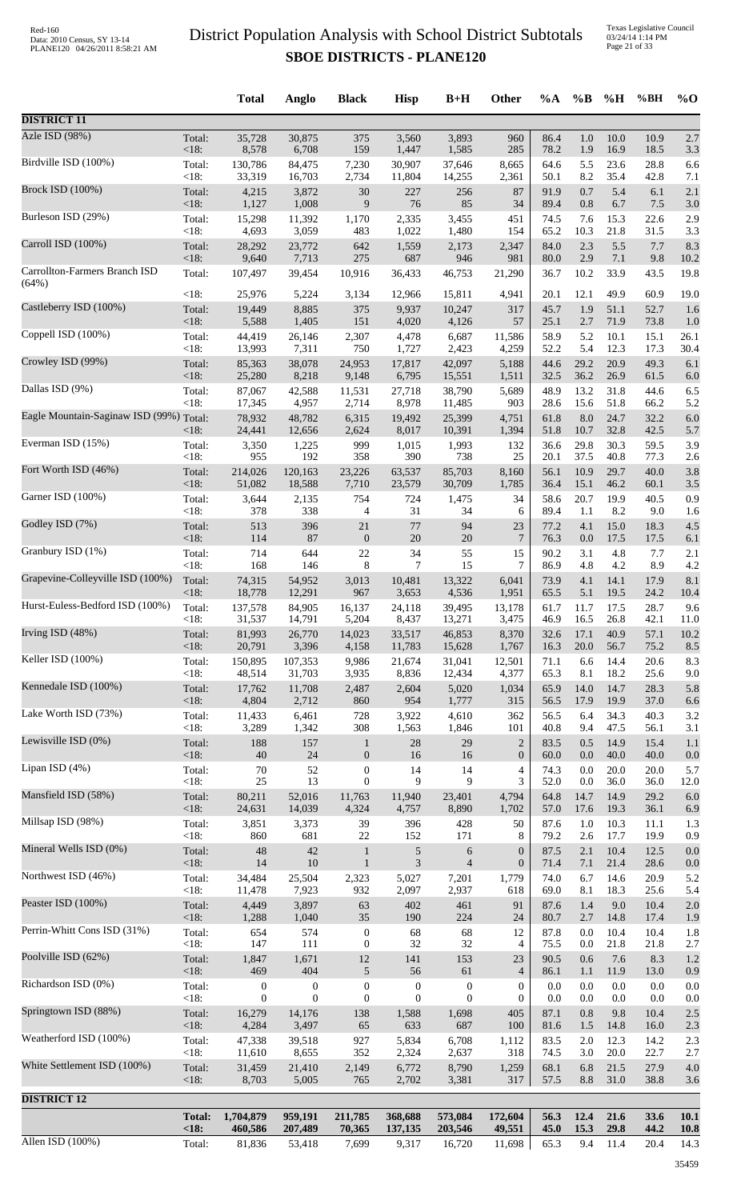Texas Legislative Council 03/24/14 1:14 PM Page 21 of 33

|                                         |                   | <b>Total</b>     | Anglo            | <b>Black</b>     | <b>Hisp</b>      | $B+H$            | Other            | $\%A$        | $\%B$       | %H           | %BH          | $\%$ O      |
|-----------------------------------------|-------------------|------------------|------------------|------------------|------------------|------------------|------------------|--------------|-------------|--------------|--------------|-------------|
| <b>DISTRICT 11</b>                      |                   |                  |                  |                  |                  |                  |                  |              |             |              |              |             |
| Azle ISD (98%)                          | Total:            | 35,728           | 30,875           | 375              | 3,560            | 3,893            | 960              | 86.4         | $1.0\,$     | $10.0\,$     | 10.9         | 2.7         |
|                                         | < 18:             | 8,578            | 6,708            | 159              | 1,447            | 1,585            | 285              | 78.2         | 1.9         | 16.9         | 18.5         | 3.3         |
| Birdville ISD (100%)                    | Total:            | 130,786          | 84,475           | 7,230            | 30,907           | 37,646           | 8,665            | 64.6         | 5.5         | 23.6         | 28.8         | 6.6         |
|                                         | < 18:             | 33,319           | 16,703           | 2,734            | 11,804           | 14,255           | 2,361            | 50.1         | 8.2         | 35.4         | 42.8         | 7.1         |
| <b>Brock ISD (100%)</b>                 | Total:            | 4,215            | 3,872            | 30               | 227              | 256              | 87               | 91.9         | 0.7         | 5.4          | 6.1          | 2.1         |
|                                         | < 18:             | 1,127            | 1,008            | 9                | 76               | 85               | 34               | 89.4         | 0.8         | 6.7          | 7.5          | 3.0         |
| Burleson ISD (29%)                      | Total:            | 15,298           | 11,392           | 1,170            | 2,335            | 3,455            | 451              | 74.5         | 7.6         | 15.3         | 22.6         | 2.9         |
| Carroll ISD (100%)                      | < 18:             | 4,693            | 3,059            | 483              | 1,022            | 1,480            | 154              | 65.2         | 10.3        | 21.8         | 31.5         | 3.3         |
|                                         | Total:            | 28,292           | 23,772           | 642              | 1,559            | 2,173            | 2,347            | 84.0         | 2.3         | 5.5          | 7.7          | 8.3         |
| Carrollton-Farmers Branch ISD           | <18:              | 9,640            | 7,713            | 275              | 687              | 946              | 981              | 80.0         | 2.9         | 7.1          | 9.8          | 10.2        |
|                                         | Total:            | 107,497          | 39,454           | 10,916           | 36,433           | 46,753           | 21,290           | 36.7         | 10.2        | 33.9         | 43.5         | 19.8        |
| (64%)                                   | <18:              | 25,976           | 5,224            | 3,134            | 12,966           | 15,811           | 4,941            | 20.1         | 12.1        | 49.9         | 60.9         | 19.0        |
| Castleberry ISD (100%)                  | Total:            | 19,449           | 8,885            | 375              | 9,937            | 10,247           | 317              | 45.7         | 1.9         | 51.1         | 52.7         | 1.6         |
|                                         | < 18:             | 5,588            | 1,405            | 151              | 4,020            | 4,126            | 57               | 25.1         | 2.7         | 71.9         | 73.8         | 1.0         |
| Coppell ISD (100%)                      | Total:            | 44,419           | 26,146           | 2,307            | 4,478            | 6,687            | 11,586           | 58.9         | 5.2         | 10.1         | 15.1         | 26.1        |
|                                         | < 18:             | 13,993           | 7,311            | 750              | 1,727            | 2,423            | 4,259            | 52.2         | 5.4         | 12.3         | 17.3         | 30.4        |
| Crowley ISD (99%)                       | Total:            | 85,363           | 38,078           | 24,953           | 17,817           | 42,097           | 5,188            | 44.6         | 29.2        | 20.9         | 49.3         | 6.1         |
|                                         | < 18:             | 25,280           | 8,218            | 9,148            | 6,795            | 15,551           | 1,511            | 32.5         | 36.2        | 26.9         | 61.5         | 6.0         |
| Dallas ISD (9%)                         | Total:            | 87,067           | 42,588           | 11,531           | 27,718           | 38,790           | 5,689            | 48.9         | 13.2        | 31.8         | 44.6         | 6.5         |
| Eagle Mountain-Saginaw ISD (99%) Total: | <18:              | 17,345<br>78,932 | 4,957<br>48,782  | 2,714<br>6,315   | 8,978<br>19,492  | 11,485<br>25,399 | 903<br>4,751     | 28.6<br>61.8 | 15.6<br>8.0 | 51.8<br>24.7 | 66.2<br>32.2 | 5.2<br>6.0  |
| Everman ISD (15%)                       | < 18:             | 24,441           | 12,656           | 2,624            | 8,017            | 10,391           | 1,394            | 51.8         | 10.7        | 32.8         | 42.5         | 5.7         |
|                                         | Total:            | 3,350            | 1,225            | 999              | 1,015            | 1,993            | 132              | 36.6         | 29.8        | 30.3         | 59.5         | 3.9         |
| Fort Worth ISD (46%)                    | <18:              | 955              | 192              | 358              | 390              | 738              | 25               | 20.1         | 37.5        | 40.8         | 77.3         | 2.6         |
|                                         | Total:            | 214,026          | 120,163          | 23,226           | 63,537           | 85,703           | 8,160            | 56.1         | 10.9        | 29.7         | 40.0         | 3.8         |
|                                         | <18:              | 51,082           | 18,588           | 7,710            | 23,579           | 30,709           | 1,785            | 36.4         | 15.1        | 46.2         | 60.1         | 3.5         |
| Garner ISD (100%)                       | Total:            | 3,644            | 2,135            | 754              | 724              | 1,475            | 34               | 58.6         | 20.7        | 19.9         | 40.5         | 0.9         |
|                                         | < 18:             | 378              | 338              | 4                | 31               | 34               | 6                | 89.4         | 1.1         | 8.2          | 9.0          | 1.6         |
| Godley ISD (7%)                         | Total:            | 513              | 396              | 21               | 77               | 94               | 23               | 77.2         | 4.1         | 15.0         | 18.3         | 4.5         |
|                                         | < 18:             | 114              | 87               | $\boldsymbol{0}$ | $20\,$           | 20               | $7\phantom{.0}$  | 76.3         | 0.0         | 17.5         | 17.5         | 6.1         |
| Granbury ISD (1%)                       | Total:            | 714              | 644              | 22               | 34               | 55               | 15               | 90.2         | 3.1         | 4.8          | 7.7          | 2.1         |
|                                         | <18:              | 168              | 146              | 8                | 7                | 15               | 7                | 86.9         | 4.8         | 4.2          | 8.9          | 4.2         |
| Grapevine-Colleyville ISD (100%)        | Total:            | 74,315           | 54,952           | 3,013            | 10,481           | 13,322           | 6,041            | 73.9         | 4.1         | 14.1         | 17.9         | 8.1         |
|                                         | <18:              | 18,778           | 12,291           | 967              | 3,653            | 4,536            | 1,951            | 65.5         | 5.1         | 19.5         | 24.2         | 10.4        |
| Hurst-Euless-Bedford ISD (100%)         | Total:            | 137,578          | 84,905           | 16,137           | 24,118           | 39,495           | 13,178           | 61.7         | 11.7        | 17.5         | 28.7         | 9.6         |
| Irving ISD (48%)                        | $<18$ :           | 31,537           | 14,791           | 5,204            | 8,437            | 13,271           | 3,475            | 46.9         | 16.5        | 26.8         | 42.1         | 11.0        |
|                                         | Total:            | 81,993           | 26,770           | 14,023           | 33,517           | 46,853           | 8,370            | 32.6         | 17.1        | 40.9         | 57.1         | 10.2        |
| Keller ISD (100%)                       | $<18$ :           | 20,791           | 3,396            | 4,158            | 11,783           | 15,628           | 1,767            | 16.3         | 20.0        | 56.7         | 75.2         | 8.5         |
|                                         | Total:            | 150,895          | 107,353          | 9,986            | 21,674           | 31,041           | 12,501           | 71.1         | 6.6         | 14.4         | 20.6         | 8.3         |
| Kennedale ISD (100%)                    | $<18$ :           | 48,514           | 31,703           | 3,935            | 8,836            | 12,434           | 4,377            | 65.3         | 8.1         | 18.2         | 25.6         | 9.0         |
|                                         | Total:            | 17,762           | 11,708           | 2,487            | 2,604            | 5,020            | 1,034            | 65.9         | 14.0        | 14.7         | 28.3         | 5.8         |
| Lake Worth ISD (73%)                    | < 18:             | 4,804            | 2,712            | 860              | 954              | 1,777            | 315              | 56.5         | 17.9        | 19.9         | 37.0         | 6.6         |
|                                         | Total:            | 11,433           | 6,461            | 728              | 3,922            | 4,610            | 362              | 56.5         | 6.4         | 34.3         | 40.3         | 3.2         |
| Lewisville ISD (0%)                     | < 18:             | 3,289            | 1,342            | 308              | 1,563            | 1,846            | 101              | 40.8         | 9.4         | 47.5         | 56.1         | 3.1         |
|                                         | Total:            | 188              | 157              | $\mathbf{1}$     | 28               | 29               | $\sqrt{2}$       | 83.5         | 0.5         | 14.9         | 15.4         | 1.1         |
|                                         | < 18:             | $40\,$           | $24\,$           | $\boldsymbol{0}$ | 16               | 16               | $\boldsymbol{0}$ | 60.0         | 0.0         | 40.0         | 40.0         | 0.0         |
| Lipan ISD (4%)                          | Total:            | $70\,$           | 52               | $\boldsymbol{0}$ | 14               | 14               | $\overline{4}$   | 74.3         | 0.0         | 20.0         | 20.0         | 5.7         |
|                                         | <18:              | 25               | 13               | $\boldsymbol{0}$ | 9                | 9                | 3                | 52.0         | $0.0\,$     | 36.0         | 36.0         | 12.0        |
| Mansfield ISD (58%)                     | Total:            | 80,211           | 52,016           | 11,763           | 11,940           | 23,401           | 4,794            | 64.8         | 14.7        | 14.9         | 29.2         | 6.0         |
|                                         | <18:              | 24,631           | 14,039           | 4,324            | 4,757            | 8,890            | 1,702            | 57.0         | 17.6        | 19.3         | 36.1         | 6.9         |
| Millsap ISD (98%)                       | Total:            | 3,851            | 3,373            | 39               | 396              | 428              | 50               | 87.6         | 1.0         | 10.3         | 11.1         | 1.3         |
|                                         | <18:              | 860              | 681              | $22\,$           | 152              | 171              | 8                | 79.2         | 2.6         | 17.7         | 19.9         | 0.9         |
| Mineral Wells ISD (0%)                  | Total:            | 48               | $42\,$           | $\mathbf{1}$     | $\sqrt{5}$       | 6                | $\boldsymbol{0}$ | 87.5         | 2.1         | 10.4         | 12.5         | 0.0         |
|                                         | <18:              | 14               | $10\,$           | $\mathbf{1}$     | $\mathfrak{Z}$   | $\overline{4}$   | $\mathbf{0}$     | 71.4         | 7.1         | 21.4         | 28.6         | 0.0         |
| Northwest ISD (46%)                     | Total:<br>$<18$ : | 34,484           | 25,504           | 2,323            | 5,027            | 7,201            | 1,779            | 74.0         | 6.7<br>8.1  | 14.6         | 20.9         | 5.2         |
| Peaster ISD (100%)                      | Total:            | 11,478<br>4,449  | 7,923<br>3,897   | 932<br>63        | 2,097<br>402     | 2,937<br>461     | 618<br>91        | 69.0<br>87.6 | 1.4         | 18.3<br>9.0  | 25.6<br>10.4 | 5.4<br>2.0  |
| Perrin-Whitt Cons ISD (31%)             | <18:              | 1,288            | 1,040            | 35               | 190              | 224              | 24               | 80.7         | 2.7         | 14.8         | 17.4         | 1.9         |
|                                         | Total:            | 654              | 574              | $\boldsymbol{0}$ | 68               | 68               | 12               | 87.8         | 0.0         | 10.4         | 10.4         | 1.8         |
| Poolville ISD (62%)                     | $<18$ :           | 147              | 111              | $\boldsymbol{0}$ | 32               | 32               | 4                | 75.5         | 0.0         | 21.8         | 21.8         | 2.7         |
|                                         | Total:            | 1,847            | 1,671            | $12\,$           | 141              | 153              | $23\,$           | 90.5         | 0.6         | 7.6          | 8.3          | 1.2         |
| Richardson ISD (0%)                     | <18:              | 469              | 404              | 5                | 56               | 61               | $\overline{4}$   | 86.1         | 1.1         | 11.9         | 13.0         | 0.9         |
|                                         | Total:            | $\mathbf{0}$     | $\boldsymbol{0}$ | $\boldsymbol{0}$ | $\boldsymbol{0}$ | $\boldsymbol{0}$ | $\boldsymbol{0}$ | 0.0          | 0.0         | 0.0          | $0.0\,$      | 0.0         |
| Springtown ISD (88%)                    | < 18:             | $\boldsymbol{0}$ | $\theta$         | $\mathbf{0}$     | $\mathbf{0}$     | $\overline{0}$   | $\mathbf{0}$     | 0.0          | 0.0         | $0.0\,$      | 0.0          | 0.0         |
|                                         | Total:            | 16,279           | 14,176           | 138              | 1,588            | 1,698            | 405              | 87.1         | 0.8         | 9.8          | 10.4         | 2.5         |
|                                         | < 18:             | 4,284            | 3,497            | 65               | 633              | 687              | 100              | 81.6         | 1.5         | 14.8         | 16.0         | 2.3         |
| Weatherford ISD (100%)                  | Total:            | 47,338           | 39,518           | 927              | 5,834            | 6,708            | 1,112            | 83.5         | 2.0         | 12.3         | 14.2         | 2.3         |
|                                         | $<18$ :           | 11,610           | 8,655            | 352              | 2,324            | 2,637            | 318              | 74.5         | 3.0         | 20.0         | 22.7         | 2.7         |
| White Settlement ISD (100%)             | Total:            | 31,459           | 21,410           | 2,149            | 6,772            | 8,790            | 1,259            | 68.1         | 6.8         | 21.5         | 27.9         | 4.0         |
|                                         | $<18$ :           | 8,703            | 5,005            | 765              | 2,702            | 3,381            | 317              | 57.5         | 8.8         | 31.0         | 38.8         | 3.6         |
| <b>DISTRICT 12</b>                      |                   |                  |                  |                  |                  |                  |                  |              |             |              |              |             |
|                                         | <b>Total:</b>     | 1,704,879        | 959,191          | 211,785          | 368,688          | 573,084          | 172,604          | 56.3         | 12.4        | 21.6         | 33.6         | 10.1        |
|                                         | < 18:             | 460,586          | 207,489          | 70,365           | 137,135          | 203,546          | 49,551           | 45.0         | 15.3        | 29.8         | 44.2         | <b>10.8</b> |
| Allen ISD (100%)                        | Total:            | 81,836           | 53,418           | 7,699            | 9,317            | 16,720           | 11,698           | 65.3         | 9.4         | 11.4         | 20.4         | 14.3        |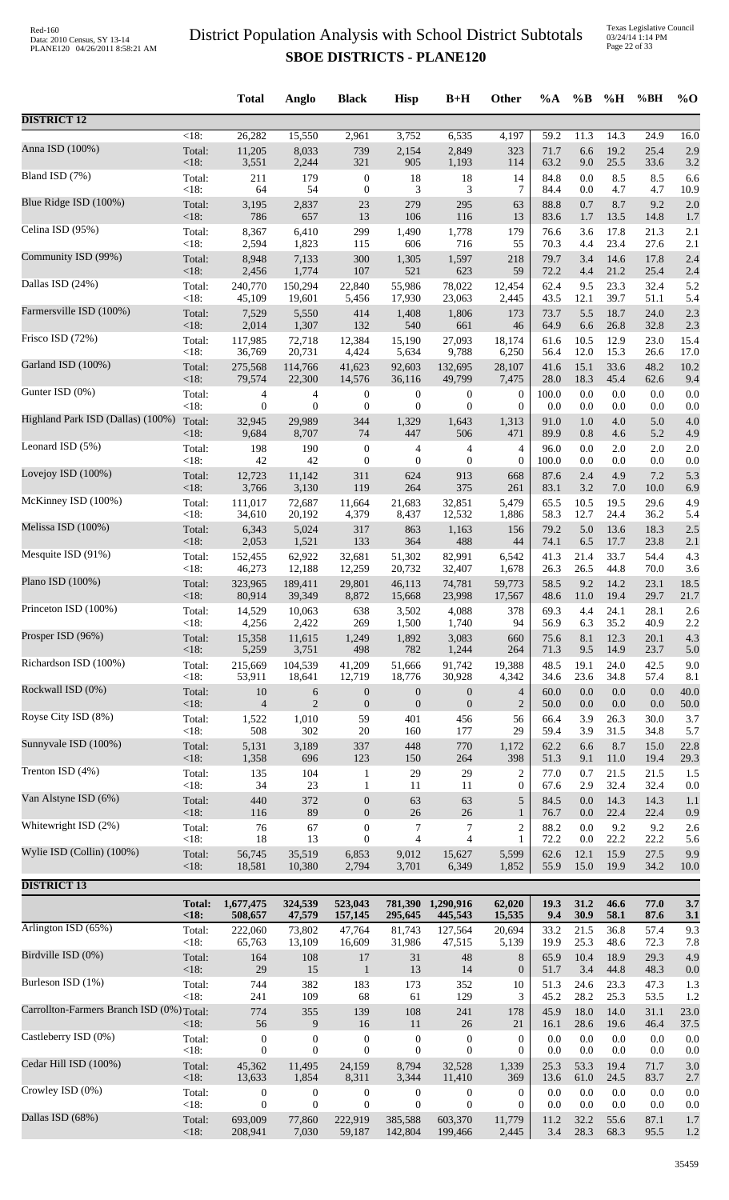|                                           |                   | <b>Total</b>         | Anglo            | <b>Black</b>                         | <b>Hisp</b>                      | $B+H$                                | Other               | %A           | $\%$ B      | %H          | %BH        | $\%$ O       |
|-------------------------------------------|-------------------|----------------------|------------------|--------------------------------------|----------------------------------|--------------------------------------|---------------------|--------------|-------------|-------------|------------|--------------|
| <b>DISTRICT 12</b>                        |                   |                      |                  |                                      |                                  |                                      |                     |              |             |             |            |              |
| Anna ISD (100%)                           | $<18$ :           | 26,282               | 15,550           | 2,961                                | 3,752                            | 6,535                                | 4,197               | 59.2         | 11.3        | 14.3        | 24.9       | 16.0         |
|                                           | Total:            | 11,205               | 8,033            | 739                                  | 2,154                            | 2,849                                | 323                 | 71.7         | 6.6         | 19.2        | 25.4       | 2.9          |
| Bland ISD (7%)                            | <18:              | 3,551                | 2,244            | 321                                  | 905                              | 1,193                                | 114                 | 63.2         | 9.0         | 25.5        | 33.6       | 3.2          |
|                                           | Total:            | 211                  | 179              | $\boldsymbol{0}$                     | 18                               | 18                                   | 14                  | 84.8         | 0.0         | 8.5         | 8.5        | 6.6          |
|                                           | $<18$ :           | 64                   | 54               | $\boldsymbol{0}$                     | 3                                | 3                                    | 7                   | 84.4         | 0.0         | 4.7         | 4.7        | 10.9         |
| Blue Ridge ISD (100%)                     | Total:            | 3,195                | 2,837            | 23                                   | 279                              | 295                                  | 63                  | 88.8         | 0.7         | 8.7         | 9.2        | 2.0          |
|                                           | $<18$ :           | 786                  | 657              | 13                                   | 106                              | 116                                  | 13                  | 83.6         | 1.7         | 13.5        | 14.8       | 1.7          |
| Celina ISD (95%)                          | Total:            | 8,367                | 6,410            | 299                                  | 1,490                            | 1,778                                | 179                 | 76.6         | 3.6         | 17.8        | 21.3       | 2.1          |
|                                           | <18:              | 2,594                | 1,823            | 115                                  | 606                              | 716                                  | 55                  | 70.3         | 4.4         | 23.4        | 27.6       | 2.1          |
| Community ISD (99%)                       | Total:            | 8,948                | 7,133            | 300                                  | 1,305                            | 1,597                                | 218                 | 79.7         | 3.4         | 14.6        | 17.8       | 2.4          |
|                                           | <18:              | 2,456                | 1,774            | 107                                  | 521                              | 623                                  | 59                  | 72.2         | 4.4         | 21.2        | 25.4       | 2.4          |
| Dallas ISD (24%)                          | Total:            | 240,770              | 150,294          | 22,840                               | 55,986                           | 78,022                               | 12,454              | 62.4         | 9.5         | 23.3        | 32.4       | 5.2          |
|                                           | <18:              | 45,109               | 19,601           | 5,456                                | 17,930                           | 23,063                               | 2,445               | 43.5         | 12.1        | 39.7        | 51.1       | 5.4          |
| Farmersville ISD (100%)                   | Total:            | 7,529                | 5,550            | 414                                  | 1,408                            | 1,806                                | 173                 | 73.7         | 5.5         | 18.7        | 24.0       | 2.3          |
| Frisco ISD (72%)                          | <18:              | 2,014                | 1,307            | 132                                  | 540                              | 661                                  | 46                  | 64.9         | 6.6         | 26.8        | 32.8       | 2.3          |
|                                           | Total:            | 117,985              | 72,718           | 12,384                               | 15,190                           | 27,093                               | 18,174              | 61.6         | 10.5        | 12.9        | 23.0       | 15.4         |
| Garland ISD (100%)                        | <18:              | 36,769               | 20,731           | 4,424                                | 5,634                            | 9,788                                | 6,250               | 56.4         | 12.0        | 15.3        | 26.6       | 17.0         |
|                                           | Total:            | 275,568              | 114,766          | 41,623                               | 92,603                           | 132,695                              | 28,107              | 41.6         | 15.1        | 33.6        | 48.2       | 10.2         |
| Gunter ISD (0%)                           | $<18$ :           | 79,574               | 22,300           | 14,576                               | 36,116                           | 49,799                               | 7,475               | 28.0         | 18.3        | 45.4        | 62.6       | 9.4          |
|                                           | Total:            | 4                    | 4                | $\boldsymbol{0}$                     | $\boldsymbol{0}$                 | 0                                    | $\boldsymbol{0}$    | 100.0        | 0.0         | 0.0         | 0.0        | 0.0          |
| Highland Park ISD (Dallas) (100%)         | <18:              | $\mathbf{0}$         | $\overline{0}$   | $\boldsymbol{0}$                     | $\mathbf{0}$                     | $\mathbf{0}$                         | $\boldsymbol{0}$    | 0.0          | 0.0         | 0.0         | 0.0        | 0.0          |
|                                           | Total:            | 32,945               | 29,989           | 344                                  | 1,329                            | 1,643                                | 1,313               | 91.0         | 1.0         | 4.0         | 5.0        | 4.0          |
|                                           | $<18$ :           | 9,684                | 8,707            | 74                                   | 447                              | 506                                  | 471                 | 89.9         | 0.8         | 4.6         | 5.2        | 4.9          |
| Leonard ISD (5%)                          | Total:            | 198                  | 190              | $\boldsymbol{0}$                     | $\overline{4}$                   | 4                                    | 4                   | 96.0         | 0.0         | 2.0         | 2.0        | 2.0          |
|                                           | <18:              | 42                   | 42               | $\boldsymbol{0}$                     | $\boldsymbol{0}$                 | $\boldsymbol{0}$                     | $\overline{0}$      | 100.0        | 0.0         | 0.0         | 0.0        | 0.0          |
| Lovejoy ISD (100%)                        | Total:            | 12,723               | 11,142           | 311                                  | 624                              | 913                                  | 668                 | 87.6         | 2.4         | 4.9         | 7.2        | 5.3          |
|                                           | <18:              | 3,766                | 3,130            | 119                                  | 264                              | 375                                  | 261                 | 83.1         | 3.2         | 7.0         | 10.0       | 6.9          |
| McKinney ISD (100%)                       | Total:            | 111,017              | 72,687           | 11,664                               | 21,683                           | 32,851                               | 5,479               | 65.5         | 10.5        | 19.5        | 29.6       | 4.9          |
|                                           | <18:              | 34,610               | 20,192           | 4,379                                | 8,437                            | 12,532                               | 1,886               | 58.3         | 12.7        | 24.4        | 36.2       | 5.4          |
| Melissa ISD (100%)                        | Total:            | 6,343                | 5,024            | 317                                  | 863                              | 1,163                                | 156                 | 79.2         | 5.0         | 13.6        | 18.3       | 2.5          |
|                                           | <18:              | 2,053                | 1,521            | 133                                  | 364                              | 488                                  | 44                  | 74.1         | 6.5         | 17.7        | 23.8       | 2.1          |
| Mesquite ISD (91%)                        | Total:            | 152,455              | 62,922           | 32,681                               | 51,302                           | 82,991                               | 6,542               | 41.3         | 21.4        | 33.7        | 54.4       | 4.3          |
|                                           | <18:              | 46,273               | 12,188           | 12,259                               | 20,732                           | 32,407                               | 1,678               | 26.3         | 26.5        | 44.8        | 70.0       | 3.6          |
| Plano ISD (100%)                          | Total:            | 323,965              | 189,411          | 29,801                               | 46,113                           | 74,781                               | 59,773              | 58.5         | 9.2         | 14.2        | 23.1       | 18.5         |
| Princeton ISD (100%)                      | <18:              | 80,914               | 39,349           | 8,872                                | 15,668                           | 23,998                               | 17,567              | 48.6         | 11.0        | 19.4        | 29.7       | 21.7         |
|                                           | Total:            | 14,529               | 10,063           | 638                                  | 3,502                            | 4,088                                | 378                 | 69.3         | 4.4         | 24.1        | 28.1       | 2.6          |
| Prosper ISD (96%)                         | $<18$ :           | 4,256                | 2,422            | 269                                  | 1,500                            | 1,740                                | 94                  | 56.9         | 6.3         | 35.2        | 40.9       | 2.2          |
|                                           | Total:            | 15,358               | 11,615           | 1,249                                | 1,892                            | 3,083                                | 660                 | 75.6         | 8.1         | 12.3        | 20.1       | 4.3          |
| Richardson ISD (100%)                     | $<18$ :           | 5,259                | 3,751            | 498                                  | 782                              | 1,244                                | 264                 | 71.3         | 9.5         | 14.9        | 23.7       | 5.0          |
|                                           | Total:            | 215,669              | 104,539          | 41,209                               | 51,666                           | 91,742                               | 19,388              | 48.5         | 19.1        | 24.0        | 42.5       | 9.0          |
| Rockwall ISD (0%)                         | <18:              | 53,911               | 18,641           | 12,719                               | 18,776                           | 30,928                               | 4,342               | 34.6<br>60.0 | 23.6<br>0.0 | 34.8<br>0.0 | 57.4       | 8.1          |
|                                           | Total:<br>$<18$ : | 10<br>$\overline{4}$ | 6<br>$\sqrt{2}$  | $\boldsymbol{0}$<br>$\boldsymbol{0}$ | $\mathbf{0}$<br>$\boldsymbol{0}$ | $\boldsymbol{0}$<br>$\boldsymbol{0}$ | 4<br>$\overline{2}$ | 50.0         | 0.0         | 0.0         | 0.0<br>0.0 | 40.0<br>50.0 |
| Royse City ISD (8%)                       | Total:            | 1,522                | 1,010            | 59                                   | 401                              | 456                                  | 56                  | 66.4         | 3.9         | 26.3        | 30.0       | 3.7          |
|                                           | <18:              | 508                  | 302              | 20                                   | 160                              | 177                                  | 29                  | 59.4         | 3.9         | 31.5        | 34.8       | 5.7          |
| Sunnyvale ISD (100%)                      | Total:            | 5,131                | 3,189            | 337                                  | 448                              | 770                                  | 1,172               | 62.2         | 6.6         | 8.7         | 15.0       | 22.8         |
|                                           | $<18$ :           | 1,358                | 696              | 123                                  | 150                              | 264                                  | 398                 | 51.3         | 9.1         | 11.0        | 19.4       | 29.3         |
| Trenton ISD (4%)                          | Total:            | 135                  | 104              | $\mathbf{1}$                         | 29                               | 29                                   | 2                   | 77.0         | 0.7         | 21.5        | 21.5       | 1.5          |
|                                           | <18:              | 34                   | 23               | 1                                    | 11                               | 11                                   | 0                   | 67.6         | 2.9         | 32.4        | 32.4       | 0.0          |
| Van Alstyne ISD (6%)                      | Total:            | 440                  | 372              | $\boldsymbol{0}$                     | 63                               | 63                                   | 5                   | 84.5         | 0.0         | 14.3        | 14.3       | 1.1          |
| Whitewright ISD (2%)                      | <18:              | 116                  | 89               | $\boldsymbol{0}$                     | $26\,$                           | 26                                   | $\mathbf{1}$        | 76.7         | 0.0         | 22.4        | 22.4       | 0.9          |
|                                           | Total:            | 76                   | 67               | $\boldsymbol{0}$                     | 7                                | 7                                    | $\overline{2}$      | 88.2         | 0.0         | 9.2         | 9.2        | 2.6          |
| Wylie ISD (Collin) (100%)                 | $<18$ :           | 18                   | 13               | $\boldsymbol{0}$                     | $\overline{4}$                   | $\overline{4}$                       | 1                   | 72.2         | 0.0         | 22.2        | 22.2       | 5.6          |
|                                           | Total:            | 56,745               | 35,519           | 6,853                                | 9,012                            | 15,627                               | 5,599               | 62.6         | 12.1        | 15.9        | 27.5       | 9.9          |
|                                           | <18:              | 18,581               | 10,380           | 2,794                                | 3,701                            | 6,349                                | 1,852               | 55.9         | 15.0        | 19.9        | 34.2       | 10.0         |
| <b>DISTRICT 13</b>                        | <b>Total:</b>     | 1,677,475            | 324,539          | 523,043                              |                                  | 781,390 1,290,916                    | 62,020              | 19.3         | 31.2        | 46.6        | 77.0       | 3.7          |
|                                           | < 18:             | 508,657              | 47,579           | 157,145                              | 295,645                          | 445,543                              | 15,535              | 9.4          | 30.9        | 58.1        | 87.6       | 3.1          |
| Arlington ISD (65%)                       | Total:            | 222,060              | 73,802           | 47,764                               | 81,743                           | 127,564                              | 20,694              | 33.2         | 21.5        | 36.8        | 57.4       | 9.3          |
|                                           | $<18$ :           | 65,763               | 13,109           | 16,609                               | 31,986                           | 47,515                               | 5,139               | 19.9         | 25.3        | 48.6        | 72.3       | 7.8          |
| Birdville ISD (0%)                        | Total:            | 164                  | 108              | 17                                   | 31                               | 48                                   | $\,8$               | 65.9         | 10.4        | 18.9        | 29.3       | 4.9          |
|                                           | <18:              | 29                   | 15               | $\mathbf{1}$                         | 13                               | 14                                   | $\boldsymbol{0}$    | 51.7         | 3.4         | 44.8        | 48.3       | 0.0          |
| Burleson ISD (1%)                         | Total:            | 744                  | 382              | 183                                  | 173                              | 352                                  | 10                  | 51.3         | 24.6        | 23.3        | 47.3       | 1.3          |
|                                           | <18:              | 241                  | 109              | 68                                   | 61                               | 129                                  | 3                   | 45.2         | 28.2        | 25.3        | 53.5       | 1.2          |
| Carrollton-Farmers Branch ISD (0%) Total: |                   | 774                  | 355              | 139                                  | 108                              | 241                                  | 178                 | 45.9         | 18.0        | 14.0        | 31.1       | 23.0         |
| Castleberry ISD (0%)                      | $<18$ :           | 56                   | $\overline{9}$   | 16                                   | 11                               | 26                                   | 21                  | 16.1         | 28.6        | 19.6        | 46.4       | 37.5         |
|                                           | Total:            | $\boldsymbol{0}$     | $\boldsymbol{0}$ | $\boldsymbol{0}$                     | $\boldsymbol{0}$                 | $\boldsymbol{0}$                     | $\boldsymbol{0}$    | 0.0          | 0.0         | 0.0         | $0.0\,$    | 0.0          |
| Cedar Hill ISD (100%)                     | <18:              | $\mathbf{0}$         | $\overline{0}$   | $\mathbf{0}$                         | $\theta$                         | $\overline{0}$                       | $\overline{0}$      | 0.0          | 0.0         | 0.0         | 0.0        | 0.0          |
|                                           | Total:            | 45,362               | 11,495           | 24,159                               | 8,794                            | 32,528                               | 1,339               | 25.3         | 53.3        | 19.4        | 71.7       | 3.0          |
| Crowley ISD (0%)                          | <18:              | 13,633               | 1,854            | 8,311                                | 3,344                            | 11,410                               | 369                 | 13.6         | 61.0        | 24.5        | 83.7       | 2.7          |
|                                           | Total:            | $\boldsymbol{0}$     | $\boldsymbol{0}$ | $\boldsymbol{0}$                     | $\boldsymbol{0}$                 | $\boldsymbol{0}$                     | $\boldsymbol{0}$    | $0.0\,$      | 0.0         | 0.0         | 0.0        | 0.0          |
| Dallas ISD (68%)                          | <18:              | $\boldsymbol{0}$     | $\mathbf{0}$     | $\boldsymbol{0}$                     | $\mathbf{0}$                     | $\boldsymbol{0}$                     | $\boldsymbol{0}$    | 0.0          | 0.0         | 0.0         | 0.0        | 0.0          |
|                                           | Total:            | 693,009              | 77,860           | 222,919                              | 385,588                          | 603,370                              | 11,779              | 11.2         | 32.2        | 55.6        | 87.1       | 1.7          |
|                                           | <18:              | 208,941              | 7,030            | 59,187                               | 142,804                          | 199,466                              | 2,445               | 3.4          | 28.3        | 68.3        | 95.5       | 1.2          |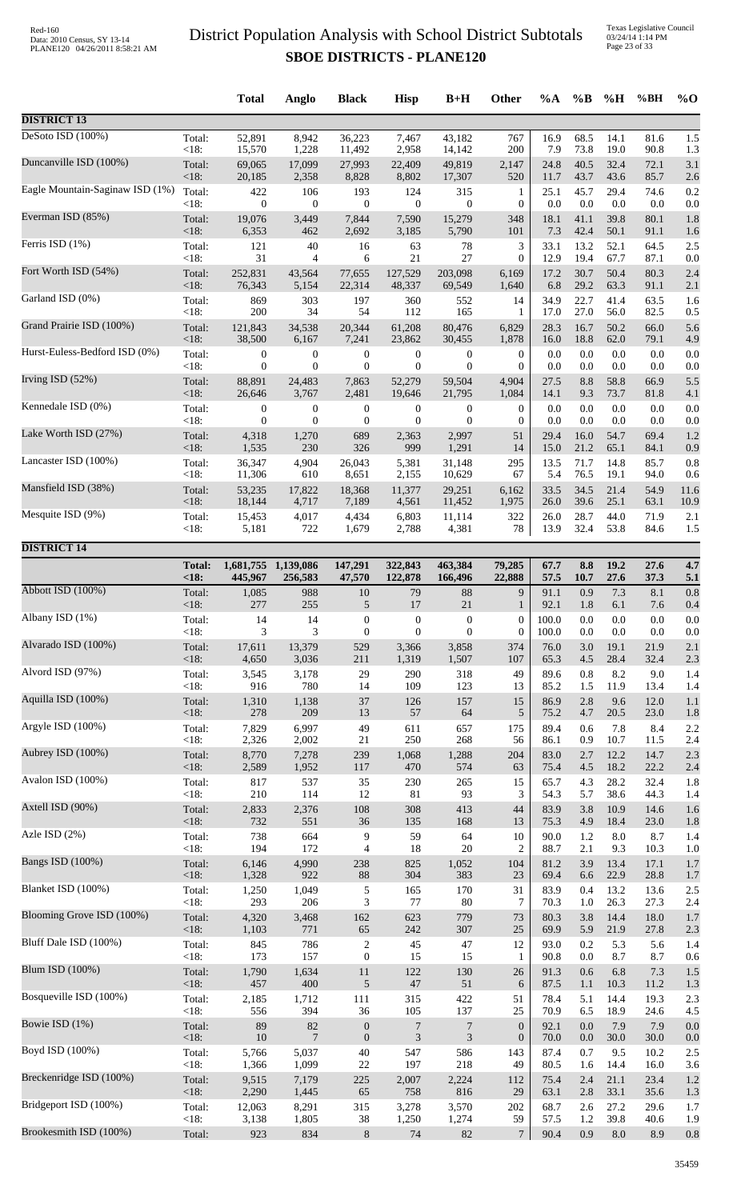Texas Legislative Council 03/24/14 1:14 PM Page 23 of 33

|                                 |                 | <b>Total</b>     | Anglo                | <b>Black</b>                     | <b>Hisp</b>           | $B+H$                 | Other                  | $\%A$        | $\%B$      | %H          | %BH         | $\%$ O     |
|---------------------------------|-----------------|------------------|----------------------|----------------------------------|-----------------------|-----------------------|------------------------|--------------|------------|-------------|-------------|------------|
| <b>DISTRICT 13</b>              |                 |                  |                      |                                  |                       |                       |                        |              |            |             |             |            |
| DeSoto ISD (100%)               | Total:          | 52,891           | 8,942                | 36,223                           | 7,467                 | 43,182                | 767                    | 16.9         | 68.5       | 14.1        | 81.6        | 1.5        |
|                                 | < 18:           | 15,570           | 1,228                | 11,492                           | 2,958                 | 14,142                | 200                    | 7.9          | 73.8       | 19.0        | 90.8        | 1.3        |
| Duncanville ISD (100%)          | Total:          | 69,065           | 17,099               | 27,993                           | 22,409                | 49,819                | 2,147                  | 24.8         | 40.5       | 32.4        | 72.1        | 3.1        |
| Eagle Mountain-Saginaw ISD (1%) | < 18:           | 20,185           | 2,358                | 8,828                            | 8,802                 | 17,307                | 520                    | 11.7         | 43.7       | 43.6        | 85.7        | 2.6        |
|                                 | Total:          | 422              | 106                  | 193                              | 124                   | 315                   | $\mathbf{1}$           | 25.1         | 45.7       | 29.4        | 74.6        | 0.2        |
|                                 | < 18:           | $\mathbf{0}$     | $\boldsymbol{0}$     | $\boldsymbol{0}$                 | $\mathbf{0}$          | $\boldsymbol{0}$      | $\boldsymbol{0}$       | 0.0          | 0.0        | 0.0         | 0.0         | 0.0        |
| Everman ISD (85%)               | Total:          | 19,076           | 3,449                | 7,844                            | 7,590                 | 15,279                | 348                    | 18.1         | 41.1       | 39.8        | 80.1        | 1.8        |
|                                 | <18:            | 6,353            | 462                  | 2,692                            | 3,185                 | 5,790                 | 101                    | 7.3          | 42.4       | 50.1        | 91.1        | 1.6        |
| Ferris ISD (1%)                 | Total:          | 121              | 40                   | 16                               | 63                    | 78                    | 3                      | 33.1         | 13.2       | 52.1        | 64.5        | 2.5        |
| Fort Worth ISD (54%)            | < 18:           | 31               | 4                    | 6                                | 21                    | 27                    | $\overline{0}$         | 12.9         | 19.4       | 67.7        | 87.1        | 0.0        |
|                                 | Total:          | 252,831          | 43,564               | 77,655                           | 127,529               | 203,098               | 6,169                  | 17.2         | 30.7       | 50.4        | 80.3        | 2.4        |
|                                 | < 18:           | 76,343           | 5,154                | 22,314                           | 48,337                | 69,549                | 1,640                  | 6.8          | 29.2       | 63.3        | 91.1        | 2.1        |
| Garland ISD (0%)                | Total:          | 869              | 303                  | 197                              | 360                   | 552                   | 14                     | 34.9         | 22.7       | 41.4        | 63.5        | 1.6        |
|                                 | < 18:           | 200              | 34                   | 54                               | 112                   | 165                   | 1                      | 17.0         | 27.0       | 56.0        | 82.5        | 0.5        |
| Grand Prairie ISD (100%)        | Total:          | 121,843          | 34,538               | 20,344                           | 61,208                | 80,476                | 6,829                  | 28.3         | 16.7       | 50.2        | 66.0        | 5.6        |
|                                 | < 18:           | 38,500           | 6,167                | 7,241                            | 23,862                | 30,455                | 1,878                  | 16.0         | 18.8       | 62.0        | 79.1        | 4.9        |
| Hurst-Euless-Bedford ISD (0%)   | Total:          | 0                | $\boldsymbol{0}$     | $\boldsymbol{0}$                 | $\boldsymbol{0}$      | $\boldsymbol{0}$      | $\boldsymbol{0}$       | 0.0          | 0.0        | 0.0         | 0.0         | 0.0        |
|                                 | < 18:           | $\boldsymbol{0}$ | $\mathbf{0}$         | $\mathbf{0}$                     | $\mathbf{0}$          | $\boldsymbol{0}$      | $\mathbf{0}$           | 0.0          | 0.0        | 0.0         | 0.0         | 0.0        |
| Irving ISD (52%)                | Total:          | 88,891           | 24,483               | 7,863                            | 52,279                | 59,504                | 4,904                  | 27.5         | 8.8        | 58.8        | 66.9        | 5.5        |
| Kennedale ISD (0%)              | < 18:           | 26,646           | 3,767                | 2,481                            | 19,646                | 21,795                | 1,084                  | 14.1         | 9.3        | 73.7        | 81.8        | 4.1        |
|                                 | Total:          | $\boldsymbol{0}$ | $\boldsymbol{0}$     | $\boldsymbol{0}$                 | $\boldsymbol{0}$      | $\boldsymbol{0}$      | $\boldsymbol{0}$       | 0.0          | 0.0        | 0.0         | 0.0         | 0.0        |
|                                 | < 18:           | $\boldsymbol{0}$ | $\boldsymbol{0}$     | $\mathbf{0}$                     | $\boldsymbol{0}$      | $\theta$              | $\boldsymbol{0}$       | 0.0          | 0.0        | 0.0         | 0.0         | 0.0        |
| Lake Worth ISD (27%)            | Total:          | 4,318            | 1,270                | 689                              | 2,363                 | 2,997                 | 51                     | 29.4         | 16.0       | 54.7        | 69.4        | 1.2        |
|                                 | < 18:           | 1,535            | 230                  | 326                              | 999                   | 1,291                 | 14                     | 15.0         | 21.2       | 65.1        | 84.1        | 0.9        |
| Lancaster ISD (100%)            | Total:          | 36,347           | 4,904                | 26,043                           | 5,381                 | 31,148                | 295                    | 13.5         | 71.7       | 14.8        | 85.7        | 0.8        |
|                                 | < 18:           | 11,306           | 610                  | 8,651                            | 2,155                 | 10,629                | 67                     | 5.4          | 76.5       | 19.1        | 94.0        | 0.6        |
| Mansfield ISD (38%)             | Total:          | 53,235           | 17,822               | 18,368                           | 11,377                | 29,251                | 6,162                  | 33.5         | 34.5       | 21.4        | 54.9        | 11.6       |
| Mesquite ISD (9%)               | < 18:           | 18,144           | 4,717                | 7,189                            | 4,561                 | 11,452                | 1,975                  | 26.0         | 39.6       | 25.1        | 63.1        | 10.9       |
|                                 | Total:          | 15,453           | 4,017                | 4,434                            | 6,803                 | 11,114                | 322                    | 26.0         | 28.7       | 44.0        | 71.9        | 2.1        |
|                                 | <18:            | 5,181            | 722                  | 1,679                            | 2,788                 | 4,381                 | 78                     | 13.9         | 32.4       | 53.8        | 84.6        | 1.5        |
| <b>DISTRICT 14</b>              |                 |                  |                      |                                  |                       |                       |                        |              |            |             |             |            |
|                                 | <b>Total:</b>   | 1,681,755        | 1,139,086            | 147,291                          | 322,843               | 463,384               | 79,285                 | 67.7         | 8.8        | 19.2        | 27.6        | 4.7        |
|                                 | <18             | 445,967          | 256,583              | 47,570                           | 122,878               | 166,496               | 22,888                 | 57.5         | 10.7       | 27.6        | 37.3        | 5.1        |
| Abbott ISD (100%)               | Total:          | 1,085            | 988                  | 10                               | 79                    | 88                    | 9                      | 91.1         | 0.9        | 7.3         | 8.1         | 0.8        |
|                                 | < 18:           | 277              | 255                  | 5                                | 17                    | 21                    | $\mathbf{1}$           | 92.1         | 1.8        | 6.1         | 7.6         | 0.4        |
| Albany ISD (1%)                 | Total:          | 14               | 14                   | $\boldsymbol{0}$                 | $\boldsymbol{0}$      | $\boldsymbol{0}$      | $\boldsymbol{0}$       | 100.0        | 0.0        | 0.0         | $0.0\,$     | 0.0        |
|                                 | < 18:           | 3                | 3                    | $\mathbf{0}$                     | $\mathbf{0}$          | $\overline{0}$        | $\boldsymbol{0}$       | 100.0        | 0.0        | 0.0         | 0.0         | 0.0        |
| Alvarado ISD (100%)             | Total:          | 17,611           | 13,379               | 529                              | 3,366                 | 3,858                 | 374                    | 76.0         | 3.0        | 19.1        | 21.9        | 2.1        |
| Alvord ISD (97%)                | < 18:           | 4,650            | 3,036                | 211                              | 1,319                 | 1,507                 | 107                    | 65.3         | 4.5        | 28.4        | 32.4        | 2.3        |
|                                 | Total:          | 3,545            | 3,178                | 29                               | 290                   | 318                   | 49                     | 89.6         | 0.8        | 8.2         | 9.0         | 1.4        |
|                                 | <18:            | 916              | 780                  | 14                               | 109                   | 123                   | 13                     | 85.2         | 1.5        | 11.9        | 13.4        | 1.4        |
| Aquilla ISD (100%)              | Total:          | 1,310            | 1,138                | 37                               | 126                   | 157                   | 15                     | 86.9         | 2.8        | 9.6         | 12.0        | 1.1        |
|                                 | < 18:           | 278              | 209                  | 13                               | 57                    | 64                    | 5                      | 75.2         | 4.7        | 20.5        | 23.0        | 1.8        |
| Argyle ISD (100%)               | Total:          | 7,829            | 6,997                | 49                               | 611                   | 657                   | 175                    | 89.4         | 0.6        | 7.8         | 8.4         | 2.2        |
| Aubrey ISD (100%)               | < 18:           | 2,326            | 2,002                | $21\,$                           | 250                   | 268                   | 56                     | 86.1         | 0.9        | 10.7        | 11.5        | 2.4        |
|                                 | Total:          | 8,770            | 7,278                | 239                              | 1,068                 | 1,288                 | 204                    | 83.0         | 2.7        | 12.2        | 14.7        | 2.3        |
| Avalon ISD (100%)               | <18:            | 2,589            | 1,952                | 117                              | 470                   | 574                   | 63                     | 75.4         | 4.5        | 18.2        | 22.2        | 2.4        |
|                                 | Total:          | 817              | 537                  | 35                               | 230                   | 265                   | 15                     | 65.7         | 4.3        | 28.2        | 32.4        | 1.8        |
|                                 | <18:            | 210              | 114                  | 12                               | 81                    | 93                    | 3                      | 54.3         | 5.7        | 38.6        | 44.3        | 1.4        |
| Axtell ISD (90%)                | Total:          | 2,833            | 2,376                | $108\,$                          | 308                   | 413                   | 44                     | 83.9         | 3.8        | 10.9        | 14.6        | 1.6        |
|                                 | < 18:           | 732              | 551                  | 36                               | 135                   | 168                   | 13                     | 75.3         | 4.9        | 18.4        | 23.0        | 1.8        |
| Azle ISD $(2%)$                 | Total:          | 738              | 664                  | 9                                | 59                    | 64                    | 10                     | 90.0         | 1.2        | 8.0         | 8.7         | 1.4        |
| <b>Bangs ISD</b> (100%)         | < 18:           | 194              | 172                  | $\overline{4}$                   | 18                    | 20                    | $\overline{c}$         | 88.7         | 2.1        | 9.3         | 10.3        | 1.0        |
|                                 | Total:          | 6,146            | 4,990                | 238                              | 825                   | 1,052                 | 104                    | 81.2         | 3.9        | 13.4        | 17.1        | 1.7        |
| Blanket ISD (100%)              | < 18:           | 1,328            | 922                  | $88\,$                           | 304                   | 383                   | 23                     | 69.4         | 6.6        | 22.9        | 28.8        | 1.7        |
|                                 | Total:          | 1,250            | 1,049                | $\sqrt{5}$                       | 165                   | 170                   | 31                     | 83.9         | 0.4        | 13.2        | 13.6        | 2.5        |
|                                 | <18:            | 293              | 206                  | 3                                | 77                    | 80                    | $\tau$                 | 70.3         | 1.0        | 26.3        | 27.3        | 2.4        |
| Blooming Grove ISD (100%)       | Total:          | 4,320            | 3,468                | 162                              | 623                   | 779                   | 73                     | 80.3         | 3.8        | 14.4        | 18.0        | 1.7        |
|                                 | $<18$ :         | 1,103            | 771                  | 65                               | 242                   | 307                   | 25                     | 69.9         | 5.9        | 21.9        | 27.8        | 2.3        |
| Bluff Dale ISD (100%)           | Total:          | 845              | 786                  | $\overline{c}$                   | 45                    | $47\,$                | 12                     | 93.0         | 0.2        | 5.3         | 5.6         | 1.4        |
|                                 | <18:            | 173              | 157                  | $\boldsymbol{0}$                 | 15                    | 15                    | 1                      | 90.8         | 0.0        | 8.7         | 8.7         | 0.6        |
| Blum ISD (100%)                 | Total:          | 1,790            | 1,634                | 11                               | 122                   | 130                   | 26                     | 91.3         | 0.6        | 6.8         | 7.3         | 1.5        |
| Bosqueville ISD (100%)          | < 18:           | 457              | 400                  | $\sqrt{5}$                       | $47\,$                | 51                    | 6                      | 87.5         | 1.1        | 10.3        | 11.2        | 1.3        |
|                                 | Total:          | 2,185            | 1,712                | 111                              | 315                   | 422                   | 51                     | 78.4         | 5.1        | 14.4        | 19.3        | 2.3        |
| Bowie ISD (1%)                  | <18:            | 556<br>89        | 394                  | 36                               | 105<br>$\overline{7}$ | 137<br>$\overline{7}$ | 25<br>$\boldsymbol{0}$ | 70.9<br>92.1 | 6.5<br>0.0 | 18.9<br>7.9 | 24.6<br>7.9 | 4.5        |
|                                 | Total:<br>< 18: | $10\,$           | 82<br>$\overline{7}$ | $\boldsymbol{0}$<br>$\mathbf{0}$ | $\mathfrak{Z}$        | 3                     | $\boldsymbol{0}$       | 70.0         | 0.0        | 30.0        | 30.0        | 0.0<br>0.0 |
| Boyd ISD (100%)                 | Total:          | 5,766            | 5,037                | 40                               | 547                   | 586                   | 143                    | 87.4         | 0.7        | 9.5         | 10.2        | 2.5        |
|                                 | <18:            | 1,366            | 1,099                | $22\,$                           | 197                   | 218                   | 49                     | 80.5         | 1.6        | 14.4        | 16.0        | 3.6        |
| Breckenridge ISD (100%)         | Total:          | 9,515            | 7,179                | 225                              | 2,007                 | 2,224                 | 112                    | 75.4         | 2.4        | 21.1        | 23.4        | 1.2        |
| Bridgeport ISD (100%)           | < 18:           | 2,290            | 1,445                | 65                               | 758                   | 816                   | 29                     | 63.1         | 2.8        | 33.1        | 35.6        | 1.3        |
|                                 | Total:          | 12,063           | 8,291                | 315                              | 3,278                 | 3,570                 | 202                    | 68.7         | 2.6        | 27.2        | 29.6        | 1.7        |
| Brookesmith ISD (100%)          | < 18:           | 3,138            | 1,805                | 38                               | 1,250                 | 1,274                 | 59                     | 57.5         | $1.2\,$    | 39.8        | 40.6        | 1.9        |
|                                 | Total:          | 923              | 834                  | $\,8\,$                          | 74                    | 82                    | $\tau$                 | 90.4         | 0.9        | 8.0         | 8.9         | 0.8        |
|                                 |                 |                  |                      |                                  |                       |                       |                        |              |            |             |             |            |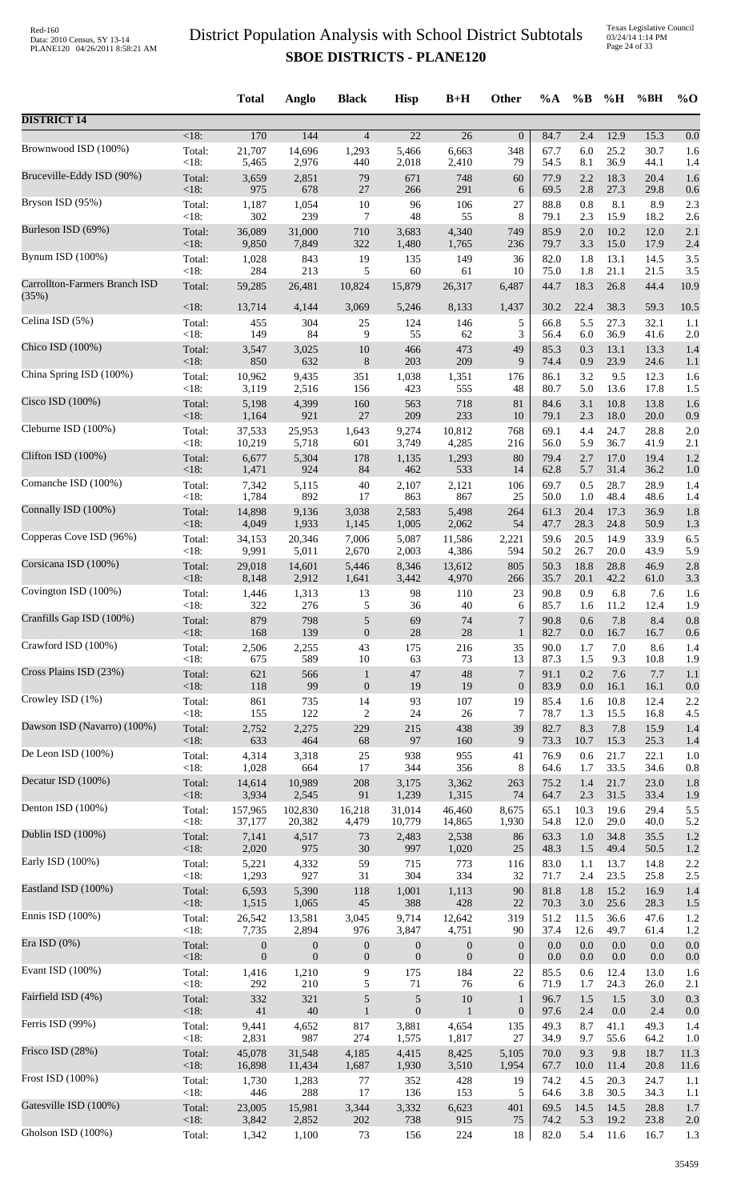|                                        |                   | <b>Total</b>     | Anglo            | <b>Black</b>     | <b>Hisp</b>      | $B+H$            | Other            | $\%A$        | $\%B$       | %H           | %BH          | $\%$ O      |
|----------------------------------------|-------------------|------------------|------------------|------------------|------------------|------------------|------------------|--------------|-------------|--------------|--------------|-------------|
| <b>DISTRICT 14</b>                     |                   |                  |                  |                  |                  |                  |                  |              |             |              |              |             |
| Brownwood ISD (100%)                   | $<18$ :           | 170              | 144              | $\overline{4}$   | $\overline{22}$  | $\overline{26}$  | $\mathbf{0}$     | 84.7         | 2.4         | 12.9         | 15.3         | 0.0         |
|                                        | Total:            | 21,707           | 14,696           | 1,293            | 5,466            | 6,663            | 348              | 67.7         | 6.0         | 25.2         | 30.7         | 1.6         |
|                                        | <18:              | 5,465            | 2,976            | 440              | 2,018            | 2,410            | 79               | 54.5         | 8.1         | 36.9         | 44.1         | 1.4         |
| Bruceville-Eddy ISD (90%)              | Total:            | 3,659            | 2,851            | 79               | 671              | 748              | 60               | 77.9         | 2.2         | 18.3         | 20.4         | 1.6         |
|                                        | <18:              | 975              | 678              | 27               | 266              | 291              | 6                | 69.5         | 2.8         | 27.3         | 29.8         | 0.6         |
| Bryson ISD (95%)                       | Total:            | 1,187            | 1,054            | 10               | 96               | 106              | 27               | 88.8         | 0.8         | 8.1          | 8.9          | 2.3         |
|                                        | <18:              | 302              | 239              | 7                | 48               | 55               | 8                | 79.1         | 2.3         | 15.9         | 18.2         | 2.6         |
| Burleson ISD (69%)                     | Total:            | 36,089           | 31,000           | 710              | 3,683            | 4,340            | 749              | 85.9         | 2.0         | 10.2         | 12.0         | 2.1         |
|                                        | $<18$ :           | 9,850            | 7,849            | 322              | 1,480            | 1,765            | 236              | 79.7         | 3.3         | 15.0         | 17.9         | 2.4         |
| Bynum ISD (100%)                       | Total:<br><18:    | 1,028<br>284     | 843<br>213       | 19               | 135              | 149              | 36<br>10         | 82.0<br>75.0 | 1.8<br>1.8  | 13.1<br>21.1 | 14.5<br>21.5 | 3.5<br>3.5  |
| Carrollton-Farmers Branch ISD<br>(35%) | Total:            | 59,285           | 26,481           | 5<br>10,824      | 60<br>15,879     | 61<br>26,317     | 6,487            | 44.7         | 18.3        | 26.8         | 44.4         | 10.9        |
| Celina ISD (5%)                        | <18:              | 13,714           | 4,144            | 3,069            | 5,246            | 8,133            | 1,437            | 30.2         | 22.4        | 38.3         | 59.3         | 10.5        |
|                                        | Total:            | 455              | 304              | 25               | 124              | 146              | 5                | 66.8         | 5.5         | 27.3         | 32.1         | 1.1         |
| Chico ISD (100%)                       | <18:              | 149              | 84               | 9                | 55               | 62               | 3                | 56.4         | 6.0         | 36.9         | 41.6         | 2.0         |
|                                        | Total:            | 3,547            | 3,025            | $10\,$           | 466              | 473              | 49               | 85.3         | 0.3         | 13.1         | 13.3         | 1.4         |
|                                        | <18:              | 850              | 632              | $8\,$            | 203              | 209              | 9                | 74.4         | 0.9         | 23.9         | 24.6         | 1.1         |
| China Spring ISD (100%)                | Total:            | 10,962           | 9,435            | 351              | 1,038            | 1,351            | 176              | 86.1         | 3.2         | 9.5          | 12.3         | 1.6         |
|                                        | <18:              | 3,119            | 2,516            | 156              | 423              | 555              | 48               | 80.7         | 5.0         | 13.6         | 17.8         | 1.5         |
| Cisco ISD (100%)                       | Total:            | 5,198            | 4,399            | 160              | 563              | 718              | 81               | 84.6         | 3.1         | 10.8         | 13.8         | 1.6         |
|                                        | $<18$ :           | 1,164            | 921              | 27               | 209              | 233              | 10               | 79.1         | 2.3         | 18.0         | 20.0         | 0.9         |
| Cleburne ISD (100%)                    | Total:            | 37,533           | 25,953           | 1,643            | 9,274            | 10,812           | 768              | 69.1         | 4.4         | 24.7         | 28.8         | 2.0         |
|                                        | <18:              | 10,219           | 5,718            | 601              | 3,749            | 4,285            | 216              | 56.0         | 5.9         | 36.7         | 41.9         | 2.1         |
| Clifton ISD (100%)                     | Total:            | 6,677            | 5,304            | 178              | 1,135            | 1,293            | 80               | 79.4         | 2.7         | 17.0         | 19.4         | 1.2         |
|                                        | $<18$ :           | 1,471            | 924              | 84               | 462              | 533              | 14               | 62.8         | 5.7         | 31.4         | 36.2         | 1.0         |
| Comanche ISD (100%)                    | Total:<br>< 18:   | 7,342            | 5,115<br>892     | $40\,$<br>17     | 2,107            | 2,121<br>867     | 106<br>25        | 69.7<br>50.0 | 0.5         | 28.7         | 28.9         | 1.4         |
| Connally ISD (100%)                    | Total:            | 1,784<br>14,898  | 9,136            | 3,038            | 863<br>2,583     | 5,498            | 264              | 61.3         | 1.0<br>20.4 | 48.4<br>17.3 | 48.6<br>36.9 | 1.4<br>1.8  |
| Copperas Cove ISD (96%)                | <18:              | 4,049            | 1,933            | 1,145            | 1,005            | 2,062            | 54               | 47.7         | 28.3        | 24.8         | 50.9         | 1.3         |
|                                        | Total:            | 34,153           | 20,346           | 7,006            | 5,087            | 11,586           | 2,221            | 59.6         | 20.5        | 14.9         | 33.9         | 6.5         |
| Corsicana ISD (100%)                   | <18:              | 9,991            | 5,011            | 2,670            | 2,003            | 4,386            | 594              | 50.2         | 26.7        | 20.0         | 43.9         | 5.9         |
|                                        | Total:            | 29,018           | 14,601           | 5,446            | 8,346            | 13,612           | 805              | 50.3         | 18.8        | 28.8         | 46.9         | 2.8         |
| Covington ISD (100%)                   | $<18$ :           | 8,148            | 2,912            | 1,641            | 3,442            | 4,970            | 266              | 35.7         | 20.1        | 42.2         | 61.0         | 3.3         |
|                                        | Total:            | 1,446            | 1,313            | 13               | 98               | 110              | 23               | 90.8         | 0.9         | 6.8          | 7.6          | 1.6         |
| Cranfills Gap ISD (100%)               | <18:              | 322              | 276              | 5                | 36               | 40               | 6                | 85.7         | 1.6         | 11.2         | 12.4         | 1.9         |
|                                        | Total:            | 879              | 798              | 5                | 69               | 74               | 7                | 90.8         | 0.6         | 7.8          | 8.4          | 0.8         |
| Crawford ISD (100%)                    | <18:              | 168              | 139              | $\boldsymbol{0}$ | 28               | 28               | $\mathbf{1}$     | 82.7         | 0.0         | 16.7         | 16.7         | 0.6         |
|                                        | Total:            | 2,506            | 2,255            | 43               | 175              | 216              | 35               | 90.0         | 1.7         | 7.0          | 8.6          | 1.4         |
| Cross Plains ISD (23%)                 | <18:              | 675              | 589              | 10               | 63               | 73               | 13               | 87.3         | 1.5         | 9.3          | 10.8         | 1.9         |
|                                        | Total:            | 621              | 566              | $\mathbf{1}$     | 47               | 48               | 7                | 91.1         | 0.2         | 7.6          | 7.7          | 1.1         |
|                                        | $<18$ :           | 118              | 99               | $\boldsymbol{0}$ | 19               | 19               | $\boldsymbol{0}$ | 83.9         | $0.0\,$     | 16.1         | 16.1         | 0.0         |
| Crowley ISD (1%)                       | Total:            | 861              | 735              | 14               | 93               | 107              | 19               | 85.4         | 1.6         | 10.8         | 12.4         | 2.2         |
|                                        | $<18$ :           | 155              | 122              | $\boldsymbol{2}$ | 24               | 26               | 7                | 78.7         | 1.3         | 15.5         | 16.8         | 4.5         |
| Dawson ISD (Navarro) (100%)            | Total:            | 2,752            | 2,275            | 229              | 215              | 438              | 39               | 82.7         | 8.3         | 7.8          | 15.9         | 1.4         |
|                                        | $<18$ :           | 633              | 464              | 68               | 97               | 160              | 9                | 73.3         | 10.7        | 15.3         | 25.3         | 1.4         |
| De Leon ISD (100%)                     | Total:            | 4,314            | 3,318            | $25\,$           | 938              | 955              | 41               | 76.9         | 0.6         | 21.7         | 22.1         | 1.0         |
|                                        | < 18:             | 1,028            | 664              | 17               | 344              | 356              | 8                | 64.6         | 1.7         | 33.5         | 34.6         | 0.8         |
| Decatur ISD (100%)                     | Total:            | 14,614           | 10,989           | 208              | 3,175            | 3,362            | 263              | 75.2         | 1.4         | 21.7         | 23.0         | 1.8         |
| Denton ISD (100%)                      | $<18$ :           | 3,934            | 2,545            | 91               | 1,239            | 1,315            | 74               | 64.7         | 2.3         | 31.5         | 33.4         | 1.9         |
|                                        | Total:            | 157,965          | 102,830          | 16,218           | 31,014           | 46,460           | 8,675            | 65.1         | 10.3        | 19.6         | 29.4         | 5.5         |
| Dublin ISD (100%)                      | <18:              | 37,177           | 20,382           | 4,479            | 10,779           | 14,865           | 1,930            | 54.8         | 12.0        | 29.0         | 40.0         | 5.2         |
|                                        | Total:            | 7,141            | 4,517            | $73\,$           | 2,483            | 2,538            | 86               | 63.3         | 1.0         | 34.8         | 35.5         | 1.2         |
| Early ISD (100%)                       | $<18$ :           | 2,020            | 975              | $30\,$           | 997              | 1,020            | 25               | 48.3         | 1.5         | 49.4         | 50.5         | 1.2         |
|                                        | Total:            | 5,221            | 4,332            | 59               | 715              | 773              | 116              | 83.0         | 1.1         | 13.7         | 14.8         | 2.2         |
| Eastland ISD (100%)                    | <18:              | 1,293            | 927              | 31               | 304              | 334              | 32               | 71.7         | 2.4         | 23.5         | 25.8         | 2.5         |
|                                        | Total:            | 6,593            | 5,390            | 118              | 1,001            | 1,113            | 90               | 81.8         | 1.8         | 15.2         | 16.9         | 1.4         |
|                                        | <18:              | 1,515            | 1,065            | 45               | 388              | 428              | 22               | 70.3         | $3.0\,$     | 25.6         | 28.3         | 1.5         |
| Ennis ISD (100%)                       | Total:            | 26,542           | 13,581           | 3,045            | 9,714            | 12,642           | 319              | 51.2         | 11.5        | 36.6         | 47.6         | 1.2         |
|                                        | <18:              | 7,735            | 2,894            | 976              | 3,847            | 4,751            | 90               | 37.4         | 12.6        | 49.7         | 61.4         | 1.2         |
| Era ISD (0%)                           | Total:            | $\mathbf{0}$     | $\boldsymbol{0}$ | $\boldsymbol{0}$ | $\mathbf{0}$     | $\boldsymbol{0}$ | $\boldsymbol{0}$ | 0.0          | 0.0         | 0.0          | 0.0          | 0.0         |
|                                        | $<18$ :           | $\boldsymbol{0}$ | $\boldsymbol{0}$ | $\boldsymbol{0}$ | $\boldsymbol{0}$ | $\boldsymbol{0}$ | $\boldsymbol{0}$ | 0.0          | 0.0         | $0.0\,$      | 0.0          | 0.0         |
| Evant ISD (100%)                       | Total:            | 1,416            | 1,210            | 9                | 175              | 184              | 22               | 85.5         | 0.6         | 12.4         | 13.0         | 1.6         |
|                                        | < 18:             | 292              | 210              | 5                | 71               | 76               | 6                | 71.9         | 1.7         | 24.3         | 26.0         | 2.1         |
| Fairfield ISD (4%)                     | Total:            | 332              | 321              | $\mathfrak s$    | 5                | 10               | $\mathbf{1}$     | 96.7         | 1.5         | 1.5          | 3.0          | 0.3         |
|                                        | <18:              | 41               | 40               | $\mathbf{1}$     | $\mathbf{0}$     | $\mathbf{1}$     | $\boldsymbol{0}$ | 97.6         | 2.4         | 0.0          | 2.4          | 0.0         |
| Ferris ISD (99%)                       | Total:            | 9,441            | 4,652            | 817              | 3,881            | 4,654            | 135              | 49.3         | 8.7         | 41.1         | 49.3         | 1.4         |
|                                        | < 18:             | 2,831            | 987              | 274              | 1,575            | 1,817            | 27               | 34.9         | 9.7         | 55.6         | 64.2         | 1.0         |
| Frisco ISD (28%)                       | Total:<br>$<18$ : | 45,078<br>16,898 | 31,548<br>11,434 | 4,185<br>1,687   | 4,415<br>1,930   | 8,425<br>3,510   | 5,105            | 70.0<br>67.7 | 9.3<br>10.0 | 9.8<br>11.4  | 18.7<br>20.8 | 11.3        |
| Frost ISD (100%)                       | Total:            | 1,730            | 1,283            | 77               | 352              | 428              | 1,954<br>19      | 74.2         | 4.5         | 20.3         | 24.7         | 11.6<br>1.1 |
| Gatesville ISD (100%)                  | <18:              | 446              | 288              | $17\,$           | 136              | 153              | 5                | 64.6         | 3.8         | 30.5         | 34.3         | 1.1         |
|                                        | Total:            | 23,005           | 15,981           | 3,344            | 3,332            | 6,623            | 401              | 69.5         | 14.5        | 14.5         | 28.8         | 1.7         |
| Gholson ISD (100%)                     | <18:              | 3,842            | 2,852            | 202              | 738              | 915              | 75               | 74.2         | 5.3         | 19.2         | 23.8         | 2.0         |
|                                        | Total:            | 1,342            | 1,100            | $73\,$           | 156              | 224              | 18               | 82.0         | 5.4         | 11.6         | 16.7         | 1.3         |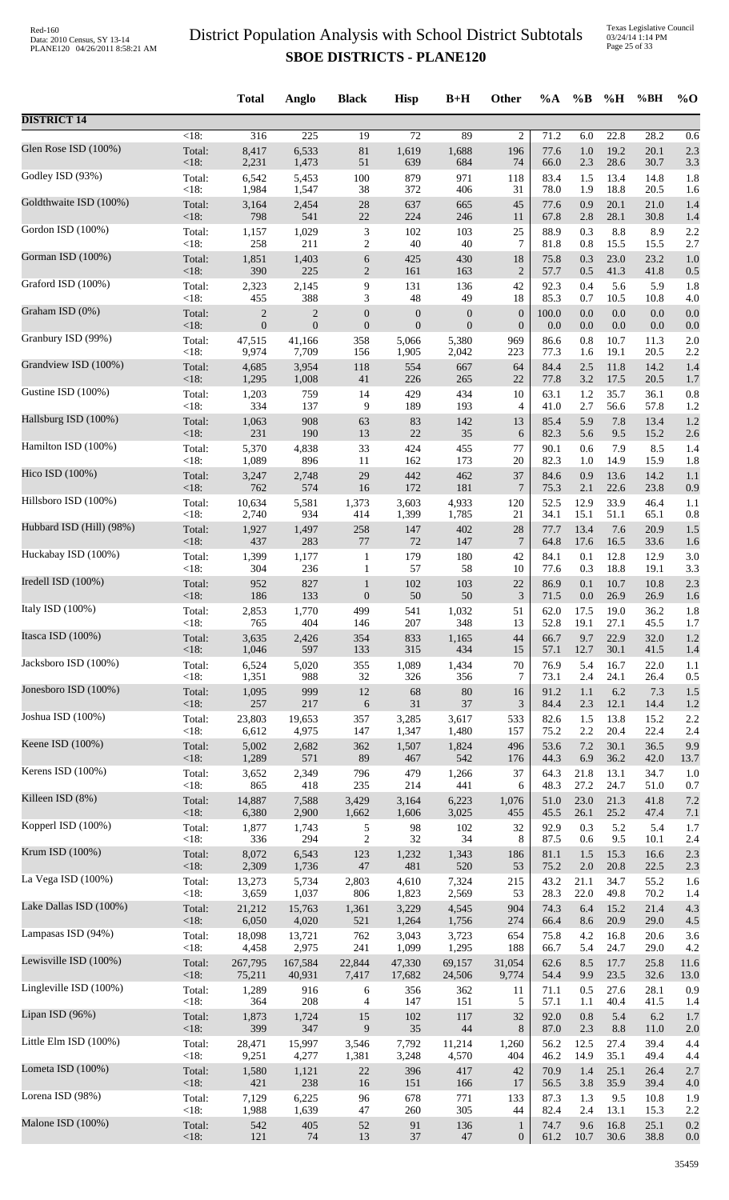|                          |                    | <b>Total</b>     | Anglo            | <b>Black</b>            | <b>Hisp</b>      | $B+H$            | Other                 | %A           | $\%$ B      | %H              | %BH          | $\%$ O     |
|--------------------------|--------------------|------------------|------------------|-------------------------|------------------|------------------|-----------------------|--------------|-------------|-----------------|--------------|------------|
| <b>DISTRICT 14</b>       |                    |                  |                  |                         |                  |                  |                       |              |             |                 |              |            |
|                          | $\overline{<}18$ : | $\overline{316}$ | $\overline{225}$ | $\overline{19}$         | $\overline{72}$  | 89               | $\overline{2}$        | 71.2         | 6.0         | 22.8            | 28.2         | 0.6        |
| Glen Rose ISD (100%)     | Total:             | 8,417            | 6,533            | $81\,$                  | 1,619            | 1,688            | 196                   | 77.6         | 1.0         | 19.2            | 20.1         | 2.3        |
|                          | $<18$ :            | 2,231            | 1,473            | 51                      | 639              | 684              | 74                    | 66.0         | 2.3         | 28.6            | 30.7         | 3.3        |
| Godley ISD (93%)         | Total:             | 6,542            | 5,453            | 100                     | 879              | 971              | 118                   | 83.4         | 1.5         | 13.4            | 14.8         | 1.8        |
|                          | <18:               | 1,984            | 1,547            | 38                      | 372              | 406              | 31                    | 78.0         | 1.9         | 18.8            | 20.5         | 1.6        |
| Goldthwaite ISD (100%)   | Total:             | 3,164            | 2,454            | $28\,$                  | 637              | 665              | 45                    | 77.6         | 0.9         | 20.1            | 21.0         | 1.4        |
| Gordon ISD (100%)        | <18:               | 798              | 541              | $22\,$                  | 224              | 246              | 11                    | 67.8         | 2.8         | 28.1            | 30.8         | 1.4        |
|                          | Total:             | 1,157            | 1,029            | $\mathfrak{Z}$          | 102              | 103              | 25                    | 88.9         | 0.3         | 8.8             | 8.9          | 2.2        |
| Gorman ISD (100%)        | <18:               | 258              | 211              | $\overline{c}$          | 40               | 40               | $\tau$                | 81.8         | $0.8\,$     | 15.5            | 15.5         | 2.7        |
|                          | Total:             | 1,851            | 1,403            | 6                       | 425              | 430              | 18                    | 75.8         | 0.3         | 23.0            | 23.2         | 1.0        |
| Graford ISD (100%)       | <18:               | 390              | 225              | $\sqrt{2}$              | 161              | 163              | $\overline{c}$        | 57.7         | 0.5         | 41.3            | 41.8         | 0.5        |
|                          | Total:             | 2,323            | 2,145            | 9                       | 131              | 136              | 42                    | 92.3         | 0.4         | 5.6             | 5.9          | 1.8        |
| Graham ISD (0%)          | $<18$ :            | 455              | 388              | 3                       | $\sqrt{48}$      | 49               | 18                    | 85.3         | 0.7         | 10.5            | 10.8         | 4.0        |
|                          | Total:             | $\overline{c}$   | $\overline{c}$   | $\boldsymbol{0}$        | $\boldsymbol{0}$ | $\boldsymbol{0}$ | $\boldsymbol{0}$      | 100.0        | 0.0         | $0.0\,$         | 0.0          | 0.0        |
| Granbury ISD (99%)       | <18:<br>Total:     | $\overline{0}$   | $\boldsymbol{0}$ | $\boldsymbol{0}$<br>358 | $\boldsymbol{0}$ | $\boldsymbol{0}$ | $\mathbf{0}$          | 0.0<br>86.6  | 0.0<br>0.8  | $0.0\,$<br>10.7 | 0.0          | 0.0<br>2.0 |
|                          | $<18$ :            | 47,515<br>9,974  | 41,166<br>7,709  | 156                     | 5,066<br>1,905   | 5,380<br>2,042   | 969<br>223            | 77.3         | 1.6         | 19.1            | 11.3<br>20.5 | 2.2        |
| Grandview ISD (100%)     | Total:             | 4,685            | 3,954            | 118                     | 554              | 667              | 64                    | 84.4         | 2.5         | 11.8            | 14.2         | 1.4        |
|                          | <18:               | 1,295            | 1,008            | $41\,$                  | 226              | 265              | 22                    | 77.8         | 3.2         | 17.5            | 20.5         | 1.7        |
| Gustine ISD (100%)       | Total:             | 1,203            | 759              | 14                      | 429              | 434              | 10                    | 63.1         | 1.2         | 35.7            | 36.1         | 0.8        |
|                          | <18:               | 334              | 137              | 9                       | 189              | 193              | $\overline{4}$        | 41.0         | 2.7         | 56.6            | 57.8         | 1.2        |
| Hallsburg ISD (100%)     | Total:             | 1,063            | 908              | 63                      | 83               | 142              | 13                    | 85.4         | 5.9         | 7.8             | 13.4         | 1.2        |
|                          | <18:               | 231              | 190              | 13                      | $22\,$           | 35               | 6                     | 82.3         | 5.6         | 9.5             | 15.2         | 2.6        |
| Hamilton ISD (100%)      | Total:             | 5,370            | 4,838            | 33                      | 424              | 455              | 77                    | 90.1         | 0.6         | 7.9             | 8.5          | 1.4        |
|                          | < 18:              | 1,089            | 896              | 11                      | 162              | 173              | 20                    | 82.3         | 1.0         | 14.9            | 15.9         | 1.8        |
| Hico ISD (100%)          | Total:<br><18:     | 3,247<br>762     | 2,748<br>574     | 29<br>16                | 442<br>172       | 462<br>181       | 37                    | 84.6         | 0.9         | 13.6<br>22.6    | 14.2<br>23.8 | 1.1        |
| Hillsboro ISD (100%)     | Total:             | 10,634           | 5,581            | 1,373                   | 3,603            | 4,933            | $\overline{7}$<br>120 | 75.3<br>52.5 | 2.1<br>12.9 | 33.9            | 46.4         | 0.9<br>1.1 |
| Hubbard ISD (Hill) (98%) | <18:               | 2,740            | 934              | 414                     | 1,399            | 1,785            | 21                    | 34.1         | 15.1        | 51.1            | 65.1         | 0.8        |
|                          | Total:             | 1,927            | 1,497            | 258                     | 147              | 402              | 28                    | 77.7         | 13.4        | 7.6             | 20.9         | 1.5        |
| Huckabay ISD (100%)      | <18:               | 437              | 283              | 77                      | 72               | 147              | 7                     | 64.8         | 17.6        | 16.5            | 33.6         | 1.6        |
|                          | Total:             | 1,399            | 1,177            | $\mathbf{1}$            | 179              | 180              | 42                    | 84.1         | 0.1         | 12.8            | 12.9         | 3.0        |
| Iredell ISD (100%)       | $<18$ :            | 304              | 236              | $\mathbf{1}$            | 57               | 58               | 10                    | 77.6         | 0.3         | 18.8            | 19.1         | 3.3        |
|                          | Total:             | 952              | 827              | $\mathbf{1}$            | 102              | 103              | 22                    | 86.9         | 0.1         | 10.7            | 10.8         | 2.3        |
| Italy ISD $(100\%)$      | <18:               | 186              | 133              | $\boldsymbol{0}$        | 50               | 50               | $\mathfrak{Z}$        | 71.5         | $0.0\,$     | 26.9            | 26.9         | 1.6        |
|                          | Total:             | 2,853            | 1,770            | 499                     | 541              | 1,032            | 51                    | 62.0         | 17.5        | 19.0            | 36.2         | 1.8        |
| Itasca ISD (100%)        | < 18:              | 765              | 404              | 146                     | $207\,$          | 348              | 13<br>44              | 52.8<br>66.7 | 19.1<br>9.7 | 27.1<br>22.9    | 45.5<br>32.0 | 1.7        |
|                          | Total:<br>< 18:    | 3,635<br>1,046   | 2,426<br>597     | 354<br>133              | 833<br>315       | 1,165<br>434     | 15                    | 57.1         | 12.7        | 30.1            | 41.5         | 1.2<br>1.4 |
| Jacksboro ISD (100%)     | Total:             | 6,524            | 5,020            | 355                     | 1,089            | 1,434            | 70                    | 76.9         | 5.4         | 16.7            | 22.0         | 1.1        |
|                          | <18:               | 1,351            | 988              | 32                      | 326              | 356              | 7                     | 73.1         | 2.4         | 24.1            | 26.4         | 0.5        |
| Jonesboro ISD (100%)     | Total:             | 1,095            | 999              | 12                      | 68               | $80\,$           | 16                    | 91.2         | 1.1         | 6.2             | 7.3          | 1.5        |
|                          | <18:               | 257              | 217              | 6                       | 31               | 37               | 3                     | 84.4         | 2.3         | 12.1            | 14.4         | 1.2        |
| Joshua ISD (100%)        | Total:             | 23,803           | 19,653           | 357                     | 3,285            | 3,617            | 533                   | 82.6         | 1.5         | 13.8            | 15.2         | 2.2        |
|                          | <18:               | 6,612            | 4,975            | 147                     | 1,347            | 1,480            | 157                   | 75.2         | 2.2         | 20.4            | 22.4         | 2.4        |
| Keene ISD (100%)         | Total:             | 5,002            | 2,682            | 362                     | 1,507            | 1,824            | 496                   | 53.6         | $7.2\,$     | 30.1            | 36.5         | 9.9        |
|                          | < 18:              | 1,289            | 571              | 89                      | 467              | 542              | 176                   | 44.3         | 6.9         | 36.2            | 42.0         | 13.7       |
| Kerens ISD (100%)        | Total:             | 3,652            | 2,349            | 796                     | 479              | 1,266            | 37                    | 64.3         | 21.8        | 13.1            | 34.7         | 1.0        |
|                          | < 18:              | 865              | 418              | 235                     | 214              | 441              | 6                     | 48.3         | 27.2        | 24.7            | 51.0         | 0.7        |
| Killeen ISD (8%)         | Total:             | 14,887           | 7,588            | 3,429                   | 3,164            | 6,223            | 1,076                 | 51.0         | 23.0        | 21.3            | 41.8         | 7.2        |
| Kopperl ISD (100%)       | < 18:              | 6,380            | 2,900            | 1,662                   | 1,606            | 3,025            | 455                   | 45.5         | 26.1        | 25.2            | 47.4         | 7.1        |
|                          | Total:             | 1,877            | 1,743            | 5                       | 98               | 102              | 32                    | 92.9         | 0.3         | 5.2             | 5.4          | 1.7        |
| Krum ISD (100%)          | <18:               | 336              | 294              | $\overline{c}$          | 32               | 34               | 8                     | 87.5         | 0.6         | 9.5             | 10.1         | 2.4        |
|                          | Total:             | 8,072            | 6,543            | 123                     | 1,232            | 1,343            | 186                   | 81.1         | 1.5         | 15.3            | 16.6         | 2.3        |
| La Vega ISD (100%)       | <18:               | 2,309            | 1,736            | $47\,$                  | 481              | 520              | 53                    | 75.2         | 2.0         | 20.8            | 22.5         | 2.3        |
|                          | Total:             | 13,273           | 5,734            | 2,803                   | 4,610            | 7,324            | 215                   | 43.2         | 21.1        | 34.7            | 55.2         | 1.6        |
| Lake Dallas ISD (100%)   | <18:               | 3,659            | 1,037            | 806                     | 1,823            | 2,569            | 53                    | 28.3         | 22.0        | 49.8            | 70.2         | 1.4        |
|                          | Total:             | 21,212           | 15,763           | 1,361                   | 3,229            | 4,545            | 904                   | 74.3         | 6.4         | 15.2            | 21.4         | 4.3        |
| Lampasas ISD (94%)       | < 18:              | 6,050            | 4,020            | 521                     | 1,264            | 1,756            | 274                   | 66.4         | 8.6         | 20.9            | 29.0         | 4.5        |
|                          | Total:             | 18,098           | 13,721           | 762                     | 3,043            | 3,723            | 654                   | 75.8         | 4.2         | 16.8            | 20.6         | 3.6        |
|                          | <18:               | 4,458            | 2,975            | 241                     | 1,099            | 1,295            | 188                   | 66.7         | 5.4         | 24.7            | 29.0         | 4.2        |
| Lewisville ISD (100%)    | Total:             | 267,795          | 167,584          | 22,844                  | 47,330           | 69,157           | 31,054                | 62.6         | 8.5         | 17.7            | 25.8         | 11.6       |
|                          | <18:               | 75,211           | 40,931           | 7,417                   | 17,682           | 24,506           | 9,774                 | 54.4         | 9.9         | 23.5            | 32.6         | 13.0       |
| Lingleville ISD (100%)   | Total:             | 1,289            | 916              | 6                       | 356              | 362              | 11                    | 71.1         | 0.5         | 27.6            | 28.1         | 0.9        |
|                          | <18:               | 364              | 208              | 4                       | 147              | 151              | 5                     | 57.1         | 1.1         | 40.4            | 41.5         | 1.4        |
| Lipan ISD (96%)          | Total:             | 1,873            | 1,724            | 15                      | 102              | 117              | 32                    | 92.0         | 0.8         | 5.4             | 6.2          | 1.7        |
|                          | <18:               | 399              | 347              | 9                       | 35               | 44               | 8                     | 87.0         | 2.3         | 8.8             | 11.0         | 2.0        |
| Little Elm ISD (100%)    | Total:             | 28,471           | 15,997           | 3,546                   | 7,792            | 11,214           | 1,260                 | 56.2         | 12.5        | 27.4            | 39.4         | 4.4        |
|                          | <18:               | 9,251            | 4,277            | 1,381                   | 3,248            | 4,570            | 404                   | 46.2         | 14.9        | 35.1            | 49.4         | 4.4        |
| Lometa ISD (100%)        | Total:             | 1,580<br>421     | 1,121<br>238     | $22\,$<br>16            | 396              | 417              | 42<br>17              | 70.9         | 1.4         | 25.1            | 26.4         | 2.7        |
| Lorena ISD (98%)         | <18:<br>Total:     | 7,129            | 6,225            | 96                      | 151<br>678       | 166<br>771       | 133                   | 56.5<br>87.3 | 3.8<br>1.3  | 35.9<br>9.5     | 39.4<br>10.8 | 4.0<br>1.9 |
| Malone ISD (100%)        | <18:               | 1,988            | 1,639            | $47\,$                  | 260              | 305              | 44                    | 82.4         | 2.4         | 13.1            | 15.3         | 2.2        |
|                          | Total:             | 542              | 405              | 52                      | 91               | 136              | $\mathbf{1}$          | 74.7         | 9.6         | 16.8            | 25.1         | 0.2        |
|                          | <18:               | 121              | 74               | 13                      | 37               | $47\,$           | $\mathbf{0}$          | 61.2         | 10.7        | $30.6\,$        | 38.8         | 0.0        |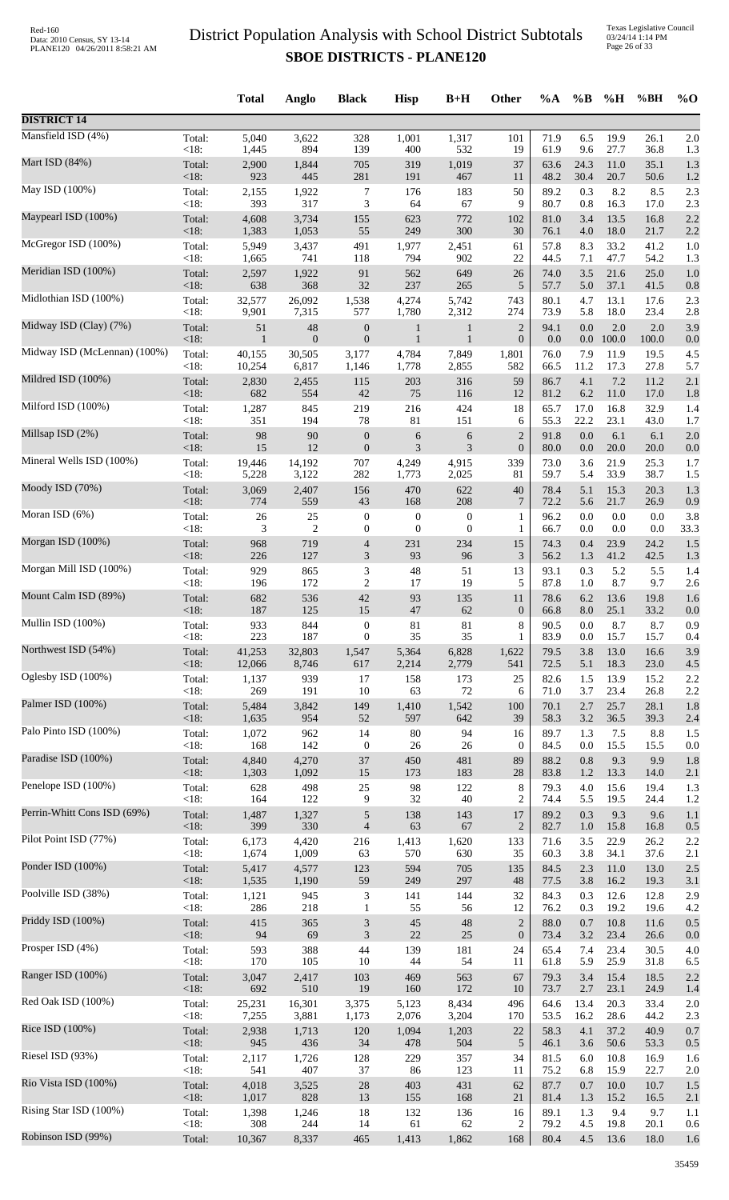Texas Legislative Council 03/24/14 1:14 PM Page 26 of 33

|                              |                | <b>Total</b> | Anglo            | <b>Black</b>     | <b>Hisp</b>      | $B+H$            | Other            | $\%A$        | $\%$ B      | %H           | %BH          | $\%$ O     |
|------------------------------|----------------|--------------|------------------|------------------|------------------|------------------|------------------|--------------|-------------|--------------|--------------|------------|
| <b>DISTRICT 14</b>           |                |              |                  |                  |                  |                  |                  |              |             |              |              |            |
| Mansfield ISD (4%)           | Total:         | 5,040        | 3,622            | 328              | 1,001            | 1,317            | 101              | 71.9         | 6.5         | 19.9         | 26.1         | 2.0        |
|                              | $<18$ :        | 1,445        | 894              | 139              | 400              | 532              | 19               | 61.9         | 9.6         | 27.7         | 36.8         | 1.3        |
| Mart ISD (84%)               | Total:         | 2,900        | 1,844            | 705              | 319              | 1,019            | 37               | 63.6         | 24.3        | 11.0         | 35.1         | 1.3        |
| May ISD (100%)               | $<18$ :        | 923          | 445              | 281              | 191              | 467              | 11               | 48.2         | 30.4        | 20.7         | 50.6         | 1.2        |
|                              | Total:         | 2,155        | 1,922            | $\tau$           | 176              | 183              | 50               | 89.2         | 0.3         | 8.2          | 8.5          | 2.3        |
| Maypearl ISD (100%)          | <18:           | 393          | 317              | 3                | 64               | 67               | 9                | 80.7         | 0.8         | 16.3         | 17.0         | 2.3        |
|                              | Total:         | 4,608        | 3,734            | 155              | 623              | 772              | 102              | 81.0         | 3.4         | 13.5         | 16.8         | 2.2        |
| McGregor ISD (100%)          | <18:           | 1,383        | 1,053            | 55               | 249              | 300              | 30               | 76.1         | 4.0         | 18.0         | 21.7         | 2.2        |
|                              | Total:         | 5,949        | 3,437            | 491              | 1,977            | 2,451            | 61               | 57.8         | 8.3         | 33.2         | 41.2         | 1.0        |
| Meridian ISD (100%)          | <18:           | 1,665        | 741              | 118              | 794              | 902              | 22               | 44.5         | 7.1         | 47.7         | 54.2         | 1.3        |
|                              | Total:         | 2,597        | 1,922            | 91               | 562              | 649              | 26               | 74.0         | 3.5         | 21.6         | 25.0         | 1.0        |
| Midlothian ISD (100%)        | <18:           | 638          | 368              | 32               | 237              | 265              | $\sqrt{5}$       | 57.7         | 5.0         | 37.1         | 41.5         | 0.8        |
|                              | Total:         | 32,577       | 26,092           | 1,538            | 4,274            | 5,742            | 743              | 80.1         | 4.7         | 13.1         | 17.6         | 2.3        |
| Midway ISD (Clay) (7%)       | <18:           | 9,901        | 7,315            | 577              | 1,780            | 2,312            | 274              | 73.9         | 5.8         | 18.0         | 23.4         | 2.8        |
|                              | Total:         | 51           | 48               | $\boldsymbol{0}$ | $\mathbf{1}$     | 1                | $\overline{c}$   | 94.1         | 0.0         | 2.0          | 2.0          | 3.9        |
| Midway ISD (McLennan) (100%) | <18:           | $\mathbf{1}$ | $\boldsymbol{0}$ | $\boldsymbol{0}$ | $\mathbf{1}$     | $\mathbf{1}$     | $\boldsymbol{0}$ | 0.0          | $0.0\,$     | 100.0        | 100.0        | 0.0        |
|                              | Total:         | 40,155       | 30,505           | 3,177            | 4,784            | 7,849            | 1,801            | 76.0         | 7.9         | 11.9         | 19.5         | 4.5        |
| Mildred ISD (100%)           | <18:           | 10,254       | 6,817            | 1,146            | 1,778            | 2,855            | 582<br>59        | 66.5<br>86.7 | 11.2<br>4.1 | 17.3<br>7.2  | 27.8<br>11.2 | 5.7<br>2.1 |
|                              | Total:<br><18: | 2,830<br>682 | 2,455<br>554     | 115<br>42        | 203<br>75        | 316<br>116       | 12               | 81.2         | 6.2         | 11.0         | 17.0         | 1.8        |
| Milford ISD (100%)           | Total:         | 1,287        | 845              | 219              | 216              | 424              | 18               | 65.7         | 17.0        | 16.8         | 32.9         | 1.4        |
|                              | <18:           | 351          | 194              | 78               | 81               | 151              | 6                | 55.3         | 22.2        | 23.1         | 43.0         | 1.7        |
| Millsap ISD (2%)             | Total:         | 98           | 90               | $\boldsymbol{0}$ | 6                | 6                | $\overline{c}$   | 91.8         | 0.0         | 6.1          | 6.1          | 2.0        |
|                              | $<18$ :        | 15           | 12               | $\boldsymbol{0}$ | 3                | 3                | $\boldsymbol{0}$ | 80.0         | 0.0         | 20.0         | 20.0         | 0.0        |
| Mineral Wells ISD (100%)     | Total:         | 19,446       | 14,192           | 707              | 4,249            | 4,915            | 339              | 73.0         | 3.6         | 21.9         | 25.3         | 1.7        |
|                              | <18:           | 5,228        | 3,122            | 282              | 1,773            | 2,025            | 81               | 59.7         | 5.4         | 33.9         | 38.7         | 1.5        |
| Moody ISD (70%)              | Total:         | 3,069        | 2,407            | 156              | 470              | 622              | 40               | 78.4         | 5.1         | 15.3         | 20.3         | 1.3        |
|                              | <18:           | 774          | 559              | 43               | 168              | 208              | $\overline{7}$   | 72.2         | 5.6         | 21.7         | 26.9         | 0.9        |
| Moran ISD (6%)               | Total:         | $26\,$       | 25               | $\boldsymbol{0}$ | $\boldsymbol{0}$ | $\boldsymbol{0}$ | 1                | 96.2         | 0.0         | 0.0          | 0.0          | 3.8        |
|                              | < 18:          | 3            | $\overline{2}$   | $\boldsymbol{0}$ | $\boldsymbol{0}$ | $\boldsymbol{0}$ | 1                | 66.7         | 0.0         | 0.0          | 0.0          | 33.3       |
| Morgan ISD (100%)            | Total:         | 968          | 719              | $\overline{4}$   | 231              | 234              | 15               | 74.3         | 0.4         | 23.9         | 24.2         | 1.5        |
|                              | <18:           | 226          | 127              | 3                | 93               | 96               | 3                | 56.2         | 1.3         | 41.2         | 42.5         | 1.3        |
| Morgan Mill ISD (100%)       | Total:         | 929          | 865              | $\mathfrak{Z}$   | 48               | 51               | 13               | 93.1         | 0.3         | 5.2          | 5.5          | 1.4        |
| Mount Calm ISD (89%)         | <18:           | 196          | 172              | $\overline{2}$   | 17               | 19               | 5                | 87.8         | 1.0         | 8.7          | 9.7          | 2.6        |
|                              | Total:         | 682          | 536              | 42               | 93               | 135              | 11               | 78.6         | 6.2         | 13.6         | 19.8         | 1.6        |
| Mullin ISD (100%)            | $<18$ :        | 187          | 125              | 15               | 47               | 62               | $\boldsymbol{0}$ | 66.8         | 8.0         | 25.1         | 33.2         | 0.0        |
|                              | Total:         | 933          | 844              | $\boldsymbol{0}$ | 81               | $81\,$           | 8                | 90.5         | 0.0         | 8.7          | 8.7          | 0.9        |
| Northwest ISD (54%)          | <18:           | 223          | 187              | $\mathbf{0}$     | 35               | 35               | 1                | 83.9         | 0.0         | 15.7         | 15.7         | 0.4        |
|                              | Total:         | 41,253       | 32,803           | 1,547            | 5,364            | 6,828            | 1,622            | 79.5         | 3.8         | 13.0         | 16.6         | 3.9        |
| Oglesby ISD (100%)           | <18:           | 12,066       | 8,746            | 617              | 2,214            | 2,779            | 541              | 72.5         | 5.1         | 18.3         | 23.0         | 4.5        |
|                              | Total:         | 1,137        | 939              | 17               | 158              | 173              | 25               | 82.6         | 1.5         | 13.9         | 15.2         | 2.2        |
| Palmer ISD (100%)            | <18:           | 269<br>5,484 | 191<br>3,842     | 10<br>149        | 63<br>1,410      | 72<br>1,542      | 6                | 71.0<br>70.1 | 3.7<br>2.7  | 23.4         | 26.8<br>28.1 | 2.2<br>1.8 |
| Palo Pinto ISD (100%)        | Total:<br><18: | 1,635        | 954              | 52               | 597              | 642              | 100<br>39        | 58.3         | 3.2         | 25.7<br>36.5 | 39.3         | 2.4        |
|                              | Total:         | 1,072        | 962              | 14               | $80\,$           | 94               | 16               | 89.7         | 1.3         | 7.5          | 8.8          | 1.5        |
|                              | <18:           | 168          | 142              | $\boldsymbol{0}$ | $26\,$           | $26\,$           | $\boldsymbol{0}$ | 84.5         | $0.0\,$     | 15.5         | 15.5         | 0.0        |
| Paradise ISD (100%)          | Total:         | 4,840        | 4,270            | 37               | 450              | 481              | 89               | 88.2         | 0.8         | 9.3          | 9.9          | 1.8        |
|                              | <18:           | 1,303        | 1,092            | 15               | 173              | 183              | $28\,$           | 83.8         | 1.2         | 13.3         | 14.0         | 2.1        |
| Penelope ISD (100%)          | Total:         | 628          | 498              | 25               | 98               | 122              | $\,$ 8 $\,$      | 79.3         | 4.0         | 15.6         | 19.4         | 1.3        |
|                              | <18:           | 164          | 122              | 9                | 32               | 40               | $\overline{c}$   | 74.4         | 5.5         | 19.5         | 24.4         | 1.2        |
| Perrin-Whitt Cons ISD (69%)  | Total:         | 1,487        | 1,327            | $\sqrt{5}$       | 138              | 143              | 17               | 89.2         | 0.3         | 9.3          | 9.6          | 1.1        |
|                              | $<18$ :        | 399          | 330              | $\overline{4}$   | 63               | 67               | $\overline{2}$   | 82.7         | 1.0         | 15.8         | 16.8         | 0.5        |
| Pilot Point ISD (77%)        | Total:         | 6,173        | 4,420            | 216              | 1,413            | 1,620            | 133              | 71.6         | 3.5         | 22.9         | 26.2         | 2.2        |
|                              | <18:           | 1,674        | 1,009            | 63               | 570              | 630              | 35               | 60.3         | 3.8         | 34.1         | 37.6         | 2.1        |
| Ponder ISD (100%)            | Total:         | 5,417        | 4,577            | 123              | 594              | 705              | 135              | 84.5         | 2.3         | 11.0         | 13.0         | 2.5        |
|                              | < 18:          | 1,535        | 1,190            | 59               | 249              | 297              | 48               | 77.5         | 3.8         | 16.2         | 19.3         | 3.1        |
| Poolville ISD (38%)          | Total:         | 1,121        | 945              | $\mathfrak{Z}$   | 141              | 144              | 32               | 84.3         | 0.3         | 12.6         | 12.8         | 2.9        |
| Priddy ISD (100%)            | <18:           | 286          | 218              | $\mathbf{1}$     | 55               | 56               | 12               | 76.2         | 0.3         | 19.2         | 19.6         | 4.2        |
|                              | Total:         | 415          | 365              | $\mathfrak{Z}$   | 45               | 48               | $\sqrt{2}$       | 88.0         | 0.7         | 10.8         | 11.6         | 0.5        |
| Prosper ISD (4%)             | <18:           | 94           | 69               | $\mathfrak{Z}$   | 22               | 25               | $\boldsymbol{0}$ | 73.4         | 3.2         | 23.4         | 26.6         | 0.0        |
|                              | Total:         | 593          | 388              | 44               | 139              | 181              | 24               | 65.4         | 7.4         | 23.4         | 30.5         | 4.0        |
| Ranger ISD (100%)            | <18:           | 170          | 105              | $10\,$           | 44               | 54               | 11               | 61.8         | 5.9         | 25.9         | 31.8         | 6.5        |
|                              | Total:         | 3,047        | 2,417            | 103              | 469              | 563              | 67               | 79.3         | 3.4         | 15.4         | 18.5         | 2.2        |
| Red Oak ISD (100%)           | < 18:          | 692          | 510              | 19               | 160              | 172              | 10               | 73.7         | 2.7         | 23.1         | 24.9         | 1.4        |
|                              | Total:         | 25,231       | 16,301           | 3,375            | 5,123            | 8,434            | 496              | 64.6         | 13.4        | 20.3         | 33.4         | 2.0        |
| Rice ISD (100%)              | <18:           | 7,255        | 3,881            | 1,173            | 2,076            | 3,204            | 170              | 53.5         | 16.2        | 28.6         | 44.2         | 2.3        |
|                              | Total:         | 2,938        | 1,713            | 120              | 1,094            | 1,203            | $22\,$           | 58.3         | 4.1         | 37.2         | 40.9         | 0.7        |
|                              | <18:           | 945          | 436              | 34               | 478              | 504              | $\sqrt{5}$       | 46.1         | 3.6         | 50.6         | 53.3         | 0.5        |
| Riesel ISD (93%)             | Total:         | 2,117        | 1,726            | 128              | 229              | 357              | 34               | 81.5         | 6.0         | 10.8         | 16.9         | 1.6        |
|                              | <18:           | 541          | 407              | 37               | 86               | 123              | 11               | 75.2         | 6.8         | 15.9         | 22.7         | 2.0        |
| Rio Vista ISD (100%)         | Total:         | 4,018        | 3,525            | 28               | 403              | 431              | 62               | 87.7         | 0.7         | 10.0         | 10.7         | 1.5        |
|                              | <18:           | 1,017        | 828              | 13               | 155              | 168              | 21               | 81.4         | 1.3         | 15.2         | 16.5         | 2.1        |
| Rising Star ISD (100%)       | Total:         | 1,398        | 1,246            | 18               | 132              | 136              | 16               | 89.1         | 1.3         | 9.4          | 9.7          | 1.1        |
|                              | <18:           | 308          | 244              | 14               | 61               | 62               | $\overline{c}$   | 79.2         | 4.5         | 19.8         | 20.1         | 0.6        |
| Robinson ISD (99%)           | Total:         | 10,367       | 8,337            | 465              | 1,413            | 1,862            | 168              | 80.4         | 4.5         | 13.6         | 18.0         | 1.6        |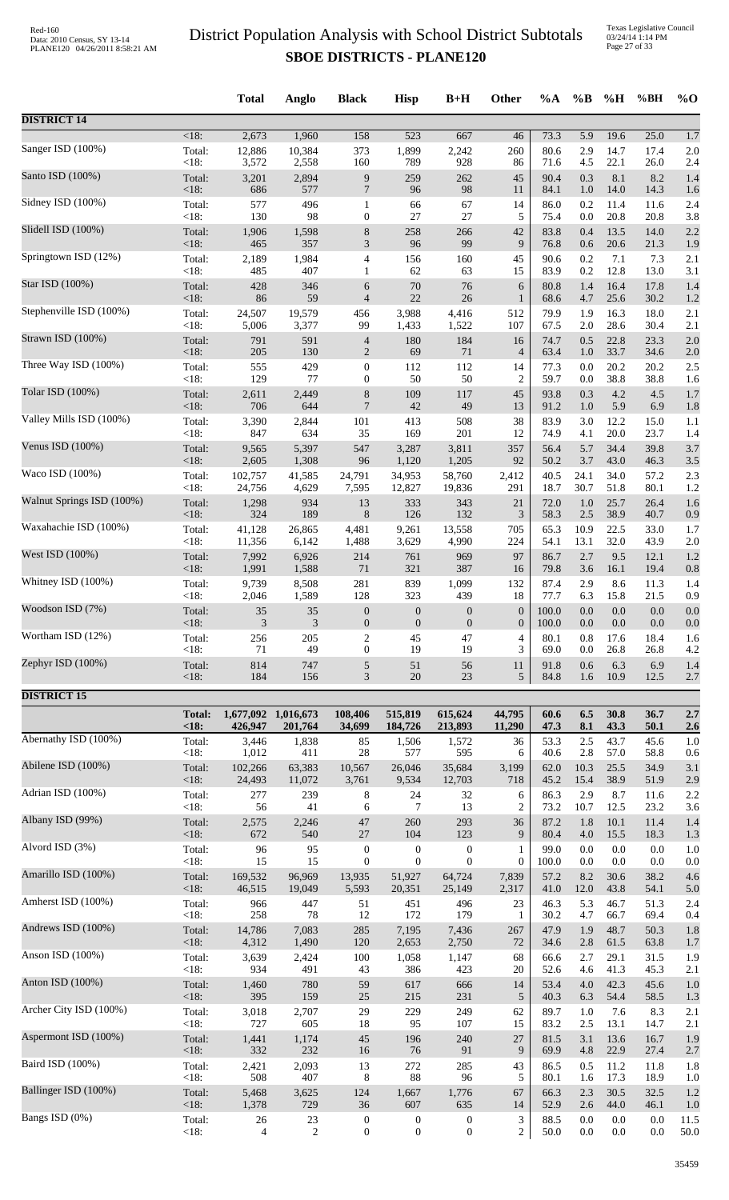|                           |                   | <b>Total</b>   | <b>Anglo</b>        | <b>Black</b>             | <b>Hisp</b>      | $B+H$            | Other            | %A           | $\%B$      | %H           | %BH          | $%$ <sup>O</sup> |
|---------------------------|-------------------|----------------|---------------------|--------------------------|------------------|------------------|------------------|--------------|------------|--------------|--------------|------------------|
| <b>DISTRICT 14</b>        |                   |                |                     |                          |                  |                  |                  |              |            |              |              |                  |
| Sanger ISD (100%)         | $<18$ :           | 2,673          | 1,960               | 158                      | 523              | 667              | 46               | 73.3         | 5.9        | 19.6         | 25.0         | 1.7              |
|                           | Total:            | 12,886         | 10,384              | 373                      | 1,899            | 2,242            | 260              | 80.6         | 2.9        | 14.7         | 17.4         | 2.0              |
|                           | $<18$ :           | 3,572          | 2,558               | 160                      | 789              | 928              | 86               | 71.6         | 4.5        | 22.1         | 26.0         | 2.4              |
| Santo ISD (100%)          | Total:            | 3,201          | 2,894               | 9                        | 259              | 262              | 45               | 90.4         | 0.3        | 8.1          | 8.2          | 1.4              |
|                           | <18:              | 686            | 577                 | $\overline{7}$           | 96               | 98               | 11               | 84.1         | 1.0        | 14.0         | 14.3         | 1.6              |
| Sidney ISD (100%)         | Total:            | 577            | 496                 | $\mathbf{1}$             | 66               | 67               | 14               | 86.0         | 0.2        | 11.4         | 11.6         | 2.4              |
| Slidell ISD (100%)        | <18:              | 130            | 98                  | $\boldsymbol{0}$         | 27               | 27               | 5                | 75.4         | 0.0        | 20.8         | 20.8         | 3.8              |
|                           | Total:            | 1,906          | 1,598               | $8\,$                    | 258              | 266              | 42               | 83.8         | 0.4        | 13.5         | 14.0         | 2.2              |
| Springtown ISD (12%)      | $<18$ :           | 465            | 357                 | 3                        | 96               | 99               | 9                | 76.8         | 0.6        | 20.6         | 21.3         | 1.9              |
|                           | Total:            | 2,189          | 1,984               | $\overline{\mathcal{A}}$ | 156              | 160              | 45               | 90.6         | 0.2        | 7.1          | 7.3          | 2.1              |
|                           | <18:              | 485            | 407                 | $\mathbf{1}$             | 62               | 63               | 15               | 83.9         | $0.2\,$    | 12.8         | 13.0         | 3.1              |
| Star ISD (100%)           | Total:            | 428            | 346                 | 6                        | $70\,$           | 76               | $\sqrt{6}$       | 80.8         | 1.4        | 16.4         | 17.8         | 1.4              |
|                           | $<18$ :           | 86             | 59                  | $\overline{4}$           | 22               | 26               | $\mathbf{1}$     | 68.6         | 4.7        | 25.6         | 30.2         | 1.2              |
| Stephenville ISD (100%)   | Total:            | 24,507         | 19,579              | 456                      | 3,988            | 4,416            | 512              | 79.9         | 1.9        | 16.3         | 18.0         | 2.1              |
|                           | < 18:             | 5,006          | 3,377               | 99                       | 1,433            | 1,522            | 107              | 67.5         | 2.0        | 28.6         | 30.4         | 2.1              |
| Strawn ISD (100%)         | Total:            | 791            | 591                 | $\overline{4}$           | 180              | 184              | 16               | 74.7         | 0.5        | 22.8         | 23.3         | 2.0              |
|                           | $<18$ :           | 205            | 130                 | $\sqrt{2}$               | 69               | 71               | $\overline{4}$   | 63.4         | 1.0        | 33.7         | 34.6         | 2.0              |
| Three Way ISD (100%)      | Total:            | 555            | 429                 | $\boldsymbol{0}$         | 112              | 112              | 14               | 77.3         | 0.0        | 20.2         | 20.2         | 2.5              |
| Tolar ISD (100%)          | <18:              | 129            | 77                  | $\boldsymbol{0}$         | 50               | 50               | $\overline{c}$   | 59.7         | 0.0        | 38.8         | 38.8         | 1.6              |
|                           | Total:            | 2,611          | 2,449               | 8                        | 109              | 117              | 45               | 93.8         | 0.3        | 4.2          | 4.5          | 1.7              |
| Valley Mills ISD (100%)   | $<18$ :           | 706            | 644                 | $\overline{7}$           | 42               | 49               | 13               | 91.2         | $1.0\,$    | 5.9          | 6.9          | 1.8              |
|                           | Total:            | 3,390          | 2,844               | 101                      | 413              | 508              | 38               | 83.9         | 3.0        | 12.2         | 15.0         | 1.1              |
| Venus ISD $(100\%)$       | $<18$ :           | 847            | 634                 | 35                       | 169              | 201              | 12               | 74.9         | 4.1        | 20.0         | 23.7         | 1.4              |
|                           | Total:            | 9,565          | 5,397               | 547                      | 3,287            | 3,811            | 357              | 56.4         | 5.7        | 34.4         | 39.8         | 3.7              |
|                           | < 18:             | 2,605          | 1,308               | 96                       | 1,120            | 1,205            | 92               | 50.2         | 3.7        | 43.0         | 46.3         | 3.5              |
| Waco ISD (100%)           | Total:            | 102,757        | 41,585              | 24,791                   | 34,953           | 58,760           | 2,412            | 40.5         | 24.1       | 34.0         | 57.2         | 2.3              |
|                           | <18:              | 24,756         | 4,629               | 7,595                    | 12,827           | 19,836           | 291              | 18.7         | 30.7       | 51.8         | 80.1         | 1.2              |
| Walnut Springs ISD (100%) | Total:            | 1,298          | 934                 | 13                       | 333              | 343              | 21               | 72.0         | 1.0        | 25.7         | 26.4         | 1.6              |
|                           | $<18$ :           | 324            | 189                 | $\,8\,$                  | 126              | 132              | $\mathfrak{Z}$   | 58.3         | 2.5        | 38.9         | 40.7         | 0.9              |
| Waxahachie ISD (100%)     | Total:            | 41,128         | 26,865              | 4,481                    | 9,261            | 13,558           | 705              | 65.3         | 10.9       | 22.5         | 33.0         | 1.7              |
| West ISD (100%)           | $<18$ :           | 11,356         | 6,142               | 1,488                    | 3,629            | 4,990            | 224              | 54.1         | 13.1       | 32.0         | 43.9         | 2.0              |
|                           | Total:            | 7,992          | 6,926               | 214                      | 761              | 969              | 97               | 86.7         | 2.7        | 9.5          | 12.1         | 1.2              |
| Whitney ISD (100%)        | <18:              | 1,991          | 1,588               | 71                       | 321              | 387              | 16               | 79.8         | 3.6        | 16.1         | 19.4         | 0.8              |
|                           | Total:            | 9,739          | 8,508               | 281                      | 839              | 1,099            | 132              | 87.4         | 2.9        | 8.6          | 11.3         | 1.4              |
| Woodson ISD (7%)          | <18:              | 2,046          | 1,589               | 128                      | 323              | 439              | 18               | 77.7         | 6.3        | 15.8         | 21.5         | 0.9              |
|                           | Total:            | 35             | 35                  | $\boldsymbol{0}$         | $\boldsymbol{0}$ | $\boldsymbol{0}$ | $\boldsymbol{0}$ | 100.0        | 0.0        | 0.0          | 0.0          | 0.0              |
|                           | $<18$ :           | 3              | 3                   | $\boldsymbol{0}$         | $\boldsymbol{0}$ | $\boldsymbol{0}$ | $\overline{0}$   | 100.0        | 0.0        | 0.0          | 0.0          | 0.0              |
| Wortham ISD (12%)         | Total:            | 256            | 205                 | 2                        | 45               | 47               | $\overline{4}$   | 80.1         | 0.8        | 17.6         | 18.4         | 1.6              |
|                           | < 18:             | 71             | 49                  | $\boldsymbol{0}$         | 19               | 19               | 3                | 69.0         | 0.0        | 26.8         | 26.8         | 4.2              |
| Zephyr ISD (100%)         | Total:            | 814            | 747                 | 5                        | 51               | 56               | 11               | 91.8         | 0.6        | 6.3          | 6.9          | 1.4              |
|                           | < 18:             | 184            | 156                 | 3                        | 20               | 23               | 5                | 84.8         | 1.6        | 10.9         | 12.5         | 2.7              |
| <b>DISTRICT 15</b>        |                   |                |                     |                          |                  |                  |                  |              |            |              |              |                  |
|                           | <b>Total:</b>     |                | 1,677,092 1,016,673 | 108,406                  | 515,819          | 615,624          | 44,795           | 60.6         | 6.5        | 30.8         | 36.7         | 2.7              |
| Abernathy ISD (100%)      | < 18:             | 426,947        | 201,764             | 34,699                   | 184,726          | 213,893          | 11,290           | 47.3         | 8.1        | 43.3         | 50.1         | 2.6              |
|                           | Total:            | 3,446          | 1,838               | 85                       | 1,506            | 1,572            | 36               | 53.3         | 2.5        | 43.7         | 45.6         | 1.0              |
| Abilene ISD (100%)        | <18:              | 1,012          | 411                 | 28                       | 577              | 595              | 6                | 40.6         | 2.8        | 57.0         | 58.8         | 0.6              |
|                           | Total:            | 102,266        | 63,383              | 10,567                   | 26,046           | 35,684           | 3,199            | 62.0         | 10.3       | 25.5         | 34.9         | 3.1              |
|                           | $<18$ :           | 24,493         | 11,072              | 3,761                    | 9,534            | 12,703           | 718              | 45.2         | 15.4       | 38.9         | 51.9         | 2.9              |
| Adrian ISD (100%)         | Total:            | 277            | 239                 | 8                        | 24               | 32               | 6                | 86.3         | 2.9        | 8.7          | 11.6         | 2.2              |
|                           | $<18$ :           | 56             | 41                  | 6                        | 7                | 13               | 2                | 73.2         | 10.7       | 12.5         | 23.2         | 3.6              |
| Albany ISD (99%)          | Total:            | 2,575          | 2,246               | 47                       | 260              | 293              | 36               | 87.2         | 1.8        | 10.1         | 11.4         | 1.4              |
|                           | $<18$ :           | 672            | 540                 | $27\,$                   | 104              | 123              | 9                | 80.4         | 4.0        | 15.5         | 18.3         | 1.3              |
| Alvord ISD (3%)           | Total:            | 96             | 95                  | $\boldsymbol{0}$         | $\boldsymbol{0}$ | $\boldsymbol{0}$ | 1                | 99.0         | 0.0        | $0.0\,$      | $0.0\,$      | 1.0              |
| Amarillo ISD (100%)       | <18:              | 15             | 15                  | $\boldsymbol{0}$         | $\boldsymbol{0}$ | $\mathbf{0}$     | $\boldsymbol{0}$ | 100.0        | 0.0        | 0.0          | 0.0          | 0.0              |
|                           | Total:            | 169,532        | 96,969              | 13,935                   | 51,927           | 64,724           | 7,839            | 57.2         | 8.2        | 30.6         | 38.2         | 4.6              |
| Amherst ISD (100%)        | $<18$ :           | 46,515         | 19,049              | 5,593                    | 20,351           | 25,149           | 2,317            | 41.0         | 12.0       | 43.8         | 54.1         | 5.0              |
|                           | Total:            | 966            | 447                 | 51                       | 451              | 496              | 23               | 46.3         | 5.3        | 46.7         | 51.3         | 2.4              |
| Andrews ISD (100%)        | <18:              | 258            | 78                  | 12                       | 172              | 179              | 1                | 30.2         | 4.7        | 66.7         | 69.4         | 0.4              |
|                           | Total:            | 14,786         | 7,083               | 285                      | 7,195            | 7,436            | 267              | 47.9         | 1.9        | 48.7         | 50.3         | 1.8              |
| Anson ISD (100%)          | $<18$ :           | 4,312          | 1,490               | 120                      | 2,653            | 2,750            | 72               | 34.6         | 2.8        | 61.5         | 63.8         | 1.7              |
|                           | Total:            | 3,639          | 2,424               | 100                      | 1,058            | 1,147            | 68               | 66.6         | 2.7        | 29.1         | 31.5         | 1.9              |
|                           | $<18$ :           | 934            | 491                 | 43                       | 386              | 423              | 20               | 52.6         | 4.6        | 41.3         | 45.3         | 2.1              |
| Anton ISD (100%)          | Total:            | 1,460          | 780                 | 59                       | 617              | 666              | 14               | 53.4         | 4.0        | 42.3         | 45.6         | 1.0              |
|                           | <18:              | 395            | 159                 | 25                       | 215              | 231              | $\sqrt{5}$       | 40.3         | 6.3        | 54.4         | 58.5         | 1.3              |
| Archer City ISD (100%)    | Total:            | 3,018          | 2,707               | 29                       | 229              | 249              | 62               | 89.7         | 1.0        | 7.6          | 8.3          | 2.1              |
|                           | <18:              | 727            | 605                 | 18                       | 95               | 107              | 15               | 83.2         | 2.5        | 13.1         | 14.7         | 2.1              |
| Aspermont ISD (100%)      | Total:<br>$<18$ : | 1,441<br>332   | 1,174<br>232        | 45<br>16                 | 196<br>76        | 240<br>91        | 27<br>9          | 81.5<br>69.9 | 3.1<br>4.8 | 13.6<br>22.9 | 16.7<br>27.4 | 1.9              |
| Baird ISD (100%)          | Total:            | 2,421          | 2,093               | 13                       | 272              | 285              | 43               | 86.5         | 0.5        | 11.2         | 11.8         | 2.7<br>1.8       |
| Ballinger ISD (100%)      | <18:              | 508            | 407                 | 8                        | 88               | 96               | 5                | 80.1         | 1.6        | 17.3         | 18.9         | 1.0              |
|                           | Total:            | 5,468          | 3,625               | 124                      | 1,667            | 1,776            | 67               | 66.3         | 2.3        | 30.5         | 32.5         | 1.2              |
| Bangs ISD (0%)            | $<18$ :           | 1,378          | 729                 | 36                       | 607              | 635              | 14               | 52.9         | 2.6        | 44.0         | 46.1         | 1.0              |
|                           | Total:            | 26             | 23                  | $\boldsymbol{0}$         | $\boldsymbol{0}$ | $\boldsymbol{0}$ | $\mathfrak{Z}$   | 88.5         | 0.0        | $0.0\,$      | 0.0          | 11.5             |
|                           | < 18:             | $\overline{4}$ | $\overline{2}$      | $\boldsymbol{0}$         | $\mathbf{0}$     | $\boldsymbol{0}$ | $\overline{c}$   | 50.0         | 0.0        | $0.0\,$      | 0.0          | 50.0             |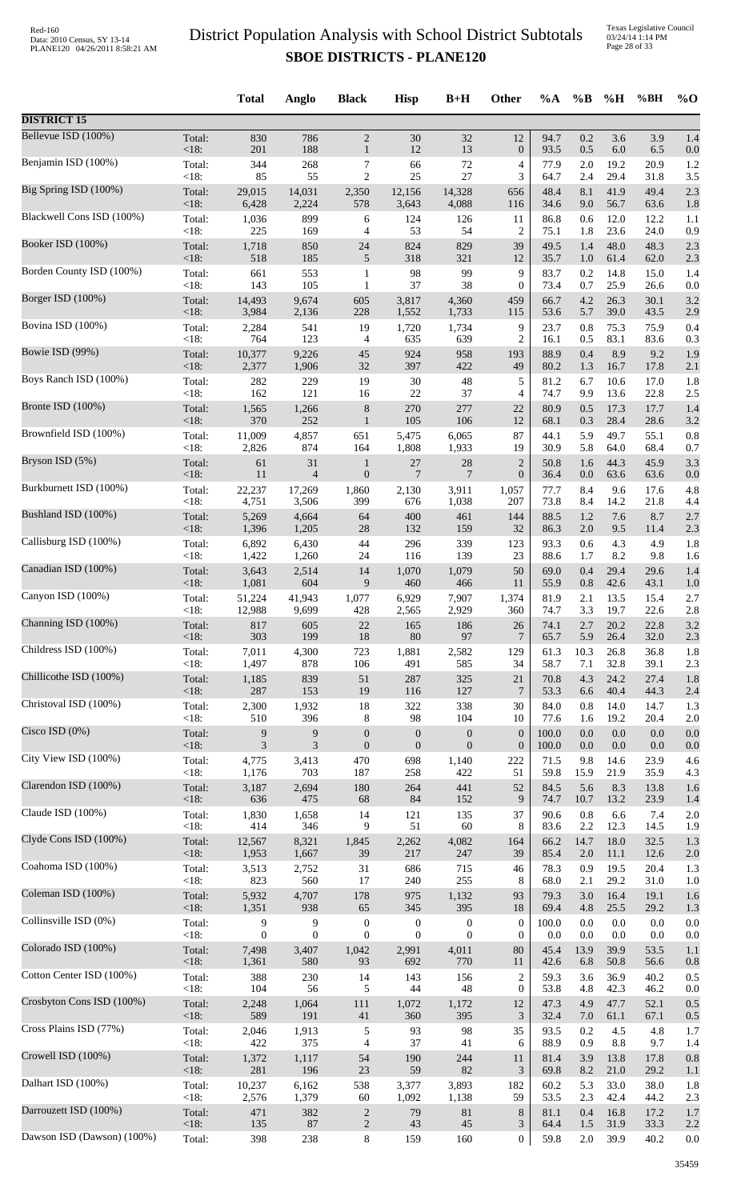Texas Legislative Council 03/24/14 1:14 PM Page 28 of 33

|                            |                        | <b>Total</b>                   | Anglo                        | <b>Black</b>                           | <b>Hisp</b>                               | $B+H$                                       | Other                                      | $\%A$                | $\%$ B            | %H                   | %BH                  | $\%$ O            |
|----------------------------|------------------------|--------------------------------|------------------------------|----------------------------------------|-------------------------------------------|---------------------------------------------|--------------------------------------------|----------------------|-------------------|----------------------|----------------------|-------------------|
| <b>DISTRICT 15</b>         |                        |                                |                              |                                        |                                           |                                             |                                            |                      |                   |                      |                      |                   |
| Bellevue ISD (100%)        | Total:                 | 830                            | 786                          | $\sqrt{2}$                             | 30                                        | 32                                          | 12                                         | 94.7                 | 0.2               | 3.6                  | 3.9                  | 1.4               |
|                            | <18:                   | 201                            | 188                          | $\mathbf{1}$                           | 12                                        | 13                                          | $\boldsymbol{0}$                           | 93.5                 | 0.5               | 6.0                  | 6.5                  | 0.0               |
| Benjamin ISD (100%)        | Total:                 | 344                            | 268                          | 7                                      | 66                                        | 72                                          | $\overline{4}$                             | 77.9                 | 2.0               | 19.2                 | 20.9                 | 1.2               |
| Big Spring ISD (100%)      | $<18$ :                | 85                             | 55                           | $\overline{2}$                         | 25                                        | 27                                          | 3                                          | 64.7                 | 2.4               | 29.4                 | 31.8                 | 3.5               |
|                            | Total:                 | 29,015                         | 14,031                       | 2,350                                  | 12,156                                    | 14,328                                      | 656                                        | 48.4                 | 8.1               | 41.9                 | 49.4                 | 2.3               |
|                            | $<18$ :                | 6,428                          | 2,224                        | 578                                    | 3,643                                     | 4,088                                       | 116                                        | 34.6                 | 9.0               | 56.7                 | 63.6                 | 1.8               |
| Blackwell Cons ISD (100%)  | Total:                 | 1,036                          | 899                          | 6                                      | 124                                       | 126                                         | 11                                         | 86.8                 | 0.6               | 12.0                 | 12.2                 | 1.1               |
|                            | < 18:                  | 225                            | 169                          | 4                                      | 53                                        | 54                                          | $\overline{c}$                             | 75.1                 | 1.8               | 23.6                 | 24.0                 | 0.9               |
| Booker ISD (100%)          | Total:                 | 1,718                          | 850                          | 24                                     | 824                                       | 829                                         | 39                                         | 49.5                 | 1.4               | 48.0                 | 48.3                 | 2.3               |
|                            | <18:                   | 518                            | 185                          | 5                                      | 318                                       | 321                                         | 12                                         | 35.7                 | 1.0               | 61.4                 | 62.0                 | 2.3               |
| Borden County ISD (100%)   | Total:                 | 661                            | 553                          | $\mathbf{1}$                           | 98                                        | 99                                          | 9                                          | 83.7                 | 0.2               | 14.8                 | 15.0                 | 1.4               |
|                            | $<18$ :                | 143                            | 105                          | $\mathbf{1}$                           | 37                                        | 38                                          | $\boldsymbol{0}$                           | 73.4                 | 0.7               | 25.9                 | 26.6                 | 0.0               |
| Borger ISD (100%)          | Total:                 | 14,493                         | 9,674                        | 605                                    | 3,817                                     | 4,360                                       | 459                                        | 66.7                 | 4.2               | 26.3                 | 30.1                 | 3.2               |
|                            | <18:                   | 3,984                          | 2,136                        | 228                                    | 1,552                                     | 1,733                                       | 115                                        | 53.6                 | 5.7               | 39.0                 | 43.5                 | 2.9               |
| Bovina ISD (100%)          | Total:                 | 2,284                          | 541                          | 19                                     | 1,720                                     | 1,734                                       | 9                                          | 23.7                 | 0.8               | 75.3                 | 75.9                 | 0.4               |
|                            | <18:                   | 764                            | 123                          | 4                                      | 635                                       | 639                                         | $\overline{2}$                             | 16.1                 | 0.5               | 83.1                 | 83.6                 | 0.3               |
| Bowie ISD (99%)            | Total:                 | 10,377                         | 9,226                        | 45                                     | 924                                       | 958                                         | 193                                        | 88.9                 | 0.4               | 8.9                  | 9.2                  | 1.9               |
|                            | <18:                   | 2,377                          | 1,906                        | 32                                     | 397                                       | 422                                         | 49                                         | 80.2                 | 1.3               | 16.7                 | 17.8                 | 2.1               |
| Boys Ranch ISD (100%)      | Total:                 | 282                            | 229                          | 19                                     | $30\,$                                    | 48                                          | 5                                          | 81.2                 | 6.7               | 10.6                 | 17.0                 | 1.8               |
|                            | <18:                   | 162                            | 121                          | 16                                     | $22\,$                                    | 37                                          | 4                                          | 74.7                 | 9.9               | 13.6                 | 22.8                 | 2.5               |
| Bronte ISD (100%)          | Total:                 | 1,565                          | 1,266                        | $8\,$                                  | 270                                       | 277                                         | 22                                         | 80.9                 | 0.5               | 17.3                 | 17.7                 | 1.4               |
|                            | <18:                   | 370                            | 252                          | $\mathbf{1}$                           | 105                                       | 106                                         | 12                                         | 68.1                 | 0.3               | 28.4                 | 28.6                 | 3.2               |
| Brownfield ISD (100%)      | Total:                 | 11,009                         | 4,857                        | 651                                    | 5,475                                     | 6,065                                       | 87                                         | 44.1                 | 5.9               | 49.7                 | 55.1                 | 0.8               |
|                            | $<18$ :                | 2,826                          | 874                          | 164                                    | 1,808                                     | 1,933                                       | 19                                         | 30.9                 | 5.8               | 64.0                 | 68.4                 | 0.7               |
| Bryson ISD (5%)            | Total:                 | 61                             | 31                           | $\mathbf{1}$                           | 27                                        | 28                                          | $\overline{2}$                             | 50.8                 | 1.6               | 44.3                 | 45.9                 | 3.3               |
|                            | < 18:                  | 11                             | $\overline{4}$               | $\mathbf{0}$                           | $\overline{7}$                            | $\overline{7}$                              | $\boldsymbol{0}$                           | 36.4                 | 0.0               | 63.6                 | 63.6                 | 0.0               |
| Burkburnett ISD (100%)     | Total:                 | 22,237                         | 17,269                       | 1,860                                  | 2,130                                     | 3,911                                       | 1,057                                      | 77.7                 | 8.4               | 9.6                  | 17.6                 | 4.8               |
|                            | <18:                   | 4,751                          | 3,506                        | 399                                    | 676                                       | 1,038                                       | 207                                        | 73.8                 | 8.4               | 14.2                 | 21.8                 | 4.4               |
| Bushland ISD (100%)        | Total:                 | 5,269                          | 4,664                        | 64                                     | 400                                       | 461                                         | 144                                        | 88.5                 | 1.2               | 7.6                  | 8.7                  | 2.7               |
|                            | <18:                   | 1,396                          | 1,205                        | 28                                     | 132                                       | 159                                         | 32                                         | 86.3                 | 2.0               | 9.5                  | 11.4                 | 2.3               |
| Callisburg ISD (100%)      | Total:                 | 6,892                          | 6,430                        | 44                                     | 296                                       | 339                                         | 123                                        | 93.3                 | 0.6               | 4.3                  | 4.9                  | 1.8               |
|                            | <18:                   | 1,422                          | 1,260                        | 24                                     | 116                                       | 139                                         | 23                                         | 88.6                 | 1.7               | 8.2                  | 9.8                  | 1.6               |
| Canadian ISD (100%)        | Total:                 | 3,643                          | 2,514                        | 14                                     | 1,070                                     | 1,079                                       | 50                                         | 69.0                 | 0.4               | 29.4                 | 29.6                 | 1.4               |
|                            | $<18$ :                | 1,081                          | 604                          | 9                                      | 460                                       | 466                                         | 11                                         | 55.9                 | 0.8               | 42.6                 | 43.1                 | 1.0               |
| Canyon ISD (100%)          | Total:                 | 51,224                         | 41,943                       | 1,077                                  | 6,929                                     | 7,907                                       | 1,374                                      | 81.9                 | 2.1               | 13.5                 | 15.4                 | 2.7               |
|                            | <18:                   | 12,988                         | 9,699                        | 428                                    | 2,565                                     | 2,929                                       | 360                                        | 74.7                 | 3.3               | 19.7                 | 22.6                 | 2.8               |
| Channing ISD (100%)        | Total:                 | 817                            | 605                          | 22                                     | 165                                       | 186                                         | 26                                         | 74.1                 | 2.7               | 20.2                 | 22.8                 | 3.2               |
|                            | $<18$ :                | 303                            | 199                          | 18                                     | $80\,$                                    | 97                                          | $7\phantom{.0}$                            | 65.7                 | 5.9               | 26.4                 | 32.0                 | 2.3               |
| Childress ISD (100%)       | Total:                 | 7,011                          | 4,300                        | 723                                    | 1,881                                     | 2,582                                       | 129                                        | 61.3                 | 10.3              | 26.8                 | 36.8                 | 1.8               |
|                            | <18:                   | 1,497                          | 878                          | 106                                    | 491                                       | 585                                         | 34                                         | 58.7                 | 7.1               | 32.8                 | 39.1                 | 2.3               |
| Chillicothe ISD (100%)     | Total:                 | 1,185                          | 839                          | 51                                     | 287                                       | 325                                         | 21                                         | 70.8                 | 4.3               | 24.2                 | 27.4                 | 1.8               |
|                            | <18:                   | 287                            | 153                          | 19                                     | 116                                       | 127                                         | 7                                          | 53.3                 | 6.6               | 40.4                 | 44.3                 | 2.4               |
| Christoval ISD (100%)      | Total:                 | 2,300                          | 1,932                        | 18                                     | 322                                       | 338                                         | 30                                         | 84.0                 | 0.8               | 14.0                 | 14.7                 | 1.3               |
|                            | <18:                   | 510                            | 396                          | 8                                      | 98                                        | 104                                         | 10                                         | 77.6                 | 1.6               | 19.2                 | 20.4                 | 2.0               |
| Cisco ISD $(0%)$           | Total:                 | 9                              | 9                            | $\mathbf{0}$                           | $\mathbf{0}$                              | $\mathbf{0}$                                | $\boldsymbol{0}$                           | 100.0                | 0.0               | $0.0\,$              | 0.0                  | 0.0               |
|                            | <18:                   | 3                              | $\mathfrak{Z}$               | $\boldsymbol{0}$                       | $\boldsymbol{0}$                          | $\mathbf{0}$                                | $\boldsymbol{0}$                           | 100.0                | $0.0\,$           | $0.0\,$              | 0.0                  | 0.0               |
| City View ISD (100%)       | Total:                 | 4,775                          | 3,413                        | 470                                    | 698                                       | 1,140                                       | 222                                        | 71.5                 | 9.8               | 14.6                 | 23.9                 | 4.6               |
|                            | <18:                   | 1,176                          | 703                          | 187                                    | 258                                       | 422                                         | 51                                         | 59.8                 | 15.9              | 21.9                 | 35.9                 | 4.3               |
| Clarendon ISD (100%)       | Total:<br><18:         | 3,187<br>636                   | 2,694<br>475                 | 180<br>68                              | 264<br>84                                 | 441<br>152                                  | 52<br>9                                    | 84.5<br>74.7         | 5.6<br>10.7       | 8.3<br>13.2          | 13.8<br>23.9         | 1.6               |
| Claude ISD (100%)          | Total:<br><18:         | 1,830                          | 1,658                        | 14                                     | 121<br>51                                 | 135<br>60                                   | 37                                         | 90.6                 | 0.8<br>2.2        | 6.6                  | 7.4                  | 1.4<br>2.0        |
| Clyde Cons ISD (100%)      | Total:<br><18:         | 414<br>12,567<br>1,953         | 346<br>8,321<br>1,667        | 9<br>1,845<br>39                       | 2,262<br>217                              | 4,082<br>247                                | 8<br>164<br>39                             | 83.6<br>66.2<br>85.4 | 14.7<br>2.0       | 12.3<br>18.0<br>11.1 | 14.5<br>32.5<br>12.6 | 1.9<br>1.3<br>2.0 |
| Coahoma ISD (100%)         | Total:<br>< 18:        | 3,513<br>823                   | 2,752<br>560                 | 31                                     | 686                                       | 715<br>255                                  | 46<br>8                                    | 78.3                 | 0.9               | 19.5<br>29.2         | 20.4                 | 1.3               |
| Coleman ISD (100%)         | Total:                 | 5,932                          | 4,707                        | 17<br>178                              | 240<br>975                                | 1,132                                       | 93                                         | 68.0<br>79.3         | 2.1<br>3.0        | 16.4                 | 31.0<br>19.1         | 1.0<br>1.6        |
| Collinsville ISD (0%)      | <18:<br>Total:<br><18: | 1,351<br>9<br>$\boldsymbol{0}$ | 938<br>9<br>$\boldsymbol{0}$ | 65<br>$\boldsymbol{0}$<br>$\mathbf{0}$ | 345<br>$\boldsymbol{0}$<br>$\overline{0}$ | 395<br>$\boldsymbol{0}$<br>$\boldsymbol{0}$ | 18<br>$\boldsymbol{0}$<br>$\boldsymbol{0}$ | 69.4<br>100.0<br>0.0 | 4.8<br>0.0<br>0.0 | 25.5<br>0.0<br>0.0   | 29.2<br>0.0<br>0.0   | 1.3<br>0.0        |
| Colorado ISD (100%)        | Total:<br><18:         | 7,498<br>1,361                 | 3,407<br>580                 | 1,042<br>93                            | 2,991<br>692                              | 4,011<br>770                                | 80<br>11                                   | 45.4<br>42.6         | 13.9<br>6.8       | 39.9<br>50.8         | 53.5<br>56.6         | 0.0<br>1.1<br>0.8 |
| Cotton Center ISD (100%)   | Total:<br>< 18:        | 388                            | 230<br>56                    | 14                                     | 143                                       | 156<br>48                                   | $\overline{c}$                             | 59.3                 | 3.6               | 36.9                 | 40.2                 | 0.5               |
| Crosbyton Cons ISD (100%)  | Total:<br><18:         | 104<br>2,248<br>589            | 1,064<br>191                 | 5<br>111<br>41                         | 44<br>1,072<br>360                        | 1,172<br>395                                | $\boldsymbol{0}$<br>12<br>$\mathfrak{Z}$   | 53.8<br>47.3<br>32.4 | 4.8<br>4.9<br>7.0 | 42.3<br>47.7<br>61.1 | 46.2<br>52.1<br>67.1 | 0.0<br>0.5<br>0.5 |
| Cross Plains ISD (77%)     | Total:                 | 2,046                          | 1,913                        | 5                                      | 93                                        | 98                                          | 35                                         | 93.5                 | 0.2               | 4.5                  | 4.8                  | 1.7               |
| Crowell ISD (100%)         | <18:                   | 422                            | 375                          | 4                                      | 37                                        | 41                                          | 6                                          | 88.9                 | 0.9               | 8.8                  | 9.7                  | 1.4               |
|                            | Total:                 | 1,372                          | 1,117                        | 54                                     | 190                                       | 244                                         | 11                                         | 81.4                 | 3.9               | 13.8                 | 17.8                 | 0.8               |
| Dalhart ISD (100%)         | <18:<br>Total:<br><18: | 281<br>10,237                  | 196<br>6,162<br>1,379        | 23<br>538                              | 59<br>3,377                               | 82<br>3,893                                 | 3<br>182<br>59                             | 69.8<br>60.2<br>53.5 | 8.2<br>5.3        | 21.0<br>33.0<br>42.4 | 29.2<br>38.0         | 1.1<br>1.8        |
| Darrouzett ISD (100%)      | Total:                 | 2,576<br>471                   | 382<br>87                    | 60<br>$\overline{c}$                   | 1,092<br>79                               | 1,138<br>81                                 | 8                                          | 81.1                 | 2.3<br>0.4        | 16.8                 | 44.2<br>17.2         | 2.3<br>1.7        |
| Dawson ISD (Dawson) (100%) | <18:<br>Total:         | 135<br>398                     | 238                          | $\overline{2}$<br>$\,8\,$              | 43<br>159                                 | 45<br>160                                   | 3<br>$\mathbf{0}$                          | 64.4<br>59.8         | 1.5<br>$2.0\,$    | 31.9<br>39.9         | 33.3<br>40.2         | 2.2<br>0.0        |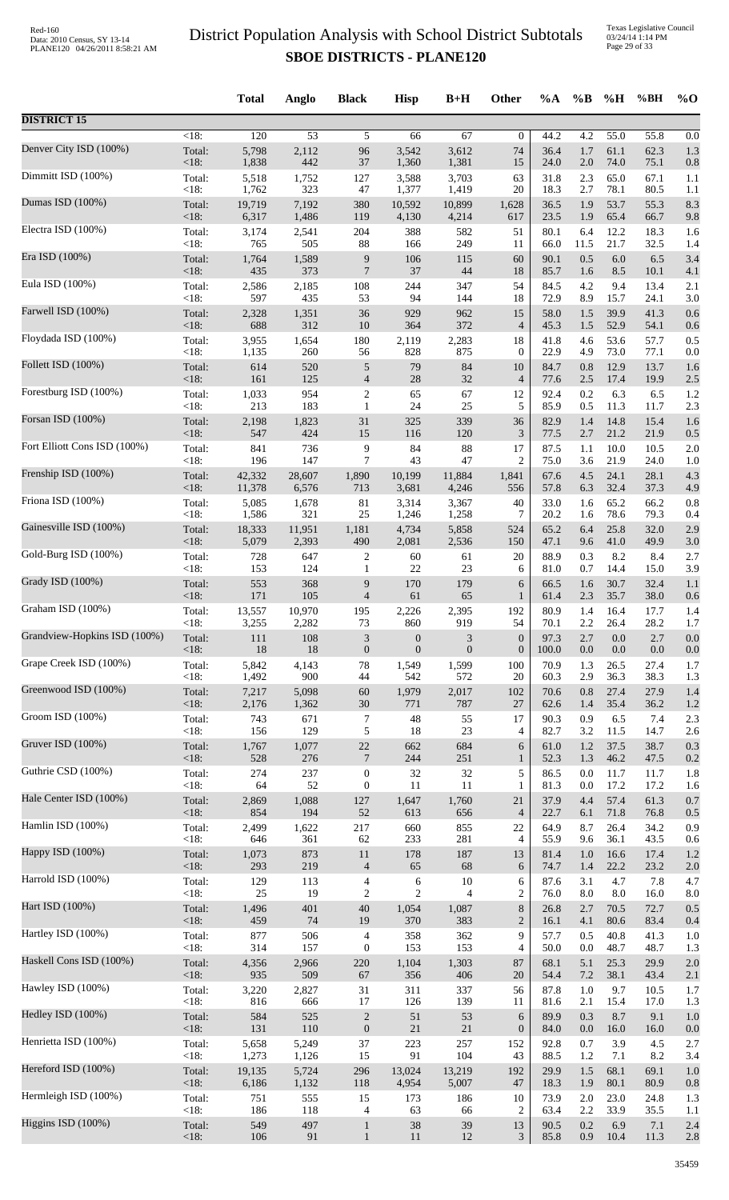|                              |                    | <b>Total</b>    | Anglo           | <b>Black</b>             | <b>Hisp</b>                    | $B+H$             | Other                                | %A           | $\%B$      | %H             | %BH          | $%$ <sup>O</sup> |
|------------------------------|--------------------|-----------------|-----------------|--------------------------|--------------------------------|-------------------|--------------------------------------|--------------|------------|----------------|--------------|------------------|
| <b>DISTRICT 15</b>           |                    |                 |                 |                          |                                |                   |                                      |              |            |                |              |                  |
| Denver City ISD (100%)       | $\overline{<}18$ : | 120             | $\overline{53}$ | 5                        | 66                             | 67                | $\mathbf{0}$                         | 44.2         | 4.2        | 55.0           | 55.8         | 0.0              |
|                              | Total:             | 5,798           | 2,112           | 96                       | 3,542                          | 3,612             | 74                                   | 36.4         | 1.7        | 61.1           | 62.3         | 1.3              |
| Dimmitt ISD (100%)           | <18:               | 1,838           | 442             | 37                       | 1,360                          | 1,381             | 15                                   | 24.0         | $2.0\,$    | 74.0           | 75.1         | 0.8              |
|                              | Total:             | 5,518           | 1,752           | 127                      | 3,588                          | 3,703             | 63                                   | 31.8         | 2.3        | 65.0           | 67.1         | 1.1              |
|                              | <18:               | 1,762           | 323             | 47                       | 1,377                          | 1,419             | 20                                   | 18.3         | 2.7        | 78.1           | 80.5         | 1.1              |
| Dumas ISD (100%)             | Total:             | 19,719          | 7,192           | 380                      | 10,592                         | 10,899            | 1,628                                | 36.5         | 1.9        | 53.7           | 55.3         | 8.3              |
|                              | $<18$ :            | 6,317           | 1,486           | 119                      | 4,130                          | 4,214             | 617                                  | 23.5         | 1.9        | 65.4           | 66.7         | 9.8              |
| Electra ISD (100%)           | Total:             | 3,174           | 2,541           | 204                      | 388                            | 582               | 51                                   | 80.1         | 6.4        | 12.2           | 18.3         | 1.6              |
|                              | <18:               | 765             | 505             | $88\,$                   | 166                            | 249               | 11                                   | 66.0         | 11.5       | 21.7           | 32.5         | 1.4              |
| Era ISD (100%)               | Total:             | 1,764           | 1,589           | 9                        | 106                            | 115               | 60                                   | 90.1         | 0.5        | $6.0\,$        | 6.5          | 3.4              |
| Eula ISD (100%)              | < 18:              | 435             | 373             | $\overline{7}$           | 37                             | 44                | 18                                   | 85.7         | 1.6        | 8.5            | 10.1         | 4.1              |
|                              | Total:             | 2,586           | 2,185           | 108                      | 244                            | 347               | 54                                   | 84.5         | 4.2        | 9.4            | 13.4         | 2.1              |
| Farwell ISD (100%)           | < 18:              | 597             | 435             | 53                       | 94                             | 144               | 18                                   | 72.9         | 8.9        | 15.7           | 24.1         | 3.0              |
|                              | Total:             | 2,328           | 1,351           | 36                       | 929                            | 962               | 15                                   | 58.0         | 1.5        | 39.9           | 41.3         | 0.6              |
|                              | <18:               | 688             | 312             | $10\,$                   | 364                            | 372               | $\overline{4}$                       | 45.3         | 1.5        | 52.9           | 54.1         | 0.6              |
| Floydada ISD (100%)          | Total:             | 3,955           | 1,654           | 180                      | 2,119                          | 2,283             | 18                                   | 41.8         | 4.6        | 53.6           | 57.7         | 0.5              |
|                              | <18:               | 1,135           | 260             | 56                       | 828                            | 875               | $\boldsymbol{0}$                     | 22.9         | 4.9        | 73.0           | 77.1         | 0.0              |
| Follett ISD (100%)           | Total:             | 614             | 520             | $\mathfrak s$            | 79                             | 84                | 10                                   | 84.7         | 0.8        | 12.9           | 13.7         | 1.6              |
|                              | $<18$ :            | 161             | 125             | $\overline{4}$           | 28                             | 32                | $\overline{4}$                       | 77.6         | 2.5        | 17.4           | 19.9         | 2.5              |
| Forestburg ISD (100%)        | Total:             | 1,033           | 954             | $\overline{\mathbf{c}}$  | 65                             | 67                | 12                                   | 92.4         | 0.2        | 6.3            | 6.5          | 1.2              |
| Forsan ISD (100%)            | $<18$ :            | 213             | 183             | $\mathbf{1}$             | 24                             | 25                | 5                                    | 85.9         | 0.5        | 11.3           | 11.7         | 2.3              |
|                              | Total:             | 2,198           | 1,823           | 31                       | 325                            | 339               | 36                                   | 82.9         | 1.4        | 14.8           | 15.4         | 1.6              |
| Fort Elliott Cons ISD (100%) | $<18$ :            | 547             | 424             | 15                       | 116                            | 120               | $\mathfrak{Z}$                       | 77.5         | 2.7        | 21.2           | 21.9         | 0.5              |
|                              | Total:             | 841             | 736             | 9                        | 84                             | 88                | 17                                   | 87.5         | 1.1        | 10.0           | 10.5         | 2.0              |
|                              | < 18:              | 196             | 147             | 7                        | 43                             | 47                | $\overline{c}$                       | 75.0         | 3.6        | 21.9           | 24.0         | 1.0              |
| Frenship ISD (100%)          | Total:             | 42,332          | 28,607          | 1,890                    | 10,199                         | 11,884            | 1,841                                | 67.6         | 4.5        | 24.1           | 28.1         | 4.3              |
|                              | $<18$ :            | 11,378          | 6,576           | 713                      | 3,681                          | 4,246             | 556                                  | 57.8         | 6.3        | 32.4           | 37.3         | 4.9              |
| Friona ISD (100%)            | Total:             | 5,085           | 1,678           | 81                       | 3,314                          | 3,367             | 40                                   | 33.0         | 1.6        | 65.2           | 66.2         | 0.8              |
|                              | <18:               | 1,586           | 321             | $25\,$                   | 1,246                          | 1,258             | 7                                    | 20.2         | 1.6        | 78.6           | 79.3         | 0.4              |
| Gainesville ISD (100%)       | Total:<br>$<18$ :  | 18,333<br>5,079 | 11,951<br>2,393 | 1,181<br>490             | 4,734                          | 5,858             | 524                                  | 65.2         | 6.4        | 25.8<br>41.0   | 32.0         | 2.9              |
| Gold-Burg ISD (100%)         | Total:             | 728             | 647             | 2                        | 2,081<br>60                    | 2,536<br>61       | 150<br>20                            | 47.1<br>88.9 | 9.6<br>0.3 | 8.2            | 49.9<br>8.4  | 3.0<br>2.7       |
| Grady ISD (100%)             | <18:               | 153             | 124             | 1                        | $22\,$                         | 23                | 6                                    | 81.0         | 0.7        | 14.4           | 15.0         | 3.9              |
|                              | Total:             | 553             | 368             | 9                        | 170                            | 179               | 6                                    | 66.5         | 1.6        | 30.7           | 32.4         | 1.1              |
| Graham ISD (100%)            | $<18$ :            | 171             | 105             | $\overline{\mathcal{A}}$ | 61                             | 65                | $\mathbf{1}$                         | 61.4         | 2.3        | 35.7           | 38.0         | 0.6              |
|                              | Total:             | 13,557          | 10,970          | 195                      | 2,226                          | 2,395             | 192                                  | 80.9         | 1.4        | 16.4           | 17.7         | 1.4              |
| Grandview-Hopkins ISD (100%) | $<18$ :<br>Total:  | 3.255           | 2,282           | 73                       | 860                            | 919               | 54                                   | 70.1<br>97.3 | 2.2<br>2.7 | 26.4           | 28.2         | 1.7              |
|                              | $<18$ :            | 111<br>18       | 108<br>18       | 3<br>$\boldsymbol{0}$    | $\mathbf{0}$<br>$\overline{0}$ | 3<br>$\mathbf{0}$ | $\boldsymbol{0}$<br>$\boldsymbol{0}$ | 100.0        | $0.0\,$    | 0.0<br>$0.0\,$ | 2.7<br>0.0   | 0.0<br>0.0       |
| Grape Creek ISD (100%)       | Total:             | 5,842           | 4,143           | $78\,$                   | 1,549                          | 1,599             | 100                                  | 70.9         | 1.3        | 26.5           | 27.4         | 1.7              |
|                              | < 18:              | 1,492           | 900             | 44                       | 542                            | 572               | 20                                   | 60.3         | 2.9        | 36.3           | 38.3         | 1.3              |
| Greenwood ISD (100%)         | Total:             | 7,217           | 5,098           | $60\,$                   | 1,979                          | 2,017             | 102                                  | 70.6         | 0.8        | 27.4           | 27.9         | 1.4              |
|                              | <18:               | 2,176           | 1,362           | 30                       | 771                            | 787               | 27                                   | 62.6         | 1.4        | 35.4           | 36.2         | 1.2              |
| Groom ISD (100%)             | Total:<br>< 18:    | 743<br>156      | 671<br>129      | 7<br>5                   | $48\,$<br>18                   | 55<br>23          | 17                                   | 90.3<br>82.7 | 0.9<br>3.2 | 6.5<br>11.5    | 7.4          | 2.3              |
| Gruver ISD (100%)            | Total:             | 1,767           | 1,077           | $22\,$                   | 662                            | 684               | 4<br>6                               | 61.0         | 1.2        | 37.5           | 14.7<br>38.7 | 2.6<br>0.3       |
| Guthrie CSD (100%)           | $<18$ :            | 528             | 276             | $\overline{7}$           | 244                            | 251               | $\mathbf{1}$                         | 52.3         | 1.3        | 46.2           | 47.5         | 0.2              |
|                              | Total:             | 274             | 237             | $\boldsymbol{0}$         | 32                             | 32                | 5                                    | 86.5         | 0.0        | 11.7           | 11.7         | 1.8              |
| Hale Center ISD (100%)       | $<18$ :            | 64              | 52              | $\boldsymbol{0}$         | 11                             | 11                | 1                                    | 81.3         | 0.0        | 17.2           | 17.2         | 1.6              |
|                              | Total:             | 2,869           | 1,088           | 127                      | 1,647                          | 1,760             | 21                                   | 37.9         | 4.4        | 57.4           | 61.3         | 0.7              |
|                              | $<18$ :            | 854             | 194             | $52\,$                   | 613                            | 656               | $\overline{4}$                       | 22.7         | 6.1        | 71.8           | 76.8         | 0.5              |
| Hamlin ISD (100%)            | Total:             | 2,499           | 1,622           | 217                      | 660                            | 855               | 22                                   | 64.9         | 8.7        | 26.4           | 34.2         | 0.9              |
|                              | <18:               | 646             | 361             | 62                       | 233                            | 281               | $\overline{4}$                       | 55.9         | 9.6        | 36.1           | 43.5         | 0.6              |
| Happy ISD (100%)             | Total:             | 1,073           | 873             | 11                       | 178                            | 187               | 13                                   | 81.4         | 1.0        | 16.6           | 17.4         | 1.2              |
|                              | $<18$ :            | 293             | 219             | $\overline{4}$           | 65                             | 68                | 6                                    | 74.7         | 1.4        | 22.2           | 23.2         | 2.0              |
| Harrold ISD (100%)           | Total:             | 129             | 113             | 4                        | 6                              | 10                | 6                                    | 87.6         | 3.1        | 4.7            | 7.8          | 4.7              |
| Hart ISD (100%)              | <18:               | 25              | 19              | 2                        | $\overline{c}$                 | $\overline{4}$    | $\overline{c}$                       | 76.0         | $8.0\,$    | 8.0            | 16.0         | 8.0              |
|                              | Total:             | 1,496           | 401             | $40\,$                   | 1,054                          | 1,087             | $8\,$                                | 26.8         | 2.7        | 70.5           | 72.7         | 0.5              |
| Hartley ISD (100%)           | $<18$ :            | 459             | 74              | 19                       | 370                            | 383               | $\overline{2}$                       | 16.1         | 4.1        | 80.6           | 83.4         | 0.4              |
|                              | Total:             | 877             | 506             | 4                        | 358                            | 362               | 9                                    | 57.7         | 0.5        | 40.8           | 41.3         | 1.0              |
| Haskell Cons ISD (100%)      | <18:               | 314             | 157             | $\boldsymbol{0}$         | 153                            | 153               | 4                                    | 50.0         | 0.0        | 48.7           | 48.7         | 1.3              |
|                              | Total:             | 4,356           | 2,966           | $220\,$                  | 1,104                          | 1,303             | 87                                   | 68.1         | 5.1        | 25.3           | 29.9         | 2.0              |
| Hawley ISD (100%)            | < 18:              | 935             | 509             | 67                       | 356                            | 406               | 20                                   | 54.4         | $7.2\,$    | 38.1           | 43.4         | 2.1              |
|                              | Total:             | 3,220           | 2,827           | 31                       | 311                            | 337               | 56                                   | 87.8         | 1.0        | 9.7            | 10.5         | 1.7              |
|                              | <18:               | 816             | 666             | 17                       | 126                            | 139               | 11                                   | 81.6         | 2.1        | 15.4           | 17.0         | 1.3              |
| Hedley ISD (100%)            | Total:             | 584             | 525             | $\boldsymbol{2}$         | 51                             | 53                | $\sqrt{6}$                           | 89.9         | 0.3        | 8.7            | 9.1          | 1.0              |
|                              | $<18$ :            | 131             | 110             | $\boldsymbol{0}$         | $21\,$                         | $21\,$            | $\boldsymbol{0}$                     | 84.0         | 0.0        | 16.0           | 16.0         | 0.0              |
| Henrietta ISD (100%)         | Total:             | 5,658           | 5,249           | 37                       | 223                            | 257               | 152                                  | 92.8         | 0.7        | 3.9            | 4.5          | 2.7              |
|                              | $<18$ :            | 1,273           | 1,126           | 15                       | 91                             | 104               | 43                                   | 88.5         | 1.2        | 7.1            | 8.2          | 3.4              |
| Hereford ISD (100%)          | Total:<br>$<18$ :  | 19,135<br>6,186 | 5,724           | 296                      | 13,024                         | 13,219            | 192<br>47                            | 29.9         | 1.5        | 68.1           | 69.1         | 1.0              |
| Hermleigh ISD (100%)         | Total:             | 751             | 1,132<br>555    | 118<br>15                | 4,954<br>173                   | 5,007<br>186      | 10                                   | 18.3<br>73.9 | 1.9<br>2.0 | 80.1<br>23.0   | 80.9<br>24.8 | 0.8<br>1.3       |
| Higgins ISD (100%)           | < 18:              | 186             | 118             | 4                        | 63                             | 66                | $\overline{c}$                       | 63.4         | 2.2        | 33.9           | 35.5         | 1.1              |
|                              | Total:             | 549             | 497             | $\mathbf{1}$             | 38                             | 39                | 13                                   | 90.5         | 0.2        | 6.9            | 7.1          | 2.4              |
|                              | <18:               | 106             | 91              | $\mathbf{1}$             | 11                             | 12                | $\mathfrak{Z}$                       | 85.8         | 0.9        | 10.4           | 11.3         | 2.8              |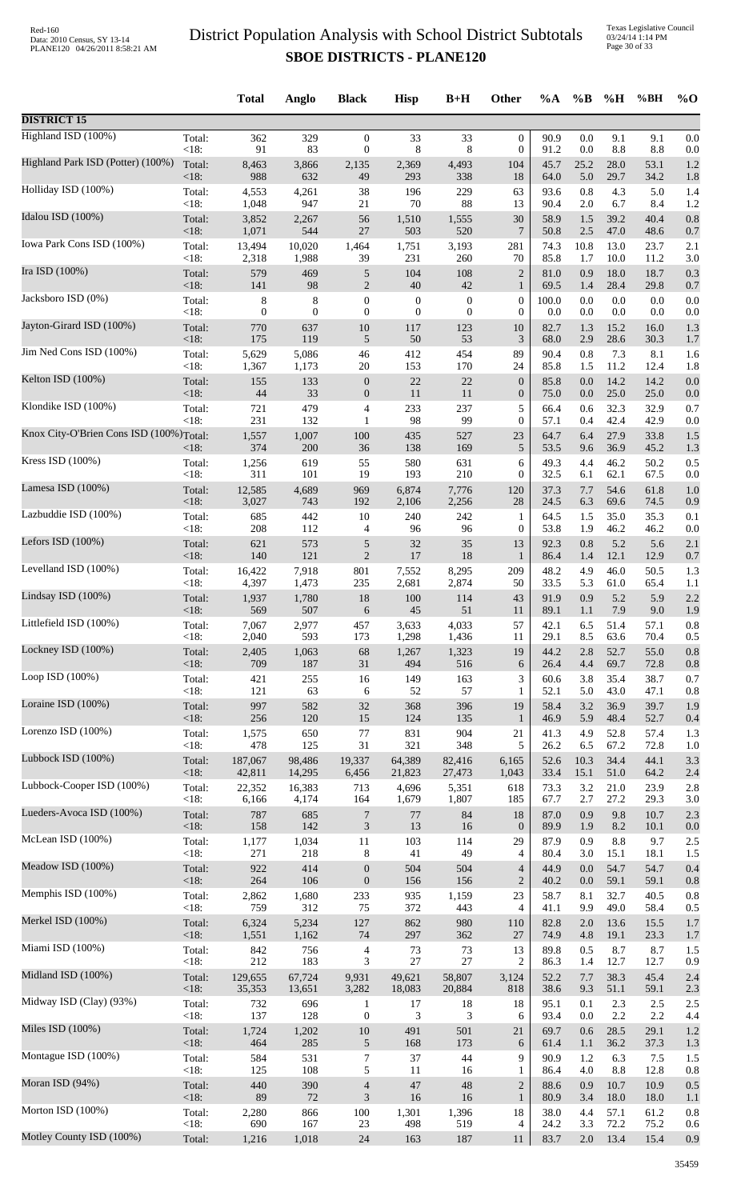|                                         |                | <b>Total</b> | Anglo            | <b>Black</b>             | <b>Hisp</b>      | $B+H$            | Other            | $\%A$        | $\%$ B     | %H           | %BH          | $\%$ O     |
|-----------------------------------------|----------------|--------------|------------------|--------------------------|------------------|------------------|------------------|--------------|------------|--------------|--------------|------------|
| <b>DISTRICT 15</b>                      |                |              |                  |                          |                  |                  |                  |              |            |              |              |            |
| Highland ISD (100%)                     | Total:         | 362          | 329              | $\boldsymbol{0}$         | 33               | 33               | $\theta$         | 90.9         | 0.0        | 9.1          | 9.1          | 0.0        |
| Highland Park ISD (Potter) (100%)       | <18:           | 91           | 83               | $\boldsymbol{0}$         | 8                | 8                | $\mathbf{0}$     | 91.2         | 0.0        | $8.8\,$      | 8.8          | 0.0        |
|                                         | Total:         | 8,463        | 3,866            | 2,135                    | 2,369            | 4,493            | 104              | 45.7         | 25.2       | 28.0         | 53.1         | 1.2        |
|                                         | <18:           | 988          | 632              | 49                       | 293              | 338              | 18               | 64.0         | 5.0        | 29.7         | 34.2         | 1.8        |
| Holliday ISD (100%)                     | Total:         | 4,553        | 4,261            | 38                       | 196              | 229              | 63               | 93.6         | 0.8        | 4.3          | 5.0          | 1.4        |
|                                         | <18:           | 1,048        | 947              | 21                       | 70               | 88               | 13               | 90.4         | 2.0        | 6.7          | 8.4          | 1.2        |
| Idalou ISD (100%)                       | Total:         | 3,852        | 2,267            | 56                       | 1,510            | 1,555            | 30               | 58.9         | 1.5        | 39.2         | 40.4         | 0.8        |
|                                         | <18:           | 1,071        | 544              | 27                       | 503              | 520              | $7\phantom{.0}$  | 50.8         | $2.5\,$    | 47.0         | 48.6         | 0.7        |
| Iowa Park Cons ISD (100%)               | Total:         | 13,494       | 10,020           | 1,464                    | 1,751            | 3,193            | 281              | 74.3         | 10.8       | 13.0         | 23.7         | 2.1        |
|                                         | $<18$ :        | 2,318        | 1,988            | 39                       | 231              | 260              | 70               | 85.8         | 1.7        | 10.0         | 11.2         | 3.0        |
| Ira ISD (100%)                          | Total:         | 579          | 469              | $\sqrt{5}$               | 104              | 108              | $\sqrt{2}$       | 81.0         | 0.9        | 18.0         | 18.7         | 0.3        |
|                                         | <18:           | 141          | 98               | 2                        | 40               | 42               | 1                | 69.5         | 1.4        | 28.4         | 29.8         | 0.7        |
| Jacksboro ISD (0%)                      | Total:         | 8            | 8                | $\boldsymbol{0}$         | $\boldsymbol{0}$ | $\boldsymbol{0}$ | $\mathbf{0}$     | 100.0        | 0.0        | 0.0          | 0.0          | 0.0        |
| Jayton-Girard ISD (100%)                | <18:           | $\mathbf{0}$ | $\boldsymbol{0}$ | $\boldsymbol{0}$         | $\boldsymbol{0}$ | $\boldsymbol{0}$ | $\boldsymbol{0}$ | 0.0          | 0.0        | 0.0          | 0.0          | 0.0        |
|                                         | Total:         | 770          | 637              | $10\,$                   | 117              | 123              | 10               | 82.7         | 1.3        | 15.2         | 16.0         | 1.3        |
|                                         | <18:           | 175          | 119              | 5                        | $50\,$           | 53               | 3                | 68.0         | 2.9        | 28.6         | 30.3         | 1.7        |
| Jim Ned Cons ISD (100%)                 | Total:<br><18: | 5,629        | 5,086            | 46                       | 412<br>153       | 454<br>170       | 89<br>24         | 90.4         | 0.8<br>1.5 | 7.3<br>11.2  | 8.1<br>12.4  | 1.6        |
| Kelton ISD (100%)                       | Total:         | 1,367<br>155 | 1,173<br>133     | 20<br>$\boldsymbol{0}$   | 22               | 22               | $\mathbf{0}$     | 85.8<br>85.8 | 0.0        | 14.2         | 14.2         | 1.8<br>0.0 |
| Klondike ISD (100%)                     | <18:           | 44           | 33               | $\boldsymbol{0}$         | $11\,$           | 11               | $\mathbf{0}$     | 75.0         | 0.0        | 25.0         | 25.0         | 0.0        |
|                                         | Total:         | 721          | 479              | 4                        | 233              | 237              | 5                | 66.4         | 0.6        | 32.3         | 32.9         | 0.7        |
| Knox City-O'Brien Cons ISD (100%)Total: | <18:           | 231<br>1,557 | 132<br>1,007     | 1<br>100                 | 98<br>435        | 99<br>527        | $\theta$<br>23   | 57.1<br>64.7 | 0.4<br>6.4 | 42.4<br>27.9 | 42.9<br>33.8 | 0.0<br>1.5 |
| Kress ISD (100%)                        | $<18$ :        | 374          | 200              | 36                       | 138              | 169              | 5                | 53.5         | 9.6        | 36.9         | 45.2         | 1.3        |
|                                         | Total:         | 1,256        | 619              | 55                       | 580              | 631              | 6                | 49.3         | 4.4        | 46.2         | 50.2         | 0.5        |
| Lamesa ISD (100%)                       | <18:           | 311          | 101              | 19                       | 193              | 210              | $\mathbf{0}$     | 32.5         | 6.1        | 62.1         | 67.5         | 0.0        |
|                                         | Total:         | 12,585       | 4,689            | 969                      | 6,874            | 7,776            | 120              | 37.3         | 7.7        | 54.6         | 61.8         | 1.0        |
| Lazbuddie ISD (100%)                    | <18:           | 3,027        | 743              | 192                      | 2,106            | 2,256            | 28               | 24.5         | 6.3        | 69.6         | 74.5         | 0.9        |
|                                         | Total:         | 685          | 442              | 10                       | 240              | 242              | $\mathbf{1}$     | 64.5         | 1.5        | 35.0         | 35.3         | 0.1        |
|                                         | $<18$ :        | 208          | 112              | 4                        | 96               | 96               | $\theta$         | 53.8         | 1.9        | 46.2         | 46.2         | 0.0        |
| Lefors ISD $(100\%)$                    | Total:         | 621          | 573              | 5                        | 32               | 35               | 13               | 92.3         | 0.8        | 5.2          | 5.6          | 2.1        |
|                                         | <18:           | 140          | 121              | 2                        | 17               | 18               | $\mathbf{1}$     | 86.4         | 1.4        | 12.1         | 12.9         | 0.7        |
| Levelland ISD (100%)                    | Total:         | 16,422       | 7,918            | 801                      | 7,552            | 8,295            | 209              | 48.2         | 4.9        | 46.0         | 50.5         | 1.3        |
|                                         | <18:           | 4,397        | 1,473            | 235                      | 2,681            | 2,874            | 50               | 33.5         | 5.3        | 61.0         | 65.4         | 1.1        |
| Lindsay ISD (100%)                      | Total:         | 1,937        | 1,780            | 18                       | 100              | 114              | 43               | 91.9         | 0.9        | 5.2          | 5.9          | 2.2        |
|                                         | $<18$ :        | 569          | 507              | 6                        | 45               | 51               | 11               | 89.1         | 1.1        | 7.9          | 9.0          | 1.9        |
| Littlefield ISD (100%)                  | Total:         | 7,067        | 2,977            | 457                      | 3,633            | 4,033            | 57               | 42.1         | 6.5        | 51.4         | 57.1         | 0.8        |
|                                         | <18:           | 2,040        | 593              | 173                      | 1,298            | 1,436            | 11               | 29.1         | 8.5        | 63.6         | 70.4         | 0.5        |
| Lockney ISD (100%)                      | Total:         | 2,405        | 1,063            | 68                       | 1,267            | 1,323            | 19               | 44.2         | 2.8        | 52.7         | 55.0         | 0.8        |
|                                         | <18:           | 709          | 187              | 31                       | 494              | 516              | 6                | 26.4         | 4.4        | 69.7         | 72.8         | 0.8        |
| Loop ISD (100%)                         | Total:         | 421          | 255              | 16                       | 149              | 163              | 3                | 60.6         | 3.8        | 35.4         | 38.7         | 0.7        |
|                                         | <18:           | 121          | 63               | 6                        | 52               | 57               | $\mathbf{1}$     | 52.1         | 5.0        | 43.0         | 47.1         | 0.8        |
| Loraine ISD (100%)                      | Total:         | 997          | 582              | 32                       | 368              | 396              | 19               | 58.4         | 3.2        | 36.9         | 39.7         | 1.9        |
|                                         | <18:           | 256          | 120              | 15                       | 124              | 135              | $\mathbf{1}$     | 46.9         | 5.9        | 48.4         | 52.7         | 0.4        |
| Lorenzo ISD (100%)                      | Total:         | 1,575        | 650              | 77                       | 831              | 904              | 21               | 41.3         | 4.9        | 52.8         | 57.4         | 1.3        |
| Lubbock ISD (100%)                      | <18:           | 478          | 125              | 31                       | 321              | 348              | 5                | 26.2         | 6.5        | 67.2         | 72.8         | 1.0        |
|                                         | Total:         | 187,067      | 98,486           | 19,337                   | 64,389           | 82,416           | 6,165            | 52.6         | 10.3       | 34.4         | 44.1         | 3.3        |
| Lubbock-Cooper ISD (100%)               | <18:           | 42,811       | 14,295           | 6,456                    | 21,823           | 27,473           | 1,043            | 33.4         | 15.1       | 51.0         | 64.2         | 2.4        |
|                                         | Total:         | 22,352       | 16,383           | 713                      | 4,696            | 5,351            | 618              | 73.3         | 3.2        | 21.0         | 23.9         | 2.8        |
| Lueders-Avoca ISD (100%)                | <18:           | 6,166        | 4,174            | 164                      | 1,679            | 1,807            | 185              | 67.7         | 2.7        | 27.2         | 29.3         | 3.0        |
|                                         | Total:         | 787          | 685              | $\overline{7}$           | 77               | 84               | 18               | 87.0         | 0.9        | 9.8          | 10.7         | 2.3        |
| McLean ISD (100%)                       | <18:           | 158          | 142              | $\mathfrak{Z}$           | 13               | 16               | $\mathbf{0}$     | 89.9         | 1.9        | 8.2          | 10.1         | 0.0        |
|                                         | Total:         | 1,177        | 1,034            | 11                       | 103              | 114              | 29               | 87.9         | 0.9        | 8.8          | 9.7          | 2.5        |
|                                         | <18:           | 271          | 218              | 8                        | 41               | 49               | $\overline{4}$   | 80.4         | 3.0        | 15.1         | 18.1         | 1.5        |
| Meadow ISD (100%)                       | Total:         | 922          | 414              | $\boldsymbol{0}$         | 504              | 504              | $\overline{4}$   | 44.9         | 0.0        | 54.7         | 54.7         | 0.4        |
|                                         | <18:           | 264          | 106              | $\boldsymbol{0}$         | 156              | 156              | $\overline{2}$   | 40.2         | 0.0        | 59.1         | 59.1         | 0.8        |
| Memphis ISD (100%)                      | Total:         | 2,862        | 1,680            | 233                      | 935              | 1,159            | 23               | 58.7         | 8.1        | 32.7         | 40.5         | 0.8        |
|                                         | <18:           | 759          | 312              | 75                       | 372              | 443              | $\overline{4}$   | 41.1         | 9.9        | 49.0         | 58.4         | 0.5        |
| Merkel ISD (100%)                       | Total:         | 6,324        | 5,234            | 127                      | 862              | 980              | 110              | 82.8         | 2.0        | 13.6         | 15.5         | 1.7        |
|                                         | <18:           | 1,551        | 1,162            | 74                       | 297              | 362              | 27               | 74.9         | 4.8        | 19.1         | 23.3         | 1.7        |
| Miami ISD (100%)                        | Total:         | 842          | 756              | $\overline{\mathcal{A}}$ | 73               | 73               | 13               | 89.8         | 0.5        | 8.7          | 8.7          | 1.5        |
|                                         | < 18:          | 212          | 183              | 3                        | $27\,$           | 27               | $\overline{2}$   | 86.3         | 1.4        | 12.7         | 12.7         | 0.9        |
| Midland ISD (100%)                      | Total:         | 129,655      | 67,724           | 9,931                    | 49,621           | 58,807           | 3,124            | 52.2         | 7.7        | 38.3         | 45.4         | 2.4        |
|                                         | <18:           | 35,353       | 13,651           | 3,282                    | 18,083           | 20,884           | 818              | 38.6         | 9.3        | 51.1         | 59.1         | 2.3        |
| Midway ISD (Clay) (93%)                 | Total:         | 732          | 696              | 1                        | 17               | 18               | 18               | 95.1         | 0.1        | 2.3          | 2.5          | 2.5        |
|                                         | <18:           | 137          | 128              | $\boldsymbol{0}$         | 3                | 3                | 6                | 93.4         | 0.0        | 2.2          | 2.2          | 4.4        |
| Miles ISD (100%)                        | Total:         | 1,724        | 1,202            | $10\,$                   | 491              | 501              | 21               | 69.7         | 0.6        | 28.5         | 29.1         | 1.2        |
|                                         | <18:           | 464          | 285              | 5                        | 168              | 173              | 6                | 61.4         | 1.1        | 36.2         | 37.3         | 1.3        |
| Montague ISD (100%)                     | Total:         | 584          | 531              | $\boldsymbol{7}$         | 37               | 44               | 9                | 90.9         | 1.2        | 6.3          | 7.5          | 1.5        |
| Moran ISD (94%)                         | <18:           | 125          | 108              | 5                        | 11               | 16               | $\mathbf{1}$     | 86.4         | 4.0        | 8.8          | 12.8         | 0.8        |
|                                         | Total:         | 440          | 390              | $\overline{4}$           | $47\,$           | $\sqrt{48}$      | $\overline{2}$   | 88.6         | 0.9        | 10.7         | 10.9         | 0.5        |
| Morton ISD (100%)                       | <18:           | 89           | $72\,$           | $\mathfrak{Z}$           | 16               | 16               | $\mathbf{1}$     | 80.9         | 3.4        | 18.0         | 18.0         | 1.1        |
|                                         | Total:         | 2,280        | 866              | 100                      | 1,301            | 1,396            | 18               | 38.0         | 4.4        | 57.1         | 61.2         | 0.8        |
| Motley County ISD (100%)                | <18:           | 690          | 167              | 23                       | 498              | 519              | 4                | 24.2         | 3.3        | 72.2         | 75.2         | 0.6        |
|                                         | Total:         | 1,216        | 1,018            | 24                       | 163              | 187              | 11               | 83.7         | 2.0        | 13.4         | 15.4         | 0.9        |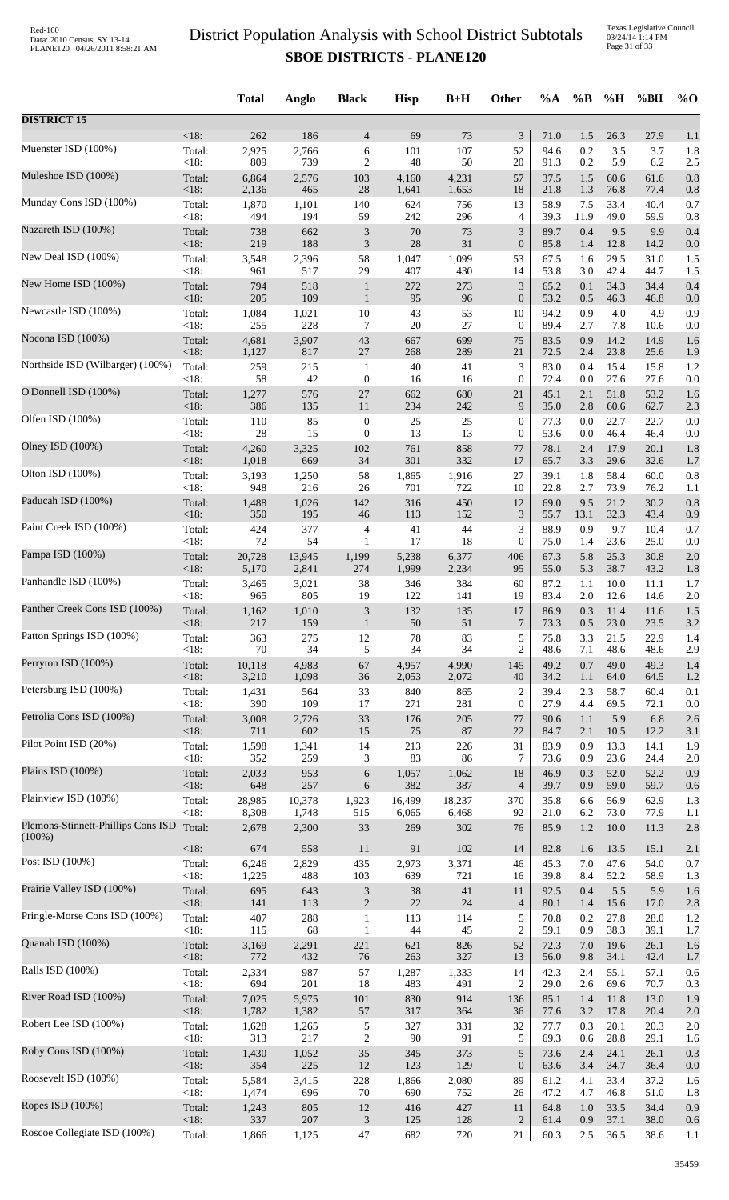Texas Legislative Council 03/24/14 1:14 PM Page 31 of 33

|                                                 |         | <b>Total</b> | Anglo  | <b>Black</b>                | <b>Hisp</b> | $B+H$  | Other            | $\%A$ | $\%B$ | %H   | %BH  | $%$ <sup>O</sup> |
|-------------------------------------------------|---------|--------------|--------|-----------------------------|-------------|--------|------------------|-------|-------|------|------|------------------|
| <b>DISTRICT 15</b>                              |         |              |        |                             |             |        |                  |       |       |      |      |                  |
| Muenster ISD (100%)                             | $<18$ : | 262          | 186    | $\overline{4}$              | 69          | 73     | 3                | 71.0  | 1.5   | 26.3 | 27.9 | 1.1              |
|                                                 | Total:  | 2,925        | 2,766  | 6                           | 101         | 107    | 52               | 94.6  | 0.2   | 3.5  | 3.7  | 1.8              |
|                                                 | <18:    | 809          | 739    | $\overline{c}$              | 48          | 50     | 20               | 91.3  | 0.2   | 5.9  | 6.2  | 2.5              |
| Muleshoe ISD (100%)                             | Total:  | 6,864        | 2,576  | 103                         | 4,160       | 4,231  | 57               | 37.5  | 1.5   | 60.6 | 61.6 | 0.8              |
|                                                 | <18:    | 2,136        | 465    | 28                          | 1,641       | 1,653  | 18               | 21.8  | 1.3   | 76.8 | 77.4 | 0.8              |
| Munday Cons ISD (100%)                          | Total:  | 1,870        | 1,101  | 140                         | 624         | 756    | 13               | 58.9  | 7.5   | 33.4 | 40.4 | 0.7              |
| Nazareth ISD (100%)                             | <18:    | 494          | 194    | 59                          | 242         | 296    | 4                | 39.3  | 11.9  | 49.0 | 59.9 | 0.8              |
|                                                 | Total:  | 738          | 662    | $\mathfrak{Z}$              | 70          | 73     | 3                | 89.7  | 0.4   | 9.5  | 9.9  | 0.4              |
|                                                 | < 18:   | 219          | 188    | $\ensuremath{\mathfrak{Z}}$ | $28\,$      | 31     | $\boldsymbol{0}$ | 85.8  | 1.4   | 12.8 | 14.2 | 0.0              |
| New Deal ISD (100%)                             | Total:  | 3,548        | 2,396  | 58                          | 1,047       | 1,099  | 53               | 67.5  | 1.6   | 29.5 | 31.0 | 1.5              |
|                                                 | <18:    | 961          | 517    | 29                          | 407         | 430    | 14               | 53.8  | 3.0   | 42.4 | 44.7 | 1.5              |
| New Home ISD (100%)                             | Total:  | 794          | 518    | $\mathbf{1}$                | 272         | 273    | 3                | 65.2  | 0.1   | 34.3 | 34.4 | 0.4              |
| Newcastle ISD (100%)                            | <18:    | 205          | 109    | $\mathbf{1}$                | 95          | 96     | $\boldsymbol{0}$ | 53.2  | 0.5   | 46.3 | 46.8 | 0.0              |
|                                                 | Total:  | 1,084        | 1,021  | 10                          | 43          | 53     | 10               | 94.2  | 0.9   | 4.0  | 4.9  | 0.9              |
| Nocona ISD (100%)                               | <18:    | 255          | 228    | 7                           | 20          | 27     | $\boldsymbol{0}$ | 89.4  | 2.7   | 7.8  | 10.6 | 0.0              |
|                                                 | Total:  | 4,681        | 3,907  | 43                          | 667         | 699    | 75               | 83.5  | 0.9   | 14.2 | 14.9 | 1.6              |
|                                                 | <18:    | 1,127        | 817    | 27                          | 268         | 289    | 21               | 72.5  | 2.4   | 23.8 | 25.6 | 1.9              |
| Northside ISD (Wilbarger) (100%)                | Total:  | 259          | 215    | $\mathbf{1}$                | 40          | 41     | 3                | 83.0  | 0.4   | 15.4 | 15.8 | 1.2              |
|                                                 | <18:    | 58           | 42     | $\boldsymbol{0}$            | 16          | 16     | $\boldsymbol{0}$ | 72.4  | 0.0   | 27.6 | 27.6 | 0.0              |
| O'Donnell ISD (100%)                            | Total:  | 1,277        | 576    | 27                          | 662         | 680    | 21               | 45.1  | 2.1   | 51.8 | 53.2 | 1.6              |
| Olfen ISD (100%)                                | <18:    | 386          | 135    | 11                          | 234         | 242    | 9                | 35.0  | 2.8   | 60.6 | 62.7 | 2.3              |
|                                                 | Total:  | 110          | 85     | $\boldsymbol{0}$            | $25\,$      | 25     | 0                | 77.3  | 0.0   | 22.7 | 22.7 | 0.0              |
| Olney ISD (100%)                                | <18:    | 28           | 15     | $\boldsymbol{0}$            | 13          | 13     | $\boldsymbol{0}$ | 53.6  | 0.0   | 46.4 | 46.4 | 0.0              |
|                                                 | Total:  | 4,260        | 3,325  | 102                         | 761         | 858    | 77               | 78.1  | 2.4   | 17.9 | 20.1 | 1.8              |
|                                                 | <18:    | 1,018        | 669    | 34                          | 301         | 332    | 17               | 65.7  | 3.3   | 29.6 | 32.6 | 1.7              |
| Olton ISD (100%)                                | Total:  | 3,193        | 1,250  | 58                          | 1,865       | 1,916  | 27               | 39.1  | 1.8   | 58.4 | 60.0 | 0.8              |
|                                                 | <18:    | 948          | 216    | 26                          | 701         | 722    | 10               | 22.8  | 2.7   | 73.9 | 76.2 | 1.1              |
| Paducah ISD (100%)                              | Total:  | 1,488        | 1,026  | 142                         | 316         | 450    | 12               | 69.0  | 9.5   | 21.2 | 30.2 | 0.8              |
| Paint Creek ISD (100%)                          | $<18$ : | 350          | 195    | 46                          | 113         | 152    | 3                | 55.7  | 13.1  | 32.3 | 43.4 | 0.9              |
|                                                 | Total:  | 424          | 377    | 4                           | 41          | 44     | 3                | 88.9  | 0.9   | 9.7  | 10.4 | 0.7              |
| Pampa ISD (100%)                                | <18:    | $72\,$       | 54     | $\mathbf{1}$                | 17          | 18     | 0                | 75.0  | 1.4   | 23.6 | 25.0 | 0.0              |
|                                                 | Total:  | 20,728       | 13,945 | 1,199                       | 5,238       | 6,377  | 406              | 67.3  | 5.8   | 25.3 | 30.8 | 2.0              |
|                                                 | <18:    | 5,170        | 2,841  | 274                         | 1,999       | 2,234  | 95               | 55.0  | 5.3   | 38.7 | 43.2 | 1.8              |
| Panhandle ISD (100%)                            | Total:  | 3,465        | 3,021  | 38                          | 346         | 384    | 60               | 87.2  | 1.1   | 10.0 | 11.1 | 1.7              |
|                                                 | <18:    | 965          | 805    | 19                          | 122         | 141    | 19               | 83.4  | 2.0   | 12.6 | 14.6 | 2.0              |
| Panther Creek Cons ISD (100%)                   | Total:  | 1,162        | 1,010  | 3                           | 132         | 135    | 17               | 86.9  | 0.3   | 11.4 | 11.6 | 1.5              |
| Patton Springs ISD (100%)                       | <18:    | 217          | 159    | 1                           | 50          | 51     | 7                | 73.3  | 0.5   | 23.0 | 23.5 | 3.2              |
|                                                 | Total:  | 363          | 275    | 12                          | 78          | 83     | 5                | 75.8  | 3.3   | 21.5 | 22.9 | 1.4              |
| Perryton ISD (100%)                             | <18:    | 70           | 34     | 5                           | 34          | 34     | $\overline{c}$   | 48.6  | 7.1   | 48.6 | 48.6 | 2.9              |
|                                                 | Total:  | 10,118       | 4,983  | 67                          | 4,957       | 4,990  | 145              | 49.2  | 0.7   | 49.0 | 49.3 | 1.4              |
|                                                 | <18:    | 3,210        | 1,098  | 36                          | 2,053       | 2,072  | 40               | 34.2  | 1.1   | 64.0 | 64.5 | 1.2              |
| Petersburg ISD (100%)                           | Total:  | 1,431        | 564    | 33                          | 840         | 865    | 2                | 39.4  | 2.3   | 58.7 | 60.4 | 0.1              |
|                                                 | <18:    | 390          | 109    | 17                          | 271         | 281    | $\overline{0}$   | 27.9  | 4.4   | 69.5 | 72.1 | 0.0              |
| Petrolia Cons ISD (100%)                        | Total:  | 3,008        | 2,726  | 33                          | 176         | 205    | 77               | 90.6  | 1.1   | 5.9  | 6.8  | 2.6              |
| Pilot Point ISD (20%)                           | $<18$ : | 711          | 602    | 15                          | 75          | 87     | 22               | 84.7  | 2.1   | 10.5 | 12.2 | 3.1              |
|                                                 | Total:  | 1,598        | 1,341  | 14                          | 213         | 226    | 31               | 83.9  | 0.9   | 13.3 | 14.1 | 1.9              |
| Plains ISD (100%)                               | <18:    | 352          | 259    | 3                           | 83          | 86     | 7                | 73.6  | 0.9   | 23.6 | 24.4 | 2.0              |
|                                                 | Total:  | 2,033        | 953    | 6                           | 1,057       | 1,062  | $18\,$           | 46.9  | 0.3   | 52.0 | 52.2 | 0.9              |
|                                                 | <18:    | 648          | 257    | 6                           | 382         | 387    | $\overline{4}$   | 39.7  | 0.9   | 59.0 | 59.7 | 0.6              |
| Plainview ISD (100%)                            | Total:  | 28,985       | 10,378 | 1,923                       | 16,499      | 18,237 | 370              | 35.8  | 6.6   | 56.9 | 62.9 | 1.3              |
|                                                 | < 18:   | 8,308        | 1,748  | 515                         | 6,065       | 6,468  | 92               | 21.0  | 6.2   | 73.0 | 77.9 | 1.1              |
| Plemons-Stinnett-Phillips Cons ISD<br>$(100\%)$ | Total:  | 2,678        | 2,300  | 33                          | 269         | 302    | 76               | 85.9  | 1.2   | 10.0 | 11.3 | 2.8              |
|                                                 | <18:    | 674          | 558    | 11                          | 91          | 102    | 14               | 82.8  | 1.6   | 13.5 | 15.1 | 2.1              |
| Post ISD (100%)                                 | Total:  | 6,246        | 2,829  | 435                         | 2,973       | 3,371  | 46               | 45.3  | 7.0   | 47.6 | 54.0 | 0.7              |
|                                                 | <18:    | 1,225        | 488    | 103                         | 639         | 721    | 16               | 39.8  | 8.4   | 52.2 | 58.9 | 1.3              |
| Prairie Valley ISD (100%)                       | Total:  | 695          | 643    | $\ensuremath{\mathfrak{Z}}$ | $38\,$      | 41     | 11               | 92.5  | 0.4   | 5.5  | 5.9  | 1.6              |
| Pringle-Morse Cons ISD (100%)                   | <18:    | 141          | 113    | $\mathbf{2}$                | $22\,$      | 24     | $\overline{4}$   | 80.1  | 1.4   | 15.6 | 17.0 | 2.8              |
|                                                 | Total:  | 407          | 288    | $\mathbf{1}$                | 113         | 114    | 5                | 70.8  | 0.2   | 27.8 | 28.0 | 1.2              |
| Quanah ISD (100%)                               | <18:    | 115          | 68     | $\mathbf{1}$                | 44          | 45     | $\overline{c}$   | 59.1  | 0.9   | 38.3 | 39.1 | 1.7              |
|                                                 | Total:  | 3,169        | 2,291  | 221                         | 621         | 826    | 52               | 72.3  | 7.0   | 19.6 | 26.1 | 1.6              |
|                                                 | <18:    | 772          | 432    | 76                          | 263         | 327    | 13               | 56.0  | 9.8   | 34.1 | 42.4 | 1.7              |
| Ralls ISD (100%)                                | Total:  | 2,334        | 987    | 57                          | 1,287       | 1,333  | 14               | 42.3  | 2.4   | 55.1 | 57.1 | 0.6              |
|                                                 | < 18:   | 694          | 201    | 18                          | 483         | 491    | 2                | 29.0  | 2.6   | 69.6 | 70.7 | 0.3              |
| River Road ISD (100%)                           | Total:  | 7,025        | 5,975  | 101                         | 830         | 914    | 136              | 85.1  | 1.4   | 11.8 | 13.0 | 1.9              |
| Robert Lee ISD (100%)                           | <18:    | 1,782        | 1,382  | 57                          | 317         | 364    | 36               | 77.6  | 3.2   | 17.8 | 20.4 | 2.0              |
|                                                 | Total:  | 1,628        | 1,265  | 5                           | 327         | 331    | 32               | 77.7  | 0.3   | 20.1 | 20.3 | 2.0              |
| Roby Cons ISD (100%)                            | <18:    | 313          | 217    | $\boldsymbol{2}$            | 90          | 91     | 5                | 69.3  | 0.6   | 28.8 | 29.1 | 1.6              |
|                                                 | Total:  | 1,430        | 1,052  | 35                          | 345         | 373    | 5                | 73.6  | 2.4   | 24.1 | 26.1 | 0.3              |
|                                                 | <18:    | 354          | 225    | 12                          | 123         | 129    | $\boldsymbol{0}$ | 63.6  | 3.4   | 34.7 | 36.4 | 0.0              |
| Roosevelt ISD (100%)                            | Total:  | 5,584        | 3,415  | 228                         | 1,866       | 2,080  | 89               | 61.2  | 4.1   | 33.4 | 37.2 | 1.6              |
|                                                 | <18:    | 1,474        | 696    | 70                          | 690         | 752    | 26               | 47.2  | 4.7   | 46.8 | 51.0 | 1.8              |
| Ropes ISD (100%)                                | Total:  | 1,243        | 805    | 12                          | 416         | 427    | 11               | 64.8  | 1.0   | 33.5 | 34.4 | 0.9              |
| Roscoe Collegiate ISD (100%)                    | <18:    | 337          | 207    | $\ensuremath{\mathfrak{Z}}$ | 125         | 128    | $\overline{c}$   | 61.4  | 0.9   | 37.1 | 38.0 | 0.6              |
|                                                 | Total:  | 1,866        | 1,125  | 47                          | 682         | 720    | 21               | 60.3  | 2.5   | 36.5 | 38.6 | 1.1              |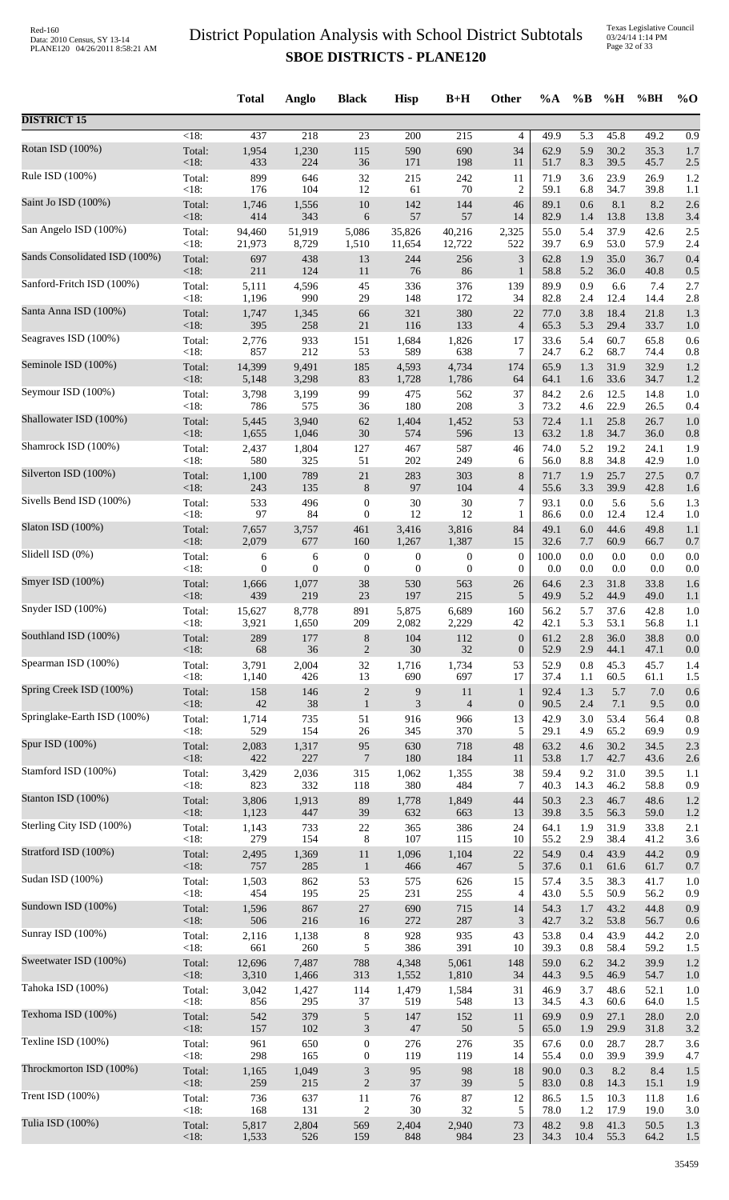Texas Legislative Council 03/24/14 1:14 PM Page 32 of 33

|                               |                 | <b>Total</b>   | Anglo          | <b>Black</b>                | <b>Hisp</b>      | $B+H$            | Other            | %A           | $\%B$      | %H           | %BH          | $\%$ O                  |
|-------------------------------|-----------------|----------------|----------------|-----------------------------|------------------|------------------|------------------|--------------|------------|--------------|--------------|-------------------------|
| <b>DISTRICT 15</b>            |                 |                |                |                             |                  |                  |                  |              |            |              |              |                         |
| Rotan ISD (100%)              | $<18$ :         | 437            | 218            | 23                          | 200<br>590       | 215<br>690       | 4<br>34          | 49.9<br>62.9 | 5.3<br>5.9 | 45.8<br>30.2 | 49.2<br>35.3 | $\overline{0.9}$<br>1.7 |
|                               | Total:<br>< 18: | 1,954<br>433   | 1,230<br>224   | 115<br>36                   | 171              | 198              | 11               | 51.7         | 8.3        | 39.5         | 45.7         | 2.5                     |
| Rule ISD (100%)               | Total:          | 899            | 646            | 32                          | 215              | 242              | 11               | 71.9         | 3.6        | 23.9         | 26.9         | 1.2                     |
|                               | < 18:           | 176            | 104            | 12                          | 61               | 70               | $\overline{c}$   | 59.1         | 6.8        | 34.7         | 39.8         | 1.1                     |
| Saint Jo ISD (100%)           | Total:          | 1,746          | 1,556          | 10                          | 142              | 144              | 46               | 89.1         | 0.6        | 8.1          | 8.2          | 2.6                     |
|                               | <18:            | 414            | 343            | 6                           | 57               | 57               | 14               | 82.9         | 1.4        | 13.8         | 13.8         | 3.4                     |
| San Angelo ISD (100%)         | Total:          | 94,460         | 51,919         | 5,086                       | 35,826           | 40,216           | 2,325            | 55.0         | 5.4        | 37.9         | 42.6         | 2.5                     |
| Sands Consolidated ISD (100%) | < 18:           | 21,973         | 8,729          | 1,510                       | 11,654           | 12,722           | 522              | 39.7         | 6.9        | 53.0         | 57.9         | 2.4                     |
|                               | Total:          | 697            | 438            | 13                          | 244              | 256              | $\mathfrak{Z}$   | 62.8         | 1.9        | 35.0         | 36.7         | 0.4                     |
| Sanford-Fritch ISD (100%)     | <18:            | 211            | 124            | 11                          | 76               | 86               | $\mathbf{1}$     | 58.8         | 5.2        | 36.0         | 40.8         | 0.5                     |
|                               | Total:          | 5,111          | 4,596          | 45                          | 336              | 376              | 139              | 89.9         | 0.9        | 6.6          | 7.4          | 2.7                     |
|                               | < 18:           | 1,196          | 990            | 29                          | 148              | 172              | 34               | 82.8         | 2.4        | 12.4         | 14.4         | 2.8                     |
| Santa Anna ISD (100%)         | Total:          | 1,747          | 1,345          | 66                          | 321              | 380              | 22               | 77.0         | 3.8        | 18.4         | 21.8         | 1.3                     |
|                               | <18:            | 395            | 258            | 21                          | 116              | 133              | $\overline{4}$   | 65.3         | 5.3        | 29.4         | 33.7         | 1.0                     |
| Seagraves ISD (100%)          | Total:          | 2,776          | 933            | 151                         | 1,684            | 1,826            | 17               | 33.6         | 5.4        | 60.7         | 65.8         | 0.6                     |
|                               | < 18:           | 857            | 212            | 53                          | 589              | 638              | 7                | 24.7         | 6.2        | 68.7         | 74.4         | 0.8                     |
| Seminole ISD (100%)           | Total:          | 14,399         | 9,491          | 185                         | 4,593            | 4,734            | 174              | 65.9         | 1.3        | 31.9         | 32.9         | 1.2                     |
| Seymour ISD (100%)            | < 18:           | 5,148          | 3,298          | 83                          | 1,728            | 1,786            | 64               | 64.1         | 1.6        | 33.6         | 34.7         | 1.2                     |
|                               | Total:          | 3,798          | 3,199          | 99                          | 475              | 562              | 37               | 84.2         | 2.6        | 12.5         | 14.8         | 1.0                     |
| Shallowater ISD (100%)        | < 18:           | 786            | 575            | 36                          | 180              | 208              | 3                | 73.2         | 4.6        | 22.9         | 26.5         | 0.4                     |
|                               | Total:          | 5,445          | 3,940          | 62                          | 1,404            | 1,452            | 53               | 72.4         | 1.1        | 25.8         | 26.7         | 1.0                     |
|                               | < 18:           | 1,655          | 1,046          | 30                          | 574              | 596              | 13               | 63.2         | 1.8        | 34.7         | 36.0         | 0.8                     |
| Shamrock ISD (100%)           | Total:          | 2,437          | 1,804          | 127                         | 467              | 587              | 46               | 74.0         | 5.2        | 19.2         | 24.1         | 1.9                     |
|                               | < 18:           | 580            | 325            | 51                          | 202              | 249              | 6                | 56.0         | 8.8        | 34.8         | 42.9         | 1.0                     |
| Silverton ISD (100%)          | Total:          | 1,100          | 789            | $21\,$                      | 283              | 303              | 8                | 71.7         | 1.9        | 25.7         | 27.5         | 0.7                     |
|                               | < 18:           | 243            | 135            | $\,8\,$                     | 97               | 104              | $\overline{4}$   | 55.6         | 3.3        | 39.9         | 42.8         | 1.6                     |
| Sivells Bend ISD (100%)       | Total:          | 533            | 496            | $\boldsymbol{0}$            | 30               | 30               | 7                | 93.1         | 0.0        | 5.6          | 5.6          | 1.3                     |
| Slaton ISD (100%)             | < 18:           | 97             | 84             | $\boldsymbol{0}$            | 12               | 12               | $\mathbf{1}$     | 86.6         | 0.0        | 12.4         | 12.4         | 1.0                     |
|                               | Total:          | 7,657          | 3,757          | 461                         | 3,416            | 3,816            | 84               | 49.1         | 6.0        | 44.6         | 49.8         | 1.1                     |
| Slidell ISD (0%)              | <18:            | 2,079          | 677            | 160                         | 1,267            | 1,387            | 15               | 32.6         | 7.7        | 60.9         | 66.7         | 0.7                     |
|                               | Total:          | 6              | 6              | $\boldsymbol{0}$            | 0                | $\boldsymbol{0}$ | $\boldsymbol{0}$ | 100.0        | 0.0        | 0.0          | 0.0          | 0.0                     |
|                               | < 18:           | $\overline{0}$ | $\overline{0}$ | $\boldsymbol{0}$            | $\boldsymbol{0}$ | $\theta$         | $\theta$         | 0.0          | 0.0        | 0.0          | 0.0          | 0.0                     |
| Smyer ISD (100%)              | Total:          | 1,666          | 1,077          | 38                          | 530              | 563              | 26               | 64.6         | 2.3        | 31.8         | 33.8         | 1.6                     |
|                               | $<18$ :         | 439            | 219            | 23                          | 197              | 215              | 5                | 49.9         | 5.2        | 44.9         | 49.0         | 1.1                     |
| Snyder ISD (100%)             | Total:          | 15,627         | 8,778          | 891<br>209                  | 5,875            | 6,689            | 160<br>42        | 56.2<br>42.1 | 5.7<br>5.3 | 37.6         | 42.8<br>56.8 | 1.0<br>1.1              |
| Southland ISD (100%)          | <18:<br>Total:  | 3,921<br>289   | 1,650<br>177   | $8\,$                       | 2,082<br>104     | 2,229<br>112     | $\boldsymbol{0}$ | 61.2         | 2.8        | 53.1<br>36.0 | 38.8         | 0.0                     |
| Spearman ISD (100%)           | < 18:           | 68             | 36             | $\mathfrak{2}$              | 30               | 32               | $\boldsymbol{0}$ | 52.9         | 2.9        | 44.1         | 47.1         | 0.0                     |
|                               | Total:          | 3,791          | 2,004          | 32                          | 1,716            | 1,734            | 53               | 52.9         | 0.8        | 45.3         | 45.7         | 1.4                     |
| Spring Creek ISD (100%)       | < 18:           | 1,140          | 426            | 13                          | 690              | 697              | 17               | 37.4         | 1.1        | 60.5         | 61.1         | 1.5                     |
|                               | Total:          | 158            | 146            | $\sqrt{2}$                  | 9                | 11               | $\mathbf{1}$     | 92.4         | 1.3        | 5.7          | 7.0          | 0.6                     |
|                               | <18:            | $42\,$         | 38             | $\mathbf{1}$                | 3                | $\overline{4}$   | $\boldsymbol{0}$ | 90.5         | 2.4        | 7.1          | 9.5          | 0.0                     |
| Springlake-Earth ISD (100%)   | Total:          | 1,714          | 735            | 51                          | 916              | 966              | 13               | 42.9         | 3.0        | 53.4         | 56.4         | 0.8                     |
|                               | < 18:           | 529            | 154            | 26                          | 345              | 370              | 5                | 29.1         | 4.9        | 65.2         | 69.9         | 0.9                     |
| Spur ISD (100%)               | Total:          | 2,083          | 1,317          | 95                          | 630              | 718              | 48               | 63.2         | 4.6        | 30.2         | 34.5         | 2.3                     |
|                               | <18:            | 422            | 227            | $\overline{7}$              | 180              | 184              | 11               | 53.8         | 1.7        | 42.7         | 43.6         | 2.6                     |
| Stamford ISD (100%)           | Total:          | 3,429          | 2,036          | 315                         | 1,062            | 1,355            | 38               | 59.4         | 9.2        | 31.0         | 39.5         | 1.1                     |
|                               | < 18:           | 823            | 332            | 118                         | 380              | 484              | 7                | 40.3         | 14.3       | 46.2         | 58.8         | 0.9                     |
| Stanton ISD (100%)            | Total:          | 3,806          | 1,913          | 89                          | 1,778            | 1,849            | 44               | 50.3         | 2.3        | 46.7         | 48.6         | 1.2                     |
| Sterling City ISD (100%)      | < 18:           | 1,123          | 447            | 39                          | 632              | 663              | 13               | 39.8         | 3.5        | 56.3         | 59.0         | 1.2                     |
|                               | Total:          | 1,143          | 733            | 22                          | 365              | 386              | 24               | 64.1         | 1.9        | 31.9         | 33.8         | 2.1                     |
| Stratford ISD (100%)          | < 18:           | 279            | 154            | 8                           | 107              | 115              | 10               | 55.2         | 2.9        | 38.4         | 41.2         | 3.6                     |
|                               | Total:          | 2,495          | 1,369          | 11                          | 1,096            | 1,104            | 22               | 54.9         | 0.4        | 43.9         | 44.2         | 0.9                     |
|                               | < 18:           | 757            | 285            | $\mathbf{1}$                | 466              | 467              | $\sqrt{5}$       | 37.6         | 0.1        | 61.6         | 61.7         | 0.7                     |
| Sudan ISD (100%)              | Total:          | 1,503          | 862            | 53                          | 575              | 626              | 15               | 57.4         | 3.5        | 38.3         | 41.7         | 1.0                     |
|                               | < 18:           | 454            | 195            | 25                          | 231              | 255              | 4                | 43.0         | 5.5        | 50.9         | 56.2         | 0.9                     |
| Sundown ISD (100%)            | Total:          | 1,596          | 867            | 27                          | 690              | 715              | 14               | 54.3         | 1.7        | 43.2         | 44.8         | 0.9                     |
|                               | < 18:           | 506            | 216            | 16                          | 272              | 287              | 3                | 42.7         | 3.2        | 53.8         | 56.7         | 0.6                     |
| Sunray ISD (100%)             | Total:<br>< 18: | 2,116<br>661   | 1,138<br>260   | $\,8\,$                     | 928<br>386       | 935<br>391       | 43<br>10         | 53.8<br>39.3 | 0.4        | 43.9<br>58.4 | 44.2         | 2.0                     |
| Sweetwater ISD (100%)         | Total:          | 12,696         | 7,487          | 5<br>788                    | 4,348            | 5,061            | 148              | 59.0         | 0.8<br>6.2 | 34.2         | 59.2<br>39.9 | 1.5<br>1.2              |
| Tahoka ISD (100%)             | < 18:           | 3,310          | 1,466          | 313                         | 1,552            | 1,810            | 34               | 44.3         | 9.5        | 46.9         | 54.7         | 1.0                     |
|                               | Total:          | 3,042          | 1,427          | 114                         | 1,479            | 1,584            | 31               | 46.9         | 3.7        | 48.6         | 52.1         | 1.0                     |
| Texhoma ISD (100%)            | < 18:           | 856            | 295            | 37                          | 519              | 548              | 13               | 34.5         | 4.3        | 60.6         | 64.0         | 1.5                     |
|                               | Total:          | 542            | 379            | $\sqrt{5}$                  | 147              | 152              | 11               | 69.9         | 0.9        | 27.1         | 28.0         | 2.0                     |
|                               | <18:            | 157            | 102            | $\mathfrak{Z}$              | $47\,$           | 50               | 5                | 65.0         | 1.9        | 29.9         | 31.8         | 3.2                     |
| Texline ISD (100%)            | Total:          | 961            | 650            | $\boldsymbol{0}$            | 276              | 276              | 35               | 67.6         | 0.0        | 28.7         | 28.7         | 3.6                     |
|                               | < 18:           | 298            | 165            | $\boldsymbol{0}$            | 119              | 119              | 14               | 55.4         | 0.0        | 39.9         | 39.9         | 4.7                     |
| Throckmorton ISD (100%)       | Total:          | 1,165          | 1,049          | $\ensuremath{\mathfrak{Z}}$ | 95               | 98               | $18\,$           | 90.0         | 0.3        | 8.2          | 8.4          | 1.5                     |
|                               | < 18:           | 259            | 215            | $\sqrt{2}$                  | $37\,$           | 39               | $\sqrt{5}$       | 83.0         | 0.8        | 14.3         | 15.1         | 1.9                     |
| Trent ISD (100%)              | Total:          | 736            | 637            | $11\,$                      | 76               | 87               | 12               | 86.5         | 1.5        | 10.3         | 11.8         | 1.6                     |
| Tulia ISD (100%)              | < 18:           | 168            | 131            | $\sqrt{2}$                  | 30               | 32               | 5                | 78.0         | 1.2        | 17.9         | 19.0         | 3.0                     |
|                               | Total:          | 5,817          | 2,804          | 569                         | 2,404            | 2,940            | 73               | 48.2         | 9.8        | 41.3         | 50.5         | 1.3                     |
|                               | < 18:           | 1,533          | 526            | 159                         | 848              | 984              | 23               | 34.3         | 10.4       | 55.3         | 64.2         | 1.5                     |